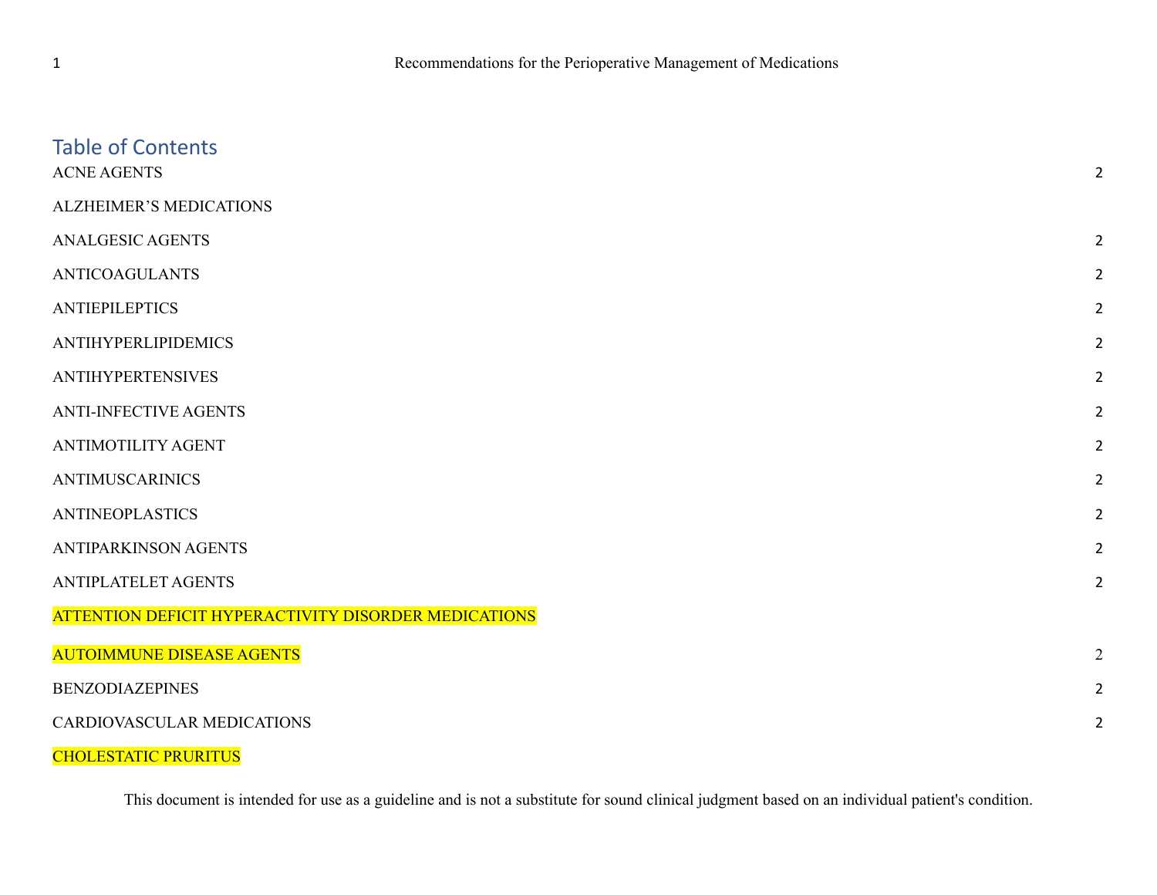| <b>Table of Contents</b><br><b>ACNE AGENTS</b>       | $\overline{2}$ |
|------------------------------------------------------|----------------|
| <b>ALZHEIMER'S MEDICATIONS</b>                       |                |
| <b>ANALGESIC AGENTS</b>                              | $\overline{2}$ |
| <b>ANTICOAGULANTS</b>                                | $\overline{2}$ |
| <b>ANTIEPILEPTICS</b>                                | $\overline{2}$ |
| <b>ANTIHYPERLIPIDEMICS</b>                           | $\overline{2}$ |
| <b>ANTIHYPERTENSIVES</b>                             | $\overline{2}$ |
| <b>ANTI-INFECTIVE AGENTS</b>                         | $\overline{2}$ |
| <b>ANTIMOTILITY AGENT</b>                            | $\overline{2}$ |
| <b>ANTIMUSCARINICS</b>                               | $\overline{2}$ |
| <b>ANTINEOPLASTICS</b>                               | $\overline{2}$ |
| <b>ANTIPARKINSON AGENTS</b>                          | $\overline{2}$ |
| <b>ANTIPLATELET AGENTS</b>                           | $\overline{2}$ |
| ATTENTION DEFICIT HYPERACTIVITY DISORDER MEDICATIONS |                |
| <b>AUTOIMMUNE DISEASE AGENTS</b>                     | $\overline{2}$ |
| <b>BENZODIAZEPINES</b>                               | $\overline{2}$ |
| CARDIOVASCULAR MEDICATIONS                           | $\overline{2}$ |
| <b>CHOLESTATIC PRURITUS</b>                          |                |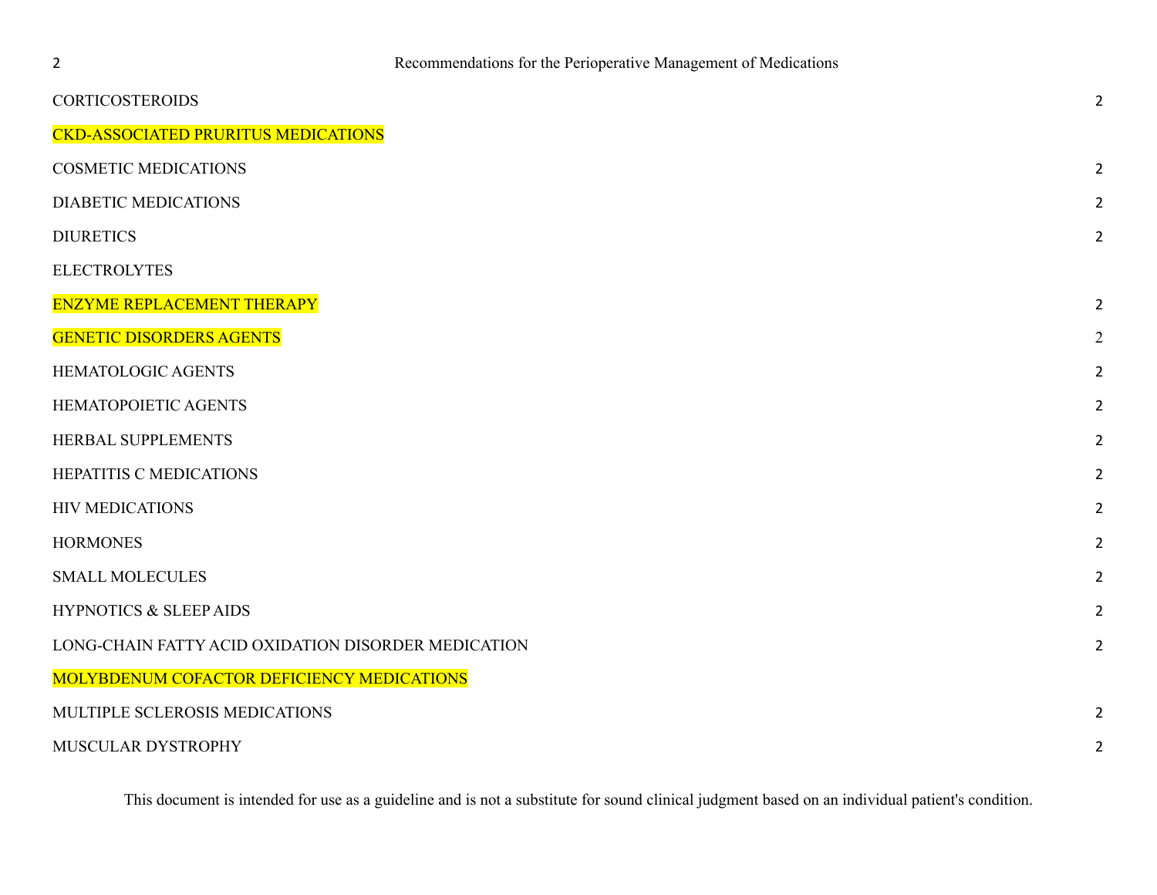| <b>CORTICOSTEROIDS</b>                              | $\overline{2}$ |
|-----------------------------------------------------|----------------|
| <b>CKD-ASSOCIATED PRURITUS MEDICATIONS</b>          |                |
| <b>COSMETIC MEDICATIONS</b>                         | $\overline{2}$ |
| <b>DIABETIC MEDICATIONS</b>                         | $\overline{2}$ |
| <b>DIURETICS</b>                                    | $\overline{2}$ |
| <b>ELECTROLYTES</b>                                 |                |
| <b>ENZYME REPLACEMENT THERAPY</b>                   | $\overline{2}$ |
| <b>GENETIC DISORDERS AGENTS</b>                     | $\overline{2}$ |
| HEMATOLOGIC AGENTS                                  | $\overline{2}$ |
| HEMATOPOIETIC AGENTS                                | 2              |
| HERBAL SUPPLEMENTS                                  | 2              |
| HEPATITIS C MEDICATIONS                             | $\overline{2}$ |
| <b>HIV MEDICATIONS</b>                              | $\overline{2}$ |
| <b>HORMONES</b>                                     | $\overline{2}$ |
| <b>SMALL MOLECULES</b>                              | $\overline{2}$ |
| <b>HYPNOTICS &amp; SLEEP AIDS</b>                   | $\overline{2}$ |
| LONG-CHAIN FATTY ACID OXIDATION DISORDER MEDICATION | $\overline{2}$ |
| <b>MOLYBDENUM COFACTOR DEFICIENCY MEDICATIONS</b>   |                |
| MULTIPLE SCLEROSIS MEDICATIONS                      | $\overline{2}$ |
| MUSCULAR DYSTROPHY                                  | $\overline{2}$ |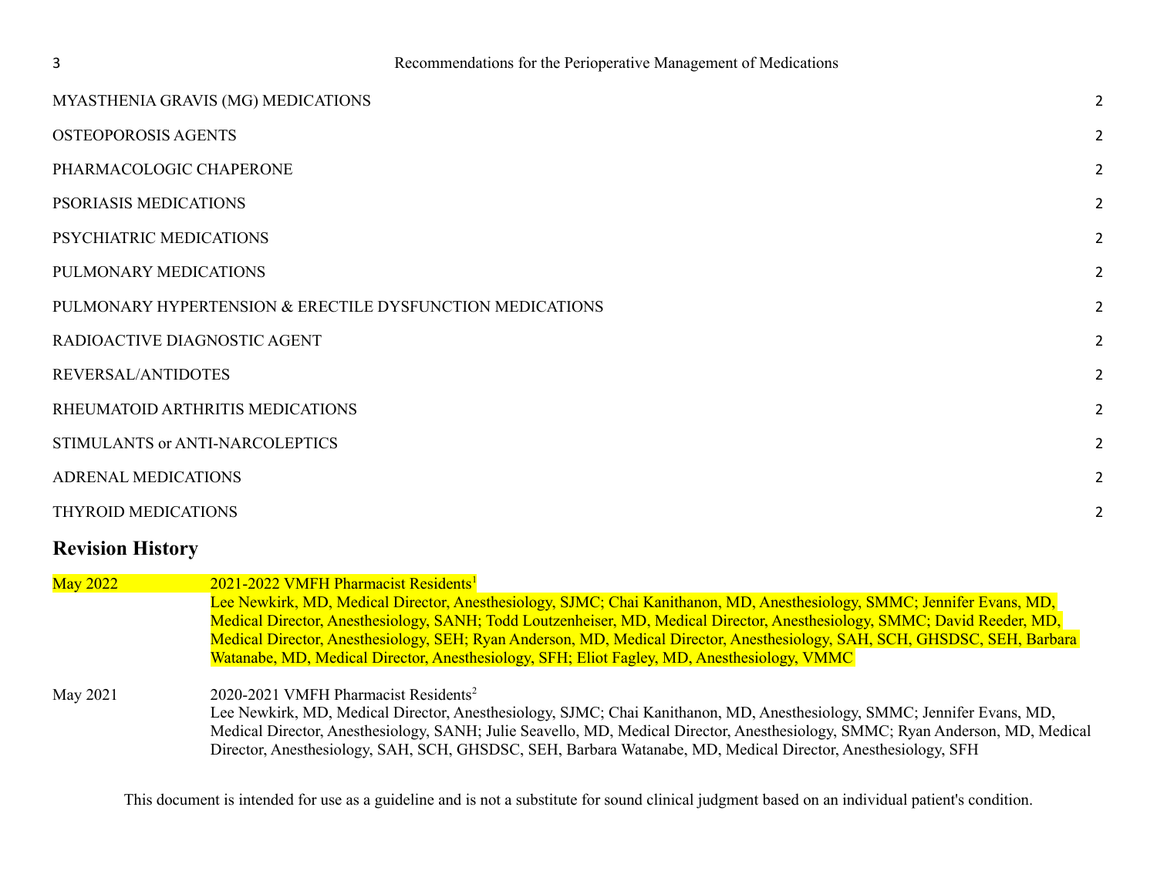| MYASTHENIA GRAVIS (MG) MEDICATIONS                        | $\overline{2}$ |
|-----------------------------------------------------------|----------------|
| <b>OSTEOPOROSIS AGENTS</b>                                | $\overline{2}$ |
| PHARMACOLOGIC CHAPERONE                                   | $\overline{2}$ |
| PSORIASIS MEDICATIONS                                     | $\overline{2}$ |
| PSYCHIATRIC MEDICATIONS                                   | $\overline{2}$ |
| PULMONARY MEDICATIONS                                     | $\overline{2}$ |
| PULMONARY HYPERTENSION & ERECTILE DYSFUNCTION MEDICATIONS | 2              |
| RADIOACTIVE DIAGNOSTIC AGENT                              | 2              |
| REVERSAL/ANTIDOTES                                        | $\overline{2}$ |
| RHEUMATOID ARTHRITIS MEDICATIONS                          | $\overline{2}$ |
| STIMULANTS or ANTI-NARCOLEPTICS                           | $\overline{2}$ |
| <b>ADRENAL MEDICATIONS</b>                                | $\overline{2}$ |
| THYROID MEDICATIONS                                       | 2              |
|                                                           |                |

## **Revision History**

| <b>May 2022</b> | 2021-2022 VMFH Pharmacist Residents <sup>1</sup>                                                                               |
|-----------------|--------------------------------------------------------------------------------------------------------------------------------|
|                 | Lee Newkirk, MD, Medical Director, Anesthesiology, SJMC; Chai Kanithanon, MD, Anesthesiology, SMMC; Jennifer Evans, MD,        |
|                 | Medical Director, Anesthesiology, SANH; Todd Loutzenheiser, MD, Medical Director, Anesthesiology, SMMC; David Reeder, MD,      |
|                 | Medical Director, Anesthesiology, SEH; Ryan Anderson, MD, Medical Director, Anesthesiology, SAH, SCH, GHSDSC, SEH, Barbara     |
|                 | Watanabe, MD, Medical Director, Anesthesiology, SFH; Eliot Fagley, MD, Anesthesiology, VMMC                                    |
|                 |                                                                                                                                |
| May 2021        | 2020-2021 VMFH Pharmacist Residents <sup>2</sup>                                                                               |
|                 | Lee Newkirk, MD, Medical Director, Anesthesiology, SJMC; Chai Kanithanon, MD, Anesthesiology, SMMC; Jennifer Evans, MD,        |
|                 | Medical Director, Anesthesiology, SANH; Julie Seavello, MD, Medical Director, Anesthesiology, SMMC; Ryan Anderson, MD, Medical |
|                 | Director, Anesthesiology, SAH, SCH, GHSDSC, SEH, Barbara Watanabe, MD, Medical Director, Anesthesiology, SFH                   |
|                 |                                                                                                                                |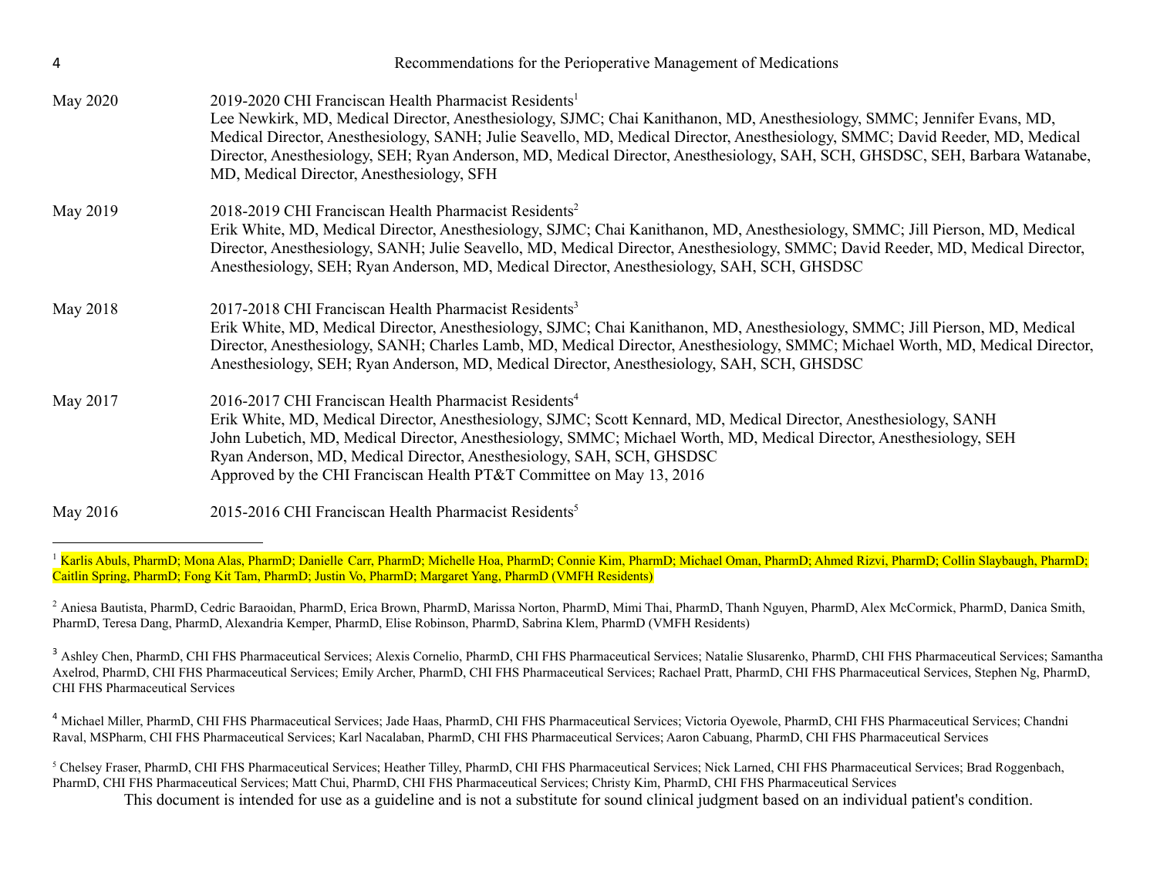| 4        | Recommendations for the Perioperative Management of Medications                                                                                                                                                                                                                                                                                                                                                                                                                                            |
|----------|------------------------------------------------------------------------------------------------------------------------------------------------------------------------------------------------------------------------------------------------------------------------------------------------------------------------------------------------------------------------------------------------------------------------------------------------------------------------------------------------------------|
| May 2020 | 2019-2020 CHI Franciscan Health Pharmacist Residents <sup>1</sup><br>Lee Newkirk, MD, Medical Director, Anesthesiology, SJMC; Chai Kanithanon, MD, Anesthesiology, SMMC; Jennifer Evans, MD,<br>Medical Director, Anesthesiology, SANH; Julie Seavello, MD, Medical Director, Anesthesiology, SMMC; David Reeder, MD, Medical<br>Director, Anesthesiology, SEH; Ryan Anderson, MD, Medical Director, Anesthesiology, SAH, SCH, GHSDSC, SEH, Barbara Watanabe,<br>MD, Medical Director, Anesthesiology, SFH |
| May 2019 | 2018-2019 CHI Franciscan Health Pharmacist Residents <sup>2</sup><br>Erik White, MD, Medical Director, Anesthesiology, SJMC; Chai Kanithanon, MD, Anesthesiology, SMMC; Jill Pierson, MD, Medical<br>Director, Anesthesiology, SANH; Julie Seavello, MD, Medical Director, Anesthesiology, SMMC; David Reeder, MD, Medical Director,<br>Anesthesiology, SEH; Ryan Anderson, MD, Medical Director, Anesthesiology, SAH, SCH, GHSDSC                                                                         |
| May 2018 | 2017-2018 CHI Franciscan Health Pharmacist Residents <sup>3</sup><br>Erik White, MD, Medical Director, Anesthesiology, SJMC; Chai Kanithanon, MD, Anesthesiology, SMMC; Jill Pierson, MD, Medical<br>Director, Anesthesiology, SANH; Charles Lamb, MD, Medical Director, Anesthesiology, SMMC; Michael Worth, MD, Medical Director,<br>Anesthesiology, SEH; Ryan Anderson, MD, Medical Director, Anesthesiology, SAH, SCH, GHSDSC                                                                          |
| May 2017 | 2016-2017 CHI Franciscan Health Pharmacist Residents <sup>4</sup><br>Erik White, MD, Medical Director, Anesthesiology, SJMC; Scott Kennard, MD, Medical Director, Anesthesiology, SANH<br>John Lubetich, MD, Medical Director, Anesthesiology, SMMC; Michael Worth, MD, Medical Director, Anesthesiology, SEH<br>Ryan Anderson, MD, Medical Director, Anesthesiology, SAH, SCH, GHSDSC<br>Approved by the CHI Franciscan Health PT&T Committee on May 13, 2016                                             |
| May 2016 | 2015-2016 CHI Franciscan Health Pharmacist Residents <sup>5</sup>                                                                                                                                                                                                                                                                                                                                                                                                                                          |

<sup>1</sup> Karlis Abuls, PharmD; Mona Alas, PharmD; Danielle Carr, PharmD; Michelle Hoa, PharmD; Connie Kim, PharmD; Michael Oman, PharmD; Ahmed Rizvi, PharmD; Collin Slaybaugh, PharmD; Caitlin Spring, PharmD; Fong Kit Tam, PharmD; Justin Vo, PharmD; Margaret Yang, PharmD (VMFH Residents)

<sup>2</sup> Aniesa Bautista, PharmD, Cedric Baraoidan, PharmD, Erica Brown, PharmD, Marissa Norton, PharmD, Mimi Thai, PharmD, Thanh Nguyen, PharmD, Alex McCormick, PharmD, Danica Smith, PharmD, Teresa Dang, PharmD, Alexandria Kemper, PharmD, Elise Robinson, PharmD, Sabrina Klem, PharmD (VMFH Residents)

<sup>3</sup> Ashley Chen, PharmD, CHI FHS Pharmaceutical Services; Alexis Cornelio, PharmD, CHI FHS Pharmaceutical Services; Natalie Slusarenko, PharmD, CHI FHS Pharmaceutical Services; Samantha Axelrod, PharmD, CHI FHS Pharmaceutical Services; Emily Archer, PharmD, CHI FHS Pharmaceutical Services; Rachael Pratt, PharmD, CHI FHS Pharmaceutical Services, Stephen Ng, PharmD, CHI FHS Pharmaceutical Services

<sup>4</sup> Michael Miller, PharmD, CHI FHS Pharmaceutical Services; Jade Haas, PharmD, CHI FHS Pharmaceutical Services; Victoria Oyewole, PharmD, CHI FHS Pharmaceutical Services; Chandni Raval, MSPharm, CHI FHS Pharmaceutical Services; Karl Nacalaban, PharmD, CHI FHS Pharmaceutical Services; Aaron Cabuang, PharmD, CHI FHS Pharmaceutical Services

 $^5$  Chelsey Fraser, PharmD, CHI FHS Pharmaceutical Services; Heather Tilley, PharmD, CHI FHS Pharmaceutical Services; Nick Larned, CHI FHS Pharmaceutical Services; Brad Roggenbach, PharmD, CHI FHS Pharmaceutical Services; Matt Chui, PharmD, CHI FHS Pharmaceutical Services; Christy Kim, PharmD, CHI FHS Pharmaceutical Services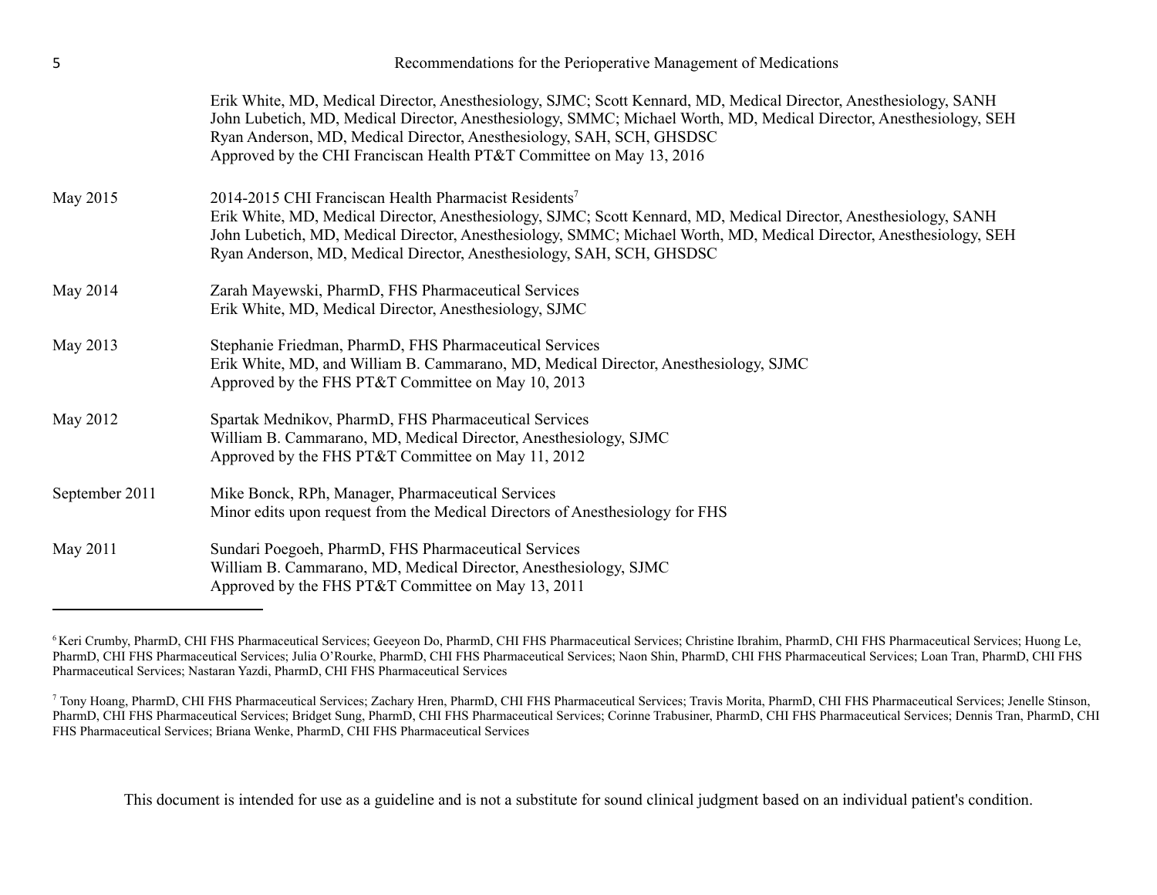| 5              | Recommendations for the Perioperative Management of Medications                                                                                                                                                                                                                                                                                                                           |  |  |  |  |
|----------------|-------------------------------------------------------------------------------------------------------------------------------------------------------------------------------------------------------------------------------------------------------------------------------------------------------------------------------------------------------------------------------------------|--|--|--|--|
|                | Erik White, MD, Medical Director, Anesthesiology, SJMC; Scott Kennard, MD, Medical Director, Anesthesiology, SANH<br>John Lubetich, MD, Medical Director, Anesthesiology, SMMC; Michael Worth, MD, Medical Director, Anesthesiology, SEH<br>Ryan Anderson, MD, Medical Director, Anesthesiology, SAH, SCH, GHSDSC<br>Approved by the CHI Franciscan Health PT&T Committee on May 13, 2016 |  |  |  |  |
| May 2015       | 2014-2015 CHI Franciscan Health Pharmacist Residents <sup>7</sup><br>Erik White, MD, Medical Director, Anesthesiology, SJMC; Scott Kennard, MD, Medical Director, Anesthesiology, SANH<br>John Lubetich, MD, Medical Director, Anesthesiology, SMMC; Michael Worth, MD, Medical Director, Anesthesiology, SEH<br>Ryan Anderson, MD, Medical Director, Anesthesiology, SAH, SCH, GHSDSC    |  |  |  |  |
| May 2014       | Zarah Mayewski, PharmD, FHS Pharmaceutical Services<br>Erik White, MD, Medical Director, Anesthesiology, SJMC                                                                                                                                                                                                                                                                             |  |  |  |  |
| May 2013       | Stephanie Friedman, PharmD, FHS Pharmaceutical Services<br>Erik White, MD, and William B. Cammarano, MD, Medical Director, Anesthesiology, SJMC<br>Approved by the FHS PT&T Committee on May 10, 2013                                                                                                                                                                                     |  |  |  |  |
| May 2012       | Spartak Mednikov, PharmD, FHS Pharmaceutical Services<br>William B. Cammarano, MD, Medical Director, Anesthesiology, SJMC<br>Approved by the FHS PT&T Committee on May 11, 2012                                                                                                                                                                                                           |  |  |  |  |
| September 2011 | Mike Bonck, RPh, Manager, Pharmaceutical Services<br>Minor edits upon request from the Medical Directors of Anesthesiology for FHS                                                                                                                                                                                                                                                        |  |  |  |  |
| May 2011       | Sundari Poegoeh, PharmD, FHS Pharmaceutical Services<br>William B. Cammarano, MD, Medical Director, Anesthesiology, SJMC<br>Approved by the FHS PT&T Committee on May 13, 2011                                                                                                                                                                                                            |  |  |  |  |

<sup>6</sup> Keri Crumby, PharmD, CHI FHS Pharmaceutical Services; Geeyeon Do, PharmD, CHI FHS Pharmaceutical Services; Christine Ibrahim, PharmD, CHI FHS Pharmaceutical Services; Huong Le, PharmD, CHI FHS Pharmaceutical Services; Julia O'Rourke, PharmD, CHI FHS Pharmaceutical Services; Naon Shin, PharmD, CHI FHS Pharmaceutical Services; Loan Tran, PharmD, CHI FHS Pharmaceutical Services; Loan Tran, PharmD, C Pharmaceutical Services; Nastaran Yazdi, PharmD, CHI FHS Pharmaceutical Services

<sup>7</sup> Tony Hoang, PharmD, CHI FHS Pharmaceutical Services; Zachary Hren, PharmD, CHI FHS Pharmaceutical Services; Travis Morita, PharmD, CHI FHS Pharmaceutical Services; Jenelle Stinson, PharmD, CHI FHS Pharmaceutical Services; Bridget Sung, PharmD, CHI FHS Pharmaceutical Services; Corinne Trabusiner, PharmD, CHI FHS Pharmaceutical Services; Dennis Tran, PharmD, CHI FHS Pharmaceutical Services; Briana Wenke, PharmD, CHI FHS Pharmaceutical Services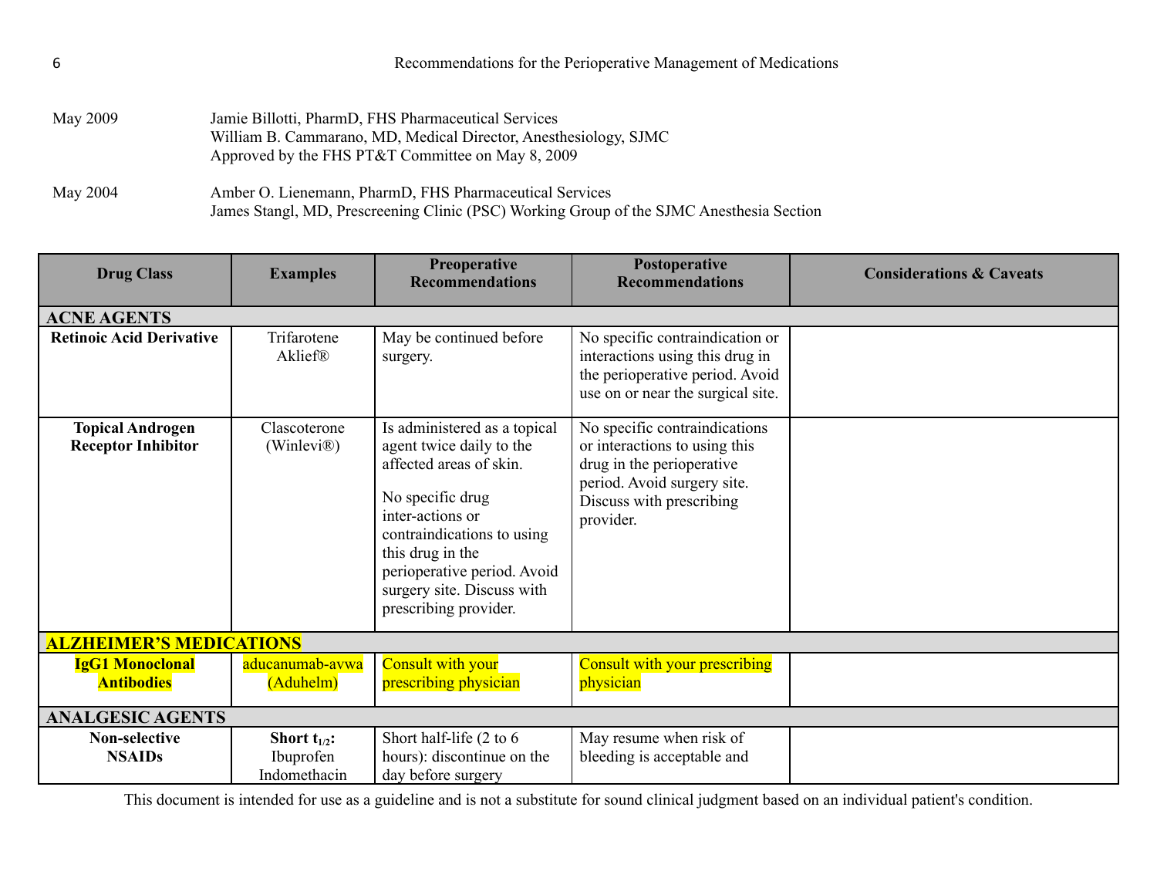| May 2009 | Jamie Billotti, PharmD, FHS Pharmaceutical Services<br>William B. Cammarano, MD, Medical Director, Anesthesiology, SJMC<br>Approved by the FHS PT&T Committee on May 8, 2009 |
|----------|------------------------------------------------------------------------------------------------------------------------------------------------------------------------------|
| May 2004 | Amber O. Lienemann, PharmD, FHS Pharmaceutical Services<br>James Stangl, MD, Prescreening Clinic (PSC) Working Group of the SJMC Anesthesia Section                          |

<span id="page-5-1"></span><span id="page-5-0"></span>

| <b>Drug Class</b>                                    | <b>Examples</b>                                | <b>Preoperative</b><br><b>Recommendations</b>                                                                                                                                                                                                                       | Postoperative<br><b>Recommendations</b>                                                                                                                             | <b>Considerations &amp; Caveats</b> |  |
|------------------------------------------------------|------------------------------------------------|---------------------------------------------------------------------------------------------------------------------------------------------------------------------------------------------------------------------------------------------------------------------|---------------------------------------------------------------------------------------------------------------------------------------------------------------------|-------------------------------------|--|
| <b>ACNE AGENTS</b>                                   |                                                |                                                                                                                                                                                                                                                                     |                                                                                                                                                                     |                                     |  |
| <b>Retinoic Acid Derivative</b>                      | Trifarotene<br>Aklief®                         | May be continued before<br>surgery.                                                                                                                                                                                                                                 | No specific contraindication or<br>interactions using this drug in<br>the perioperative period. Avoid<br>use on or near the surgical site.                          |                                     |  |
| <b>Topical Androgen</b><br><b>Receptor Inhibitor</b> | Clascoterone<br>(Winlevi <sup>®</sup> )        | Is administered as a topical<br>agent twice daily to the<br>affected areas of skin.<br>No specific drug<br>inter-actions or<br>contraindications to using<br>this drug in the<br>perioperative period. Avoid<br>surgery site. Discuss with<br>prescribing provider. | No specific contraindications<br>or interactions to using this<br>drug in the perioperative<br>period. Avoid surgery site.<br>Discuss with prescribing<br>provider. |                                     |  |
| <b>ALZHEIMER'S MEDICATIONS</b>                       |                                                |                                                                                                                                                                                                                                                                     |                                                                                                                                                                     |                                     |  |
| <b>IgG1 Monoclonal</b><br><b>Antibodies</b>          | aducanumab-avwa<br>(Aduhelm)                   | Consult with your<br>prescribing physician                                                                                                                                                                                                                          | Consult with your prescribing<br>physician                                                                                                                          |                                     |  |
| <b>ANALGESIC AGENTS</b>                              |                                                |                                                                                                                                                                                                                                                                     |                                                                                                                                                                     |                                     |  |
| <b>Non-selective</b><br><b>NSAIDs</b>                | Short $t_{1/2}$ :<br>Ibuprofen<br>Indomethacin | Short half-life (2 to 6<br>hours): discontinue on the<br>day before surgery                                                                                                                                                                                         | May resume when risk of<br>bleeding is acceptable and                                                                                                               |                                     |  |

6 Recommendations for the Perioperative Management of Medications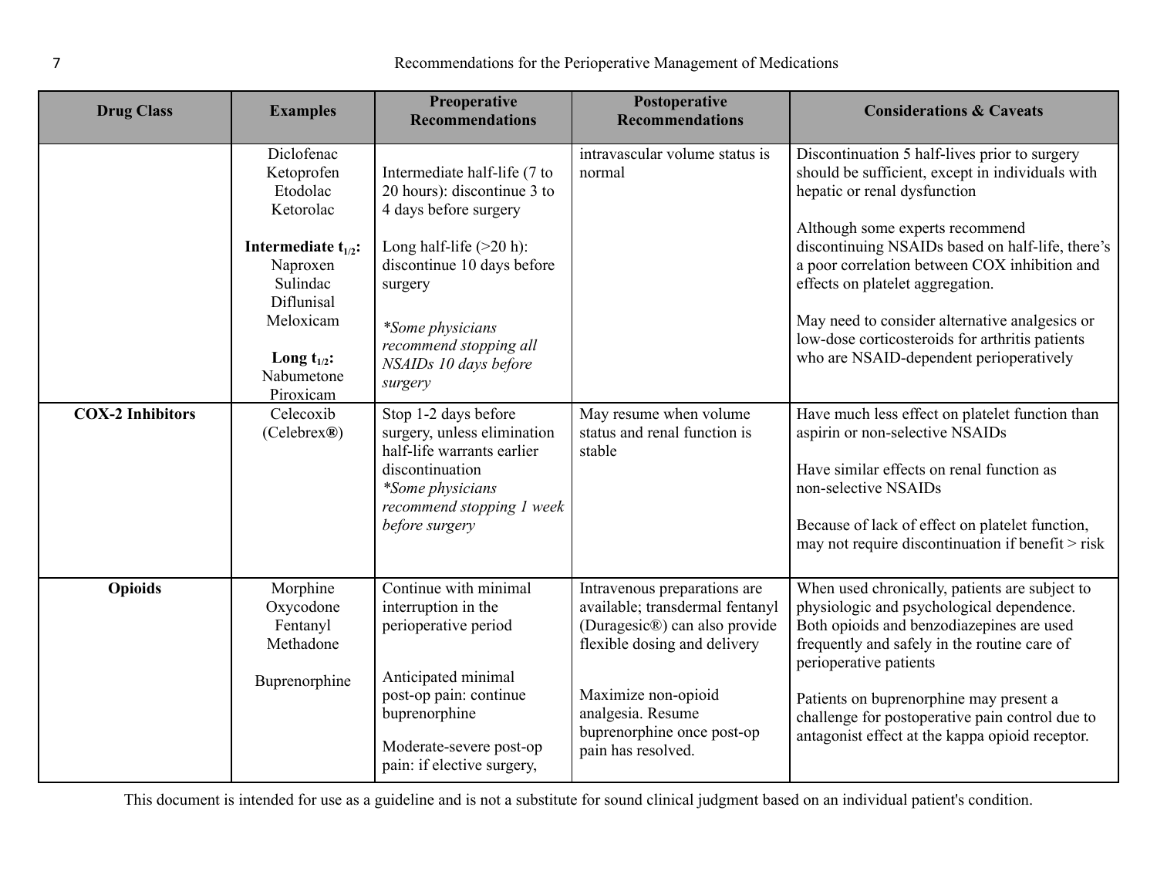| <b>Drug Class</b>       | <b>Examples</b>                                                                                                                                                                 | Preoperative<br><b>Recommendations</b>                                                                                                                                                                                                        | Postoperative<br><b>Recommendations</b>                                                                                                                                                                                          | <b>Considerations &amp; Caveats</b>                                                                                                                                                                                                                                                                                                                                                                                                                           |
|-------------------------|---------------------------------------------------------------------------------------------------------------------------------------------------------------------------------|-----------------------------------------------------------------------------------------------------------------------------------------------------------------------------------------------------------------------------------------------|----------------------------------------------------------------------------------------------------------------------------------------------------------------------------------------------------------------------------------|---------------------------------------------------------------------------------------------------------------------------------------------------------------------------------------------------------------------------------------------------------------------------------------------------------------------------------------------------------------------------------------------------------------------------------------------------------------|
|                         | Diclofenac<br>Ketoprofen<br>Etodolac<br>Ketorolac<br>Intermediate $t_{1/2}$ :<br>Naproxen<br>Sulindac<br>Diflunisal<br>Meloxicam<br>Long $t_{1/2}$ :<br>Nabumetone<br>Piroxicam | Intermediate half-life (7 to<br>20 hours): discontinue 3 to<br>4 days before surgery<br>Long half-life $(>20 h)$ :<br>discontinue 10 days before<br>surgery<br>*Some physicians<br>recommend stopping all<br>NSAIDs 10 days before<br>surgery | intravascular volume status is<br>normal                                                                                                                                                                                         | Discontinuation 5 half-lives prior to surgery<br>should be sufficient, except in individuals with<br>hepatic or renal dysfunction<br>Although some experts recommend<br>discontinuing NSAIDs based on half-life, there's<br>a poor correlation between COX inhibition and<br>effects on platelet aggregation.<br>May need to consider alternative analgesics or<br>low-dose corticosteroids for arthritis patients<br>who are NSAID-dependent perioperatively |
| <b>COX-2 Inhibitors</b> | Celecoxib<br>(Celebreak@)                                                                                                                                                       | Stop 1-2 days before<br>surgery, unless elimination<br>half-life warrants earlier<br>discontinuation<br>*Some physicians<br>recommend stopping 1 week<br>before surgery                                                                       | May resume when volume<br>status and renal function is<br>stable                                                                                                                                                                 | Have much less effect on platelet function than<br>aspirin or non-selective NSAIDs<br>Have similar effects on renal function as<br>non-selective NSAIDs<br>Because of lack of effect on platelet function,<br>may not require discontinuation if benefit > risk                                                                                                                                                                                               |
| <b>Opioids</b>          | Morphine<br>Oxycodone<br>Fentanyl<br>Methadone<br>Buprenorphine                                                                                                                 | Continue with minimal<br>interruption in the<br>perioperative period<br>Anticipated minimal<br>post-op pain: continue<br>buprenorphine<br>Moderate-severe post-op<br>pain: if elective surgery,                                               | Intravenous preparations are<br>available; transdermal fentanyl<br>(Duragesic®) can also provide<br>flexible dosing and delivery<br>Maximize non-opioid<br>analgesia. Resume<br>buprenorphine once post-op<br>pain has resolved. | When used chronically, patients are subject to<br>physiologic and psychological dependence.<br>Both opioids and benzodiazepines are used<br>frequently and safely in the routine care of<br>perioperative patients<br>Patients on buprenorphine may present a<br>challenge for postoperative pain control due to<br>antagonist effect at the kappa opioid receptor.                                                                                           |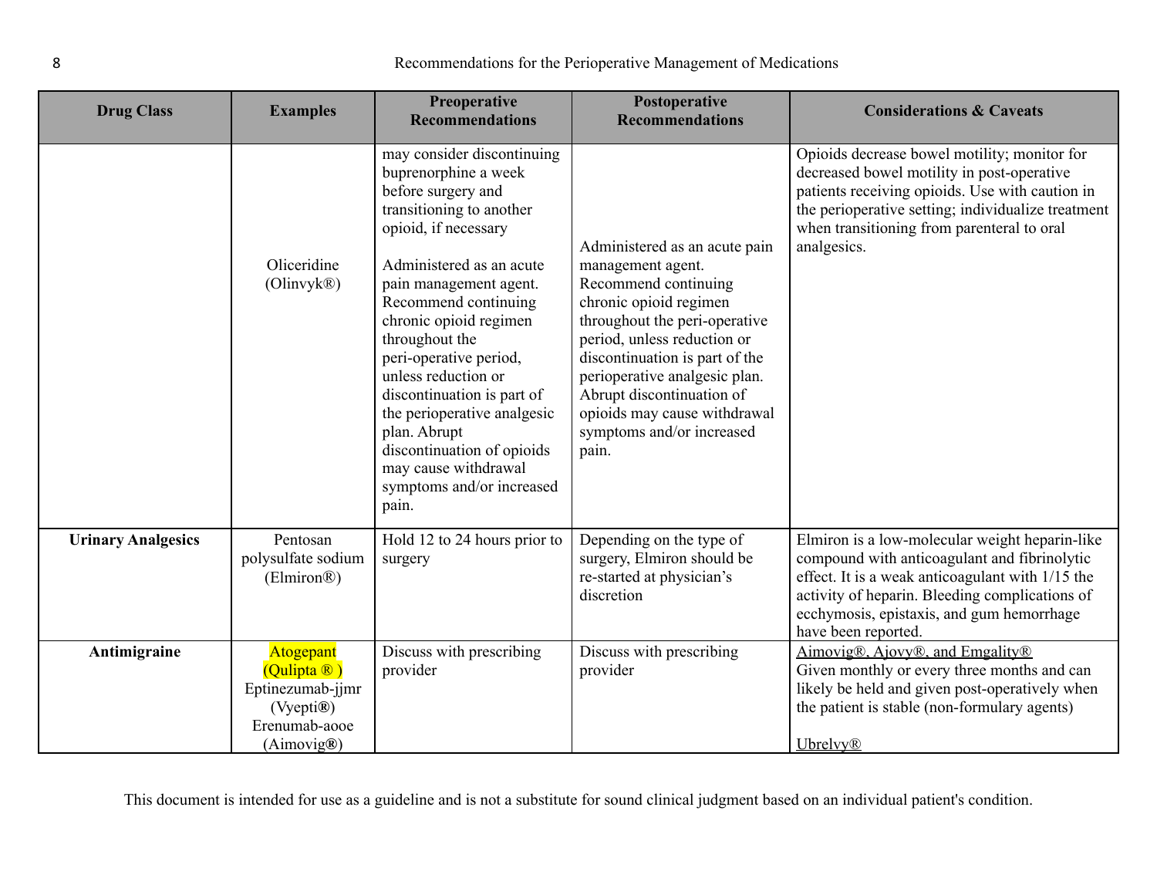| <b>Drug Class</b>         | <b>Examples</b>                                                                          | Preoperative<br><b>Recommendations</b>                                                                                                                                                                                                                                                                                                                                                                                                                                           | Postoperative<br><b>Recommendations</b>                                                                                                                                                                                                                                                                                                    | <b>Considerations &amp; Caveats</b>                                                                                                                                                                                                                                      |
|---------------------------|------------------------------------------------------------------------------------------|----------------------------------------------------------------------------------------------------------------------------------------------------------------------------------------------------------------------------------------------------------------------------------------------------------------------------------------------------------------------------------------------------------------------------------------------------------------------------------|--------------------------------------------------------------------------------------------------------------------------------------------------------------------------------------------------------------------------------------------------------------------------------------------------------------------------------------------|--------------------------------------------------------------------------------------------------------------------------------------------------------------------------------------------------------------------------------------------------------------------------|
|                           | Oliceridine<br>(Olinvyk®)                                                                | may consider discontinuing<br>buprenorphine a week<br>before surgery and<br>transitioning to another<br>opioid, if necessary<br>Administered as an acute<br>pain management agent.<br>Recommend continuing<br>chronic opioid regimen<br>throughout the<br>peri-operative period,<br>unless reduction or<br>discontinuation is part of<br>the perioperative analgesic<br>plan. Abrupt<br>discontinuation of opioids<br>may cause withdrawal<br>symptoms and/or increased<br>pain. | Administered as an acute pain<br>management agent.<br>Recommend continuing<br>chronic opioid regimen<br>throughout the peri-operative<br>period, unless reduction or<br>discontinuation is part of the<br>perioperative analgesic plan.<br>Abrupt discontinuation of<br>opioids may cause withdrawal<br>symptoms and/or increased<br>pain. | Opioids decrease bowel motility; monitor for<br>decreased bowel motility in post-operative<br>patients receiving opioids. Use with caution in<br>the perioperative setting; individualize treatment<br>when transitioning from parenteral to oral<br>analgesics.         |
| <b>Urinary Analgesics</b> | Pentosan<br>polysulfate sodium<br>(Elmiron <sup>®</sup> )                                | Hold 12 to 24 hours prior to<br>surgery                                                                                                                                                                                                                                                                                                                                                                                                                                          | Depending on the type of<br>surgery, Elmiron should be<br>re-started at physician's<br>discretion                                                                                                                                                                                                                                          | Elmiron is a low-molecular weight heparin-like<br>compound with anticoagulant and fibrinolytic<br>effect. It is a weak anticoagulant with 1/15 the<br>activity of heparin. Bleeding complications of<br>ecchymosis, epistaxis, and gum hemorrhage<br>have been reported. |
| Antimigraine              | Atogepant<br>(Qulipta ®)<br>Eptinezumab-jjmr<br>(Vyepti®)<br>Erenumab-aooe<br>(Aimovig@) | Discuss with prescribing<br>provider                                                                                                                                                                                                                                                                                                                                                                                                                                             | Discuss with prescribing<br>provider                                                                                                                                                                                                                                                                                                       | Aimovig®, Ajovy®, and Emgality®<br>Given monthly or every three months and can<br>likely be held and given post-operatively when<br>the patient is stable (non-formulary agents)<br><b>Ubrelvy</b> <sup>®</sup>                                                          |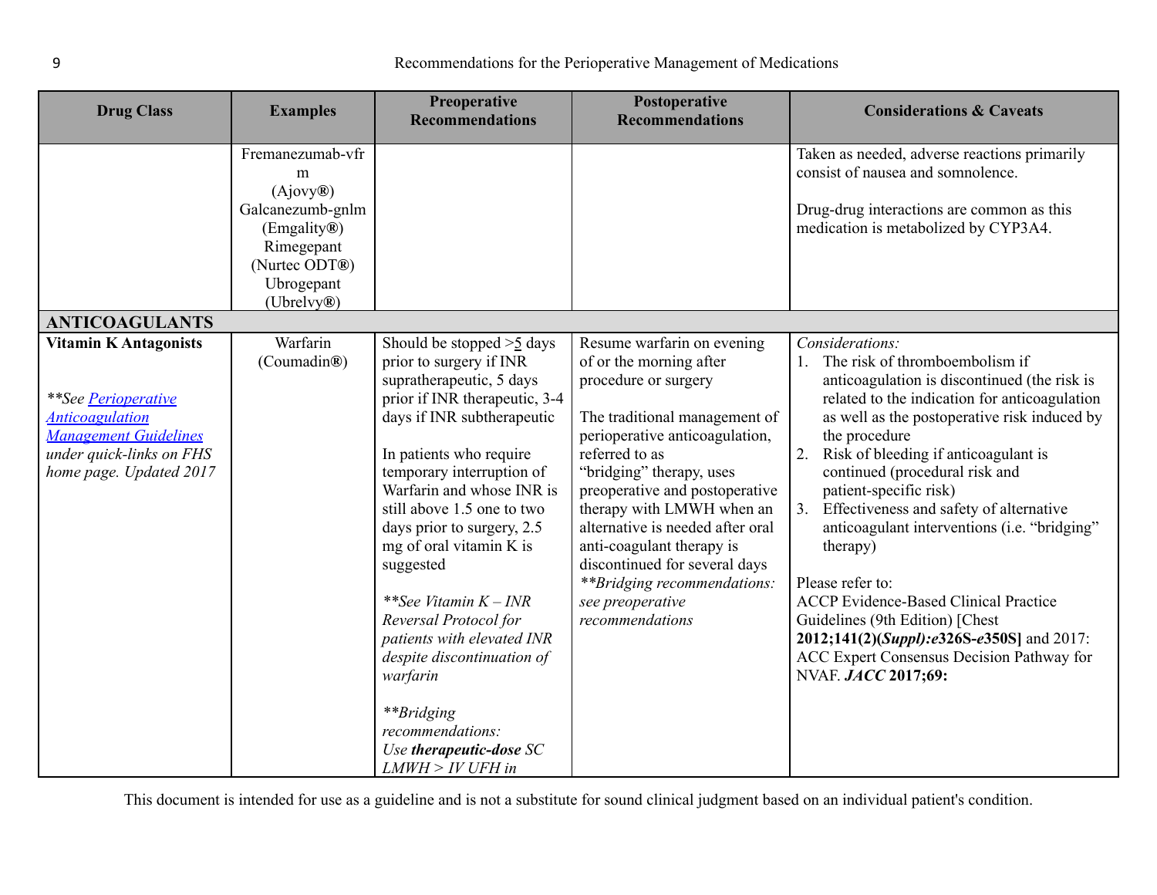<span id="page-8-0"></span>

| <b>Drug Class</b>                                                                                                                                                    | <b>Examples</b>                                                                                                                 | Preoperative<br><b>Recommendations</b>                                                                                                                                                                                                                                                                                                                                                                                                                                                                                                                    | Postoperative<br><b>Recommendations</b>                                                                                                                                                                                                                                                                                                                                                                                                | <b>Considerations &amp; Caveats</b>                                                                                                                                                                                                                                                                                                                                                                                                                                                                                                                                                                                                                                   |
|----------------------------------------------------------------------------------------------------------------------------------------------------------------------|---------------------------------------------------------------------------------------------------------------------------------|-----------------------------------------------------------------------------------------------------------------------------------------------------------------------------------------------------------------------------------------------------------------------------------------------------------------------------------------------------------------------------------------------------------------------------------------------------------------------------------------------------------------------------------------------------------|----------------------------------------------------------------------------------------------------------------------------------------------------------------------------------------------------------------------------------------------------------------------------------------------------------------------------------------------------------------------------------------------------------------------------------------|-----------------------------------------------------------------------------------------------------------------------------------------------------------------------------------------------------------------------------------------------------------------------------------------------------------------------------------------------------------------------------------------------------------------------------------------------------------------------------------------------------------------------------------------------------------------------------------------------------------------------------------------------------------------------|
| <b>ANTICOAGULANTS</b>                                                                                                                                                | Fremanezumab-vfr<br>m<br>(Ajovy@)<br>Galcanezumb-gnlm<br>(Emgality®)<br>Rimegepant<br>(Nurtec ODT®)<br>Ubrogepant<br>(Ubrelvy®) |                                                                                                                                                                                                                                                                                                                                                                                                                                                                                                                                                           |                                                                                                                                                                                                                                                                                                                                                                                                                                        | Taken as needed, adverse reactions primarily<br>consist of nausea and somnolence.<br>Drug-drug interactions are common as this<br>medication is metabolized by CYP3A4.                                                                                                                                                                                                                                                                                                                                                                                                                                                                                                |
| <b>Vitamin K Antagonists</b><br>**See Perioperative<br><b>Anticoagulation</b><br><b>Management Guidelines</b><br>under quick-links on FHS<br>home page. Updated 2017 | Warfarin<br>(Coumadin®)                                                                                                         | Should be stopped $>5$ days<br>prior to surgery if INR<br>supratherapeutic, 5 days<br>prior if INR therapeutic, 3-4<br>days if INR subtherapeutic<br>In patients who require<br>temporary interruption of<br>Warfarin and whose INR is<br>still above 1.5 one to two<br>days prior to surgery, 2.5<br>mg of oral vitamin K is<br>suggested<br>**See Vitamin $K$ – INR<br>Reversal Protocol for<br>patients with elevated INR<br>despite discontinuation of<br>warfarin<br>**Bridging<br>recommendations:<br>Use therapeutic-dose SC<br>$LMWH > IV UFH$ in | Resume warfarin on evening<br>of or the morning after<br>procedure or surgery<br>The traditional management of<br>perioperative anticoagulation,<br>referred to as<br>"bridging" therapy, uses<br>preoperative and postoperative<br>therapy with LMWH when an<br>alternative is needed after oral<br>anti-coagulant therapy is<br>discontinued for several days<br>** Bridging recommendations:<br>see preoperative<br>recommendations | Considerations:<br>The risk of thromboembolism if<br>1.<br>anticoagulation is discontinued (the risk is<br>related to the indication for anticoagulation<br>as well as the postoperative risk induced by<br>the procedure<br>2.<br>Risk of bleeding if anticoagulant is<br>continued (procedural risk and<br>patient-specific risk)<br>3. Effectiveness and safety of alternative<br>anticoagulant interventions (i.e. "bridging"<br>therapy)<br>Please refer to:<br><b>ACCP</b> Evidence-Based Clinical Practice<br>Guidelines (9th Edition) [Chest<br>2012;141(2)(Suppl):e326S-e350S] and 2017:<br>ACC Expert Consensus Decision Pathway for<br>NVAF. JACC 2017;69: |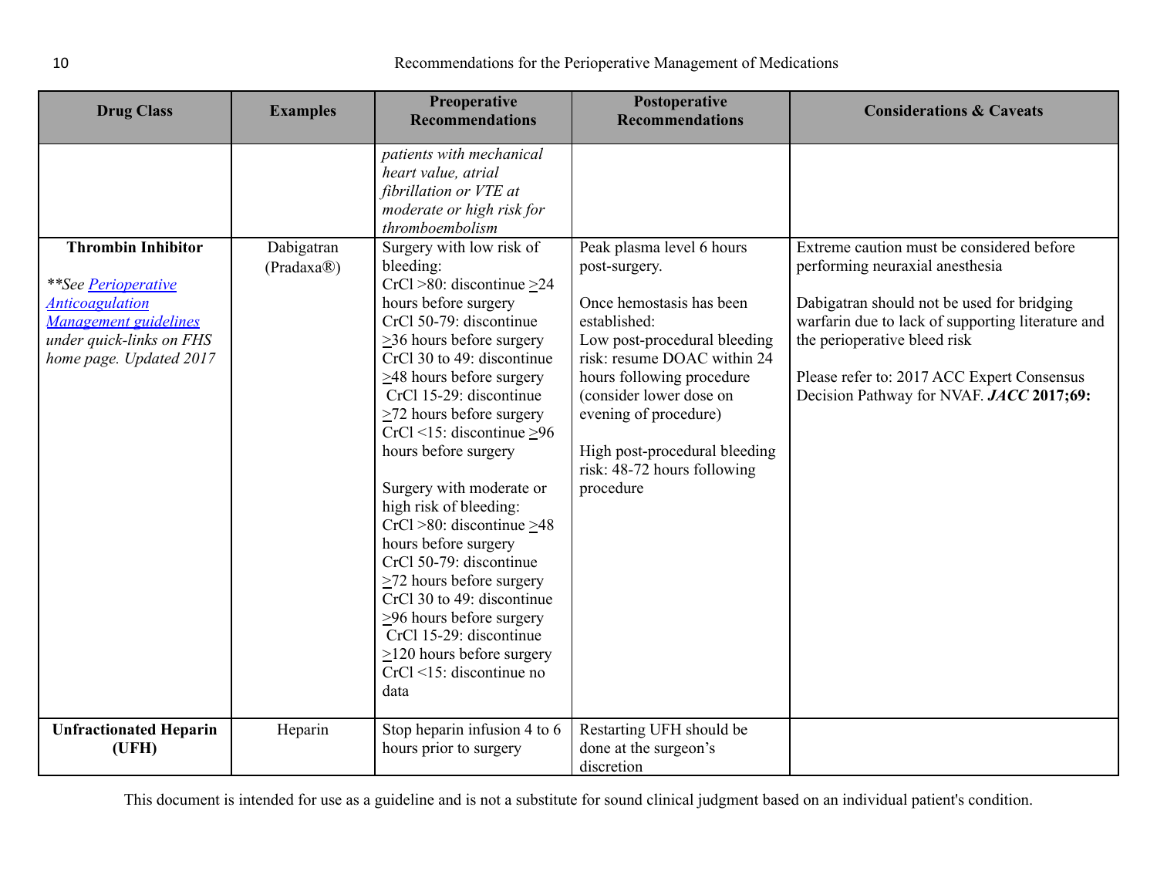| <b>Drug Class</b>                                                                                                                                                 | <b>Examples</b>                                    | Preoperative<br><b>Recommendations</b>                                                                                                                                                                                                                                                                                                                                                                                                                                                                                                                                                                                                                                                                            | Postoperative<br><b>Recommendations</b>                                                                                                                                                                                                                                                                             | <b>Considerations &amp; Caveats</b>                                                                                                                                                                                                                                                                       |
|-------------------------------------------------------------------------------------------------------------------------------------------------------------------|----------------------------------------------------|-------------------------------------------------------------------------------------------------------------------------------------------------------------------------------------------------------------------------------------------------------------------------------------------------------------------------------------------------------------------------------------------------------------------------------------------------------------------------------------------------------------------------------------------------------------------------------------------------------------------------------------------------------------------------------------------------------------------|---------------------------------------------------------------------------------------------------------------------------------------------------------------------------------------------------------------------------------------------------------------------------------------------------------------------|-----------------------------------------------------------------------------------------------------------------------------------------------------------------------------------------------------------------------------------------------------------------------------------------------------------|
|                                                                                                                                                                   |                                                    | patients with mechanical<br>heart value, atrial<br>fibrillation or VTE at<br>moderate or high risk for<br>thromboembolism                                                                                                                                                                                                                                                                                                                                                                                                                                                                                                                                                                                         |                                                                                                                                                                                                                                                                                                                     |                                                                                                                                                                                                                                                                                                           |
| <b>Thrombin Inhibitor</b><br><i>**See Perioperative</i><br><b>Anticoagulation</b><br>Management guidelines<br>under quick-links on FHS<br>home page. Updated 2017 | Dabigatran<br>(Pradaxa <sup>(</sup> <sub>®</sub> ) | Surgery with low risk of<br>bleeding:<br>CrCl >80: discontinue $\geq$ 24<br>hours before surgery<br>CrCl 50-79: discontinue<br>$\geq$ 36 hours before surgery<br>CrCl 30 to 49: discontinue<br>$\geq$ 48 hours before surgery<br>CrCl 15-29: discontinue<br>$\geq$ 72 hours before surgery<br>$CrCl < 15$ : discontinue $\geq 96$<br>hours before surgery<br>Surgery with moderate or<br>high risk of bleeding:<br>$CrCl > 80$ : discontinue $\geq 48$<br>hours before surgery<br>CrCl 50-79: discontinue<br>$\geq$ 72 hours before surgery<br>CrCl 30 to 49: discontinue<br>$\geq$ 96 hours before surgery<br>CrCl 15-29: discontinue<br>$\geq$ 120 hours before surgery<br>$CrCl < 15$ : discontinue no<br>data | Peak plasma level 6 hours<br>post-surgery.<br>Once hemostasis has been<br>established:<br>Low post-procedural bleeding<br>risk: resume DOAC within 24<br>hours following procedure<br>(consider lower dose on<br>evening of procedure)<br>High post-procedural bleeding<br>risk: 48-72 hours following<br>procedure | Extreme caution must be considered before<br>performing neuraxial anesthesia<br>Dabigatran should not be used for bridging<br>warfarin due to lack of supporting literature and<br>the perioperative bleed risk<br>Please refer to: 2017 ACC Expert Consensus<br>Decision Pathway for NVAF. JACC 2017;69: |
| <b>Unfractionated Heparin</b><br>(UFH)                                                                                                                            | Heparin                                            | Stop heparin infusion 4 to 6<br>hours prior to surgery                                                                                                                                                                                                                                                                                                                                                                                                                                                                                                                                                                                                                                                            | Restarting UFH should be<br>done at the surgeon's<br>discretion                                                                                                                                                                                                                                                     |                                                                                                                                                                                                                                                                                                           |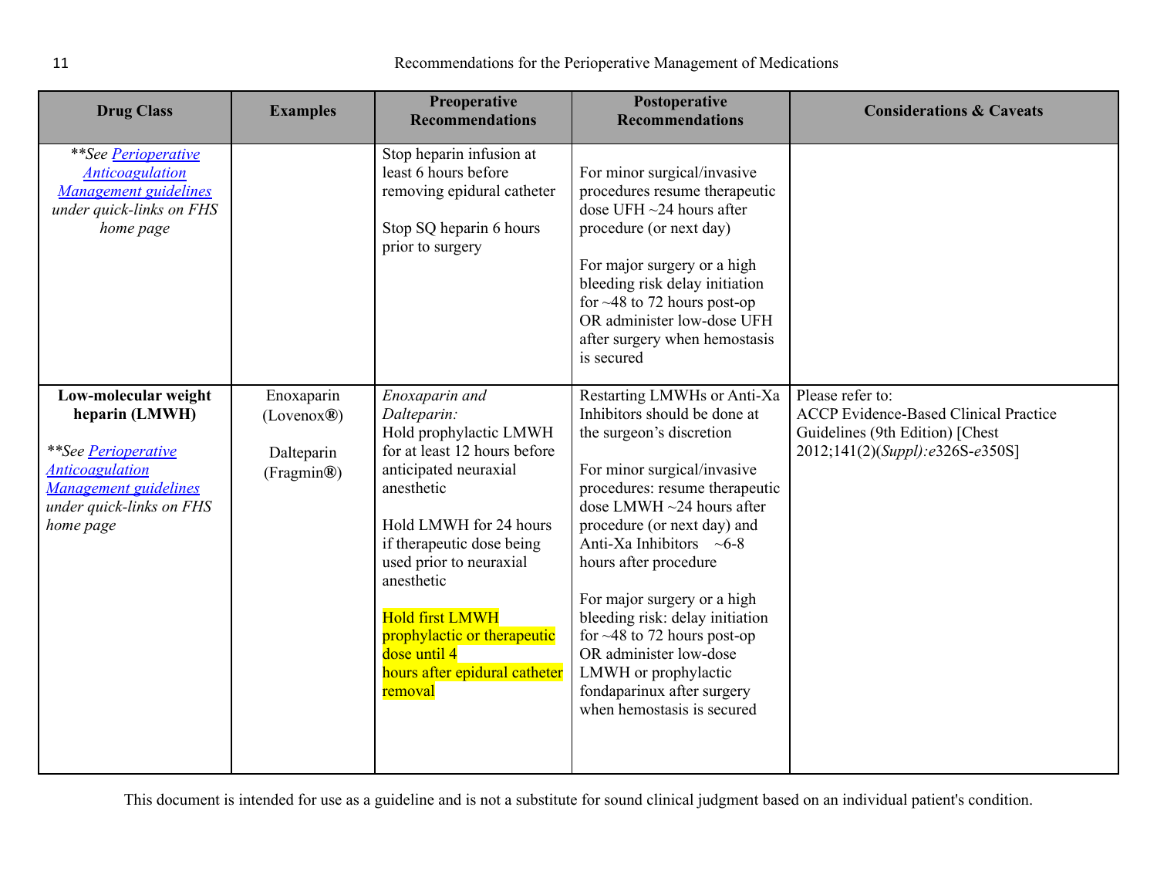| <b>Drug Class</b>                                                                                                                                         | <b>Examples</b>                                                  | <b>Preoperative</b><br><b>Recommendations</b>                                                                                                                                                                                                                                                                                                       | Postoperative<br><b>Recommendations</b>                                                                                                                                                                                                                                                                                                                                                                                                                                                                    | <b>Considerations &amp; Caveats</b>                                                                                                    |
|-----------------------------------------------------------------------------------------------------------------------------------------------------------|------------------------------------------------------------------|-----------------------------------------------------------------------------------------------------------------------------------------------------------------------------------------------------------------------------------------------------------------------------------------------------------------------------------------------------|------------------------------------------------------------------------------------------------------------------------------------------------------------------------------------------------------------------------------------------------------------------------------------------------------------------------------------------------------------------------------------------------------------------------------------------------------------------------------------------------------------|----------------------------------------------------------------------------------------------------------------------------------------|
| **See Perioperative<br><b>Anticoagulation</b><br>Management guidelines<br>under quick-links on FHS<br>home page                                           |                                                                  | Stop heparin infusion at<br>least 6 hours before<br>removing epidural catheter<br>Stop SQ heparin 6 hours<br>prior to surgery                                                                                                                                                                                                                       | For minor surgical/invasive<br>procedures resume therapeutic<br>dose UFH $\sim$ 24 hours after<br>procedure (or next day)<br>For major surgery or a high<br>bleeding risk delay initiation<br>for $\sim$ 48 to 72 hours post-op<br>OR administer low-dose UFH<br>after surgery when hemostasis<br>is secured                                                                                                                                                                                               |                                                                                                                                        |
| Low-molecular weight<br>heparin (LMWH)<br>**See Perioperative<br><b>Anticoagulation</b><br>Management guidelines<br>under quick-links on FHS<br>home page | Enoxaparin<br>(Lovenox@)<br>Dalteparin<br>(Fragmin <sup>®)</sup> | Enoxaparin and<br>Dalteparin:<br>Hold prophylactic LMWH<br>for at least 12 hours before<br>anticipated neuraxial<br>anesthetic<br>Hold LMWH for 24 hours<br>if therapeutic dose being<br>used prior to neuraxial<br>anesthetic<br><b>Hold first LMWH</b><br>prophylactic or therapeutic<br>dose until 4<br>hours after epidural catheter<br>removal | Restarting LMWHs or Anti-Xa<br>Inhibitors should be done at<br>the surgeon's discretion<br>For minor surgical/invasive<br>procedures: resume therapeutic<br>dose LMWH $\sim$ 24 hours after<br>procedure (or next day) and<br>Anti-Xa Inhibitors $~\sim 6-8$<br>hours after procedure<br>For major surgery or a high<br>bleeding risk: delay initiation<br>for $\sim$ 48 to 72 hours post-op<br>OR administer low-dose<br>LMWH or prophylactic<br>fondaparinux after surgery<br>when hemostasis is secured | Please refer to:<br><b>ACCP</b> Evidence-Based Clinical Practice<br>Guidelines (9th Edition) [Chest<br>2012;141(2)(Suppl):e326S-e350S] |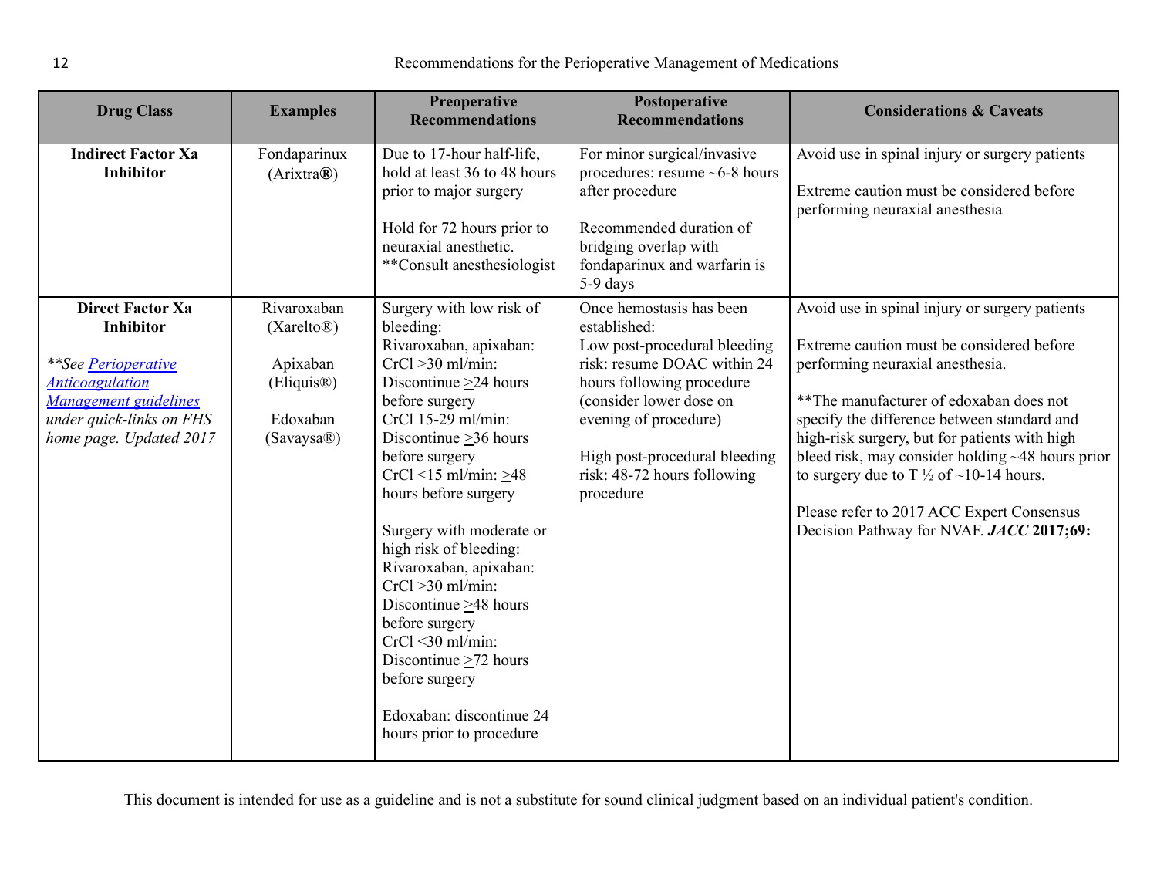| <b>Drug Class</b>                                                                                                                                                                          | <b>Examples</b>                                                                                      | Preoperative<br><b>Recommendations</b>                                                                                                                                                                                                                                                                                                                                                                                                                                                                                                                          | Postoperative<br><b>Recommendations</b>                                                                                                                                                                                                                               | <b>Considerations &amp; Caveats</b>                                                                                                                                                                                                                                                                                                                                                                                                                                            |
|--------------------------------------------------------------------------------------------------------------------------------------------------------------------------------------------|------------------------------------------------------------------------------------------------------|-----------------------------------------------------------------------------------------------------------------------------------------------------------------------------------------------------------------------------------------------------------------------------------------------------------------------------------------------------------------------------------------------------------------------------------------------------------------------------------------------------------------------------------------------------------------|-----------------------------------------------------------------------------------------------------------------------------------------------------------------------------------------------------------------------------------------------------------------------|--------------------------------------------------------------------------------------------------------------------------------------------------------------------------------------------------------------------------------------------------------------------------------------------------------------------------------------------------------------------------------------------------------------------------------------------------------------------------------|
| <b>Indirect Factor Xa</b><br><b>Inhibitor</b>                                                                                                                                              | Fondaparinux<br>(Arixtra@)                                                                           | Due to 17-hour half-life,<br>hold at least 36 to 48 hours<br>prior to major surgery<br>Hold for 72 hours prior to<br>neuraxial anesthetic.<br>**Consult anesthesiologist                                                                                                                                                                                                                                                                                                                                                                                        | For minor surgical/invasive<br>procedures: resume $~6$ -8 hours<br>after procedure<br>Recommended duration of<br>bridging overlap with<br>fondaparinux and warfarin is<br>5-9 days                                                                                    | Avoid use in spinal injury or surgery patients<br>Extreme caution must be considered before<br>performing neuraxial anesthesia                                                                                                                                                                                                                                                                                                                                                 |
| <b>Direct Factor Xa</b><br><b>Inhibitor</b><br><i>**See Perioperative</i><br><b>Anticoagulation</b><br><b>Management guidelines</b><br>under quick-links on FHS<br>home page. Updated 2017 | Rivaroxaban<br>$(Xarelto\mathbb{R})$<br>Apixaban<br>(Eliquis <sup>®)</sup><br>Edoxaban<br>(Savaysa®) | Surgery with low risk of<br>bleeding:<br>Rivaroxaban, apixaban:<br>$CrCl > 30$ ml/min:<br>Discontinue $\geq$ 24 hours<br>before surgery<br>CrCl 15-29 ml/min:<br>Discontinue $\geq$ 36 hours<br>before surgery<br>$CrCl < 15$ ml/min: $\geq 48$<br>hours before surgery<br>Surgery with moderate or<br>high risk of bleeding:<br>Rivaroxaban, apixaban:<br>$CrCl > 30$ ml/min:<br>Discontinue $\geq$ 48 hours<br>before surgery<br>$CrCl < 30$ ml/min:<br>Discontinue $\geq$ 72 hours<br>before surgery<br>Edoxaban: discontinue 24<br>hours prior to procedure | Once hemostasis has been<br>established:<br>Low post-procedural bleeding<br>risk: resume DOAC within 24<br>hours following procedure<br>(consider lower dose on<br>evening of procedure)<br>High post-procedural bleeding<br>risk: 48-72 hours following<br>procedure | Avoid use in spinal injury or surgery patients<br>Extreme caution must be considered before<br>performing neuraxial anesthesia.<br>** The manufacturer of edoxaban does not<br>specify the difference between standard and<br>high-risk surgery, but for patients with high<br>bleed risk, may consider holding ~48 hours prior<br>to surgery due to T $\frac{1}{2}$ of ~10-14 hours.<br>Please refer to 2017 ACC Expert Consensus<br>Decision Pathway for NVAF. JACC 2017;69: |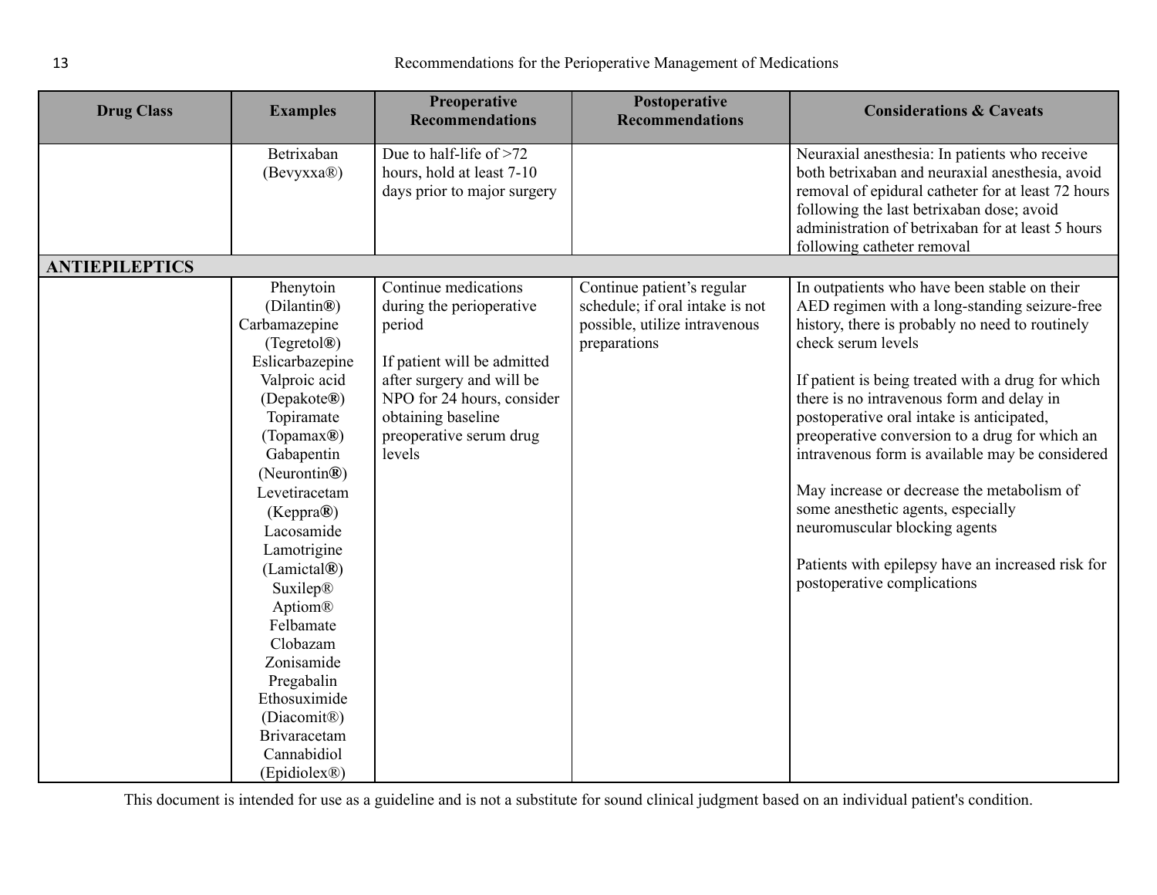<span id="page-12-0"></span>

| <b>Drug Class</b>     | <b>Examples</b>                                                                                                                                                                                                                                                                                                                                                                                                                      | <b>Preoperative</b><br><b>Recommendations</b>                                                                                                                                                                   | Postoperative<br><b>Recommendations</b>                                                                        | <b>Considerations &amp; Caveats</b>                                                                                                                                                                                                                                                                                                                                                                                                                                                                                                                                                                                                 |
|-----------------------|--------------------------------------------------------------------------------------------------------------------------------------------------------------------------------------------------------------------------------------------------------------------------------------------------------------------------------------------------------------------------------------------------------------------------------------|-----------------------------------------------------------------------------------------------------------------------------------------------------------------------------------------------------------------|----------------------------------------------------------------------------------------------------------------|-------------------------------------------------------------------------------------------------------------------------------------------------------------------------------------------------------------------------------------------------------------------------------------------------------------------------------------------------------------------------------------------------------------------------------------------------------------------------------------------------------------------------------------------------------------------------------------------------------------------------------------|
|                       | Betrixaban<br>(Bevyxxa®)                                                                                                                                                                                                                                                                                                                                                                                                             | Due to half-life of >72<br>hours, hold at least 7-10<br>days prior to major surgery                                                                                                                             |                                                                                                                | Neuraxial anesthesia: In patients who receive<br>both betrixaban and neuraxial anesthesia, avoid<br>removal of epidural catheter for at least 72 hours<br>following the last betrixaban dose; avoid<br>administration of betrixaban for at least 5 hours<br>following catheter removal                                                                                                                                                                                                                                                                                                                                              |
| <b>ANTIEPILEPTICS</b> |                                                                                                                                                                                                                                                                                                                                                                                                                                      |                                                                                                                                                                                                                 |                                                                                                                |                                                                                                                                                                                                                                                                                                                                                                                                                                                                                                                                                                                                                                     |
|                       | Phenytoin<br>(Dilantin®)<br>Carbamazepine<br>(Tegretol®)<br>Eslicarbazepine<br>Valproic acid<br>(Depakote®)<br>Topiramate<br>(Topamax®)<br>Gabapentin<br>$(N$ eurontin $\circledR)$<br>Levetiracetam<br>(Keppra®)<br>Lacosamide<br>Lamotrigine<br>(Lamictal@)<br>Suxilep®<br>Aptiom®<br>Felbamate<br>Clobazam<br>Zonisamide<br>Pregabalin<br>Ethosuximide<br>(Diacomit <sup>®</sup> )<br>Brivaracetam<br>Cannabidiol<br>(Epidiolex®) | Continue medications<br>during the perioperative<br>period<br>If patient will be admitted<br>after surgery and will be<br>NPO for 24 hours, consider<br>obtaining baseline<br>preoperative serum drug<br>levels | Continue patient's regular<br>schedule; if oral intake is not<br>possible, utilize intravenous<br>preparations | In outpatients who have been stable on their<br>AED regimen with a long-standing seizure-free<br>history, there is probably no need to routinely<br>check serum levels<br>If patient is being treated with a drug for which<br>there is no intravenous form and delay in<br>postoperative oral intake is anticipated,<br>preoperative conversion to a drug for which an<br>intravenous form is available may be considered<br>May increase or decrease the metabolism of<br>some anesthetic agents, especially<br>neuromuscular blocking agents<br>Patients with epilepsy have an increased risk for<br>postoperative complications |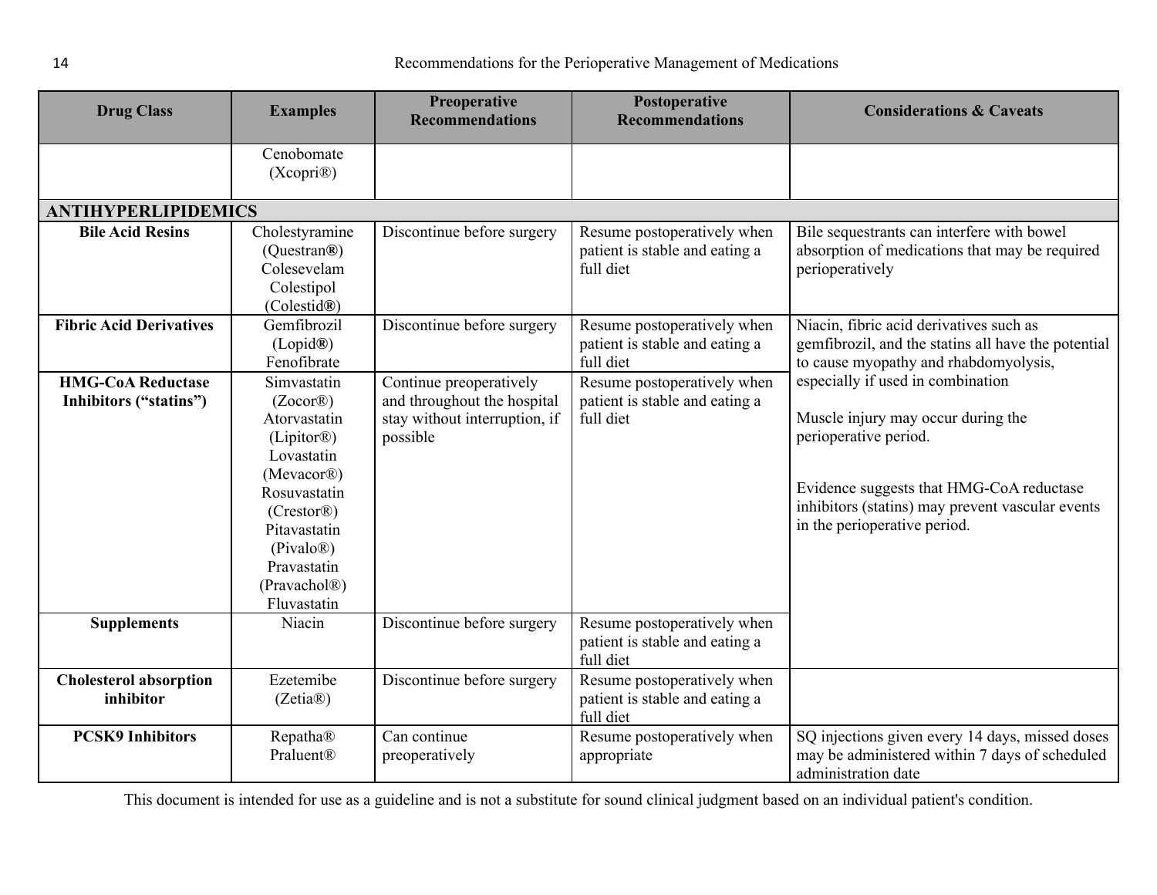<span id="page-13-0"></span>

| <b>Drug Class</b>                                  | <b>Examples</b>                                                                                                                                                                                                                              | <b>Preoperative</b><br><b>Recommendations</b>                                                       | Postoperative<br><b>Recommendations</b>                                    | <b>Considerations &amp; Caveats</b>                                                                                                                                                                                              |
|----------------------------------------------------|----------------------------------------------------------------------------------------------------------------------------------------------------------------------------------------------------------------------------------------------|-----------------------------------------------------------------------------------------------------|----------------------------------------------------------------------------|----------------------------------------------------------------------------------------------------------------------------------------------------------------------------------------------------------------------------------|
|                                                    | Cenobomate<br>(Xcopri@)                                                                                                                                                                                                                      |                                                                                                     |                                                                            |                                                                                                                                                                                                                                  |
| <b>ANTIHYPERLIPIDEMICS</b>                         |                                                                                                                                                                                                                                              |                                                                                                     |                                                                            |                                                                                                                                                                                                                                  |
| <b>Bile Acid Resins</b>                            | Cholestyramine<br>(Questran®)<br>Colesevelam<br>Colestipol<br>(Colestid®)                                                                                                                                                                    | Discontinue before surgery                                                                          | Resume postoperatively when<br>patient is stable and eating a<br>full diet | Bile sequestrants can interfere with bowel<br>absorption of medications that may be required<br>perioperatively                                                                                                                  |
| <b>Fibric Acid Derivatives</b>                     | Gemfibrozil<br>(Lopid@)<br>Fenofibrate                                                                                                                                                                                                       | Discontinue before surgery                                                                          | Resume postoperatively when<br>patient is stable and eating a<br>full diet | Niacin, fibric acid derivatives such as<br>gemfibrozil, and the statins all have the potential<br>to cause myopathy and rhabdomyolysis,                                                                                          |
| <b>HMG-CoA Reductase</b><br>Inhibitors ("statins") | Simvastatin<br>$(Zocor\mathbb{R})$<br>Atorvastatin<br>(Lipitor <sup>®</sup> )<br>Lovastatin<br>(Mevacor <sup>®</sup> )<br>Rosuvastatin<br>(Crestor®)<br>Pitavastatin<br>(Pivalo@)<br>Pravastatin<br>(Pravachol <sup>®</sup> )<br>Fluvastatin | Continue preoperatively<br>and throughout the hospital<br>stay without interruption, if<br>possible | Resume postoperatively when<br>patient is stable and eating a<br>full diet | especially if used in combination<br>Muscle injury may occur during the<br>perioperative period.<br>Evidence suggests that HMG-CoA reductase<br>inhibitors (statins) may prevent vascular events<br>in the perioperative period. |
| <b>Supplements</b>                                 | Niacin                                                                                                                                                                                                                                       | Discontinue before surgery                                                                          | Resume postoperatively when<br>patient is stable and eating a<br>full diet |                                                                                                                                                                                                                                  |
| <b>Cholesterol absorption</b><br>inhibitor         | Ezetemibe<br>(Zetia@)                                                                                                                                                                                                                        | Discontinue before surgery                                                                          | Resume postoperatively when<br>patient is stable and eating a<br>full diet |                                                                                                                                                                                                                                  |
| <b>PCSK9 Inhibitors</b>                            | Repatha®<br>Praluent®                                                                                                                                                                                                                        | Can continue<br>preoperatively                                                                      | Resume postoperatively when<br>appropriate                                 | SQ injections given every 14 days, missed doses<br>may be administered within 7 days of scheduled<br>administration date                                                                                                         |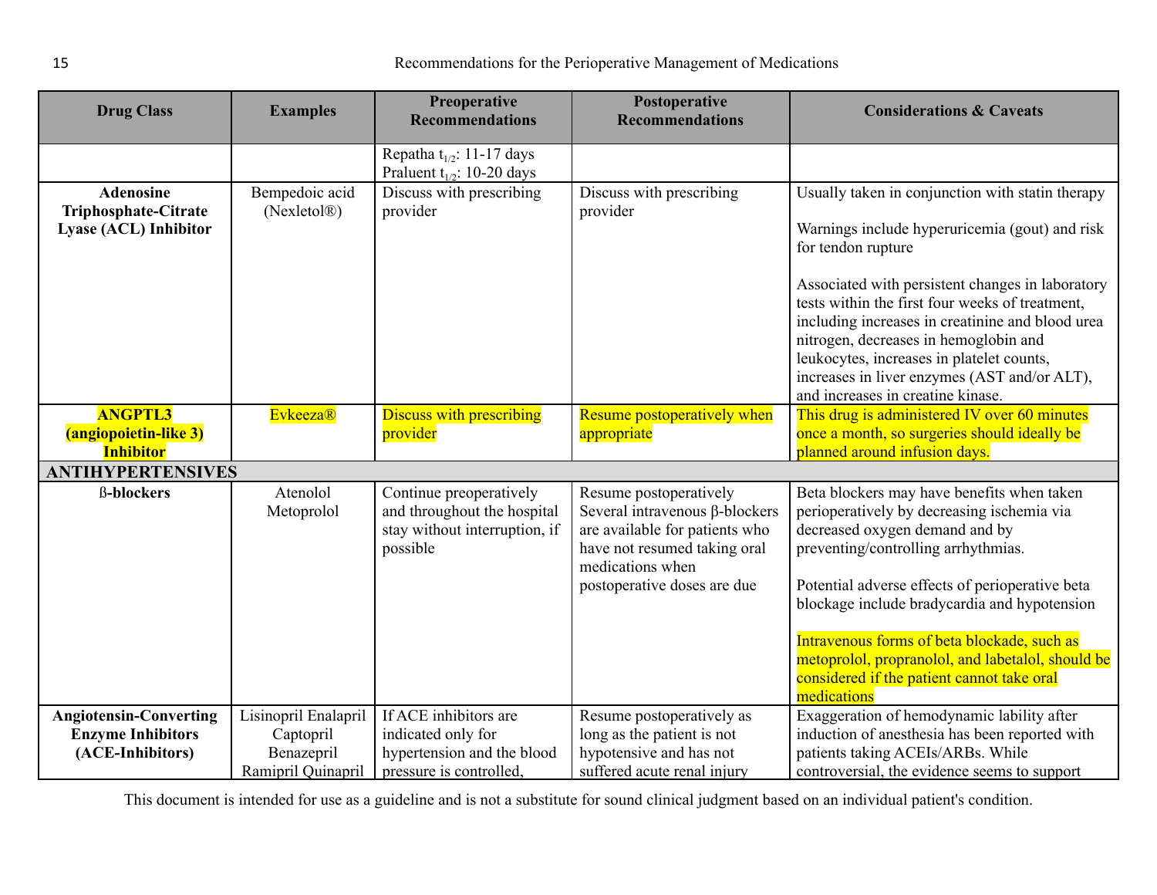| <b>Drug Class</b>                                                        | <b>Examples</b>                               | Preoperative<br><b>Recommendations</b>                                                              | Postoperative<br><b>Recommendations</b>                                                                                                                                              | <b>Considerations &amp; Caveats</b>                                                                                                                                                                                                                                                                                                                                                                                                                            |
|--------------------------------------------------------------------------|-----------------------------------------------|-----------------------------------------------------------------------------------------------------|--------------------------------------------------------------------------------------------------------------------------------------------------------------------------------------|----------------------------------------------------------------------------------------------------------------------------------------------------------------------------------------------------------------------------------------------------------------------------------------------------------------------------------------------------------------------------------------------------------------------------------------------------------------|
|                                                                          |                                               | Repatha t <sub>1/2</sub> : 11-17 days<br>Praluent $t_{1/2}$ : 10-20 days                            |                                                                                                                                                                                      |                                                                                                                                                                                                                                                                                                                                                                                                                                                                |
| <b>Adenosine</b><br><b>Triphosphate-Citrate</b><br>Lyase (ACL) Inhibitor | Bempedoic acid<br>(Nexletol <sup>®</sup> )    | Discuss with prescribing<br>provider                                                                | Discuss with prescribing<br>provider                                                                                                                                                 | Usually taken in conjunction with statin therapy<br>Warnings include hyperuricemia (gout) and risk<br>for tendon rupture<br>Associated with persistent changes in laboratory<br>tests within the first four weeks of treatment,<br>including increases in creatinine and blood urea<br>nitrogen, decreases in hemoglobin and<br>leukocytes, increases in platelet counts,<br>increases in liver enzymes (AST and/or ALT),<br>and increases in creatine kinase. |
| <b>ANGPTL3</b><br>(angiopoietin-like 3)<br><b>Inhibitor</b>              | <b>Evkeeza®</b>                               | <b>Discuss with prescribing</b><br>provider                                                         | Resume postoperatively when<br>appropriate                                                                                                                                           | This drug is administered IV over 60 minutes<br>once a month, so surgeries should ideally be<br>planned around infusion days.                                                                                                                                                                                                                                                                                                                                  |
| <b>ANTIHYPERTENSIVES</b>                                                 |                                               |                                                                                                     |                                                                                                                                                                                      |                                                                                                                                                                                                                                                                                                                                                                                                                                                                |
| <b>ß-blockers</b>                                                        | Atenolol<br>Metoprolol                        | Continue preoperatively<br>and throughout the hospital<br>stay without interruption, if<br>possible | Resume postoperatively<br>Several intravenous $\beta$ -blockers<br>are available for patients who<br>have not resumed taking oral<br>medications when<br>postoperative doses are due | Beta blockers may have benefits when taken<br>perioperatively by decreasing ischemia via<br>decreased oxygen demand and by<br>preventing/controlling arrhythmias.<br>Potential adverse effects of perioperative beta<br>blockage include bradycardia and hypotension<br>Intravenous forms of beta blockade, such as<br>metoprolol, propranolol, and labetalol, should be<br>considered if the patient cannot take oral<br>medications                          |
| <b>Angiotensin-Converting</b>                                            | Lisinopril Enalapril                          | If ACE inhibitors are                                                                               | Resume postoperatively as                                                                                                                                                            | Exaggeration of hemodynamic lability after                                                                                                                                                                                                                                                                                                                                                                                                                     |
| <b>Enzyme Inhibitors</b><br>(ACE-Inhibitors)                             | Captopril<br>Benazepril<br>Ramipril Quinapril | indicated only for<br>hypertension and the blood<br>pressure is controlled.                         | long as the patient is not<br>hypotensive and has not<br>suffered acute renal injury                                                                                                 | induction of anesthesia has been reported with<br>patients taking ACEIs/ARBs. While<br>controversial, the evidence seems to support                                                                                                                                                                                                                                                                                                                            |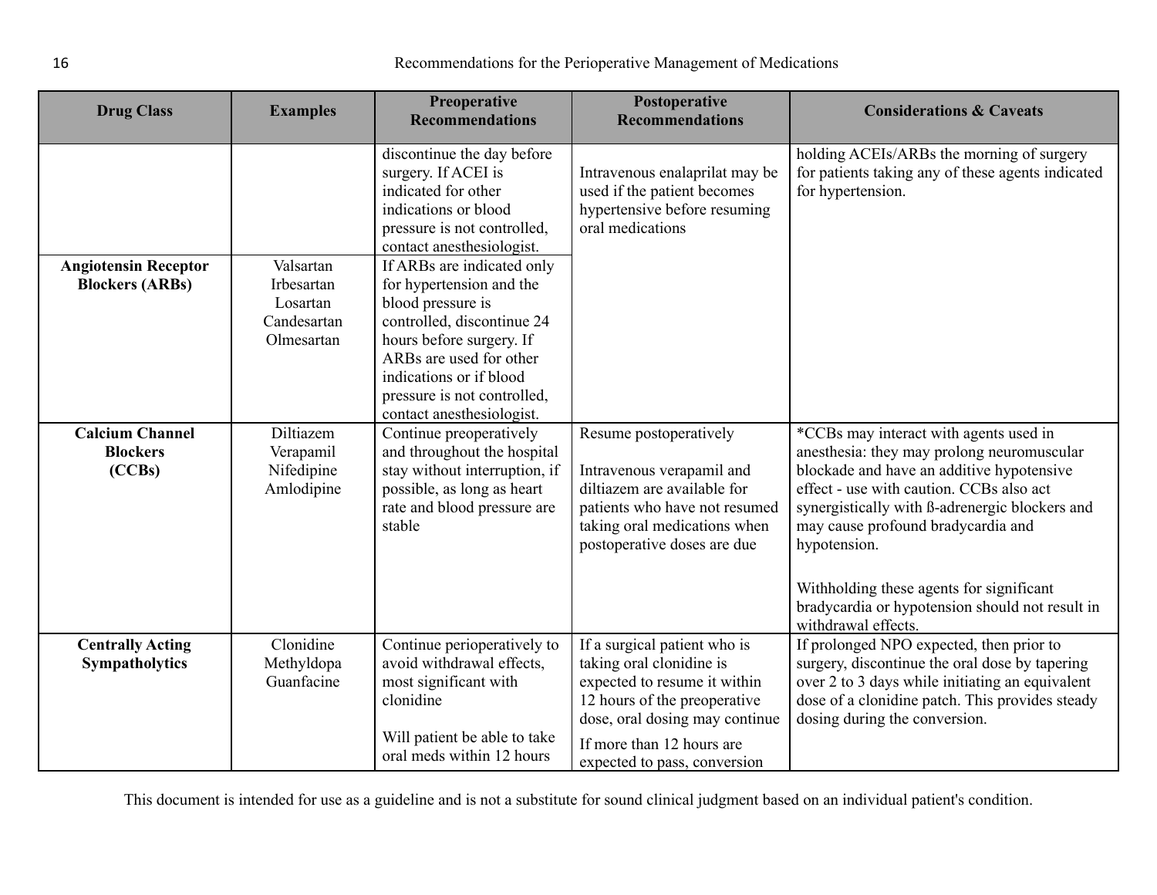| <b>Drug Class</b>                                     | <b>Examples</b>                                                  | <b>Preoperative</b><br><b>Recommendations</b>                                                                                                                                                                                                                                                                                                                                                                           | Postoperative<br><b>Recommendations</b>                                                                                                                                                                                 | <b>Considerations &amp; Caveats</b>                                                                                                                                                                                                                                                                                                                                                                         |
|-------------------------------------------------------|------------------------------------------------------------------|-------------------------------------------------------------------------------------------------------------------------------------------------------------------------------------------------------------------------------------------------------------------------------------------------------------------------------------------------------------------------------------------------------------------------|-------------------------------------------------------------------------------------------------------------------------------------------------------------------------------------------------------------------------|-------------------------------------------------------------------------------------------------------------------------------------------------------------------------------------------------------------------------------------------------------------------------------------------------------------------------------------------------------------------------------------------------------------|
| <b>Angiotensin Receptor</b><br><b>Blockers (ARBs)</b> | Valsartan<br>Irbesartan<br>Losartan<br>Candesartan<br>Olmesartan | discontinue the day before<br>surgery. If ACEI is<br>indicated for other<br>indications or blood<br>pressure is not controlled,<br>contact anesthesiologist.<br>If ARBs are indicated only<br>for hypertension and the<br>blood pressure is<br>controlled, discontinue 24<br>hours before surgery. If<br>ARBs are used for other<br>indications or if blood<br>pressure is not controlled,<br>contact anesthesiologist. | Intravenous enalaprilat may be<br>used if the patient becomes<br>hypertensive before resuming<br>oral medications                                                                                                       | holding ACEIs/ARBs the morning of surgery<br>for patients taking any of these agents indicated<br>for hypertension.                                                                                                                                                                                                                                                                                         |
| <b>Calcium Channel</b><br><b>Blockers</b><br>(CCBs)   | Diltiazem<br>Verapamil<br>Nifedipine<br>Amlodipine               | Continue preoperatively<br>and throughout the hospital<br>stay without interruption, if<br>possible, as long as heart<br>rate and blood pressure are<br>stable                                                                                                                                                                                                                                                          | Resume postoperatively<br>Intravenous verapamil and<br>diltiazem are available for<br>patients who have not resumed<br>taking oral medications when<br>postoperative doses are due                                      | *CCBs may interact with agents used in<br>anesthesia: they may prolong neuromuscular<br>blockade and have an additive hypotensive<br>effect - use with caution. CCBs also act<br>synergistically with B-adrenergic blockers and<br>may cause profound bradycardia and<br>hypotension.<br>Withholding these agents for significant<br>bradycardia or hypotension should not result in<br>withdrawal effects. |
| <b>Centrally Acting</b><br><b>Sympatholytics</b>      | Clonidine<br>Methyldopa<br>Guanfacine                            | Continue perioperatively to<br>avoid withdrawal effects,<br>most significant with<br>clonidine<br>Will patient be able to take<br>oral meds within 12 hours                                                                                                                                                                                                                                                             | If a surgical patient who is<br>taking oral clonidine is<br>expected to resume it within<br>12 hours of the preoperative<br>dose, oral dosing may continue<br>If more than 12 hours are<br>expected to pass, conversion | If prolonged NPO expected, then prior to<br>surgery, discontinue the oral dose by tapering<br>over 2 to 3 days while initiating an equivalent<br>dose of a clonidine patch. This provides steady<br>dosing during the conversion.                                                                                                                                                                           |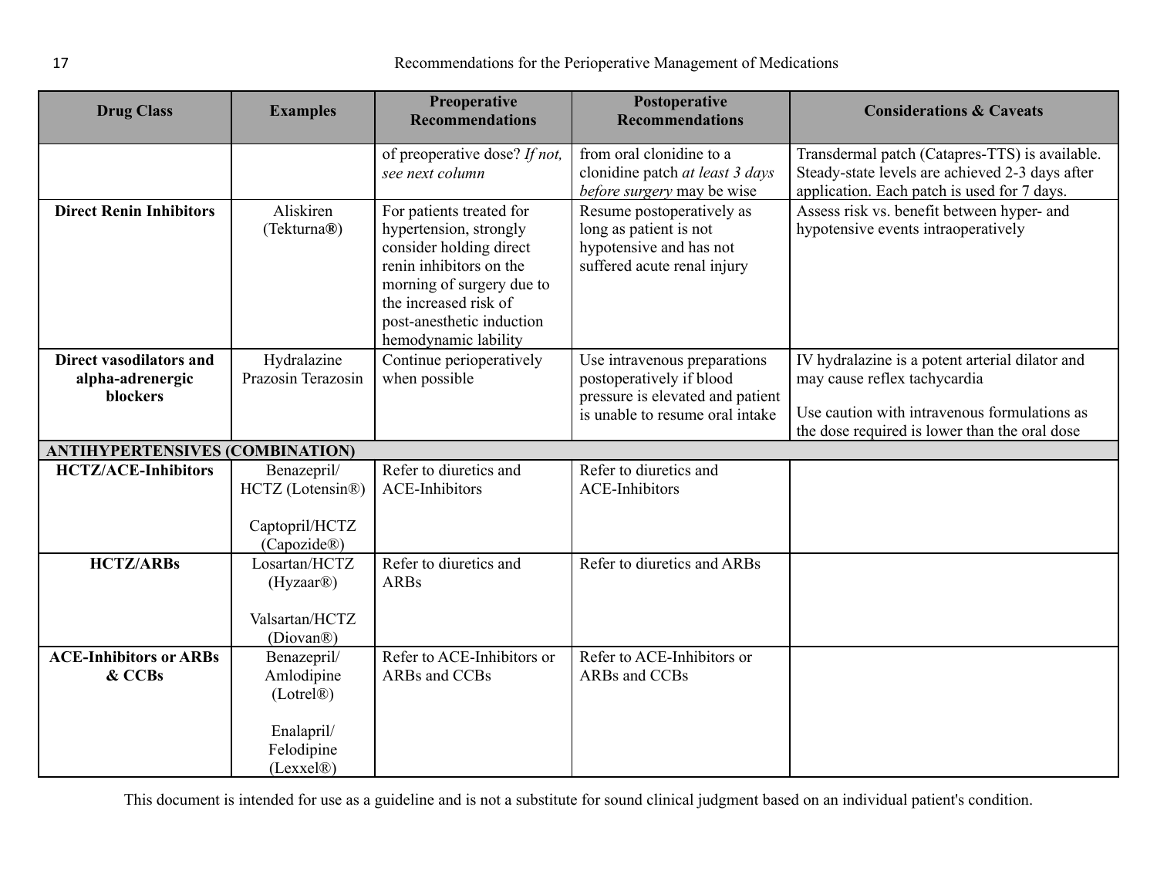| <b>Drug Class</b>                                       | <b>Examples</b>                                                                 | <b>Preoperative</b><br><b>Recommendations</b>                                                                                                                                                                       | Postoperative<br><b>Recommendations</b>                                                                                         | <b>Considerations &amp; Caveats</b>                                                                                                                                              |
|---------------------------------------------------------|---------------------------------------------------------------------------------|---------------------------------------------------------------------------------------------------------------------------------------------------------------------------------------------------------------------|---------------------------------------------------------------------------------------------------------------------------------|----------------------------------------------------------------------------------------------------------------------------------------------------------------------------------|
|                                                         |                                                                                 | of preoperative dose? If not,<br>see next column                                                                                                                                                                    | from oral clonidine to a<br>clonidine patch at least 3 days<br>before surgery may be wise                                       | Transdermal patch (Catapres-TTS) is available.<br>Steady-state levels are achieved 2-3 days after<br>application. Each patch is used for 7 days.                                 |
| <b>Direct Renin Inhibitors</b>                          | Aliskiren<br>(Tekturna®)                                                        | For patients treated for<br>hypertension, strongly<br>consider holding direct<br>renin inhibitors on the<br>morning of surgery due to<br>the increased risk of<br>post-anesthetic induction<br>hemodynamic lability | Resume postoperatively as<br>long as patient is not<br>hypotensive and has not<br>suffered acute renal injury                   | Assess risk vs. benefit between hyper- and<br>hypotensive events intraoperatively                                                                                                |
| Direct vasodilators and<br>alpha-adrenergic<br>blockers | Hydralazine<br>Prazosin Terazosin                                               | Continue perioperatively<br>when possible                                                                                                                                                                           | Use intravenous preparations<br>postoperatively if blood<br>pressure is elevated and patient<br>is unable to resume oral intake | IV hydralazine is a potent arterial dilator and<br>may cause reflex tachycardia<br>Use caution with intravenous formulations as<br>the dose required is lower than the oral dose |
| <b>ANTIHYPERTENSIVES (COMBINATION)</b>                  |                                                                                 |                                                                                                                                                                                                                     |                                                                                                                                 |                                                                                                                                                                                  |
| <b>HCTZ/ACE-Inhibitors</b>                              | Benazepril/<br>HCTZ (Lotensin®)<br>Captopril/HCTZ<br>(Capozide®)                | Refer to diuretics and<br><b>ACE-Inhibitors</b>                                                                                                                                                                     | Refer to diuretics and<br><b>ACE-Inhibitors</b>                                                                                 |                                                                                                                                                                                  |
| <b>HCTZ/ARBs</b>                                        | Losartan/HCTZ<br>(Hyzaar@)<br>Valsartan/HCTZ<br>(Diovan®)                       | Refer to diuretics and<br><b>ARBs</b>                                                                                                                                                                               | Refer to diuretics and ARBs                                                                                                     |                                                                                                                                                                                  |
| <b>ACE-Inhibitors or ARBs</b><br>& CCBs                 | Benazepril/<br>Amlodipine<br>(Lotrel@)<br>Enalapril/<br>Felodipine<br>(Lexxel@) | Refer to ACE-Inhibitors or<br>ARBs and CCBs                                                                                                                                                                         | Refer to ACE-Inhibitors or<br>ARBs and CCBs                                                                                     |                                                                                                                                                                                  |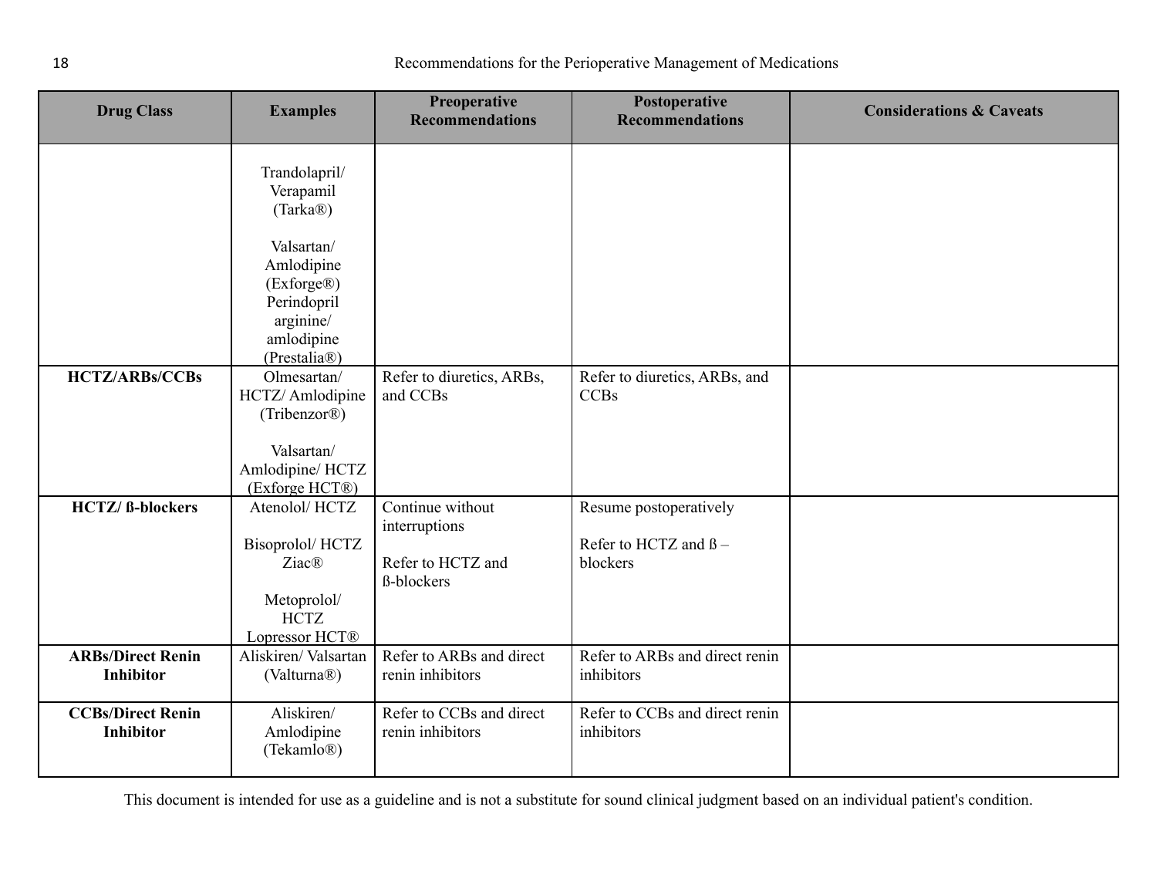| <b>Drug Class</b>                            | <b>Examples</b>                                                                                                                                           | Preoperative<br><b>Recommendations</b>                                      | Postoperative<br><b>Recommendations</b>                           | <b>Considerations &amp; Caveats</b> |
|----------------------------------------------|-----------------------------------------------------------------------------------------------------------------------------------------------------------|-----------------------------------------------------------------------------|-------------------------------------------------------------------|-------------------------------------|
| <b>HCTZ/ARBs/CCBs</b>                        | Trandolapril/<br>Verapamil<br>(Tarka®)<br>Valsartan/<br>Amlodipine<br>(Exforge®)<br>Perindopril<br>arginine/<br>amlodipine<br>(Prestalia®)<br>Olmesartan/ | Refer to diuretics, ARBs,                                                   | Refer to diuretics, ARBs, and                                     |                                     |
|                                              | HCTZ/ Amlodipine<br>(Tribenzor <sup>®</sup> )<br>Valsartan/<br>Amlodipine/ HCTZ<br>(Exforge HCT®)                                                         | and CCBs                                                                    | <b>CCBs</b>                                                       |                                     |
| <b>HCTZ/ ß-blockers</b>                      | Atenolol/HCTZ<br>Bisoprolol/HCTZ<br>Ziac <sup>®</sup><br>Metoprolol/<br><b>HCTZ</b><br>Lopressor HCT®                                                     | Continue without<br>interruptions<br>Refer to HCTZ and<br><b>ß-blockers</b> | Resume postoperatively<br>Refer to HCTZ and $\beta$ –<br>blockers |                                     |
| <b>ARBs/Direct Renin</b><br><b>Inhibitor</b> | Aliskiren/Valsartan<br>(Valturna®)                                                                                                                        | Refer to ARBs and direct<br>renin inhibitors                                | Refer to ARBs and direct renin<br>inhibitors                      |                                     |
| <b>CCBs/Direct Renin</b><br><b>Inhibitor</b> | Aliskiren/<br>Amlodipine<br>(Tekamlo <sup>®)</sup>                                                                                                        | Refer to CCBs and direct<br>renin inhibitors                                | Refer to CCBs and direct renin<br>inhibitors                      |                                     |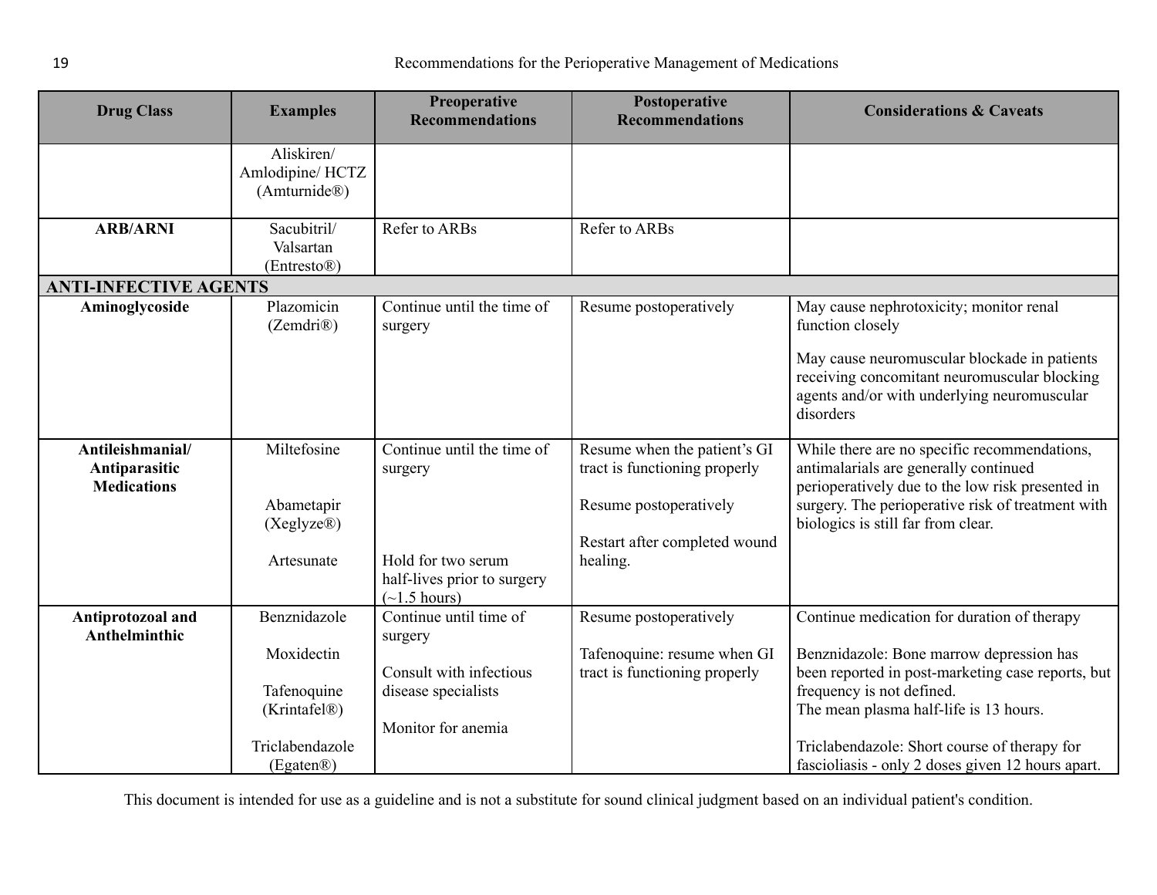<span id="page-18-0"></span>

| <b>Drug Class</b>                                       | <b>Examples</b>                                                              | Preoperative<br><b>Recommendations</b>                                                                                   | Postoperative<br><b>Recommendations</b>                                                                                              | <b>Considerations &amp; Caveats</b>                                                                                                                                                                                                                                 |
|---------------------------------------------------------|------------------------------------------------------------------------------|--------------------------------------------------------------------------------------------------------------------------|--------------------------------------------------------------------------------------------------------------------------------------|---------------------------------------------------------------------------------------------------------------------------------------------------------------------------------------------------------------------------------------------------------------------|
|                                                         | Aliskiren/<br>Amlodipine/HCTZ<br>(Amturnide®)                                |                                                                                                                          |                                                                                                                                      |                                                                                                                                                                                                                                                                     |
| <b>ARB/ARNI</b>                                         | Sacubitril/<br>Valsartan<br>(Entresto®)                                      | Refer to ARBs                                                                                                            | Refer to ARBs                                                                                                                        |                                                                                                                                                                                                                                                                     |
| <b>ANTI-INFECTIVE AGENTS</b>                            |                                                                              |                                                                                                                          |                                                                                                                                      |                                                                                                                                                                                                                                                                     |
| Aminoglycoside                                          | Plazomicin<br>(Zemdri@)                                                      | Continue until the time of<br>surgery                                                                                    | Resume postoperatively                                                                                                               | May cause nephrotoxicity; monitor renal<br>function closely                                                                                                                                                                                                         |
|                                                         |                                                                              |                                                                                                                          |                                                                                                                                      | May cause neuromuscular blockade in patients<br>receiving concomitant neuromuscular blocking<br>agents and/or with underlying neuromuscular<br>disorders                                                                                                            |
| Antileishmanial/<br>Antiparasitic<br><b>Medications</b> | Miltefosine<br>Abametapir<br>(Xeglyze@)<br>Artesunate                        | Continue until the time of<br>surgery<br>Hold for two serum<br>half-lives prior to surgery<br>$(\sim 1.5 \text{ hours})$ | Resume when the patient's GI<br>tract is functioning properly<br>Resume postoperatively<br>Restart after completed wound<br>healing. | While there are no specific recommendations,<br>antimalarials are generally continued<br>perioperatively due to the low risk presented in<br>surgery. The perioperative risk of treatment with<br>biologics is still far from clear.                                |
| Antiprotozoal and<br>Anthelminthic                      | Benznidazole<br>Moxidectin<br>Tafenoquine<br>(Krintafel®)<br>Triclabendazole | Continue until time of<br>surgery<br>Consult with infectious<br>disease specialists<br>Monitor for anemia                | Resume postoperatively<br>Tafenoquine: resume when GI<br>tract is functioning properly                                               | Continue medication for duration of therapy<br>Benznidazole: Bone marrow depression has<br>been reported in post-marketing case reports, but<br>frequency is not defined.<br>The mean plasma half-life is 13 hours.<br>Triclabendazole: Short course of therapy for |
|                                                         | (Egaten®)                                                                    |                                                                                                                          |                                                                                                                                      | fascioliasis - only 2 doses given 12 hours apart.                                                                                                                                                                                                                   |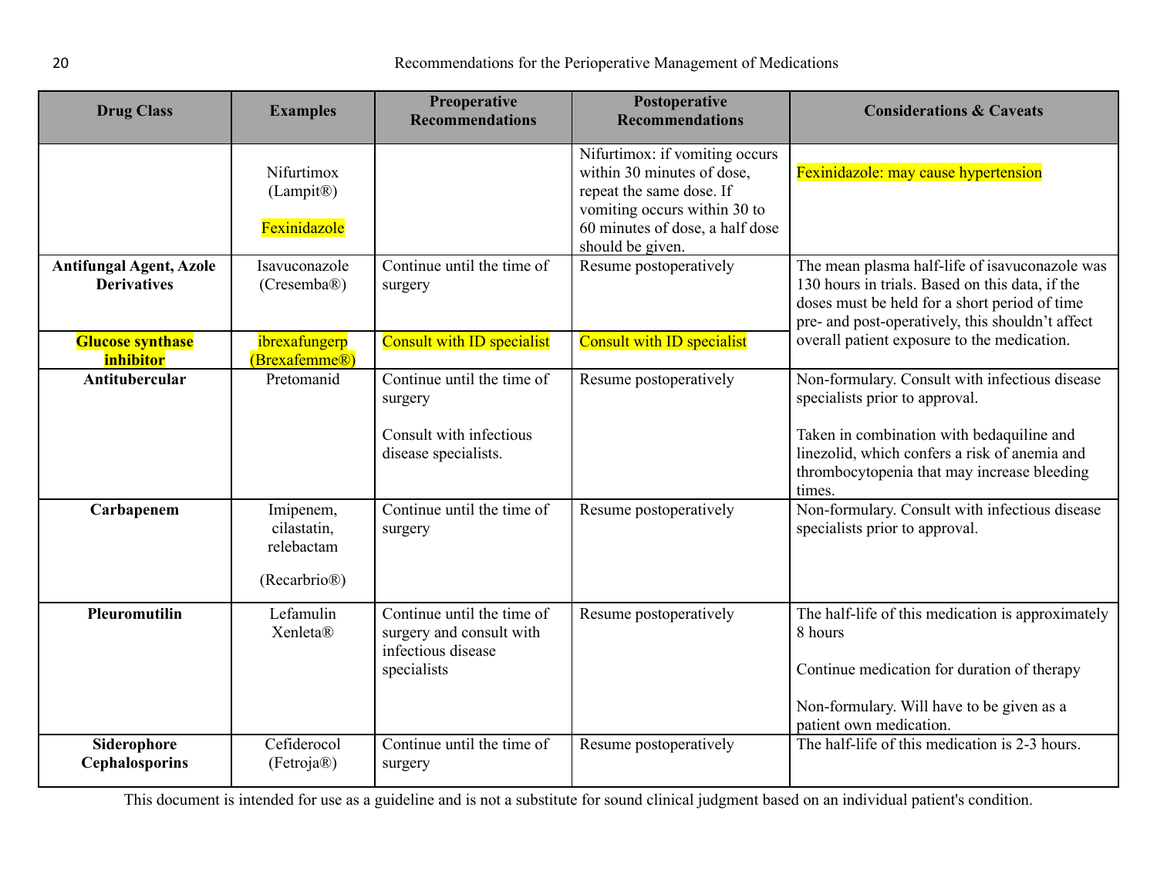| <b>Drug Class</b>                                    | <b>Examples</b>                                                     | Preoperative<br><b>Recommendations</b>                                                      | Postoperative<br><b>Recommendations</b>                                                                                                                                         | <b>Considerations &amp; Caveats</b>                                                                                                                                                                                                     |
|------------------------------------------------------|---------------------------------------------------------------------|---------------------------------------------------------------------------------------------|---------------------------------------------------------------------------------------------------------------------------------------------------------------------------------|-----------------------------------------------------------------------------------------------------------------------------------------------------------------------------------------------------------------------------------------|
|                                                      | Nifurtimox<br>(Lampit <sup>®</sup> )<br>Fexinidazole                |                                                                                             | Nifurtimox: if vomiting occurs<br>within 30 minutes of dose,<br>repeat the same dose. If<br>vomiting occurs within 30 to<br>60 minutes of dose, a half dose<br>should be given. | Fexinidazole: may cause hypertension                                                                                                                                                                                                    |
| <b>Antifungal Agent, Azole</b><br><b>Derivatives</b> | Isavuconazole<br>(Cresemba@)                                        | Continue until the time of<br>surgery                                                       | Resume postoperatively                                                                                                                                                          | The mean plasma half-life of isavuconazole was<br>130 hours in trials. Based on this data, if the<br>doses must be held for a short period of time<br>pre- and post-operatively, this shouldn't affect                                  |
| <b>Glucose synthase</b><br>inhibitor                 | ibrexafungerp<br>(Brexafemme®)                                      | Consult with ID specialist                                                                  | Consult with ID specialist                                                                                                                                                      | overall patient exposure to the medication.                                                                                                                                                                                             |
| <b>Antitubercular</b>                                | Pretomanid                                                          | Continue until the time of<br>surgery<br>Consult with infectious<br>disease specialists.    | Resume postoperatively                                                                                                                                                          | Non-formulary. Consult with infectious disease<br>specialists prior to approval.<br>Taken in combination with bedaquiline and<br>linezolid, which confers a risk of anemia and<br>thrombocytopenia that may increase bleeding<br>times. |
| Carbapenem                                           | Imipenem,<br>cilastatin,<br>relebactam<br>(Recarbrio <sup>®</sup> ) | Continue until the time of<br>surgery                                                       | Resume postoperatively                                                                                                                                                          | Non-formulary. Consult with infectious disease<br>specialists prior to approval.                                                                                                                                                        |
| Pleuromutilin                                        | Lefamulin<br>Xenleta®                                               | Continue until the time of<br>surgery and consult with<br>infectious disease<br>specialists | Resume postoperatively                                                                                                                                                          | The half-life of this medication is approximately<br>8 hours<br>Continue medication for duration of therapy<br>Non-formulary. Will have to be given as a<br>patient own medication.                                                     |
| Siderophore<br><b>Cephalosporins</b>                 | Cefiderocol<br>(Fetroja@)                                           | Continue until the time of<br>surgery                                                       | Resume postoperatively                                                                                                                                                          | The half-life of this medication is 2-3 hours.                                                                                                                                                                                          |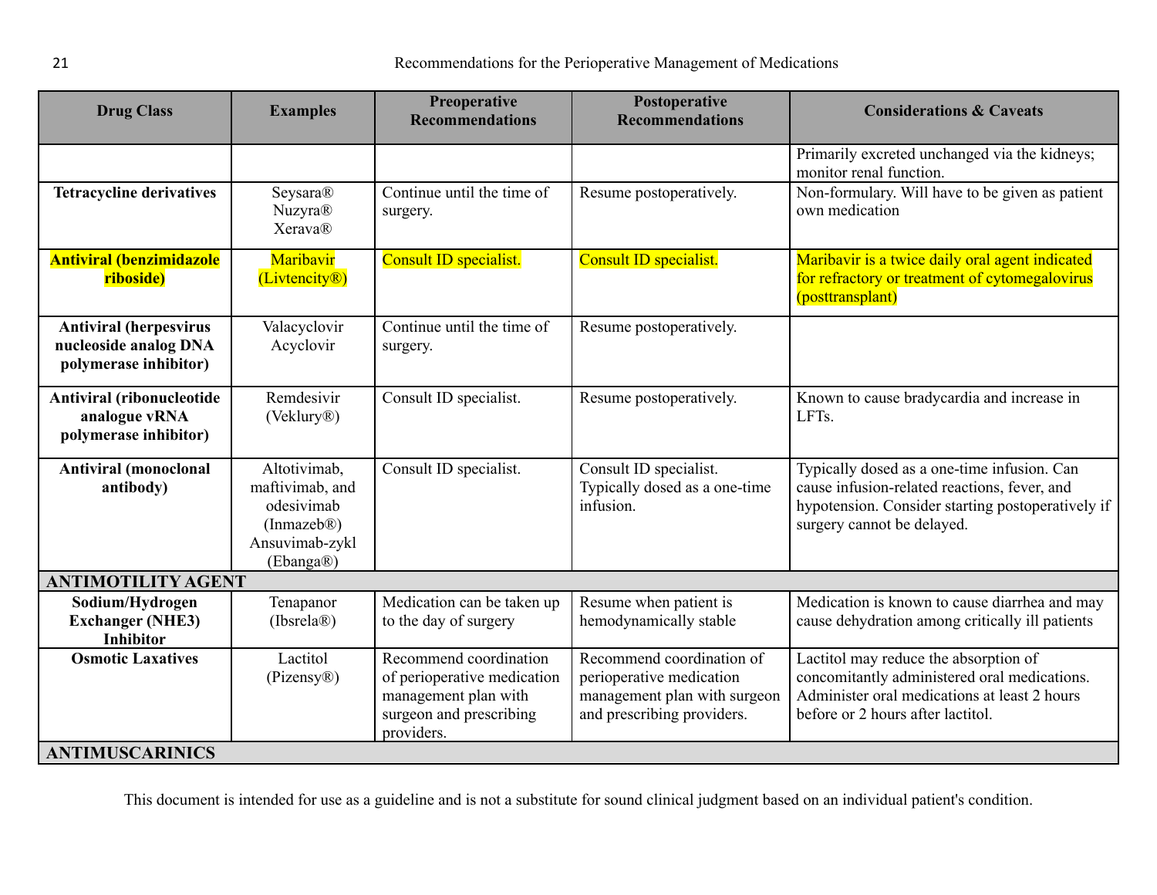<span id="page-20-1"></span><span id="page-20-0"></span>

| <b>Drug Class</b>                                                               | <b>Examples</b>                                                                             | Preoperative<br><b>Recommendations</b>                                                                                 | Postoperative<br><b>Recommendations</b>                                                                             | <b>Considerations &amp; Caveats</b>                                                                                                                                            |  |
|---------------------------------------------------------------------------------|---------------------------------------------------------------------------------------------|------------------------------------------------------------------------------------------------------------------------|---------------------------------------------------------------------------------------------------------------------|--------------------------------------------------------------------------------------------------------------------------------------------------------------------------------|--|
|                                                                                 |                                                                                             |                                                                                                                        |                                                                                                                     | Primarily excreted unchanged via the kidneys;<br>monitor renal function.                                                                                                       |  |
| <b>Tetracycline derivatives</b>                                                 | Seysara®<br><b>Nuzyra®</b><br><b>Xerava®</b>                                                | Continue until the time of<br>surgery.                                                                                 | Resume postoperatively.                                                                                             | Non-formulary. Will have to be given as patient<br>own medication                                                                                                              |  |
| <b>Antiviral (benzimidazole</b><br>riboside)                                    | Maribavir<br>(Livtencity®)                                                                  | Consult ID specialist.                                                                                                 | Consult ID specialist.                                                                                              | Maribavir is a twice daily oral agent indicated<br>for refractory or treatment of cytomegalovirus<br>(posttransplant)                                                          |  |
| <b>Antiviral (herpesvirus</b><br>nucleoside analog DNA<br>polymerase inhibitor) | Valacyclovir<br>Acyclovir                                                                   | Continue until the time of<br>surgery.                                                                                 | Resume postoperatively.                                                                                             |                                                                                                                                                                                |  |
| Antiviral (ribonucleotide<br>analogue vRNA<br>polymerase inhibitor)             | Remdesivir<br>(Veklury <sup>®</sup> )                                                       | Consult ID specialist.                                                                                                 | Resume postoperatively.                                                                                             | Known to cause bradycardia and increase in<br>LFTs.                                                                                                                            |  |
| <b>Antiviral (monoclonal</b><br>antibody)                                       | Altotivimab,<br>maftivimab, and<br>odesivimab<br>(In mazeb@)<br>Ansuvimab-zykl<br>(Ebanga®) | Consult ID specialist.                                                                                                 | Consult ID specialist.<br>Typically dosed as a one-time<br>infusion.                                                | Typically dosed as a one-time infusion. Can<br>cause infusion-related reactions, fever, and<br>hypotension. Consider starting postoperatively if<br>surgery cannot be delayed. |  |
| <b>ANTIMOTILITY AGENT</b>                                                       |                                                                                             |                                                                                                                        |                                                                                                                     |                                                                                                                                                                                |  |
| Sodium/Hydrogen<br><b>Exchanger (NHE3)</b><br><b>Inhibitor</b>                  | Tenapanor<br>(Ibsrela@)                                                                     | Medication can be taken up<br>to the day of surgery                                                                    | Resume when patient is<br>hemodynamically stable                                                                    | Medication is known to cause diarrhea and may<br>cause dehydration among critically ill patients                                                                               |  |
| <b>Osmotic Laxatives</b>                                                        | Lactitol<br>$(Pizensy\otimes)$                                                              | Recommend coordination<br>of perioperative medication<br>management plan with<br>surgeon and prescribing<br>providers. | Recommend coordination of<br>perioperative medication<br>management plan with surgeon<br>and prescribing providers. | Lactitol may reduce the absorption of<br>concomitantly administered oral medications.<br>Administer oral medications at least 2 hours<br>before or 2 hours after lactitol.     |  |
| <b>ANTIMUSCARINICS</b>                                                          |                                                                                             |                                                                                                                        |                                                                                                                     |                                                                                                                                                                                |  |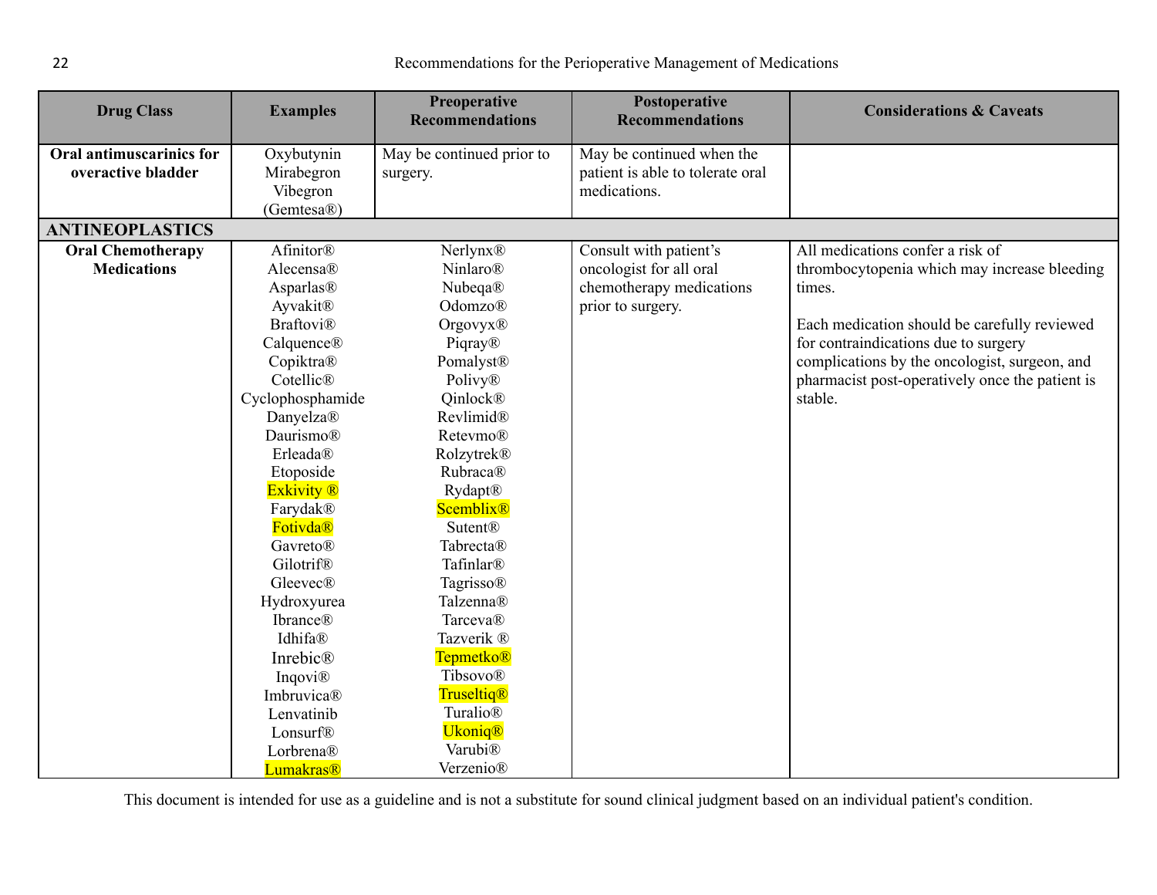<span id="page-21-0"></span>

| <b>Examples</b> | <b>Preoperative</b><br><b>Recommendations</b>                                                                                                                                                                                                                                                                                                                                                                                                                 | Postoperative<br><b>Recommendations</b>                                                                                                                                                                                                                                                                                                                                                                                                                     | <b>Considerations &amp; Caveats</b>                                                                                                                    |
|-----------------|---------------------------------------------------------------------------------------------------------------------------------------------------------------------------------------------------------------------------------------------------------------------------------------------------------------------------------------------------------------------------------------------------------------------------------------------------------------|-------------------------------------------------------------------------------------------------------------------------------------------------------------------------------------------------------------------------------------------------------------------------------------------------------------------------------------------------------------------------------------------------------------------------------------------------------------|--------------------------------------------------------------------------------------------------------------------------------------------------------|
| Oxybutynin      | May be continued prior to                                                                                                                                                                                                                                                                                                                                                                                                                                     | $\overline{\text{May}}$ be continued when the                                                                                                                                                                                                                                                                                                                                                                                                               |                                                                                                                                                        |
| Mirabegron      | surgery.                                                                                                                                                                                                                                                                                                                                                                                                                                                      |                                                                                                                                                                                                                                                                                                                                                                                                                                                             |                                                                                                                                                        |
|                 |                                                                                                                                                                                                                                                                                                                                                                                                                                                               |                                                                                                                                                                                                                                                                                                                                                                                                                                                             |                                                                                                                                                        |
|                 |                                                                                                                                                                                                                                                                                                                                                                                                                                                               |                                                                                                                                                                                                                                                                                                                                                                                                                                                             |                                                                                                                                                        |
|                 |                                                                                                                                                                                                                                                                                                                                                                                                                                                               |                                                                                                                                                                                                                                                                                                                                                                                                                                                             |                                                                                                                                                        |
|                 |                                                                                                                                                                                                                                                                                                                                                                                                                                                               |                                                                                                                                                                                                                                                                                                                                                                                                                                                             | All medications confer a risk of                                                                                                                       |
|                 |                                                                                                                                                                                                                                                                                                                                                                                                                                                               |                                                                                                                                                                                                                                                                                                                                                                                                                                                             | thrombocytopenia which may increase bleeding                                                                                                           |
|                 |                                                                                                                                                                                                                                                                                                                                                                                                                                                               |                                                                                                                                                                                                                                                                                                                                                                                                                                                             | times.                                                                                                                                                 |
|                 |                                                                                                                                                                                                                                                                                                                                                                                                                                                               |                                                                                                                                                                                                                                                                                                                                                                                                                                                             |                                                                                                                                                        |
|                 |                                                                                                                                                                                                                                                                                                                                                                                                                                                               |                                                                                                                                                                                                                                                                                                                                                                                                                                                             | Each medication should be carefully reviewed                                                                                                           |
|                 |                                                                                                                                                                                                                                                                                                                                                                                                                                                               |                                                                                                                                                                                                                                                                                                                                                                                                                                                             | for contraindications due to surgery                                                                                                                   |
|                 |                                                                                                                                                                                                                                                                                                                                                                                                                                                               |                                                                                                                                                                                                                                                                                                                                                                                                                                                             | complications by the oncologist, surgeon, and                                                                                                          |
|                 |                                                                                                                                                                                                                                                                                                                                                                                                                                                               |                                                                                                                                                                                                                                                                                                                                                                                                                                                             | pharmacist post-operatively once the patient is                                                                                                        |
|                 |                                                                                                                                                                                                                                                                                                                                                                                                                                                               |                                                                                                                                                                                                                                                                                                                                                                                                                                                             | stable.                                                                                                                                                |
|                 |                                                                                                                                                                                                                                                                                                                                                                                                                                                               |                                                                                                                                                                                                                                                                                                                                                                                                                                                             |                                                                                                                                                        |
|                 |                                                                                                                                                                                                                                                                                                                                                                                                                                                               |                                                                                                                                                                                                                                                                                                                                                                                                                                                             |                                                                                                                                                        |
|                 |                                                                                                                                                                                                                                                                                                                                                                                                                                                               |                                                                                                                                                                                                                                                                                                                                                                                                                                                             |                                                                                                                                                        |
|                 |                                                                                                                                                                                                                                                                                                                                                                                                                                                               |                                                                                                                                                                                                                                                                                                                                                                                                                                                             |                                                                                                                                                        |
|                 |                                                                                                                                                                                                                                                                                                                                                                                                                                                               |                                                                                                                                                                                                                                                                                                                                                                                                                                                             |                                                                                                                                                        |
|                 |                                                                                                                                                                                                                                                                                                                                                                                                                                                               |                                                                                                                                                                                                                                                                                                                                                                                                                                                             |                                                                                                                                                        |
|                 |                                                                                                                                                                                                                                                                                                                                                                                                                                                               |                                                                                                                                                                                                                                                                                                                                                                                                                                                             |                                                                                                                                                        |
|                 |                                                                                                                                                                                                                                                                                                                                                                                                                                                               |                                                                                                                                                                                                                                                                                                                                                                                                                                                             |                                                                                                                                                        |
|                 |                                                                                                                                                                                                                                                                                                                                                                                                                                                               |                                                                                                                                                                                                                                                                                                                                                                                                                                                             |                                                                                                                                                        |
|                 |                                                                                                                                                                                                                                                                                                                                                                                                                                                               |                                                                                                                                                                                                                                                                                                                                                                                                                                                             |                                                                                                                                                        |
|                 |                                                                                                                                                                                                                                                                                                                                                                                                                                                               |                                                                                                                                                                                                                                                                                                                                                                                                                                                             |                                                                                                                                                        |
|                 |                                                                                                                                                                                                                                                                                                                                                                                                                                                               |                                                                                                                                                                                                                                                                                                                                                                                                                                                             |                                                                                                                                                        |
|                 |                                                                                                                                                                                                                                                                                                                                                                                                                                                               |                                                                                                                                                                                                                                                                                                                                                                                                                                                             |                                                                                                                                                        |
|                 |                                                                                                                                                                                                                                                                                                                                                                                                                                                               |                                                                                                                                                                                                                                                                                                                                                                                                                                                             |                                                                                                                                                        |
|                 |                                                                                                                                                                                                                                                                                                                                                                                                                                                               |                                                                                                                                                                                                                                                                                                                                                                                                                                                             |                                                                                                                                                        |
|                 |                                                                                                                                                                                                                                                                                                                                                                                                                                                               |                                                                                                                                                                                                                                                                                                                                                                                                                                                             |                                                                                                                                                        |
|                 |                                                                                                                                                                                                                                                                                                                                                                                                                                                               |                                                                                                                                                                                                                                                                                                                                                                                                                                                             |                                                                                                                                                        |
|                 |                                                                                                                                                                                                                                                                                                                                                                                                                                                               |                                                                                                                                                                                                                                                                                                                                                                                                                                                             |                                                                                                                                                        |
|                 |                                                                                                                                                                                                                                                                                                                                                                                                                                                               |                                                                                                                                                                                                                                                                                                                                                                                                                                                             |                                                                                                                                                        |
|                 | Vibegron<br>(Gemtesa®)<br><b>Afinitor®</b><br>Alecensa®<br>Asparlas®<br>Ayvakit®<br><b>Braftovi®</b><br>Calquence®<br>Copiktra®<br>Cotellic®<br>Cyclophosphamide<br>Danyelza®<br>Daurismo®<br>Erleada®<br>Etoposide<br><b>Exkivity</b> <sup>®</sup><br>Farydak®<br>Fotivda®<br>Gavreto®<br>Gilotrif®<br>Gleevec®<br>Hydroxyurea<br><b>Ibrance®</b><br>Idhifa®<br>Inrebic®<br>Inqovi®<br>Imbruvica®<br>Lenvatinib<br>Lonsurf®<br>Lorbrena®<br><b>Lumakras®</b> | <b>Nerlynx®</b><br><b>Ninlaro®</b><br>Nubeqa®<br>Odomzo <sup>®</sup><br><b>Orgovyx®</b><br>Piqray®<br>Pomalyst <sup>®</sup><br>Polivy®<br>Qinlock®<br>Revlimid®<br>Retevmo®<br>Rolzytrek®<br>Rubraca®<br>Rydapt®<br><b>Scemblix®</b><br><b>Sutent®</b><br>Tabrecta®<br>Tafinlar®<br>Tagrisso®<br>Talzenna®<br>Tarceva®<br>Tazverik ®<br><b>Tepmetko®</b><br>Tibsovo®<br><b>Truseltiq®</b><br>Turalio®<br><b>Ukoniq®</b><br>Varubi <sup>®</sup><br>Verzenio® | patient is able to tolerate oral<br>medications.<br>Consult with patient's<br>oncologist for all oral<br>chemotherapy medications<br>prior to surgery. |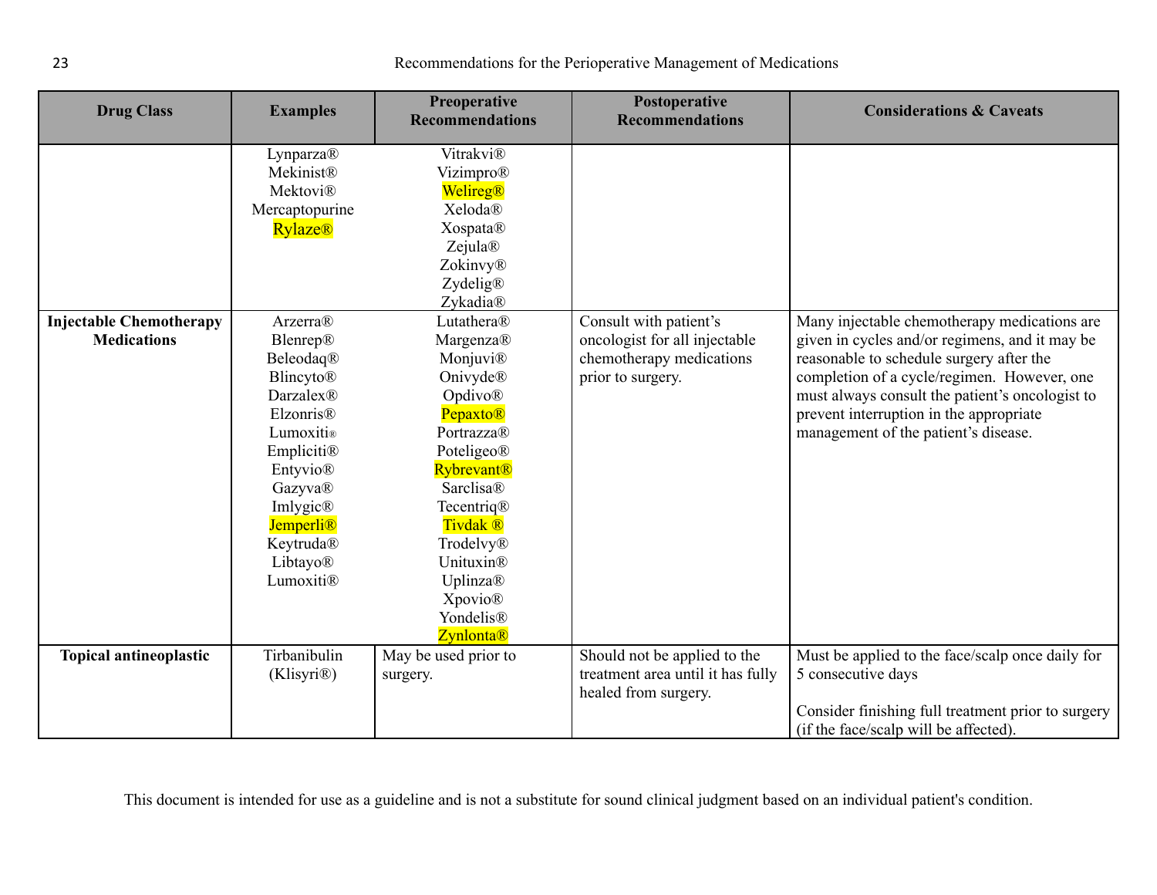| <b>Drug Class</b>                                    | <b>Examples</b>                                                                                                                                                                                                                                                                                             | Preoperative<br><b>Recommendations</b>                                                                                                                                                                                                                                                                                                                                   | Postoperative<br><b>Recommendations</b>                                                                  | <b>Considerations &amp; Caveats</b>                                                                                                                                                                                                                                                                                             |
|------------------------------------------------------|-------------------------------------------------------------------------------------------------------------------------------------------------------------------------------------------------------------------------------------------------------------------------------------------------------------|--------------------------------------------------------------------------------------------------------------------------------------------------------------------------------------------------------------------------------------------------------------------------------------------------------------------------------------------------------------------------|----------------------------------------------------------------------------------------------------------|---------------------------------------------------------------------------------------------------------------------------------------------------------------------------------------------------------------------------------------------------------------------------------------------------------------------------------|
| <b>Injectable Chemotherapy</b><br><b>Medications</b> | Lynparza®<br>Mekinist®<br><b>Mektovi®</b><br>Mercaptopurine<br><b>Rylaze®</b><br>Arzerra®<br>Blenrep®<br>Beleodaq®<br><b>Blincyto®</b><br><b>Darzalex®</b><br>Elzonris <sup>®</sup><br>Lumoxiti®<br>Empliciti®<br>Entyvio®<br>Gazyva®<br>Imlygic®<br><b>Jemperli®</b><br>Keytruda®<br>Libtayo®<br>Lumoxiti® | Vitrakvi®<br>Vizimpro®<br>Welireg®<br><b>Xeloda®</b><br><b>Xospata®</b><br>Zejula®<br>Zokinvy®<br>Zydelig®<br>Zykadia®<br>Lutathera®<br>Margenza®<br>Monjuvi®<br>Onivyde®<br>Opdivo®<br>Pepaxto®<br>Portrazza®<br>Poteligeo®<br><b>Rybrevant®</b><br>Sarclisa®<br>Tecentriq®<br>Tivdak <sup>®</sup><br>Trodelvy®<br>Unituxin®<br>Uplinza®<br><b>Xpovio®</b><br>Yondelis® | Consult with patient's<br>oncologist for all injectable<br>chemotherapy medications<br>prior to surgery. | Many injectable chemotherapy medications are<br>given in cycles and/or regimens, and it may be<br>reasonable to schedule surgery after the<br>completion of a cycle/regimen. However, one<br>must always consult the patient's oncologist to<br>prevent interruption in the appropriate<br>management of the patient's disease. |
| <b>Topical antineoplastic</b>                        | Tirbanibulin<br>(Klisyri®)                                                                                                                                                                                                                                                                                  | <b>Zynlonta®</b><br>May be used prior to<br>surgery.                                                                                                                                                                                                                                                                                                                     | Should not be applied to the<br>treatment area until it has fully<br>healed from surgery.                | Must be applied to the face/scalp once daily for<br>5 consecutive days<br>Consider finishing full treatment prior to surgery<br>(if the face/scalp will be affected).                                                                                                                                                           |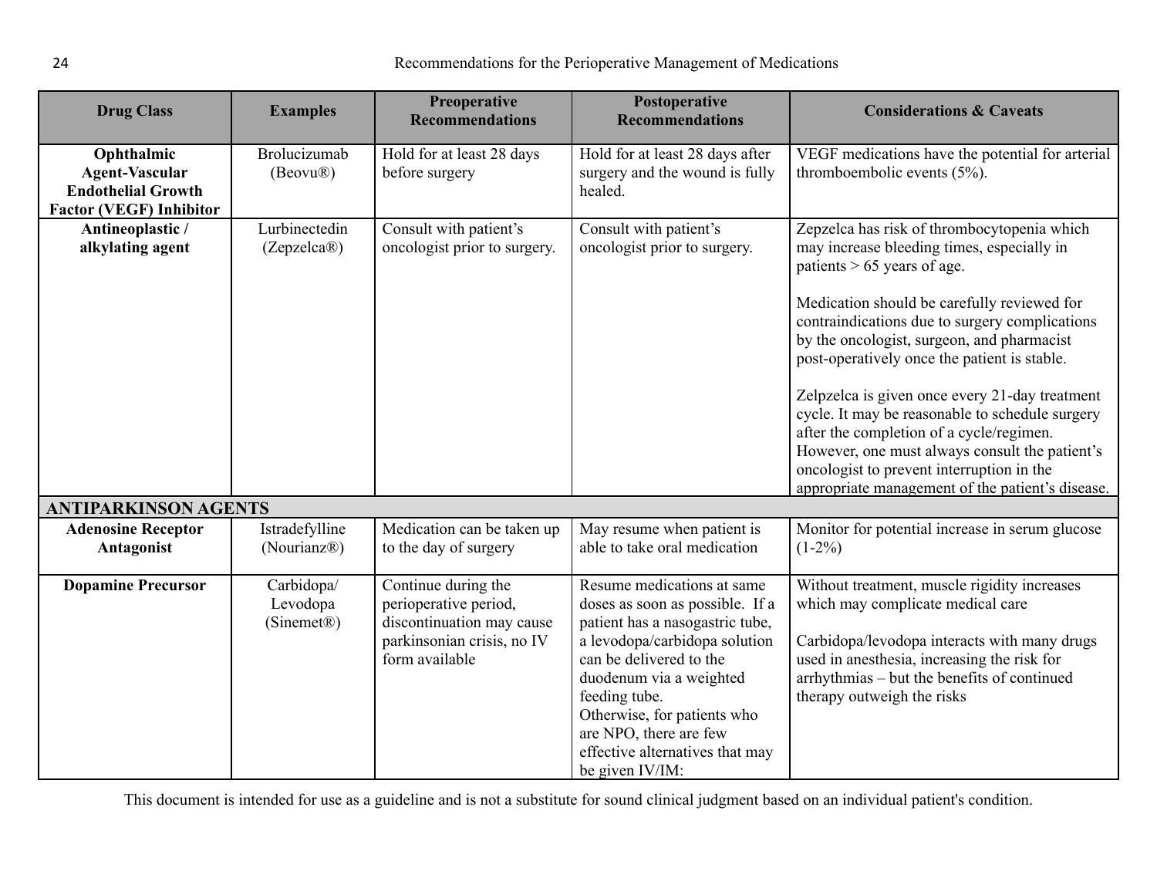<span id="page-23-0"></span>

| <b>Drug Class</b>                                                                                  | <b>Examples</b>                                   | <b>Preoperative</b><br><b>Recommendations</b>                                                                             | Postoperative<br><b>Recommendations</b>                                                                                                                                                                                                                                                                                 | <b>Considerations &amp; Caveats</b>                                                                                                                                                                                                                                                                                                                                                                                                                                                                                                                                                                                           |
|----------------------------------------------------------------------------------------------------|---------------------------------------------------|---------------------------------------------------------------------------------------------------------------------------|-------------------------------------------------------------------------------------------------------------------------------------------------------------------------------------------------------------------------------------------------------------------------------------------------------------------------|-------------------------------------------------------------------------------------------------------------------------------------------------------------------------------------------------------------------------------------------------------------------------------------------------------------------------------------------------------------------------------------------------------------------------------------------------------------------------------------------------------------------------------------------------------------------------------------------------------------------------------|
| Ophthalmic<br><b>Agent-Vascular</b><br><b>Endothelial Growth</b><br><b>Factor (VEGF) Inhibitor</b> | Brolucizumab<br>(Beovu®)                          | Hold for at least 28 days<br>before surgery                                                                               | Hold for at least 28 days after<br>surgery and the wound is fully<br>healed.                                                                                                                                                                                                                                            | VEGF medications have the potential for arterial<br>thromboembolic events (5%).                                                                                                                                                                                                                                                                                                                                                                                                                                                                                                                                               |
| Antineoplastic /<br>alkylating agent                                                               | Lurbinectedin<br>(Zepzelca@)                      | Consult with patient's<br>oncologist prior to surgery.                                                                    | Consult with patient's<br>oncologist prior to surgery.                                                                                                                                                                                                                                                                  | Zepzelca has risk of thrombocytopenia which<br>may increase bleeding times, especially in<br>patients $> 65$ years of age.<br>Medication should be carefully reviewed for<br>contraindications due to surgery complications<br>by the oncologist, surgeon, and pharmacist<br>post-operatively once the patient is stable.<br>Zelpzelca is given once every 21-day treatment<br>cycle. It may be reasonable to schedule surgery<br>after the completion of a cycle/regimen.<br>However, one must always consult the patient's<br>oncologist to prevent interruption in the<br>appropriate management of the patient's disease. |
| <b>ANTIPARKINSON AGENTS</b>                                                                        |                                                   |                                                                                                                           |                                                                                                                                                                                                                                                                                                                         |                                                                                                                                                                                                                                                                                                                                                                                                                                                                                                                                                                                                                               |
| <b>Adenosine Receptor</b><br>Antagonist                                                            | Istradefylline<br>(Nourianz <sup>®)</sup>         | Medication can be taken up<br>to the day of surgery                                                                       | May resume when patient is<br>able to take oral medication                                                                                                                                                                                                                                                              | Monitor for potential increase in serum glucose<br>$(1-2\%)$                                                                                                                                                                                                                                                                                                                                                                                                                                                                                                                                                                  |
| <b>Dopamine Precursor</b>                                                                          | Carbidopa/<br>Levodopa<br>(Sinemet <sup>®</sup> ) | Continue during the<br>perioperative period,<br>discontinuation may cause<br>parkinsonian crisis, no IV<br>form available | Resume medications at same<br>doses as soon as possible. If a<br>patient has a nasogastric tube,<br>a levodopa/carbidopa solution<br>can be delivered to the<br>duodenum via a weighted<br>feeding tube.<br>Otherwise, for patients who<br>are NPO, there are few<br>effective alternatives that may<br>be given IV/IM: | Without treatment, muscle rigidity increases<br>which may complicate medical care<br>Carbidopa/levodopa interacts with many drugs<br>used in anesthesia, increasing the risk for<br>arrhythmias – but the benefits of continued<br>therapy outweigh the risks                                                                                                                                                                                                                                                                                                                                                                 |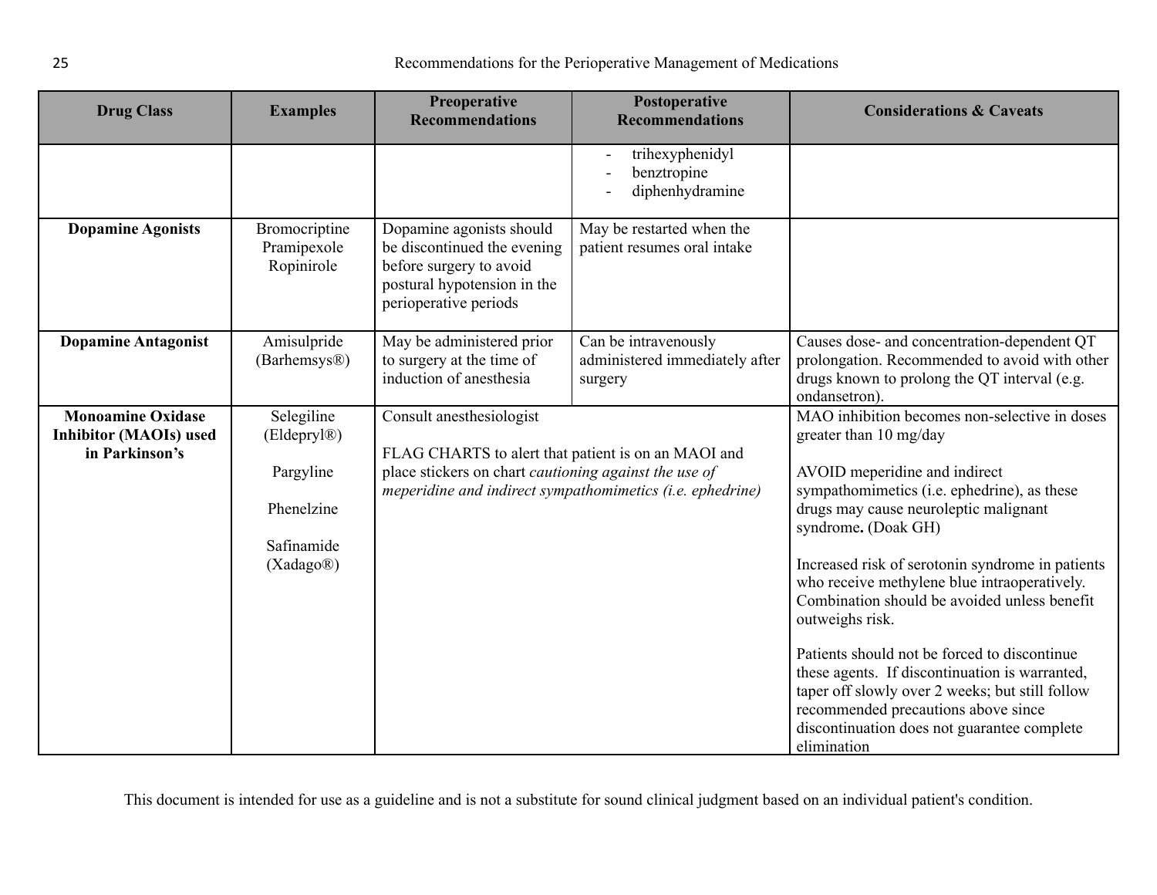| <b>Drug Class</b>                                                           | <b>Examples</b>                                                                 | Preoperative<br><b>Recommendations</b>                                                                                                     | Postoperative<br><b>Recommendations</b>                           | <b>Considerations &amp; Caveats</b>                                                                                                                                                                                                                                                                                                                                                                                                                                                                                                                                                                                                                      |
|-----------------------------------------------------------------------------|---------------------------------------------------------------------------------|--------------------------------------------------------------------------------------------------------------------------------------------|-------------------------------------------------------------------|----------------------------------------------------------------------------------------------------------------------------------------------------------------------------------------------------------------------------------------------------------------------------------------------------------------------------------------------------------------------------------------------------------------------------------------------------------------------------------------------------------------------------------------------------------------------------------------------------------------------------------------------------------|
|                                                                             |                                                                                 |                                                                                                                                            | trihexyphenidyl<br>benztropine<br>diphenhydramine                 |                                                                                                                                                                                                                                                                                                                                                                                                                                                                                                                                                                                                                                                          |
| <b>Dopamine Agonists</b>                                                    | Bromocriptine<br>Pramipexole<br>Ropinirole                                      | Dopamine agonists should<br>be discontinued the evening<br>before surgery to avoid<br>postural hypotension in the<br>perioperative periods | May be restarted when the<br>patient resumes oral intake          |                                                                                                                                                                                                                                                                                                                                                                                                                                                                                                                                                                                                                                                          |
| <b>Dopamine Antagonist</b>                                                  | Amisulpride<br>(Barhemsys <sup>®)</sup>                                         | May be administered prior<br>to surgery at the time of<br>induction of anesthesia                                                          | Can be intravenously<br>administered immediately after<br>surgery | Causes dose- and concentration-dependent QT<br>prolongation. Recommended to avoid with other<br>drugs known to prolong the QT interval (e.g.<br>ondansetron).                                                                                                                                                                                                                                                                                                                                                                                                                                                                                            |
| <b>Monoamine Oxidase</b><br><b>Inhibitor (MAOIs) used</b><br>in Parkinson's | Selegiline<br>(Eldepryl®)<br>Pargyline<br>Phenelzine<br>Safinamide<br>(Xadago®) | Consult anesthesiologist<br>FLAG CHARTS to alert that patient is on an MAOI and<br>place stickers on chart cautioning against the use of   | meperidine and indirect sympathomimetics (i.e. ephedrine)         | MAO inhibition becomes non-selective in doses<br>greater than 10 mg/day<br>AVOID meperidine and indirect<br>sympathomimetics (i.e. ephedrine), as these<br>drugs may cause neuroleptic malignant<br>syndrome. (Doak GH)<br>Increased risk of serotonin syndrome in patients<br>who receive methylene blue intraoperatively.<br>Combination should be avoided unless benefit<br>outweighs risk.<br>Patients should not be forced to discontinue<br>these agents. If discontinuation is warranted,<br>taper off slowly over 2 weeks; but still follow<br>recommended precautions above since<br>discontinuation does not guarantee complete<br>elimination |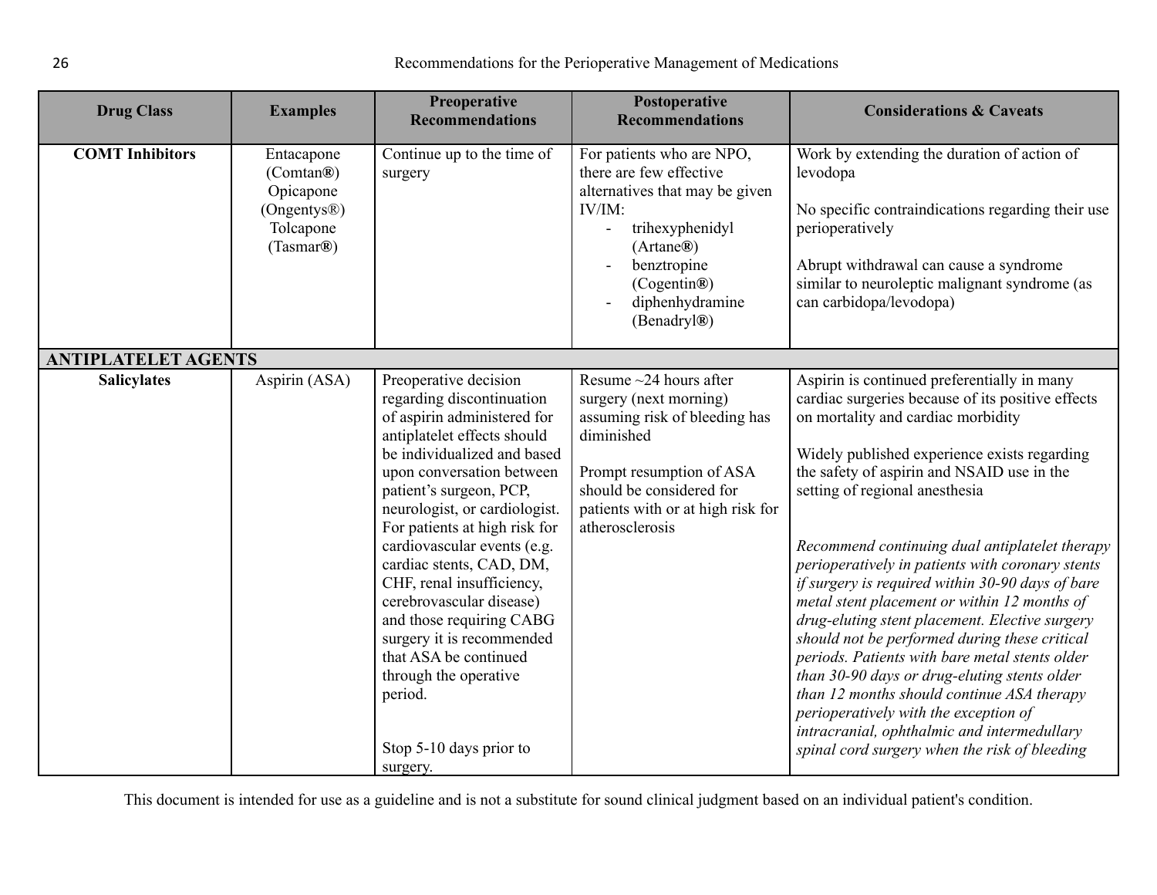<span id="page-25-0"></span>

| <b>Drug Class</b>          | <b>Examples</b>                                                               | Preoperative<br><b>Recommendations</b>                                                                                                                                                                                                                                                                                                                                                                                                                                                                                                                     | Postoperative<br><b>Recommendations</b>                                                                                                                                                                               | <b>Considerations &amp; Caveats</b>                                                                                                                                                                                                                                                                                                                                                                                                                                                                                                                                                                                                                                                                                                                                                                                                                                          |
|----------------------------|-------------------------------------------------------------------------------|------------------------------------------------------------------------------------------------------------------------------------------------------------------------------------------------------------------------------------------------------------------------------------------------------------------------------------------------------------------------------------------------------------------------------------------------------------------------------------------------------------------------------------------------------------|-----------------------------------------------------------------------------------------------------------------------------------------------------------------------------------------------------------------------|------------------------------------------------------------------------------------------------------------------------------------------------------------------------------------------------------------------------------------------------------------------------------------------------------------------------------------------------------------------------------------------------------------------------------------------------------------------------------------------------------------------------------------------------------------------------------------------------------------------------------------------------------------------------------------------------------------------------------------------------------------------------------------------------------------------------------------------------------------------------------|
| <b>COMT Inhibitors</b>     | Entacapone<br>(Comtan®)<br>Opicapone<br>(Ongentys®)<br>Tolcapone<br>(Tasmar®) | Continue up to the time of<br>surgery                                                                                                                                                                                                                                                                                                                                                                                                                                                                                                                      | For patients who are NPO,<br>there are few effective<br>alternatives that may be given<br>$IV/IM$ :<br>trihexyphenidyl<br>$\blacksquare$<br>(Artane®)<br>benztropine<br>(Cogentin®)<br>diphenhydramine<br>(Benadryl®) | Work by extending the duration of action of<br>levodopa<br>No specific contraindications regarding their use<br>perioperatively<br>Abrupt withdrawal can cause a syndrome<br>similar to neuroleptic malignant syndrome (as<br>can carbidopa/levodopa)                                                                                                                                                                                                                                                                                                                                                                                                                                                                                                                                                                                                                        |
| <b>ANTIPLATELET AGENTS</b> |                                                                               |                                                                                                                                                                                                                                                                                                                                                                                                                                                                                                                                                            |                                                                                                                                                                                                                       |                                                                                                                                                                                                                                                                                                                                                                                                                                                                                                                                                                                                                                                                                                                                                                                                                                                                              |
| <b>Salicylates</b>         | Aspirin (ASA)                                                                 | Preoperative decision<br>regarding discontinuation<br>of aspirin administered for<br>antiplatelet effects should<br>be individualized and based<br>upon conversation between<br>patient's surgeon, PCP,<br>neurologist, or cardiologist.<br>For patients at high risk for<br>cardiovascular events (e.g.<br>cardiac stents, CAD, DM,<br>CHF, renal insufficiency,<br>cerebrovascular disease)<br>and those requiring CABG<br>surgery it is recommended<br>that ASA be continued<br>through the operative<br>period.<br>Stop 5-10 days prior to<br>surgery. | Resume $\sim$ 24 hours after<br>surgery (next morning)<br>assuming risk of bleeding has<br>diminished<br>Prompt resumption of ASA<br>should be considered for<br>patients with or at high risk for<br>atherosclerosis | Aspirin is continued preferentially in many<br>cardiac surgeries because of its positive effects<br>on mortality and cardiac morbidity<br>Widely published experience exists regarding<br>the safety of aspirin and NSAID use in the<br>setting of regional anesthesia<br>Recommend continuing dual antiplatelet therapy<br>perioperatively in patients with coronary stents<br>if surgery is required within 30-90 days of bare<br>metal stent placement or within 12 months of<br>drug-eluting stent placement. Elective surgery<br>should not be performed during these critical<br>periods. Patients with bare metal stents older<br>than 30-90 days or drug-eluting stents older<br>than 12 months should continue ASA therapy<br>perioperatively with the exception of<br>intracranial, ophthalmic and intermedullary<br>spinal cord surgery when the risk of bleeding |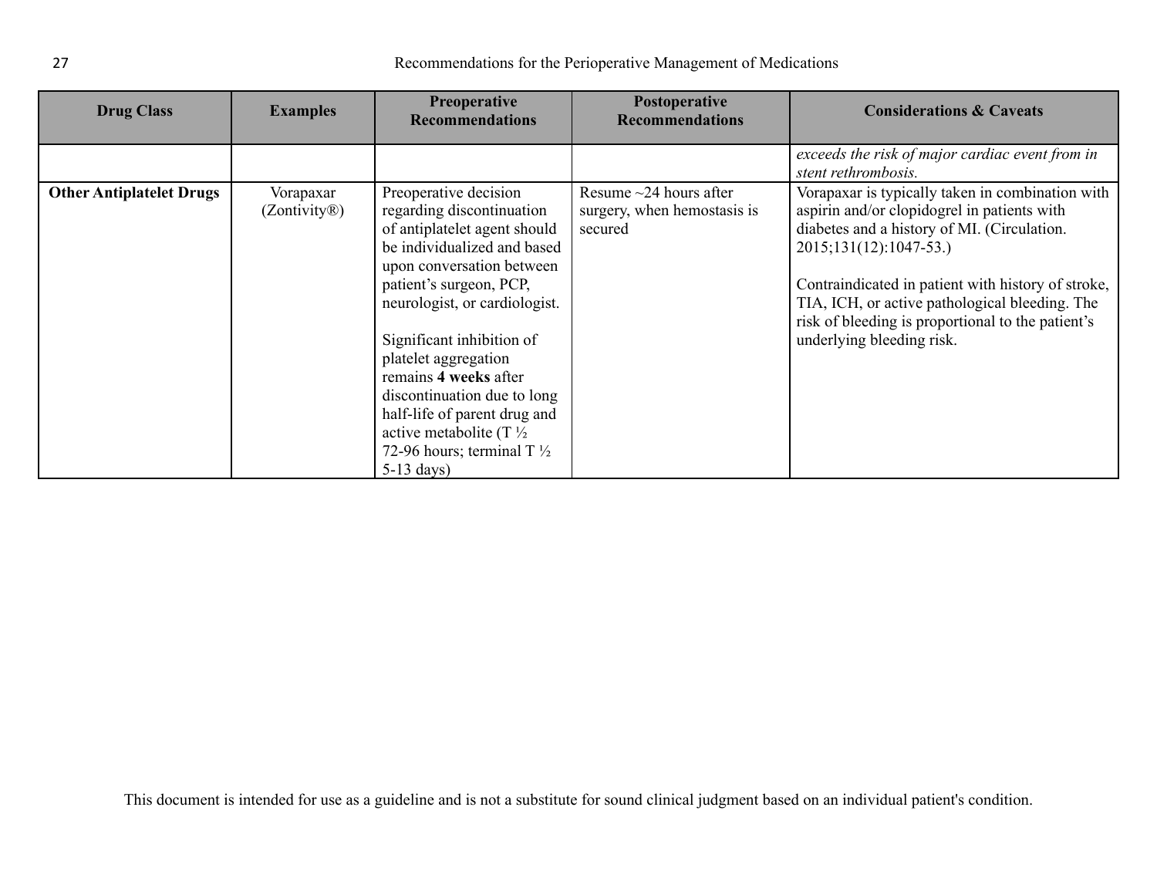| <b>Drug Class</b>               | <b>Examples</b>                        | <b>Preoperative</b><br><b>Recommendations</b>                                                                                                                                                                                                                                                                                                                                                                                                          | Postoperative<br><b>Recommendations</b>                                | <b>Considerations &amp; Caveats</b>                                                                                                                                                                                                                                                                                                                                |
|---------------------------------|----------------------------------------|--------------------------------------------------------------------------------------------------------------------------------------------------------------------------------------------------------------------------------------------------------------------------------------------------------------------------------------------------------------------------------------------------------------------------------------------------------|------------------------------------------------------------------------|--------------------------------------------------------------------------------------------------------------------------------------------------------------------------------------------------------------------------------------------------------------------------------------------------------------------------------------------------------------------|
|                                 |                                        |                                                                                                                                                                                                                                                                                                                                                                                                                                                        |                                                                        | exceeds the risk of major cardiac event from in<br>stent rethrombosis.                                                                                                                                                                                                                                                                                             |
| <b>Other Antiplatelet Drugs</b> | Vorapaxar<br>(Zontivity <sup>®</sup> ) | Preoperative decision<br>regarding discontinuation<br>of antiplatelet agent should<br>be individualized and based<br>upon conversation between<br>patient's surgeon, PCP,<br>neurologist, or cardiologist.<br>Significant inhibition of<br>platelet aggregation<br>remains 4 weeks after<br>discontinuation due to long<br>half-life of parent drug and<br>active metabolite (T $\frac{1}{2}$<br>72-96 hours; terminal T $\frac{1}{2}$<br>$5-13$ days) | Resume $\sim$ 24 hours after<br>surgery, when hemostasis is<br>secured | Vorapaxar is typically taken in combination with<br>aspirin and/or clopidogrel in patients with<br>diabetes and a history of MI. (Circulation.<br>2015;131(12):1047-53.)<br>Contraindicated in patient with history of stroke,<br>TIA, ICH, or active pathological bleeding. The<br>risk of bleeding is proportional to the patient's<br>underlying bleeding risk. |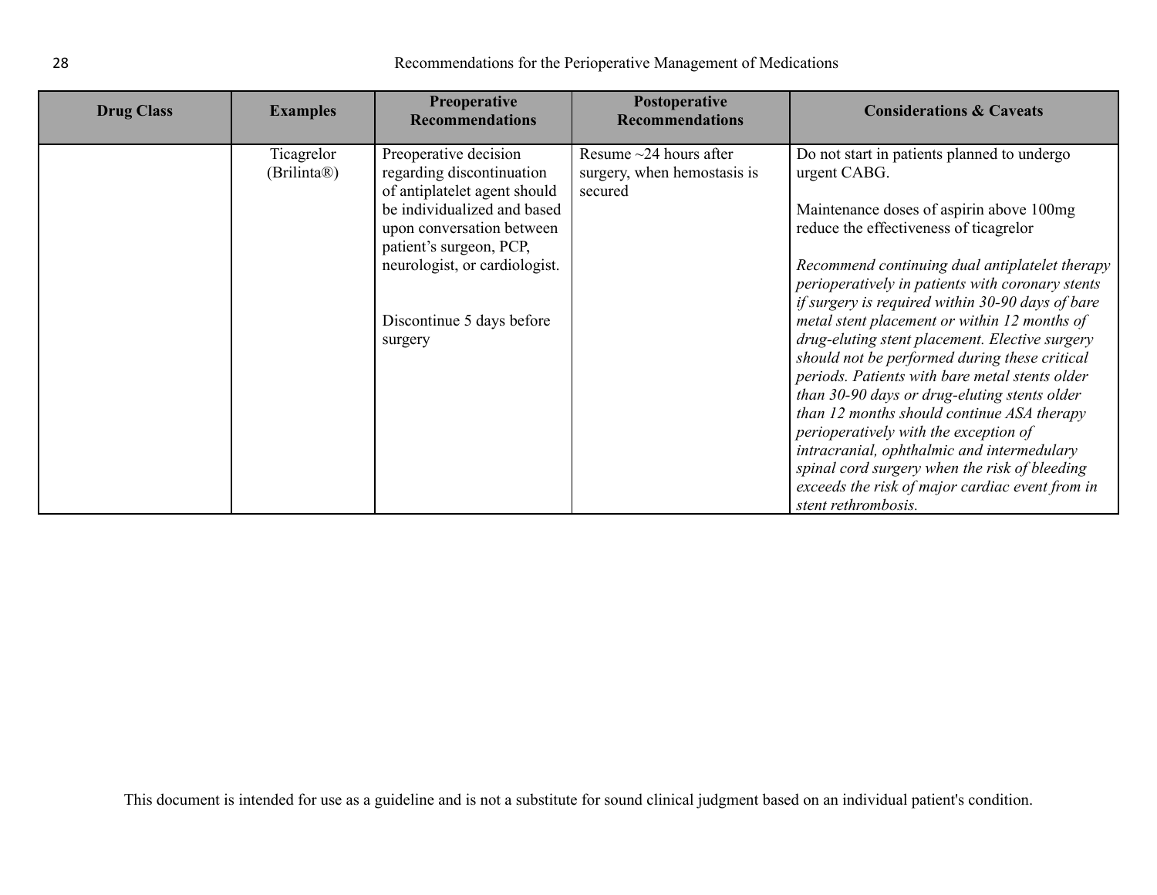| <b>Drug Class</b> | <b>Examples</b>                        | <b>Preoperative</b><br><b>Recommendations</b>                                                                                                                                                                                                      | Postoperative<br><b>Recommendations</b>                                | <b>Considerations &amp; Caveats</b>                                                                                                                                                                                                                                                                                                                                                                                                                                                                                                                                                                                                                                                                                                                                                                                              |
|-------------------|----------------------------------------|----------------------------------------------------------------------------------------------------------------------------------------------------------------------------------------------------------------------------------------------------|------------------------------------------------------------------------|----------------------------------------------------------------------------------------------------------------------------------------------------------------------------------------------------------------------------------------------------------------------------------------------------------------------------------------------------------------------------------------------------------------------------------------------------------------------------------------------------------------------------------------------------------------------------------------------------------------------------------------------------------------------------------------------------------------------------------------------------------------------------------------------------------------------------------|
|                   | Ticagrelor<br>(Brilinta <sup>®</sup> ) | Preoperative decision<br>regarding discontinuation<br>of antiplatelet agent should<br>be individualized and based<br>upon conversation between<br>patient's surgeon, PCP,<br>neurologist, or cardiologist.<br>Discontinue 5 days before<br>surgery | Resume $\sim$ 24 hours after<br>surgery, when hemostasis is<br>secured | Do not start in patients planned to undergo<br>urgent CABG.<br>Maintenance doses of aspirin above 100mg<br>reduce the effectiveness of ticagrelor<br>Recommend continuing dual antiplatelet therapy<br>perioperatively in patients with coronary stents<br>if surgery is required within 30-90 days of bare<br>metal stent placement or within 12 months of<br>drug-eluting stent placement. Elective surgery<br>should not be performed during these critical<br>periods. Patients with bare metal stents older<br>than 30-90 days or drug-eluting stents older<br>than 12 months should continue ASA therapy<br>perioperatively with the exception of<br>intracranial, ophthalmic and intermedulary<br>spinal cord surgery when the risk of bleeding<br>exceeds the risk of major cardiac event from in<br>stent rethrombosis. |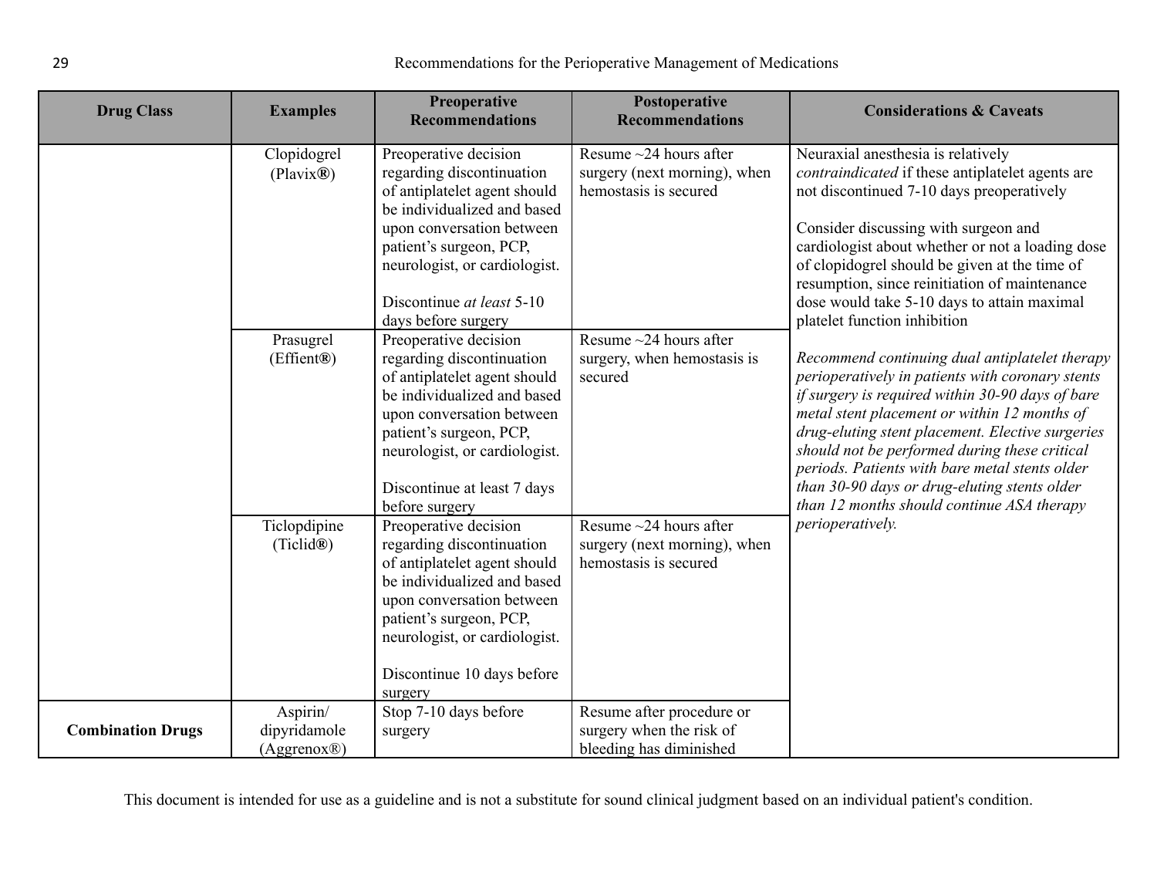| <b>Drug Class</b>        | <b>Examples</b>                         | Preoperative<br><b>Recommendations</b>                                                                                                                                                                                                                         | Postoperative<br><b>Recommendations</b>                                               | <b>Considerations &amp; Caveats</b>                                                                                                                                                                                                                                                                                                                                                                                                                         |
|--------------------------|-----------------------------------------|----------------------------------------------------------------------------------------------------------------------------------------------------------------------------------------------------------------------------------------------------------------|---------------------------------------------------------------------------------------|-------------------------------------------------------------------------------------------------------------------------------------------------------------------------------------------------------------------------------------------------------------------------------------------------------------------------------------------------------------------------------------------------------------------------------------------------------------|
|                          | Clopidogrel<br>(Plavix@)                | Preoperative decision<br>regarding discontinuation<br>of antiplatelet agent should<br>be individualized and based<br>upon conversation between<br>patient's surgeon, PCP,<br>neurologist, or cardiologist.<br>Discontinue at least 5-10<br>days before surgery | Resume $\sim$ 24 hours after<br>surgery (next morning), when<br>hemostasis is secured | Neuraxial anesthesia is relatively<br>contraindicated if these antiplatelet agents are<br>not discontinued 7-10 days preoperatively<br>Consider discussing with surgeon and<br>cardiologist about whether or not a loading dose<br>of clopidogrel should be given at the time of<br>resumption, since reinitiation of maintenance<br>dose would take 5-10 days to attain maximal<br>platelet function inhibition                                            |
|                          | Prasugrel<br>(Effient®)                 | Preoperative decision<br>regarding discontinuation<br>of antiplatelet agent should<br>be individualized and based<br>upon conversation between<br>patient's surgeon, PCP,<br>neurologist, or cardiologist.<br>Discontinue at least 7 days<br>before surgery    | Resume $\sim$ 24 hours after<br>surgery, when hemostasis is<br>secured                | Recommend continuing dual antiplatelet therapy<br>perioperatively in patients with coronary stents<br>if surgery is required within 30-90 days of bare<br>metal stent placement or within 12 months of<br>drug-eluting stent placement. Elective surgeries<br>should not be performed during these critical<br>periods. Patients with bare metal stents older<br>than 30-90 days or drug-eluting stents older<br>than 12 months should continue ASA therapy |
|                          | Ticlopdipine<br>(Ticlid®)               | Preoperative decision<br>regarding discontinuation<br>of antiplatelet agent should<br>be individualized and based<br>upon conversation between<br>patient's surgeon, PCP,<br>neurologist, or cardiologist.<br>Discontinue 10 days before<br>surgery            | Resume $\sim$ 24 hours after<br>surgery (next morning), when<br>hemostasis is secured | perioperatively.                                                                                                                                                                                                                                                                                                                                                                                                                                            |
| <b>Combination Drugs</b> | Aspirin/<br>dipyridamole<br>(Aggrenox@) | Stop 7-10 days before<br>surgery                                                                                                                                                                                                                               | Resume after procedure or<br>surgery when the risk of<br>bleeding has diminished      |                                                                                                                                                                                                                                                                                                                                                                                                                                                             |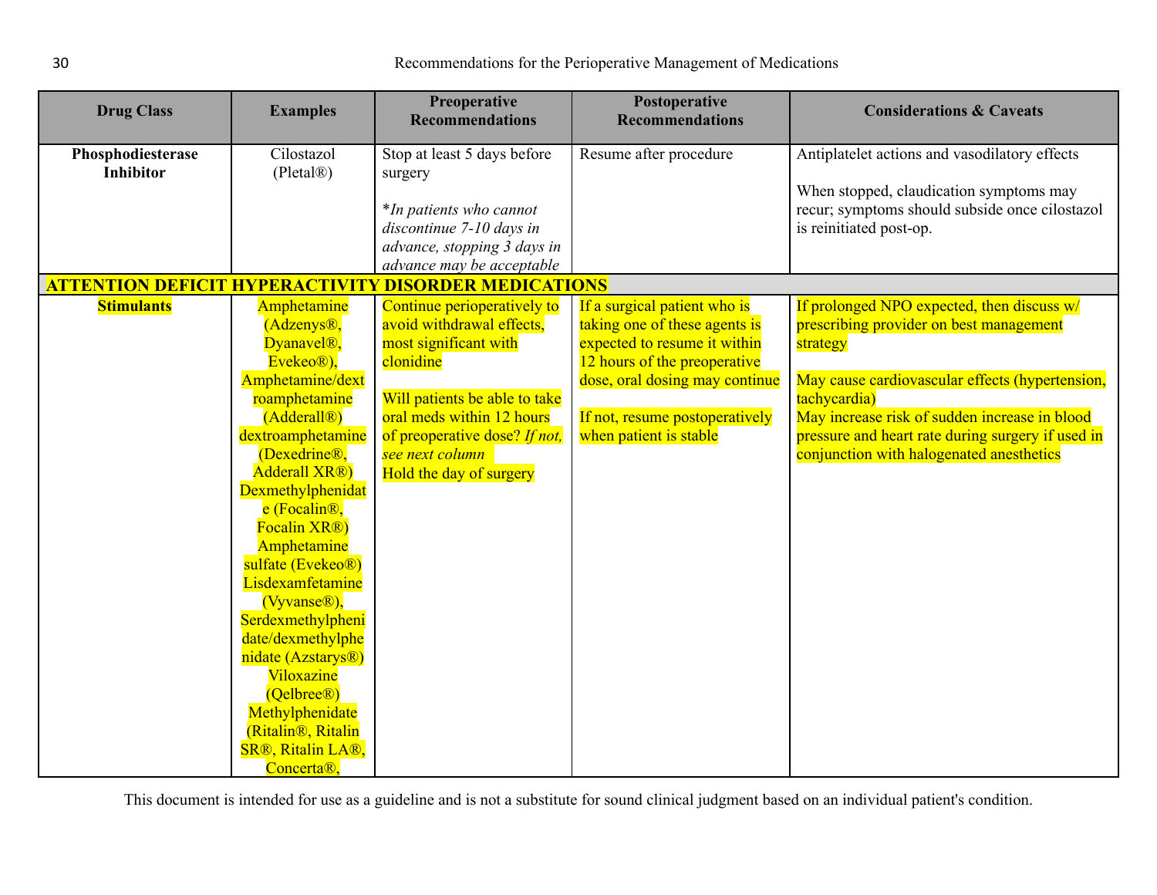<span id="page-29-0"></span>

| <b>Drug Class</b>                      | <b>Examples</b>                                                                                                                                                                                                                                                                                                                                                                                                                                                                                              | <b>Preoperative</b><br><b>Recommendations</b>                                                                                                             | Postoperative<br><b>Recommendations</b>                                                                                       | <b>Considerations &amp; Caveats</b>                                                                                                                                                                               |
|----------------------------------------|--------------------------------------------------------------------------------------------------------------------------------------------------------------------------------------------------------------------------------------------------------------------------------------------------------------------------------------------------------------------------------------------------------------------------------------------------------------------------------------------------------------|-----------------------------------------------------------------------------------------------------------------------------------------------------------|-------------------------------------------------------------------------------------------------------------------------------|-------------------------------------------------------------------------------------------------------------------------------------------------------------------------------------------------------------------|
| Phosphodiesterase<br><b>Inhibitor</b>  | Cilostazol<br>(Pletal@)                                                                                                                                                                                                                                                                                                                                                                                                                                                                                      | Stop at least 5 days before<br>surgery<br>*In patients who cannot<br>discontinue 7-10 days in<br>advance, stopping 3 days in<br>advance may be acceptable | Resume after procedure                                                                                                        | Antiplatelet actions and vasodilatory effects<br>When stopped, claudication symptoms may<br>recur; symptoms should subside once cilostazol<br>is reinitiated post-op.                                             |
| <b>ATTENTION DEFICIT HYPERACTIVITY</b> |                                                                                                                                                                                                                                                                                                                                                                                                                                                                                                              | <b>DISORDER MEDICATIONS</b>                                                                                                                               |                                                                                                                               |                                                                                                                                                                                                                   |
| <b>Stimulants</b>                      | Amphetamine<br>(Adzenys <sup>®</sup> ,<br>Dyanavel <sup>®</sup> ,<br>Evekeo <sup>®</sup> ),                                                                                                                                                                                                                                                                                                                                                                                                                  | Continue perioperatively to<br>avoid withdrawal effects,<br>most significant with<br>clonidine                                                            | If a surgical patient who is<br>taking one of these agents is<br>expected to resume it within<br>12 hours of the preoperative | If prolonged NPO expected, then discuss w/<br>prescribing provider on best management<br>strategy                                                                                                                 |
|                                        | Amphetamine/dext<br>roamphetamine<br>(Adderall <sup>®</sup> )<br>dextroamphetamine<br>(Dexedrine <sup>®</sup> ,<br>Adderall XR®)<br>Dexmethylphenidat<br>e (Focalin <sup>®</sup> ,<br>Focalin XR®)<br>Amphetamine<br>sulfate (Evekeo <sup>®</sup> )<br>Lisdexamfetamine<br>(Vyvanse®),<br>Serdexmethylpheni<br>date/dexmethylphe<br>nidate (Azstarys <sup>®</sup> )<br>Viloxazine<br>(Qelbree <sup>®</sup> )<br>Methylphenidate<br>(Ritalin <sup>®</sup> , Ritalin<br><b>SR®, Ritalin LA®,</b><br>Concerta®, | Will patients be able to take<br>oral meds within 12 hours<br>of preoperative dose? If not,<br>see next column<br>Hold the day of surgery                 | dose, oral dosing may continue<br>If not, resume postoperatively<br>when patient is stable                                    | May cause cardiovascular effects (hypertension,<br>tachycardia)<br>May increase risk of sudden increase in blood<br>pressure and heart rate during surgery if used in<br>conjunction with halogenated anesthetics |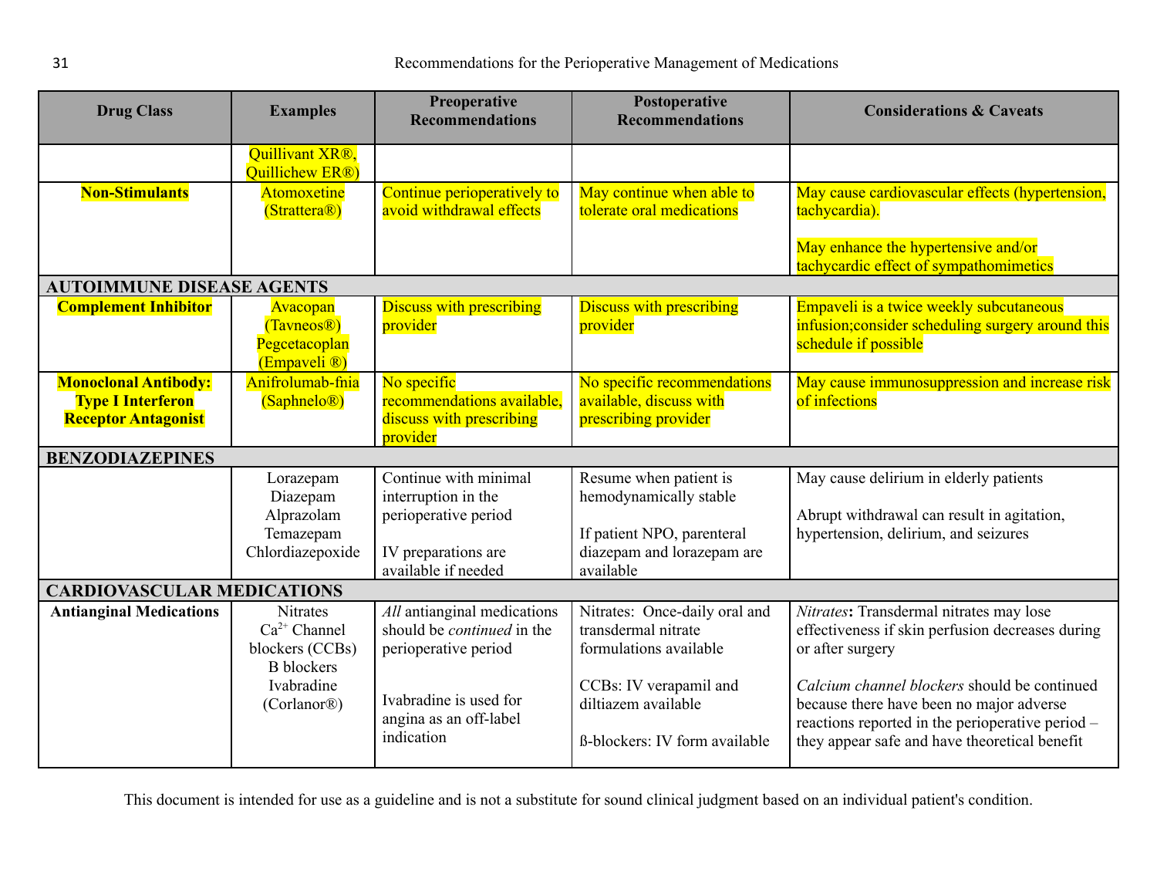<span id="page-30-1"></span><span id="page-30-0"></span>

| <b>Drug Class</b>                 | <b>Examples</b>                                                                                                        | Preoperative<br><b>Recommendations</b>                                                                                                                     | Postoperative<br><b>Recommendations</b>                                                                                                                          | <b>Considerations &amp; Caveats</b>                                                                                                                                                                                                                                                                              |
|-----------------------------------|------------------------------------------------------------------------------------------------------------------------|------------------------------------------------------------------------------------------------------------------------------------------------------------|------------------------------------------------------------------------------------------------------------------------------------------------------------------|------------------------------------------------------------------------------------------------------------------------------------------------------------------------------------------------------------------------------------------------------------------------------------------------------------------|
|                                   | Quillivant XR®,<br>Quillichew ER <sup>®</sup>                                                                          |                                                                                                                                                            |                                                                                                                                                                  |                                                                                                                                                                                                                                                                                                                  |
| <b>Non-Stimulants</b>             | Atomoxetine<br>(Strattera <sup>®</sup> )                                                                               | Continue perioperatively to<br>avoid withdrawal effects                                                                                                    | May continue when able to<br>tolerate oral medications                                                                                                           | May cause cardiovascular effects (hypertension,<br>tachycardia).                                                                                                                                                                                                                                                 |
|                                   |                                                                                                                        |                                                                                                                                                            |                                                                                                                                                                  | May enhance the hypertensive and/or<br>tachycardic effect of sympathomimetics                                                                                                                                                                                                                                    |
| <b>AUTOIMMUNE DISEASE AGENTS</b>  |                                                                                                                        |                                                                                                                                                            |                                                                                                                                                                  |                                                                                                                                                                                                                                                                                                                  |
| <b>Complement Inhibitor</b>       | Avacopan<br>(Tavneos <sup>®</sup> )<br>Pegcetacoplan<br>(Empaveli <sup>®</sup> )                                       | <b>Discuss with prescribing</b><br>provider                                                                                                                | <b>Discuss with prescribing</b><br>provider                                                                                                                      | Empaveli is a twice weekly subcutaneous<br>infusion; consider scheduling surgery around this<br>schedule if possible                                                                                                                                                                                             |
| <b>Monoclonal Antibody:</b>       | Anifrolumab-fnia                                                                                                       | No specific                                                                                                                                                | No specific recommendations                                                                                                                                      | May cause immunosuppression and increase risk                                                                                                                                                                                                                                                                    |
| <b>Type I Interferon</b>          | (Saphnelo <sup>®</sup> )                                                                                               | recommendations available,                                                                                                                                 | available, discuss with                                                                                                                                          | of infections                                                                                                                                                                                                                                                                                                    |
| <b>Receptor Antagonist</b>        |                                                                                                                        | discuss with prescribing<br>provider                                                                                                                       | prescribing provider                                                                                                                                             |                                                                                                                                                                                                                                                                                                                  |
| <b>BENZODIAZEPINES</b>            |                                                                                                                        |                                                                                                                                                            |                                                                                                                                                                  |                                                                                                                                                                                                                                                                                                                  |
|                                   | Lorazepam<br>Diazepam<br>Alprazolam                                                                                    | Continue with minimal<br>interruption in the<br>perioperative period                                                                                       | Resume when patient is<br>hemodynamically stable                                                                                                                 | May cause delirium in elderly patients<br>Abrupt withdrawal can result in agitation,                                                                                                                                                                                                                             |
|                                   | Temazepam<br>Chlordiazepoxide                                                                                          | IV preparations are<br>available if needed                                                                                                                 | If patient NPO, parenteral<br>diazepam and lorazepam are<br>available                                                                                            | hypertension, delirium, and seizures                                                                                                                                                                                                                                                                             |
| <b>CARDIOVASCULAR MEDICATIONS</b> |                                                                                                                        |                                                                                                                                                            |                                                                                                                                                                  |                                                                                                                                                                                                                                                                                                                  |
| <b>Antianginal Medications</b>    | <b>Nitrates</b><br>$Ca^{2+}$ Channel<br>blockers (CCBs)<br><b>B</b> blockers<br>Ivabradine<br>(Corlanor <sup>®</sup> ) | All antianginal medications<br>should be <i>continued</i> in the<br>perioperative period<br>Ivabradine is used for<br>angina as an off-label<br>indication | Nitrates: Once-daily oral and<br>transdermal nitrate<br>formulations available<br>CCBs: IV verapamil and<br>diltiazem available<br>ß-blockers: IV form available | Nitrates: Transdermal nitrates may lose<br>effectiveness if skin perfusion decreases during<br>or after surgery<br>Calcium channel blockers should be continued<br>because there have been no major adverse<br>reactions reported in the perioperative period -<br>they appear safe and have theoretical benefit |
|                                   |                                                                                                                        |                                                                                                                                                            |                                                                                                                                                                  |                                                                                                                                                                                                                                                                                                                  |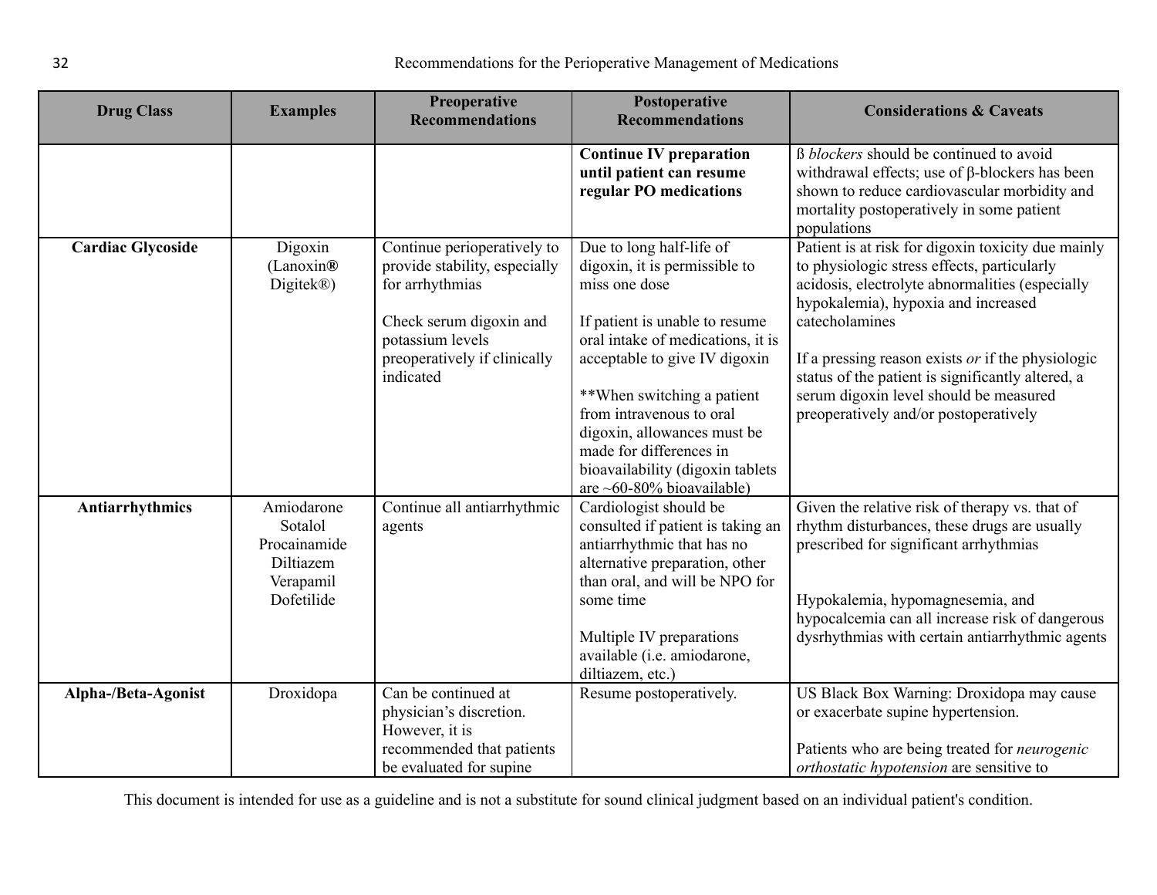| <b>Drug Class</b>        | <b>Examples</b>                                                               | Preoperative<br><b>Recommendations</b>                                                                                                                                      | Postoperative<br><b>Recommendations</b>                                                                                                                                                                                                                                                                                                                                    | <b>Considerations &amp; Caveats</b>                                                                                                                                                                                                                                                                                                                                                                          |
|--------------------------|-------------------------------------------------------------------------------|-----------------------------------------------------------------------------------------------------------------------------------------------------------------------------|----------------------------------------------------------------------------------------------------------------------------------------------------------------------------------------------------------------------------------------------------------------------------------------------------------------------------------------------------------------------------|--------------------------------------------------------------------------------------------------------------------------------------------------------------------------------------------------------------------------------------------------------------------------------------------------------------------------------------------------------------------------------------------------------------|
|                          |                                                                               |                                                                                                                                                                             | <b>Continue IV preparation</b><br>until patient can resume<br>regular PO medications                                                                                                                                                                                                                                                                                       | B <i>blockers</i> should be continued to avoid<br>withdrawal effects; use of $\beta$ -blockers has been<br>shown to reduce cardiovascular morbidity and<br>mortality postoperatively in some patient<br>populations                                                                                                                                                                                          |
| <b>Cardiac Glycoside</b> | Digoxin<br>(Lanoxin@)<br>Digitek <sup>®</sup> )                               | Continue perioperatively to<br>provide stability, especially<br>for arrhythmias<br>Check serum digoxin and<br>potassium levels<br>preoperatively if clinically<br>indicated | Due to long half-life of<br>digoxin, it is permissible to<br>miss one dose<br>If patient is unable to resume<br>oral intake of medications, it is<br>acceptable to give IV digoxin<br>**When switching a patient<br>from intravenous to oral<br>digoxin, allowances must be<br>made for differences in<br>bioavailability (digoxin tablets<br>are $~60-80\%$ bioavailable) | Patient is at risk for digoxin toxicity due mainly<br>to physiologic stress effects, particularly<br>acidosis, electrolyte abnormalities (especially<br>hypokalemia), hypoxia and increased<br>catecholamines<br>If a pressing reason exists $or$ if the physiologic<br>status of the patient is significantly altered, a<br>serum digoxin level should be measured<br>preoperatively and/or postoperatively |
| Antiarrhythmics          | Amiodarone<br>Sotalol<br>Procainamide<br>Diltiazem<br>Verapamil<br>Dofetilide | Continue all antiarrhythmic<br>agents                                                                                                                                       | Cardiologist should be<br>consulted if patient is taking an<br>antiarrhythmic that has no<br>alternative preparation, other<br>than oral, and will be NPO for<br>some time<br>Multiple IV preparations<br>available (i.e. amiodarone,<br>diltiazem, etc.)                                                                                                                  | Given the relative risk of therapy vs. that of<br>rhythm disturbances, these drugs are usually<br>prescribed for significant arrhythmias<br>Hypokalemia, hypomagnesemia, and<br>hypocalcemia can all increase risk of dangerous<br>dysrhythmias with certain antiarrhythmic agents                                                                                                                           |
| Alpha-/Beta-Agonist      | Droxidopa                                                                     | Can be continued at<br>physician's discretion.<br>However, it is<br>recommended that patients<br>be evaluated for supine                                                    | Resume postoperatively.                                                                                                                                                                                                                                                                                                                                                    | US Black Box Warning: Droxidopa may cause<br>or exacerbate supine hypertension.<br>Patients who are being treated for <i>neurogenic</i><br><i>orthostatic hypotension</i> are sensitive to                                                                                                                                                                                                                   |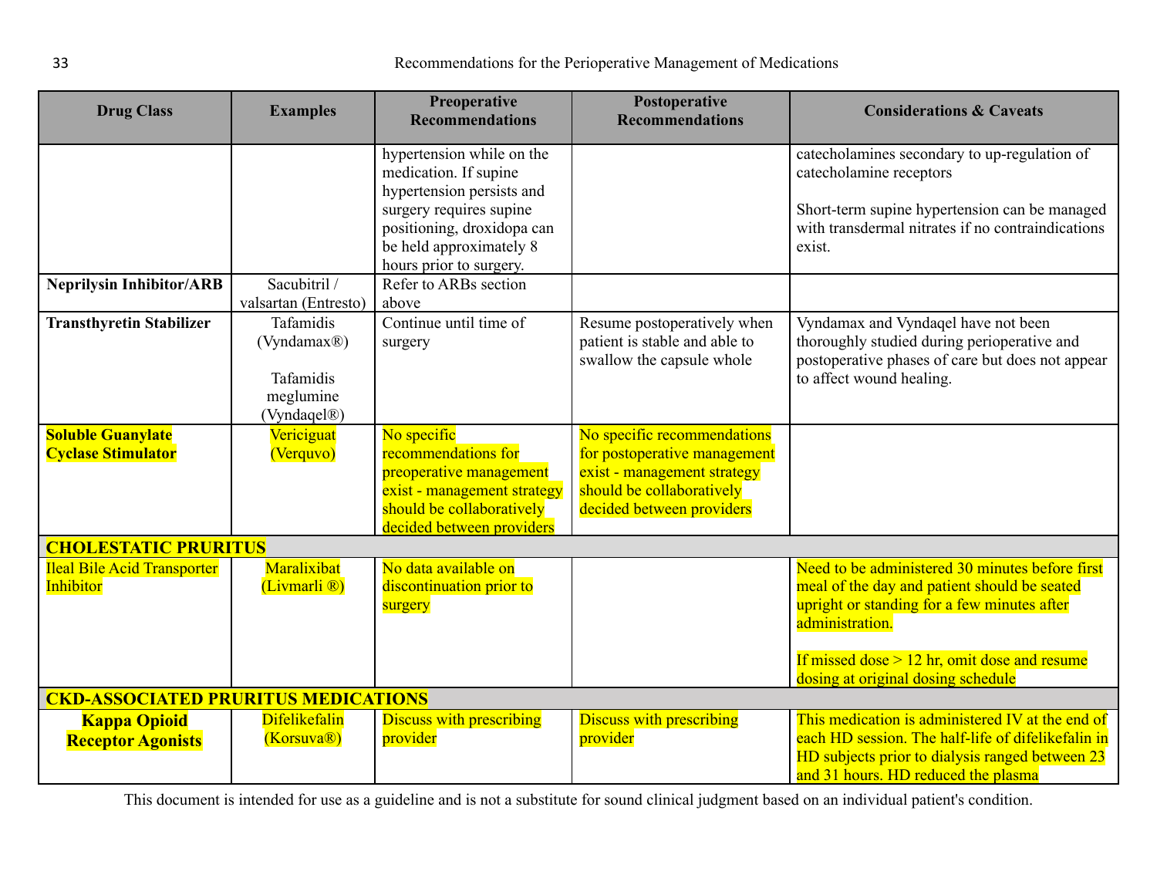<span id="page-32-1"></span><span id="page-32-0"></span>

| <b>Drug Class</b>                                     | <b>Examples</b>                                                                             | Preoperative<br><b>Recommendations</b>                                                                                                                                                         | Postoperative<br><b>Recommendations</b>                                                                                                              | <b>Considerations &amp; Caveats</b>                                                                                                                                                                                                                       |  |
|-------------------------------------------------------|---------------------------------------------------------------------------------------------|------------------------------------------------------------------------------------------------------------------------------------------------------------------------------------------------|------------------------------------------------------------------------------------------------------------------------------------------------------|-----------------------------------------------------------------------------------------------------------------------------------------------------------------------------------------------------------------------------------------------------------|--|
|                                                       |                                                                                             | hypertension while on the<br>medication. If supine<br>hypertension persists and<br>surgery requires supine<br>positioning, droxidopa can<br>be held approximately 8<br>hours prior to surgery. |                                                                                                                                                      | catecholamines secondary to up-regulation of<br>catecholamine receptors<br>Short-term supine hypertension can be managed<br>with transdermal nitrates if no contraindications<br>exist.                                                                   |  |
| <b>Neprilysin Inhibitor/ARB</b>                       | Sacubitril /<br>valsartan (Entresto)                                                        | Refer to ARBs section<br>above                                                                                                                                                                 |                                                                                                                                                      |                                                                                                                                                                                                                                                           |  |
| <b>Transthyretin Stabilizer</b>                       | Tafamidis<br>(Vyndamax <sup>®</sup> )<br>Tafamidis<br>meglumine<br>(Vyndaqel <sup>®</sup> ) | Continue until time of<br>surgery                                                                                                                                                              | Resume postoperatively when<br>patient is stable and able to<br>swallow the capsule whole                                                            | Vyndamax and Vyndaqel have not been<br>thoroughly studied during perioperative and<br>postoperative phases of care but does not appear<br>to affect wound healing.                                                                                        |  |
| <b>Soluble Guanylate</b><br><b>Cyclase Stimulator</b> | Vericiguat<br>(Verquvo)                                                                     | No specific<br>recommendations for<br>preoperative management<br>exist - management strategy<br>should be collaboratively<br>decided between providers                                         | No specific recommendations<br>for postoperative management<br>exist - management strategy<br>should be collaboratively<br>decided between providers |                                                                                                                                                                                                                                                           |  |
| <b>CHOLESTATIC PRURITUS</b>                           |                                                                                             |                                                                                                                                                                                                |                                                                                                                                                      |                                                                                                                                                                                                                                                           |  |
| <b>Ileal Bile Acid Transporter</b><br>Inhibitor       | Maralixibat<br>(Livmarli <sup>®</sup> )                                                     | No data available on<br>discontinuation prior to<br>surgery                                                                                                                                    |                                                                                                                                                      | Need to be administered 30 minutes before first<br>meal of the day and patient should be seated<br>upright or standing for a few minutes after<br>administration.<br>If missed dose $> 12$ hr, omit dose and resume<br>dosing at original dosing schedule |  |
| <b>CKD-ASSOCIATED PRURITUS MEDICATIONS</b>            |                                                                                             |                                                                                                                                                                                                |                                                                                                                                                      |                                                                                                                                                                                                                                                           |  |
| <b>Kappa Opioid</b><br><b>Receptor Agonists</b>       | <b>Difelikefalin</b><br>(Korsuva <sup>®</sup> )                                             | <b>Discuss with prescribing</b><br>provider                                                                                                                                                    | <b>Discuss with prescribing</b><br>provider                                                                                                          | This medication is administered IV at the end of<br>each HD session. The half-life of difelikefalin in<br>HD subjects prior to dialysis ranged between 23<br>and 31 hours. HD reduced the plasma                                                          |  |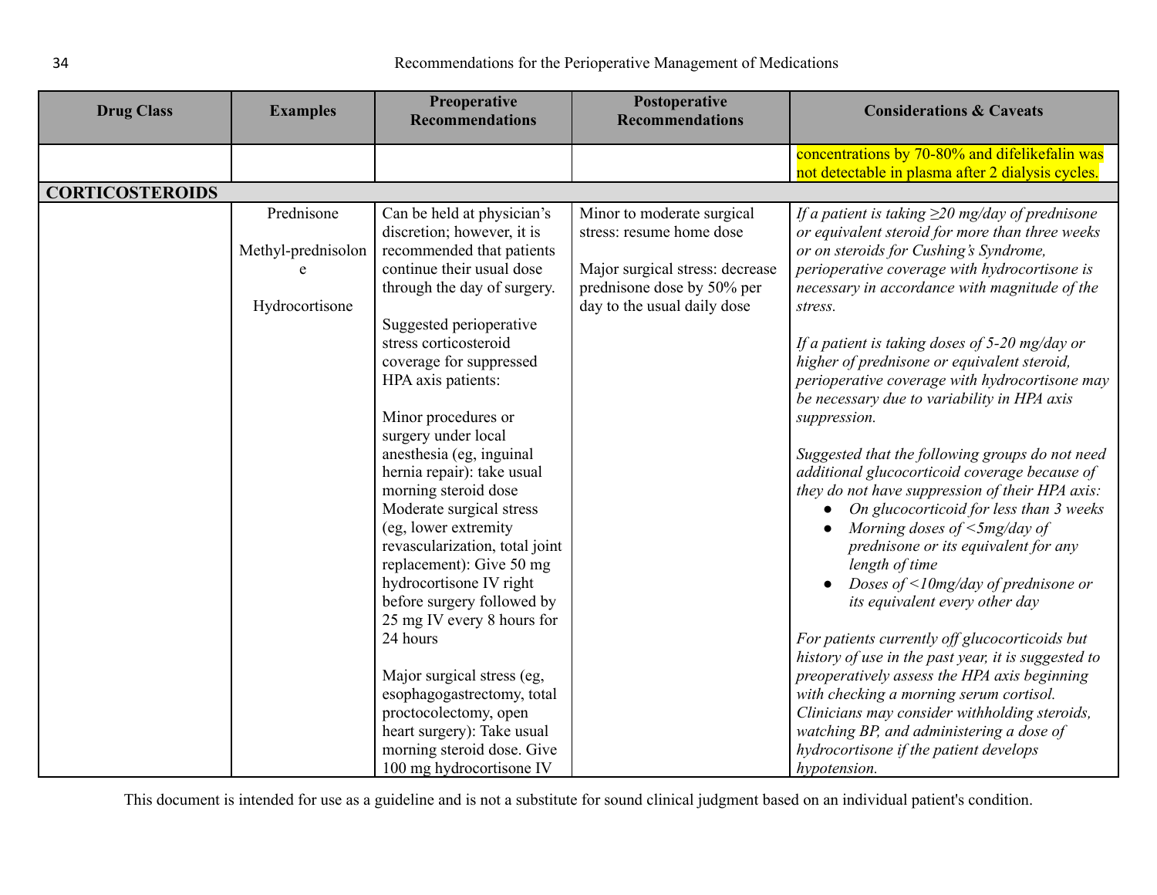| <b>Drug Class</b>      | <b>Examples</b>    | Preoperative<br><b>Recommendations</b>                   | Postoperative<br><b>Recommendations</b>                       | <b>Considerations &amp; Caveats</b>                                                                      |
|------------------------|--------------------|----------------------------------------------------------|---------------------------------------------------------------|----------------------------------------------------------------------------------------------------------|
|                        |                    |                                                          |                                                               |                                                                                                          |
|                        |                    |                                                          |                                                               | concentrations by 70-80% and difelikefalin was                                                           |
|                        |                    |                                                          |                                                               | not detectable in plasma after 2 dialysis cycles.                                                        |
| <b>CORTICOSTEROIDS</b> |                    |                                                          |                                                               |                                                                                                          |
|                        | Prednisone         | Can be held at physician's<br>discretion; however, it is | Minor to moderate surgical<br>stress: resume home dose        | If a patient is taking $\geq$ 20 mg/day of prednisone<br>or equivalent steroid for more than three weeks |
|                        | Methyl-prednisolon | recommended that patients                                |                                                               | or on steroids for Cushing's Syndrome,                                                                   |
|                        |                    | continue their usual dose<br>through the day of surgery. | Major surgical stress: decrease<br>prednisone dose by 50% per | perioperative coverage with hydrocortisone is<br>necessary in accordance with magnitude of the           |
|                        | Hydrocortisone     |                                                          | day to the usual daily dose                                   | stress.                                                                                                  |
|                        |                    | Suggested perioperative<br>stress corticosteroid         |                                                               | If a patient is taking doses of $5-20$ mg/day or                                                         |
|                        |                    | coverage for suppressed                                  |                                                               | higher of prednisone or equivalent steroid,                                                              |
|                        |                    | HPA axis patients:                                       |                                                               | perioperative coverage with hydrocortisone may                                                           |
|                        |                    |                                                          |                                                               | be necessary due to variability in HPA axis                                                              |
|                        |                    | Minor procedures or                                      |                                                               | suppression.                                                                                             |
|                        |                    | surgery under local                                      |                                                               |                                                                                                          |
|                        |                    | anesthesia (eg, inguinal                                 |                                                               | Suggested that the following groups do not need                                                          |
|                        |                    | hernia repair): take usual                               |                                                               | additional glucocorticoid coverage because of                                                            |
|                        |                    | morning steroid dose                                     |                                                               | they do not have suppression of their HPA axis:                                                          |
|                        |                    | Moderate surgical stress                                 |                                                               | On glucocorticoid for less than 3 weeks                                                                  |
|                        |                    | (eg, lower extremity                                     |                                                               | Morning doses of $\leq$ 5mg/day of                                                                       |
|                        |                    | revascularization, total joint                           |                                                               | prednisone or its equivalent for any                                                                     |
|                        |                    | replacement): Give 50 mg                                 |                                                               | length of time                                                                                           |
|                        |                    | hydrocortisone IV right                                  |                                                               | Doses of $\leq$ 10mg/day of prednisone or                                                                |
|                        |                    | before surgery followed by                               |                                                               | its equivalent every other day                                                                           |
|                        |                    | 25 mg IV every 8 hours for                               |                                                               |                                                                                                          |
|                        |                    | 24 hours                                                 |                                                               | For patients currently off glucocorticoids but                                                           |
|                        |                    |                                                          |                                                               | history of use in the past year, it is suggested to                                                      |
|                        |                    | Major surgical stress (eg,                               |                                                               | preoperatively assess the HPA axis beginning                                                             |
|                        |                    | esophagogastrectomy, total                               |                                                               | with checking a morning serum cortisol.                                                                  |
|                        |                    | proctocolectomy, open                                    |                                                               | Clinicians may consider withholding steroids,                                                            |
|                        |                    | heart surgery): Take usual                               |                                                               | watching BP, and administering a dose of                                                                 |
|                        |                    | morning steroid dose. Give                               |                                                               | hydrocortisone if the patient develops                                                                   |
|                        |                    | 100 mg hydrocortisone IV                                 |                                                               | hypotension.                                                                                             |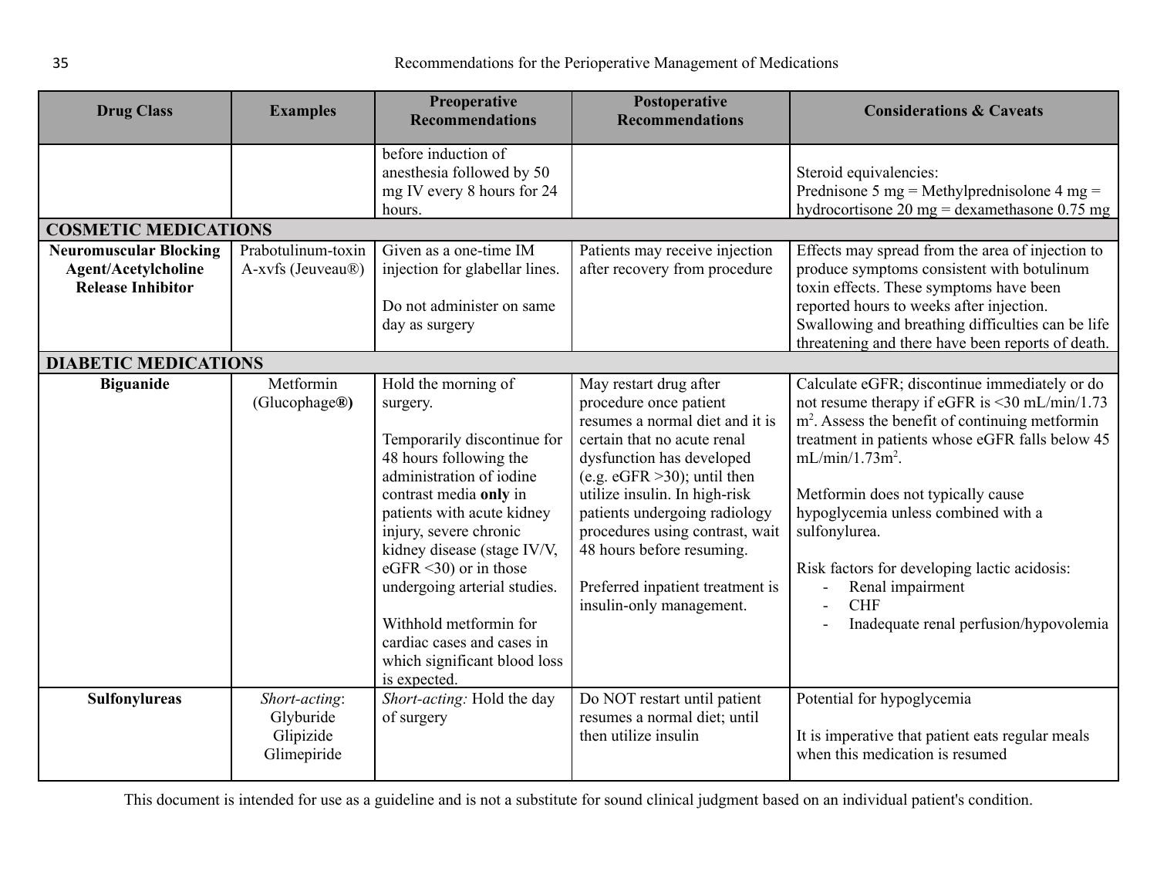<span id="page-34-1"></span><span id="page-34-0"></span>

| <b>Drug Class</b>                                                                       | <b>Examples</b>                                        | Preoperative<br><b>Recommendations</b>                                                                                                                                                                                                                                                                                                                                                                       | Postoperative<br><b>Recommendations</b>                                                                                                                                                                                                                                                                                                                                              | <b>Considerations &amp; Caveats</b>                                                                                                                                                                                                                                                                                                                                                                                                                              |
|-----------------------------------------------------------------------------------------|--------------------------------------------------------|--------------------------------------------------------------------------------------------------------------------------------------------------------------------------------------------------------------------------------------------------------------------------------------------------------------------------------------------------------------------------------------------------------------|--------------------------------------------------------------------------------------------------------------------------------------------------------------------------------------------------------------------------------------------------------------------------------------------------------------------------------------------------------------------------------------|------------------------------------------------------------------------------------------------------------------------------------------------------------------------------------------------------------------------------------------------------------------------------------------------------------------------------------------------------------------------------------------------------------------------------------------------------------------|
|                                                                                         |                                                        | before induction of<br>anesthesia followed by 50<br>mg IV every 8 hours for 24<br>hours.                                                                                                                                                                                                                                                                                                                     |                                                                                                                                                                                                                                                                                                                                                                                      | Steroid equivalencies:<br>Prednisone 5 mg = Methylprednisolone 4 mg =<br>hydrocortisone 20 mg = dexamethasone $0.75$ mg                                                                                                                                                                                                                                                                                                                                          |
| <b>COSMETIC MEDICATIONS</b>                                                             |                                                        |                                                                                                                                                                                                                                                                                                                                                                                                              |                                                                                                                                                                                                                                                                                                                                                                                      |                                                                                                                                                                                                                                                                                                                                                                                                                                                                  |
| <b>Neuromuscular Blocking</b><br><b>Agent/Acetylcholine</b><br><b>Release Inhibitor</b> | Prabotulinum-toxin<br>A-xvfs (Jeuveau®)                | Given as a one-time IM<br>injection for glabellar lines.<br>Do not administer on same<br>day as surgery                                                                                                                                                                                                                                                                                                      | Patients may receive injection<br>after recovery from procedure                                                                                                                                                                                                                                                                                                                      | Effects may spread from the area of injection to<br>produce symptoms consistent with botulinum<br>toxin effects. These symptoms have been<br>reported hours to weeks after injection.<br>Swallowing and breathing difficulties can be life<br>threatening and there have been reports of death.                                                                                                                                                                  |
| <b>DIABETIC MEDICATIONS</b>                                                             |                                                        |                                                                                                                                                                                                                                                                                                                                                                                                              |                                                                                                                                                                                                                                                                                                                                                                                      |                                                                                                                                                                                                                                                                                                                                                                                                                                                                  |
| <b>Biguanide</b>                                                                        | Metformin<br>(Glucophage®)                             | Hold the morning of<br>surgery.<br>Temporarily discontinue for<br>48 hours following the<br>administration of iodine<br>contrast media only in<br>patients with acute kidney<br>injury, severe chronic<br>kidney disease (stage IV/V,<br>eGFR $\leq$ 30) or in those<br>undergoing arterial studies.<br>Withhold metformin for<br>cardiac cases and cases in<br>which significant blood loss<br>is expected. | May restart drug after<br>procedure once patient<br>resumes a normal diet and it is<br>certain that no acute renal<br>dysfunction has developed<br>(e.g. $eGFR > 30$ ); until then<br>utilize insulin. In high-risk<br>patients undergoing radiology<br>procedures using contrast, wait<br>48 hours before resuming.<br>Preferred inpatient treatment is<br>insulin-only management. | Calculate eGFR; discontinue immediately or do<br>not resume therapy if eGFR is <30 mL/min/1.73<br>m <sup>2</sup> . Assess the benefit of continuing metformin<br>treatment in patients whose eGFR falls below 45<br>$mL/min/1.73m^2$ .<br>Metformin does not typically cause<br>hypoglycemia unless combined with a<br>sulfonylurea.<br>Risk factors for developing lactic acidosis:<br>Renal impairment<br><b>CHF</b><br>Inadequate renal perfusion/hypovolemia |
| Sulfonylureas                                                                           | Short-acting:<br>Glyburide<br>Glipizide<br>Glimepiride | Short-acting: Hold the day<br>of surgery                                                                                                                                                                                                                                                                                                                                                                     | Do NOT restart until patient<br>resumes a normal diet; until<br>then utilize insulin                                                                                                                                                                                                                                                                                                 | Potential for hypoglycemia<br>It is imperative that patient eats regular meals<br>when this medication is resumed                                                                                                                                                                                                                                                                                                                                                |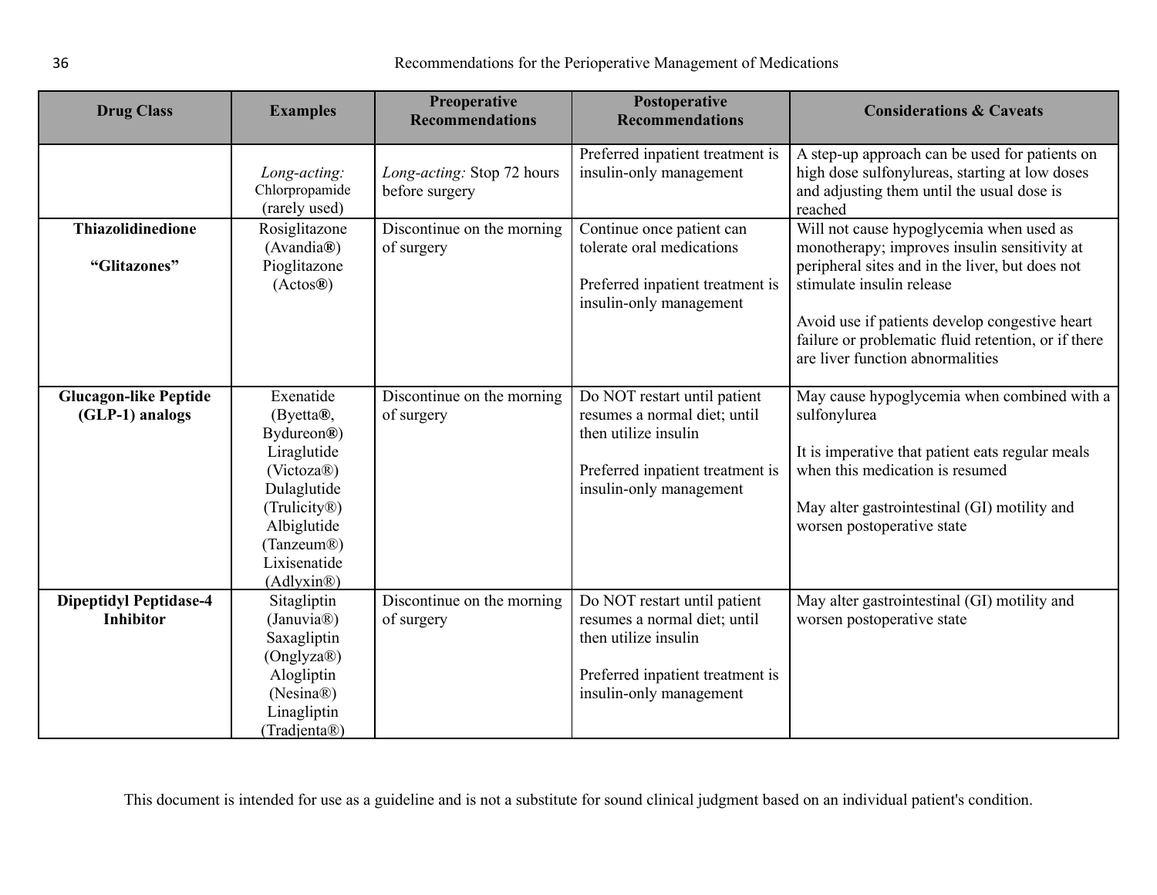| <b>Drug Class</b>                                 | <b>Examples</b>                                                                                                                                                                           | Preoperative<br><b>Recommendations</b>       | Postoperative<br><b>Recommendations</b>                                                                                                             | <b>Considerations &amp; Caveats</b>                                                                                                                                                                                                                                                                                   |
|---------------------------------------------------|-------------------------------------------------------------------------------------------------------------------------------------------------------------------------------------------|----------------------------------------------|-----------------------------------------------------------------------------------------------------------------------------------------------------|-----------------------------------------------------------------------------------------------------------------------------------------------------------------------------------------------------------------------------------------------------------------------------------------------------------------------|
|                                                   | Long-acting:<br>Chlorpropamide<br>(rarely used)                                                                                                                                           | Long-acting: Stop 72 hours<br>before surgery | Preferred inpatient treatment is<br>insulin-only management                                                                                         | A step-up approach can be used for patients on<br>high dose sulfonylureas, starting at low doses<br>and adjusting them until the usual dose is<br>reached                                                                                                                                                             |
| <b>Thiazolidinedione</b><br>"Glitazones"          | Rosiglitazone<br>(Avandia@)<br>Pioglitazone<br>(Actos@)                                                                                                                                   | Discontinue on the morning<br>of surgery     | Continue once patient can<br>tolerate oral medications<br>Preferred inpatient treatment is<br>insulin-only management                               | Will not cause hypoglycemia when used as<br>monotherapy; improves insulin sensitivity at<br>peripheral sites and in the liver, but does not<br>stimulate insulin release<br>Avoid use if patients develop congestive heart<br>failure or problematic fluid retention, or if there<br>are liver function abnormalities |
| <b>Glucagon-like Peptide</b><br>(GLP-1) analogs   | Exenatide<br>$(Bvetta@)$ ,<br>Bydureon®)<br>Liraglutide<br>(Victoza <sup>®</sup> )<br>Dulaglutide<br>(Trulicity®)<br>Albiglutide<br>(Tanzeum <sup>®</sup> )<br>Lixisenatide<br>(Adlyxin@) | Discontinue on the morning<br>of surgery     | Do NOT restart until patient<br>resumes a normal diet; until<br>then utilize insulin<br>Preferred inpatient treatment is<br>insulin-only management | May cause hypoglycemia when combined with a<br>sulfonylurea<br>It is imperative that patient eats regular meals<br>when this medication is resumed<br>May alter gastrointestinal (GI) motility and<br>worsen postoperative state                                                                                      |
| <b>Dipeptidyl Peptidase-4</b><br><b>Inhibitor</b> | Sitagliptin<br>(Januvia <sup>®</sup> )<br>Saxagliptin<br>(Onglyza®)<br>Alogliptin<br>(Nesina®)<br>Linagliptin<br>(Tradjenta®)                                                             | Discontinue on the morning<br>of surgery     | Do NOT restart until patient<br>resumes a normal diet; until<br>then utilize insulin<br>Preferred inpatient treatment is<br>insulin-only management | May alter gastrointestinal (GI) motility and<br>worsen postoperative state                                                                                                                                                                                                                                            |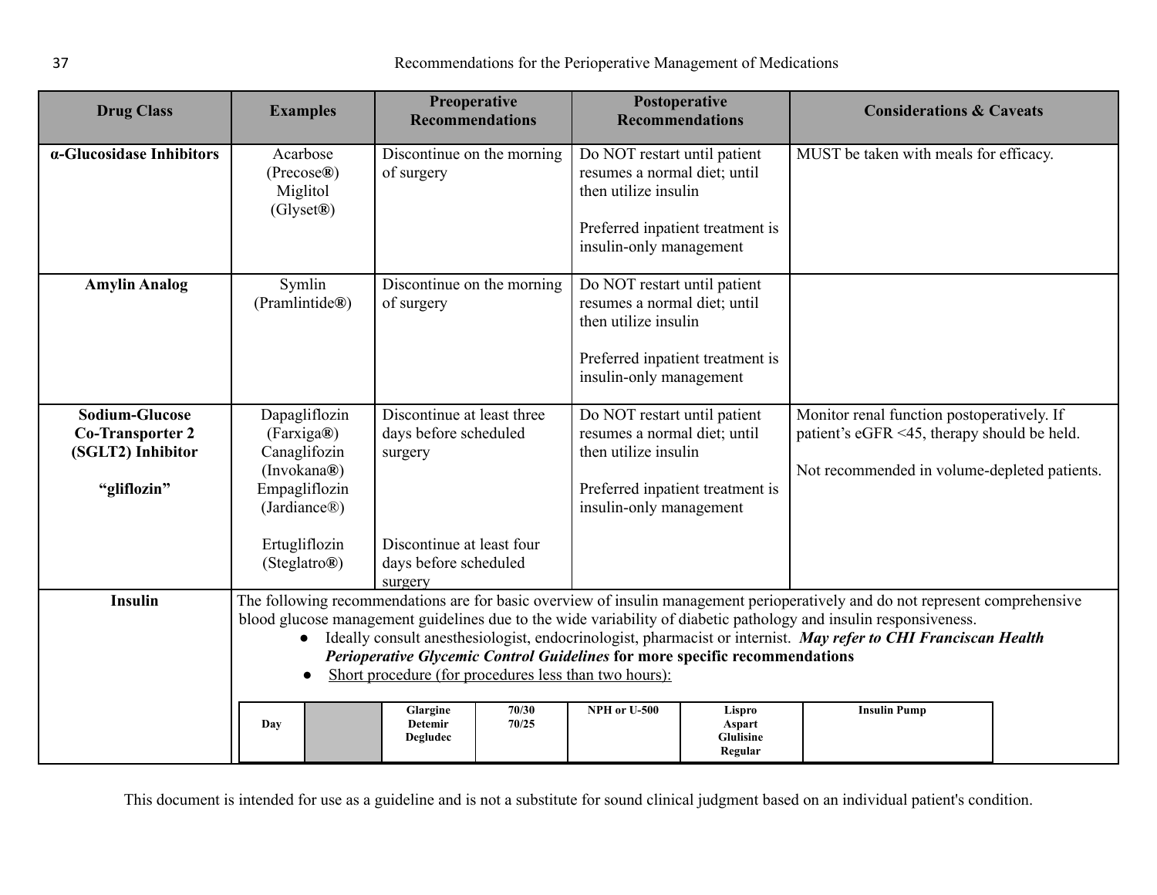|                                                                                      |                                                                                                                                                                                                                                                                                                                                                                                                                                                                                                                                                                                                                                             | <b>Recommendations</b>                                         |  |                                                                                                                                                     | <b>Recommendations</b> | <b>Considerations &amp; Caveats</b>                                                                                                       |  |
|--------------------------------------------------------------------------------------|---------------------------------------------------------------------------------------------------------------------------------------------------------------------------------------------------------------------------------------------------------------------------------------------------------------------------------------------------------------------------------------------------------------------------------------------------------------------------------------------------------------------------------------------------------------------------------------------------------------------------------------------|----------------------------------------------------------------|--|-----------------------------------------------------------------------------------------------------------------------------------------------------|------------------------|-------------------------------------------------------------------------------------------------------------------------------------------|--|
| $\alpha$ -Glucosidase Inhibitors                                                     | Acarbose<br>(Precose@)<br>Miglitol<br>(Glyset®)                                                                                                                                                                                                                                                                                                                                                                                                                                                                                                                                                                                             | Discontinue on the morning<br>of surgery                       |  | Do NOT restart until patient<br>resumes a normal diet; until<br>then utilize insulin<br>Preferred inpatient treatment is<br>insulin-only management |                        | MUST be taken with meals for efficacy.                                                                                                    |  |
| <b>Amylin Analog</b>                                                                 | Symlin<br>(Pramlintide®)                                                                                                                                                                                                                                                                                                                                                                                                                                                                                                                                                                                                                    | Discontinue on the morning<br>of surgery                       |  | Do NOT restart until patient<br>resumes a normal diet; until<br>then utilize insulin<br>Preferred inpatient treatment is<br>insulin-only management |                        |                                                                                                                                           |  |
| <b>Sodium-Glucose</b><br><b>Co-Transporter 2</b><br>(SGLT2) Inhibitor<br>"gliflozin" | Dapagliflozin<br>(Farxiga®)<br>Canaglifozin<br>(Invokana®)<br>Empagliflozin<br>(Jardiance <sup>®</sup> )                                                                                                                                                                                                                                                                                                                                                                                                                                                                                                                                    | Discontinue at least three<br>days before scheduled<br>surgery |  | Do NOT restart until patient<br>resumes a normal diet; until<br>then utilize insulin<br>Preferred inpatient treatment is<br>insulin-only management |                        | Monitor renal function postoperatively. If<br>patient's eGFR <45, therapy should be held.<br>Not recommended in volume-depleted patients. |  |
|                                                                                      | Ertugliflozin<br>(Steglatro®)                                                                                                                                                                                                                                                                                                                                                                                                                                                                                                                                                                                                               | Discontinue at least four<br>days before scheduled<br>surgery  |  |                                                                                                                                                     |                        |                                                                                                                                           |  |
| <b>Insulin</b>                                                                       | The following recommendations are for basic overview of insulin management perioperatively and do not represent comprehensive<br>blood glucose management guidelines due to the wide variability of diabetic pathology and insulin responsiveness.<br>Ideally consult anesthesiologist, endocrinologist, pharmacist or internist. May refer to CHI Franciscan Health<br>Perioperative Glycemic Control Guidelines for more specific recommendations<br>Short procedure (for procedures less than two hours):<br>$\bullet$<br>70/30<br>NPH or U-500<br><b>Insulin Pump</b><br>Glargine<br>Lispro<br><b>Detemir</b><br>70/25<br>Aspart<br>Day |                                                                |  |                                                                                                                                                     |                        |                                                                                                                                           |  |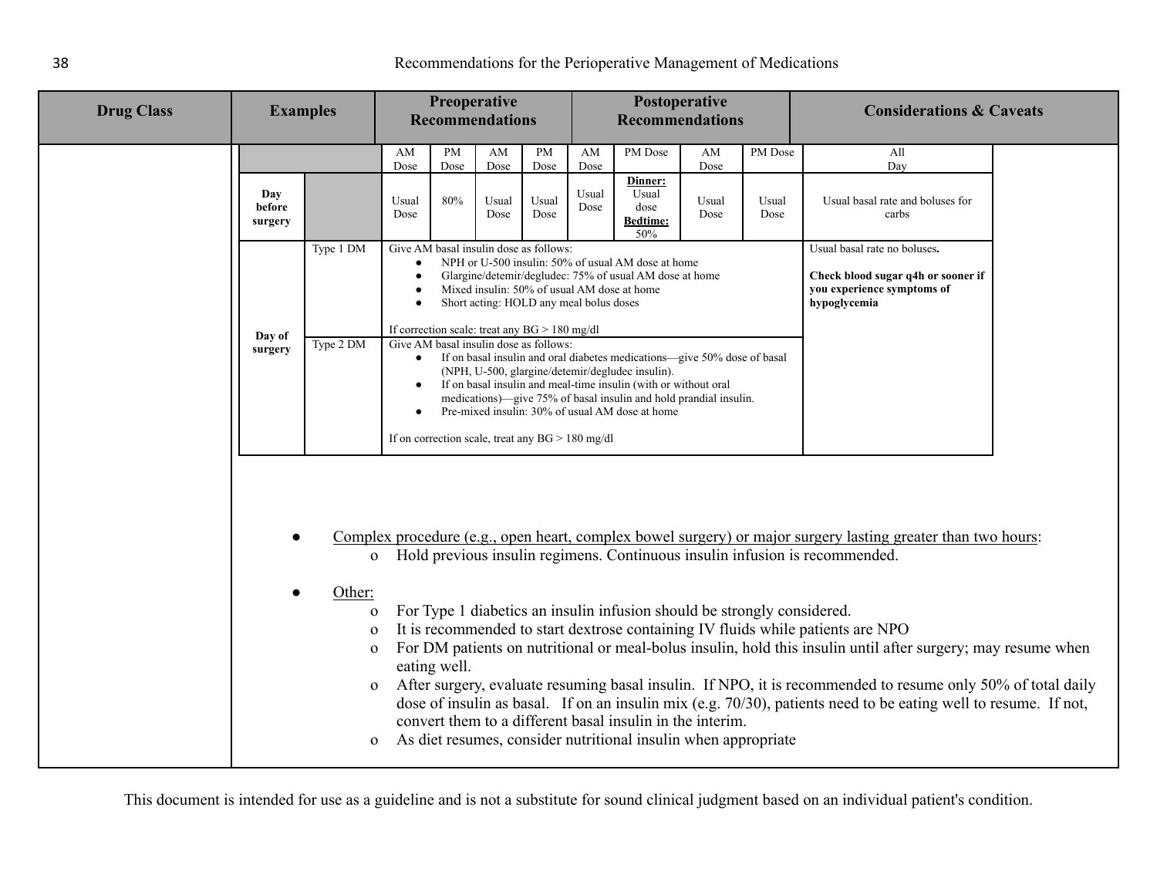|  | <b>Drug Class</b><br><b>Examples</b>                                                                                                                                                                                                                                                                                                                                                                                                                                                                                                                                                                                                                                                                                                                                                                                                                                                                                                                                                                             |           | Preoperative<br><b>Recommendations</b> |                   |                                                                                           | Postoperative     |                        |                                                                                                                                                                                                                                                                                                                         |               | <b>Considerations &amp; Caveats</b> |                                                                                                                  |  |
|--|------------------------------------------------------------------------------------------------------------------------------------------------------------------------------------------------------------------------------------------------------------------------------------------------------------------------------------------------------------------------------------------------------------------------------------------------------------------------------------------------------------------------------------------------------------------------------------------------------------------------------------------------------------------------------------------------------------------------------------------------------------------------------------------------------------------------------------------------------------------------------------------------------------------------------------------------------------------------------------------------------------------|-----------|----------------------------------------|-------------------|-------------------------------------------------------------------------------------------|-------------------|------------------------|-------------------------------------------------------------------------------------------------------------------------------------------------------------------------------------------------------------------------------------------------------------------------------------------------------------------------|---------------|-------------------------------------|------------------------------------------------------------------------------------------------------------------|--|
|  |                                                                                                                                                                                                                                                                                                                                                                                                                                                                                                                                                                                                                                                                                                                                                                                                                                                                                                                                                                                                                  |           |                                        |                   |                                                                                           |                   | <b>Recommendations</b> |                                                                                                                                                                                                                                                                                                                         |               |                                     |                                                                                                                  |  |
|  |                                                                                                                                                                                                                                                                                                                                                                                                                                                                                                                                                                                                                                                                                                                                                                                                                                                                                                                                                                                                                  |           | AM<br>Dose                             | <b>PM</b><br>Dose | AM<br>Dose                                                                                | <b>PM</b><br>Dose | AM<br>Dose             | PM Dose                                                                                                                                                                                                                                                                                                                 | AM<br>Dose    | PM Dose                             | All<br>Day                                                                                                       |  |
|  | Day<br>before<br>surgery                                                                                                                                                                                                                                                                                                                                                                                                                                                                                                                                                                                                                                                                                                                                                                                                                                                                                                                                                                                         |           | Usual<br>Dose                          | 80%               | Usual<br>Dose                                                                             | Usual<br>Dose     | Usual<br>Dose          | Dinner:<br>Usual<br>dose<br><b>Bedtime:</b><br>50%                                                                                                                                                                                                                                                                      | Usual<br>Dose | Usual<br>Dose                       | Usual basal rate and boluses for<br>carbs                                                                        |  |
|  |                                                                                                                                                                                                                                                                                                                                                                                                                                                                                                                                                                                                                                                                                                                                                                                                                                                                                                                                                                                                                  | Type 1 DM | $\bullet$                              |                   | Give AM basal insulin dose as follows:<br>Short acting: HOLD any meal bolus doses         |                   |                        | NPH or U-500 insulin: 50% of usual AM dose at home<br>Glargine/detemir/degludec: 75% of usual AM dose at home<br>Mixed insulin: 50% of usual AM dose at home                                                                                                                                                            |               |                                     | Usual basal rate no boluses.<br>Check blood sugar q4h or sooner if<br>you experience symptoms of<br>hypoglycemia |  |
|  | Day of<br>surgery                                                                                                                                                                                                                                                                                                                                                                                                                                                                                                                                                                                                                                                                                                                                                                                                                                                                                                                                                                                                | Type 2 DM | $\bullet$                              |                   | If correction scale: treat any $BG > 180$ mg/dl<br>Give AM basal insulin dose as follows: |                   |                        | If on basal insulin and oral diabetes medications-give 50% dose of basal<br>(NPH, U-500, glargine/detemir/degludec insulin).<br>If on basal insulin and meal-time insulin (with or without oral<br>medications)—give 75% of basal insulin and hold prandial insulin.<br>Pre-mixed insulin: 30% of usual AM dose at home |               |                                     |                                                                                                                  |  |
|  | If on correction scale, treat any $BG > 180$ mg/dl<br>Complex procedure (e.g., open heart, complex bowel surgery) or major surgery lasting greater than two hours:<br>$\bullet$<br>o Hold previous insulin regimens. Continuous insulin infusion is recommended.<br>Other:<br>For Type 1 diabetics an insulin infusion should be strongly considered.<br>$\Omega$<br>It is recommended to start dextrose containing IV fluids while patients are NPO<br>$\Omega$<br>For DM patients on nutritional or meal-bolus insulin, hold this insulin until after surgery; may resume when<br>$\Omega$<br>eating well.<br>After surgery, evaluate resuming basal insulin. If NPO, it is recommended to resume only 50% of total daily<br>$\mathbf{O}$<br>dose of insulin as basal. If on an insulin mix (e.g. $70/30$ ), patients need to be eating well to resume. If not,<br>convert them to a different basal insulin in the interim.<br>As diet resumes, consider nutritional insulin when appropriate<br>$\mathbf{O}$ |           |                                        |                   |                                                                                           |                   |                        |                                                                                                                                                                                                                                                                                                                         |               |                                     |                                                                                                                  |  |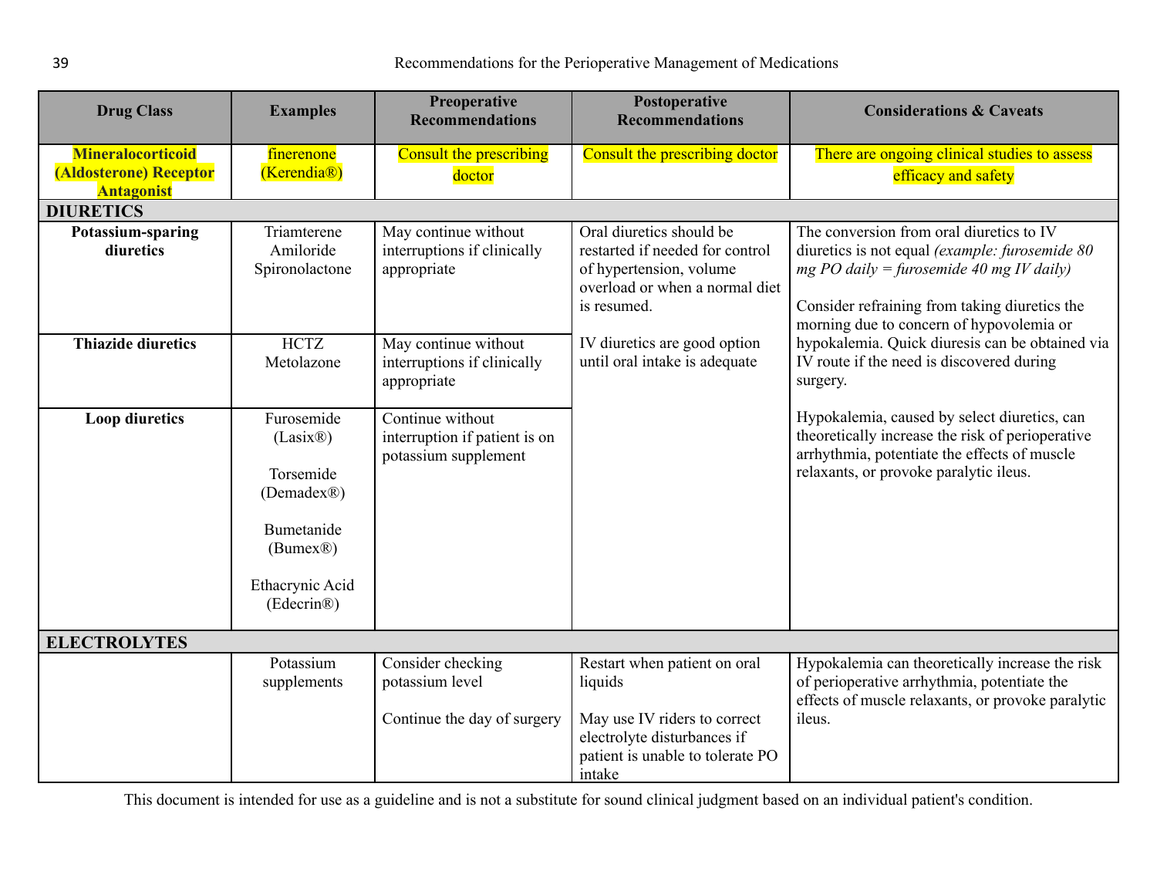<span id="page-38-0"></span>

| <b>Drug Class</b>                                                       | <b>Examples</b>                                                                                              | <b>Preoperative</b><br><b>Recommendations</b>                             | Postoperative<br><b>Recommendations</b>                                                                                                              | <b>Considerations &amp; Caveats</b>                                                                                                                                                                                                  |
|-------------------------------------------------------------------------|--------------------------------------------------------------------------------------------------------------|---------------------------------------------------------------------------|------------------------------------------------------------------------------------------------------------------------------------------------------|--------------------------------------------------------------------------------------------------------------------------------------------------------------------------------------------------------------------------------------|
| <b>Mineralocorticoid</b><br>(Aldosterone) Receptor<br><b>Antagonist</b> | finerenone<br>(Kerendia <sup>®</sup> )                                                                       | <b>Consult the prescribing</b><br>doctor                                  | Consult the prescribing doctor                                                                                                                       | There are ongoing clinical studies to assess<br>efficacy and safety                                                                                                                                                                  |
| <b>DIURETICS</b>                                                        |                                                                                                              |                                                                           |                                                                                                                                                      |                                                                                                                                                                                                                                      |
| Potassium-sparing<br>diuretics                                          | Triamterene<br>Amiloride<br>Spironolactone                                                                   | May continue without<br>interruptions if clinically<br>appropriate        | Oral diuretics should be<br>restarted if needed for control<br>of hypertension, volume<br>overload or when a normal diet<br>is resumed.              | The conversion from oral diuretics to IV<br>diuretics is not equal (example: furosemide 80)<br>mg PO daily = furosemide 40 mg IV daily)<br>Consider refraining from taking diuretics the<br>morning due to concern of hypovolemia or |
| <b>Thiazide diuretics</b>                                               | <b>HCTZ</b><br>Metolazone                                                                                    | May continue without<br>interruptions if clinically<br>appropriate        | IV diuretics are good option<br>until oral intake is adequate                                                                                        | hypokalemia. Quick diuresis can be obtained via<br>IV route if the need is discovered during<br>surgery.                                                                                                                             |
| <b>Loop diuretics</b>                                                   | Furosemide<br>(Lasix@)<br>Torsemide<br>(Demadex®)<br>Bumetanide<br>(Bumex@)<br>Ethacrynic Acid<br>(Edecrin®) | Continue without<br>interruption if patient is on<br>potassium supplement |                                                                                                                                                      | Hypokalemia, caused by select diuretics, can<br>theoretically increase the risk of perioperative<br>arrhythmia, potentiate the effects of muscle<br>relaxants, or provoke paralytic ileus.                                           |
| <b>ELECTROLYTES</b>                                                     |                                                                                                              |                                                                           |                                                                                                                                                      |                                                                                                                                                                                                                                      |
|                                                                         | Potassium<br>supplements                                                                                     | Consider checking<br>potassium level<br>Continue the day of surgery       | Restart when patient on oral<br>liquids<br>May use IV riders to correct<br>electrolyte disturbances if<br>patient is unable to tolerate PO<br>intake | Hypokalemia can theoretically increase the risk<br>of perioperative arrhythmia, potentiate the<br>effects of muscle relaxants, or provoke paralytic<br>ileus.                                                                        |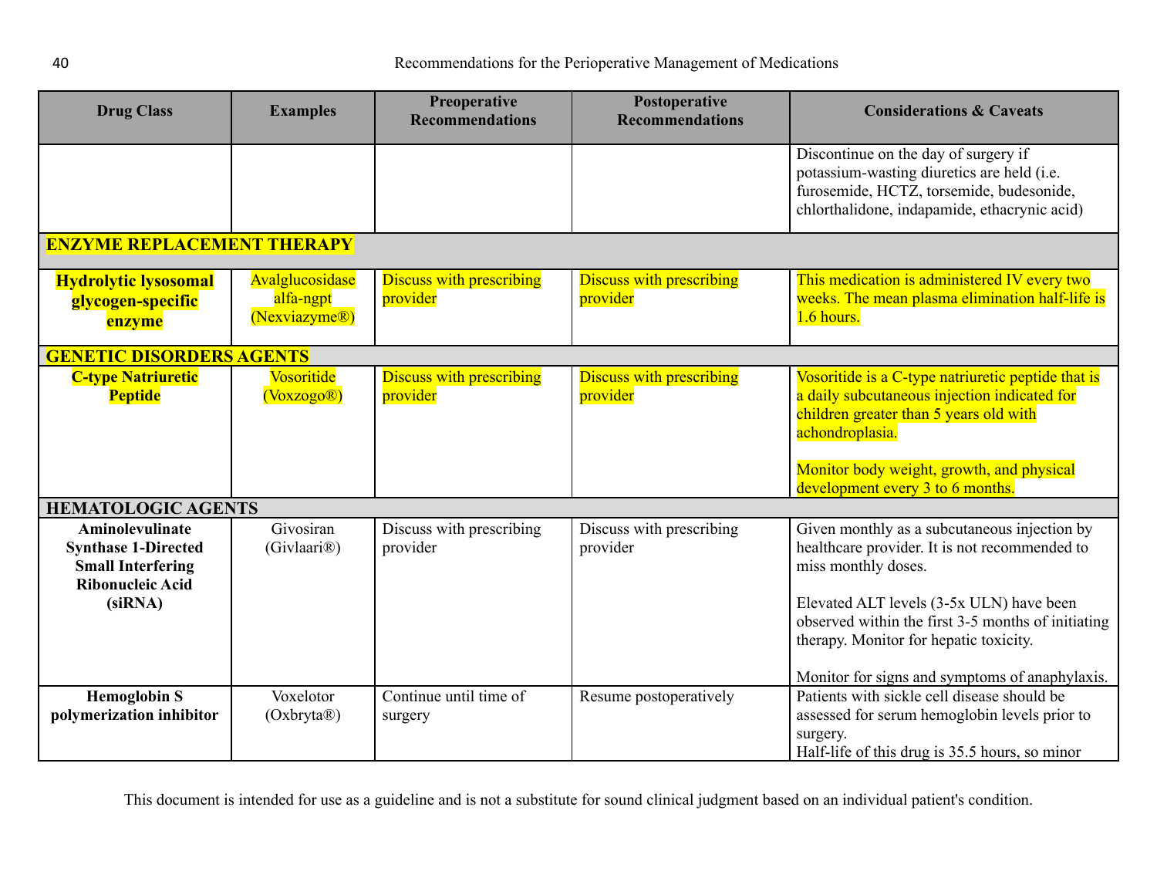<span id="page-39-1"></span><span id="page-39-0"></span>

| <b>Drug Class</b>                                                                                               | <b>Examples</b>                               | Preoperative<br><b>Recommendations</b>      | Postoperative<br><b>Recommendations</b>     | <b>Considerations &amp; Caveats</b>                                                                                                                                                                                                                                                                                |
|-----------------------------------------------------------------------------------------------------------------|-----------------------------------------------|---------------------------------------------|---------------------------------------------|--------------------------------------------------------------------------------------------------------------------------------------------------------------------------------------------------------------------------------------------------------------------------------------------------------------------|
|                                                                                                                 |                                               |                                             |                                             | Discontinue on the day of surgery if<br>potassium-wasting diuretics are held (i.e.<br>furosemide, HCTZ, torsemide, budesonide,<br>chlorthalidone, indapamide, ethacrynic acid)                                                                                                                                     |
| <b>ENZYME REPLACEMENT THERAPY</b>                                                                               |                                               |                                             |                                             |                                                                                                                                                                                                                                                                                                                    |
| <b>Hydrolytic lysosomal</b><br>glycogen-specific<br>enzyme                                                      | Avalglucosidase<br>alfa-ngpt<br>(Nexviazyme®) | <b>Discuss with prescribing</b><br>provider | <b>Discuss with prescribing</b><br>provider | This medication is administered IV every two<br>weeks. The mean plasma elimination half-life is<br>1.6 hours.                                                                                                                                                                                                      |
| <b>GENETIC DISORDERS AGENTS</b>                                                                                 |                                               |                                             |                                             |                                                                                                                                                                                                                                                                                                                    |
| <b>C-type Natriuretic</b><br><b>Peptide</b>                                                                     | <b>Vosoritide</b><br>(Voxzogo@)               | <b>Discuss with prescribing</b><br>provider | <b>Discuss with prescribing</b><br>provider | Vosoritide is a C-type natriuretic peptide that is<br>a daily subcutaneous injection indicated for<br>children greater than 5 years old with<br>achondroplasia.<br>Monitor body weight, growth, and physical<br>development every 3 to 6 months.                                                                   |
| <b>HEMATOLOGIC AGENTS</b>                                                                                       |                                               |                                             |                                             |                                                                                                                                                                                                                                                                                                                    |
| Aminolevulinate<br><b>Synthase 1-Directed</b><br><b>Small Interfering</b><br><b>Ribonucleic Acid</b><br>(siRNA) | Givosiran<br>(Givlaari <sup>®</sup> )         | Discuss with prescribing<br>provider        | Discuss with prescribing<br>provider        | Given monthly as a subcutaneous injection by<br>healthcare provider. It is not recommended to<br>miss monthly doses.<br>Elevated ALT levels (3-5x ULN) have been<br>observed within the first 3-5 months of initiating<br>therapy. Monitor for hepatic toxicity.<br>Monitor for signs and symptoms of anaphylaxis. |
| <b>Hemoglobin S</b><br>polymerization inhibitor                                                                 | Voxelotor<br>(Oxbryta@)                       | Continue until time of<br>surgery           | Resume postoperatively                      | Patients with sickle cell disease should be<br>assessed for serum hemoglobin levels prior to<br>surgery.<br>Half-life of this drug is 35.5 hours, so minor                                                                                                                                                         |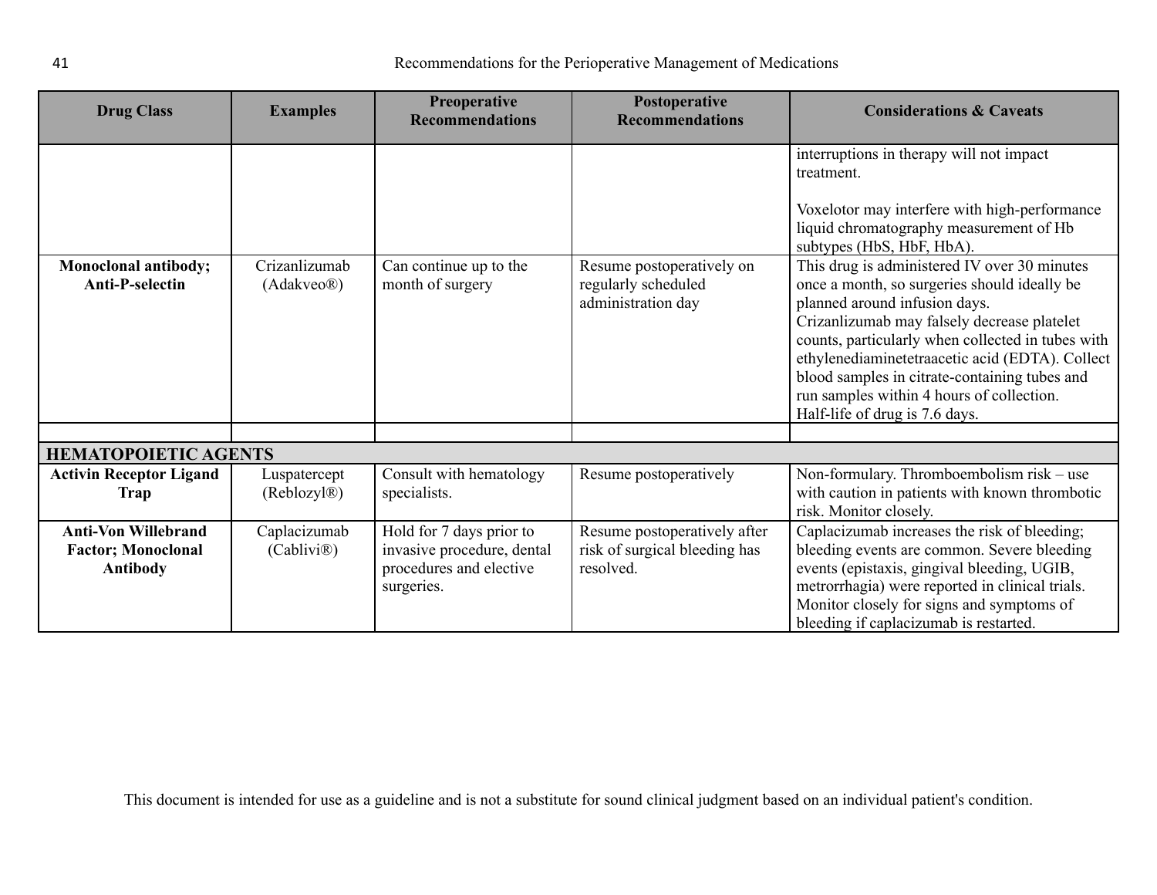| <b>Drug Class</b>                                                          | <b>Examples</b>                          | Preoperative<br><b>Recommendations</b>                                                          | Postoperative<br><b>Recommendations</b>                                    | <b>Considerations &amp; Caveats</b>                                                                                                                                                                                                                                                                                                                                                                                                                                                                                                                                                                     |
|----------------------------------------------------------------------------|------------------------------------------|-------------------------------------------------------------------------------------------------|----------------------------------------------------------------------------|---------------------------------------------------------------------------------------------------------------------------------------------------------------------------------------------------------------------------------------------------------------------------------------------------------------------------------------------------------------------------------------------------------------------------------------------------------------------------------------------------------------------------------------------------------------------------------------------------------|
| Monoclonal antibody;<br><b>Anti-P-selectin</b>                             | Crizanlizumab<br>(Adakveo@)              | Can continue up to the<br>month of surgery                                                      | Resume postoperatively on<br>regularly scheduled<br>administration day     | interruptions in therapy will not impact<br>treatment.<br>Voxelotor may interfere with high-performance<br>liquid chromatography measurement of Hb<br>subtypes (HbS, HbF, HbA).<br>This drug is administered IV over 30 minutes<br>once a month, so surgeries should ideally be<br>planned around infusion days.<br>Crizanlizumab may falsely decrease platelet<br>counts, particularly when collected in tubes with<br>ethylenediaminetetraacetic acid (EDTA). Collect<br>blood samples in citrate-containing tubes and<br>run samples within 4 hours of collection.<br>Half-life of drug is 7.6 days. |
|                                                                            |                                          |                                                                                                 |                                                                            |                                                                                                                                                                                                                                                                                                                                                                                                                                                                                                                                                                                                         |
| <b>HEMATOPOIETIC AGENTS</b>                                                |                                          |                                                                                                 |                                                                            |                                                                                                                                                                                                                                                                                                                                                                                                                                                                                                                                                                                                         |
| <b>Activin Receptor Ligand</b><br><b>Trap</b>                              | Luspatercept<br>(Reblozyl <sup>®</sup> ) | Consult with hematology<br>specialists.                                                         | Resume postoperatively                                                     | Non-formulary. Thromboembolism risk - use<br>with caution in patients with known thrombotic<br>risk. Monitor closely.                                                                                                                                                                                                                                                                                                                                                                                                                                                                                   |
| <b>Anti-Von Willebrand</b><br><b>Factor; Monoclonal</b><br><b>Antibody</b> | Caplacizumab<br>(Cabilivi <sup>®</sup> ) | Hold for 7 days prior to<br>invasive procedure, dental<br>procedures and elective<br>surgeries. | Resume postoperatively after<br>risk of surgical bleeding has<br>resolved. | Caplacizumab increases the risk of bleeding;<br>bleeding events are common. Severe bleeding<br>events (epistaxis, gingival bleeding, UGIB,<br>metrorrhagia) were reported in clinical trials.<br>Monitor closely for signs and symptoms of<br>bleeding if caplacizumab is restarted.                                                                                                                                                                                                                                                                                                                    |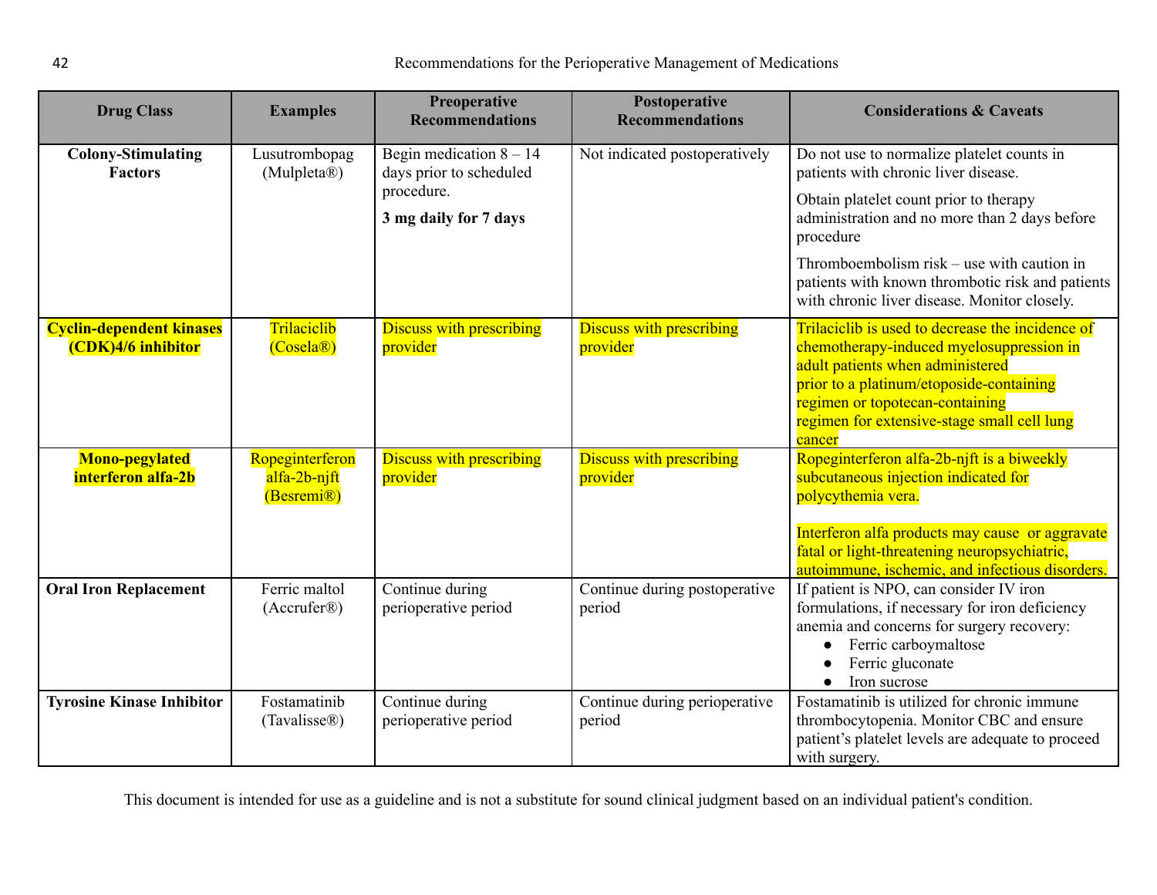| <b>Drug Class</b>                                     | <b>Examples</b>                                            | Preoperative<br><b>Recommendations</b>               | Postoperative<br><b>Recommendations</b>     | <b>Considerations &amp; Caveats</b>                                                                                                                                                                                                                                      |
|-------------------------------------------------------|------------------------------------------------------------|------------------------------------------------------|---------------------------------------------|--------------------------------------------------------------------------------------------------------------------------------------------------------------------------------------------------------------------------------------------------------------------------|
| <b>Colony-Stimulating</b><br><b>Factors</b>           | Lusutrombopag<br>(Mulpleta®)                               | Begin medication $8 - 14$<br>days prior to scheduled | Not indicated postoperatively               | Do not use to normalize platelet counts in<br>patients with chronic liver disease.                                                                                                                                                                                       |
|                                                       |                                                            | procedure.<br>3 mg daily for 7 days                  |                                             | Obtain platelet count prior to therapy<br>administration and no more than 2 days before<br>procedure                                                                                                                                                                     |
|                                                       |                                                            |                                                      |                                             | Thromboembolism risk – use with caution in<br>patients with known thrombotic risk and patients<br>with chronic liver disease. Monitor closely.                                                                                                                           |
| <b>Cyclin-dependent kinases</b><br>(CDK)4/6 inhibitor | Trilaciclib<br>$(Cosela\mathbb{R})$                        | <b>Discuss with prescribing</b><br>provider          | <b>Discuss with prescribing</b><br>provider | Trilaciclib is used to decrease the incidence of<br>chemotherapy-induced myelosuppression in<br>adult patients when administered<br>prior to a platinum/etoposide-containing<br>regimen or topotecan-containing<br>regimen for extensive-stage small cell lung<br>cancer |
| <b>Mono-pegylated</b><br>interferon alfa-2b           | Ropeginterferon<br>alfa-2b-njft<br>(Besremi <sup>®</sup> ) | <b>Discuss with prescribing</b><br>provider          | <b>Discuss with prescribing</b><br>provider | Ropeginterferon alfa-2b-njft is a biweekly<br>subcutaneous injection indicated for<br>polycythemia vera.                                                                                                                                                                 |
|                                                       |                                                            |                                                      |                                             | Interferon alfa products may cause or aggravate<br>fatal or light-threatening neuropsychiatric,<br>autoimmune, ischemic, and infectious disorders.                                                                                                                       |
| <b>Oral Iron Replacement</b>                          | Ferric maltol<br>(Accrufer@)                               | Continue during<br>perioperative period              | Continue during postoperative<br>period     | If patient is NPO, can consider IV iron<br>formulations, if necessary for iron deficiency<br>anemia and concerns for surgery recovery:<br>Ferric carboymaltose<br>$\bullet$<br>Ferric gluconate<br>Iron sucrose<br>$\bullet$                                             |
| <b>Tyrosine Kinase Inhibitor</b>                      | Fostamatinib<br>(Tavalisse®)                               | Continue during<br>perioperative period              | Continue during perioperative<br>period     | Fostamatinib is utilized for chronic immune<br>thrombocytopenia. Monitor CBC and ensure<br>patient's platelet levels are adequate to proceed<br>with surgery.                                                                                                            |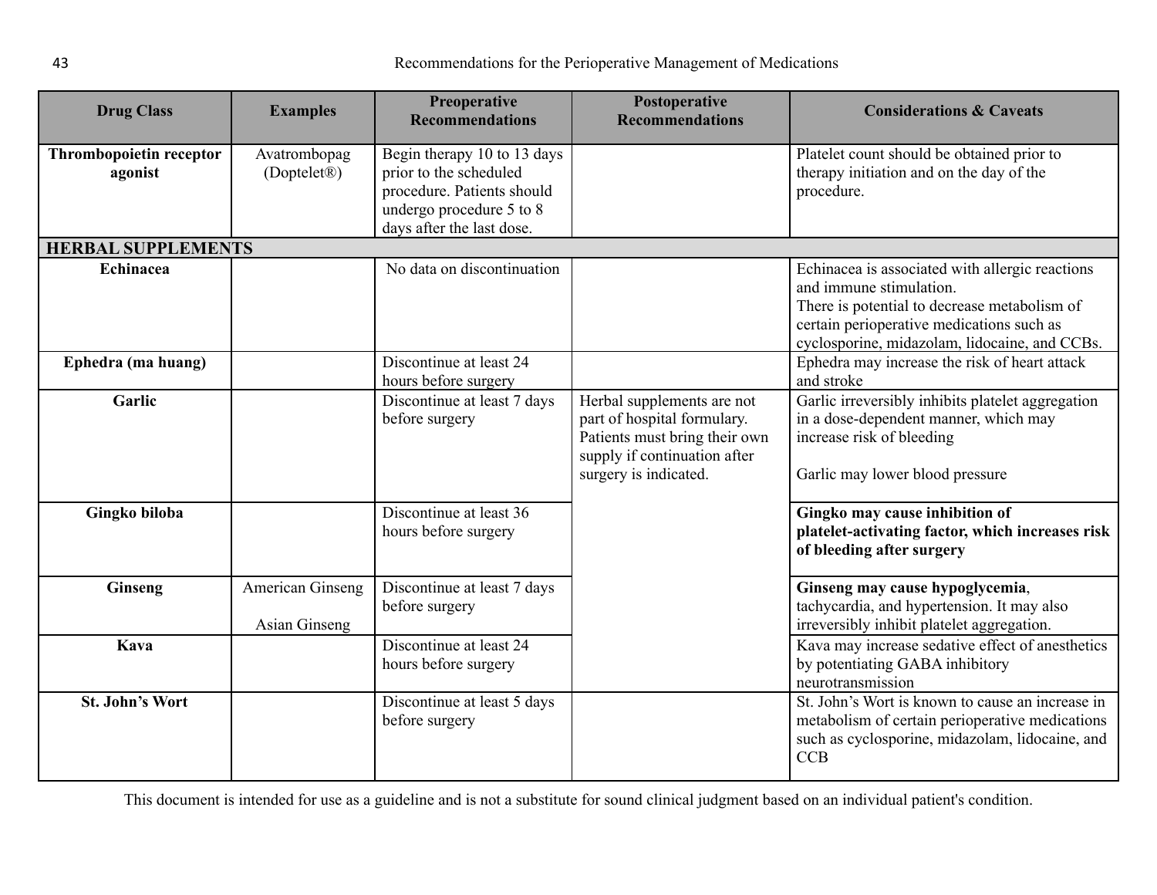<span id="page-42-0"></span>

| <b>Drug Class</b>                  | <b>Examples</b>                          | <b>Preoperative</b><br><b>Recommendations</b>                                                                                                | Postoperative<br><b>Recommendations</b>                                                                                                             | <b>Considerations &amp; Caveats</b>                                                                                                                                                                                      |
|------------------------------------|------------------------------------------|----------------------------------------------------------------------------------------------------------------------------------------------|-----------------------------------------------------------------------------------------------------------------------------------------------------|--------------------------------------------------------------------------------------------------------------------------------------------------------------------------------------------------------------------------|
| Thrombopoietin receptor<br>agonist | Avatrombopag<br>(Doptelet <sup>®</sup> ) | Begin therapy 10 to 13 days<br>prior to the scheduled<br>procedure. Patients should<br>undergo procedure 5 to 8<br>days after the last dose. |                                                                                                                                                     | Platelet count should be obtained prior to<br>therapy initiation and on the day of the<br>procedure.                                                                                                                     |
| <b>HERBAL SUPPLEMENTS</b>          |                                          |                                                                                                                                              |                                                                                                                                                     |                                                                                                                                                                                                                          |
| Echinacea                          |                                          | No data on discontinuation                                                                                                                   |                                                                                                                                                     | Echinacea is associated with allergic reactions<br>and immune stimulation.<br>There is potential to decrease metabolism of<br>certain perioperative medications such as<br>cyclosporine, midazolam, lidocaine, and CCBs. |
| Ephedra (ma huang)                 |                                          | Discontinue at least 24<br>hours before surgery                                                                                              |                                                                                                                                                     | Ephedra may increase the risk of heart attack<br>and stroke                                                                                                                                                              |
| Garlic                             |                                          | Discontinue at least 7 days<br>before surgery                                                                                                | Herbal supplements are not<br>part of hospital formulary.<br>Patients must bring their own<br>supply if continuation after<br>surgery is indicated. | Garlic irreversibly inhibits platelet aggregation<br>in a dose-dependent manner, which may<br>increase risk of bleeding<br>Garlic may lower blood pressure                                                               |
| Gingko biloba                      |                                          | Discontinue at least 36<br>hours before surgery                                                                                              |                                                                                                                                                     | Gingko may cause inhibition of<br>platelet-activating factor, which increases risk<br>of bleeding after surgery                                                                                                          |
| <b>Ginseng</b>                     | American Ginseng<br><b>Asian Ginseng</b> | Discontinue at least 7 days<br>before surgery                                                                                                |                                                                                                                                                     | Ginseng may cause hypoglycemia,<br>tachycardia, and hypertension. It may also<br>irreversibly inhibit platelet aggregation.                                                                                              |
| Kava                               |                                          | Discontinue at least 24<br>hours before surgery                                                                                              |                                                                                                                                                     | Kava may increase sedative effect of anesthetics<br>by potentiating GABA inhibitory<br>neurotransmission                                                                                                                 |
| <b>St. John's Wort</b>             |                                          | Discontinue at least 5 days<br>before surgery                                                                                                |                                                                                                                                                     | St. John's Wort is known to cause an increase in<br>metabolism of certain perioperative medications<br>such as cyclosporine, midazolam, lidocaine, and<br><b>CCB</b>                                                     |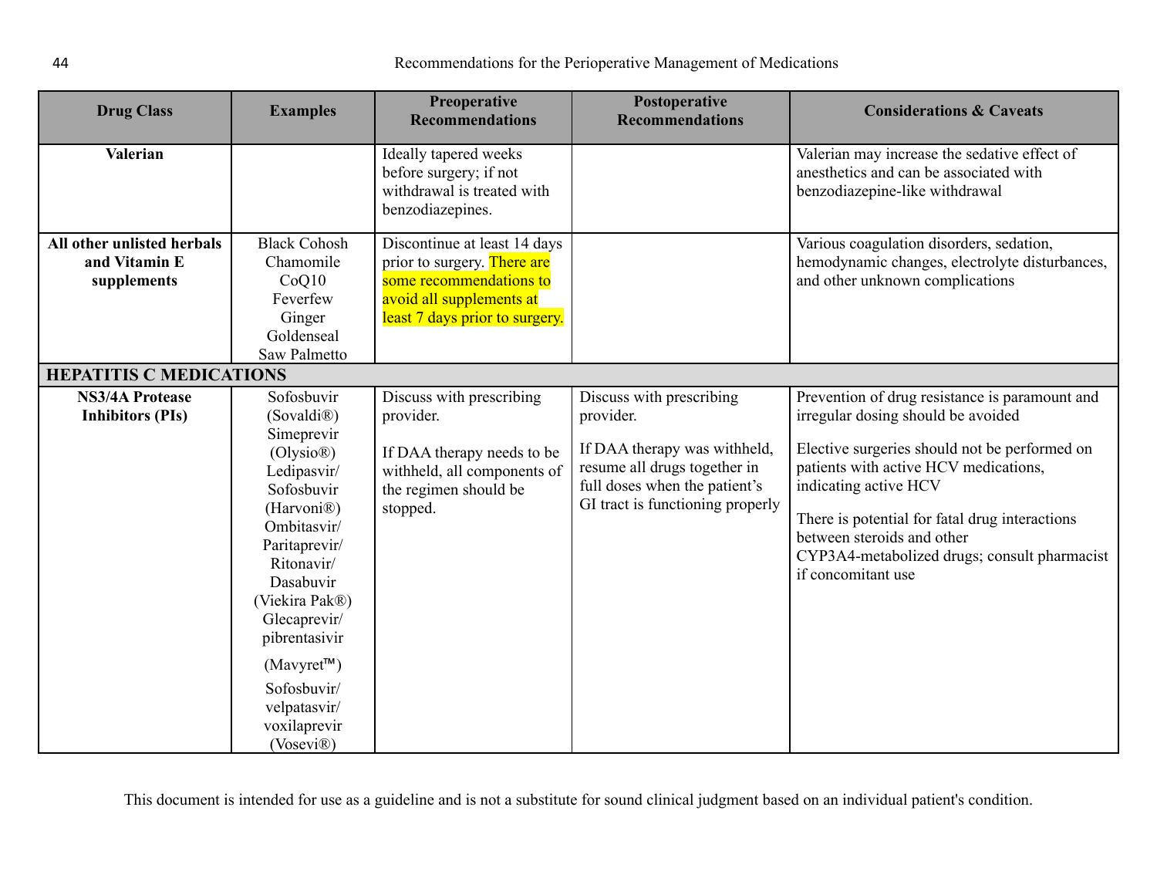<span id="page-43-0"></span>

| <b>Drug Class</b>                                          | <b>Examples</b>                                                                                                                                                                                                                                                                                                                            | <b>Preoperative</b><br><b>Recommendations</b>                                                                                                        | Postoperative<br><b>Recommendations</b>                                                                                                                                    | <b>Considerations &amp; Caveats</b>                                                                                                                                                                                                                                                                                                                           |
|------------------------------------------------------------|--------------------------------------------------------------------------------------------------------------------------------------------------------------------------------------------------------------------------------------------------------------------------------------------------------------------------------------------|------------------------------------------------------------------------------------------------------------------------------------------------------|----------------------------------------------------------------------------------------------------------------------------------------------------------------------------|---------------------------------------------------------------------------------------------------------------------------------------------------------------------------------------------------------------------------------------------------------------------------------------------------------------------------------------------------------------|
| Valerian                                                   |                                                                                                                                                                                                                                                                                                                                            | Ideally tapered weeks<br>before surgery; if not<br>withdrawal is treated with<br>benzodiazepines.                                                    |                                                                                                                                                                            | Valerian may increase the sedative effect of<br>anesthetics and can be associated with<br>benzodiazepine-like withdrawal                                                                                                                                                                                                                                      |
| All other unlisted herbals<br>and Vitamin E<br>supplements | <b>Black Cohosh</b><br>Chamomile<br>CoQ10<br>Feverfew<br>Ginger<br>Goldenseal<br>Saw Palmetto                                                                                                                                                                                                                                              | Discontinue at least 14 days<br>prior to surgery. There are<br>some recommendations to<br>avoid all supplements at<br>least 7 days prior to surgery. |                                                                                                                                                                            | Various coagulation disorders, sedation,<br>hemodynamic changes, electrolyte disturbances,<br>and other unknown complications                                                                                                                                                                                                                                 |
| <b>HEPATITIS C MEDICATIONS</b>                             |                                                                                                                                                                                                                                                                                                                                            |                                                                                                                                                      |                                                                                                                                                                            |                                                                                                                                                                                                                                                                                                                                                               |
| <b>NS3/4A Protease</b><br><b>Inhibitors (PIs)</b>          | Sofosbuvir<br>(Sovaldi <sup>®</sup> )<br>Simeprevir<br>Olysio <sup>(0)</sup><br>Ledipasvir/<br>Sofosbuvir<br>(Harvoni <sup>®</sup> )<br>Ombitasvir/<br>Paritaprevir/<br>Ritonavir/<br>Dasabuvir<br>(Viekira Pak®)<br>Glecaprevir/<br>pibrentasivir<br>(Mavyret <sup>TM</sup> )<br>Sofosbuvir/<br>velpatasvir/<br>voxilaprevir<br>(Vosevi®) | Discuss with prescribing<br>provider.<br>If DAA therapy needs to be<br>withheld, all components of<br>the regimen should be<br>stopped.              | Discuss with prescribing<br>provider.<br>If DAA therapy was withheld,<br>resume all drugs together in<br>full doses when the patient's<br>GI tract is functioning properly | Prevention of drug resistance is paramount and<br>irregular dosing should be avoided<br>Elective surgeries should not be performed on<br>patients with active HCV medications,<br>indicating active HCV<br>There is potential for fatal drug interactions<br>between steroids and other<br>CYP3A4-metabolized drugs; consult pharmacist<br>if concomitant use |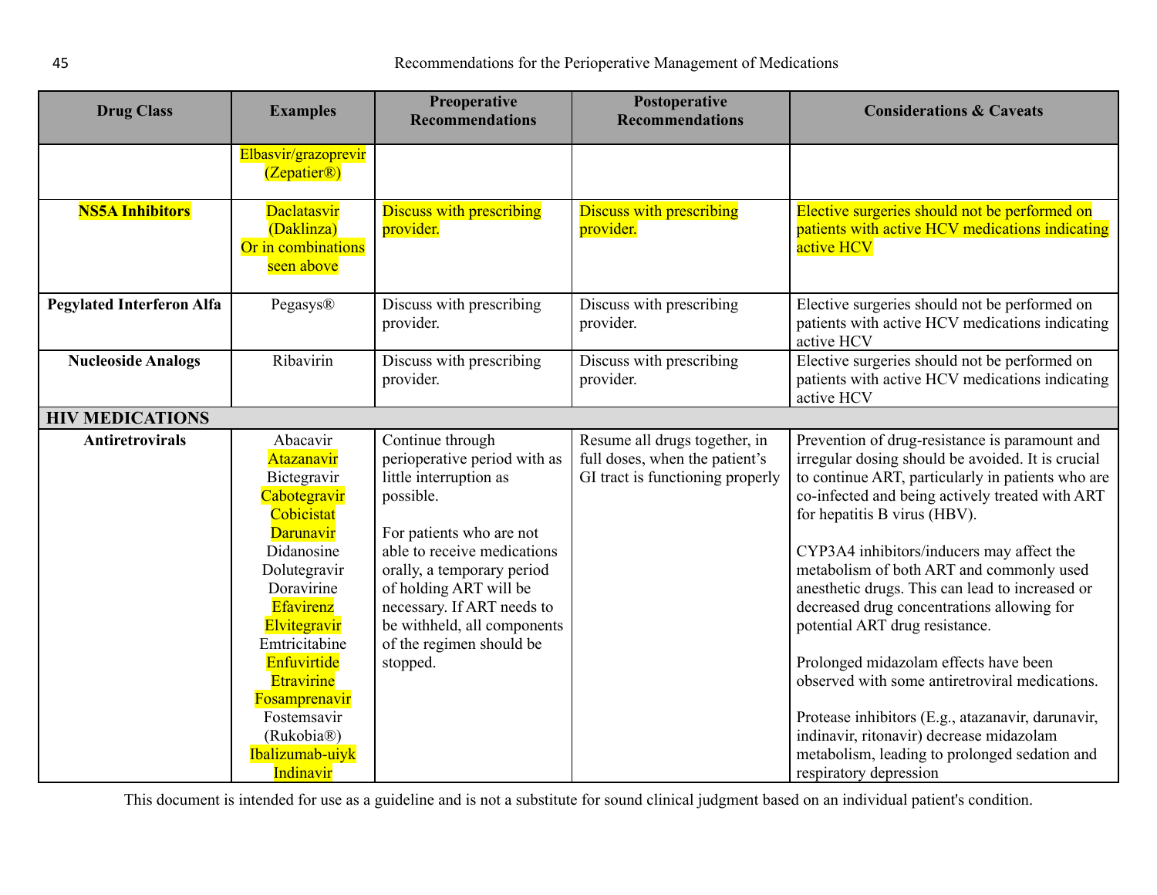<span id="page-44-0"></span>

| <b>Drug Class</b>                | <b>Examples</b>                                                                                                                                                                                                                                                                 | <b>Preoperative</b><br><b>Recommendations</b>                                                                                                                                                                                                                                                                   | Postoperative<br><b>Recommendations</b>                                                             | <b>Considerations &amp; Caveats</b>                                                                                                                                                                                                                                                                                                                                                                                                                                                                                                                                                                                                                                                                                  |
|----------------------------------|---------------------------------------------------------------------------------------------------------------------------------------------------------------------------------------------------------------------------------------------------------------------------------|-----------------------------------------------------------------------------------------------------------------------------------------------------------------------------------------------------------------------------------------------------------------------------------------------------------------|-----------------------------------------------------------------------------------------------------|----------------------------------------------------------------------------------------------------------------------------------------------------------------------------------------------------------------------------------------------------------------------------------------------------------------------------------------------------------------------------------------------------------------------------------------------------------------------------------------------------------------------------------------------------------------------------------------------------------------------------------------------------------------------------------------------------------------------|
|                                  | Elbasvir/grazoprevir<br>(Zepatier@)                                                                                                                                                                                                                                             |                                                                                                                                                                                                                                                                                                                 |                                                                                                     |                                                                                                                                                                                                                                                                                                                                                                                                                                                                                                                                                                                                                                                                                                                      |
| <b>NS5A Inhibitors</b>           | <b>Daclatasvir</b><br>(Daklinza)<br>Or in combinations<br>seen above                                                                                                                                                                                                            | <b>Discuss with prescribing</b><br>provider.                                                                                                                                                                                                                                                                    | <b>Discuss with prescribing</b><br>provider.                                                        | Elective surgeries should not be performed on<br>patients with active HCV medications indicating<br>active HCV                                                                                                                                                                                                                                                                                                                                                                                                                                                                                                                                                                                                       |
| <b>Pegylated Interferon Alfa</b> | Pegasys®                                                                                                                                                                                                                                                                        | Discuss with prescribing<br>provider.                                                                                                                                                                                                                                                                           | Discuss with prescribing<br>provider.                                                               | Elective surgeries should not be performed on<br>patients with active HCV medications indicating<br>active HCV                                                                                                                                                                                                                                                                                                                                                                                                                                                                                                                                                                                                       |
| <b>Nucleoside Analogs</b>        | Ribavirin                                                                                                                                                                                                                                                                       | Discuss with prescribing<br>provider.                                                                                                                                                                                                                                                                           | Discuss with prescribing<br>provider.                                                               | Elective surgeries should not be performed on<br>patients with active HCV medications indicating<br>active HCV                                                                                                                                                                                                                                                                                                                                                                                                                                                                                                                                                                                                       |
| <b>HIV MEDICATIONS</b>           |                                                                                                                                                                                                                                                                                 |                                                                                                                                                                                                                                                                                                                 |                                                                                                     |                                                                                                                                                                                                                                                                                                                                                                                                                                                                                                                                                                                                                                                                                                                      |
| <b>Antiretrovirals</b>           | Abacavir<br>Atazanavir<br>Bictegravir<br>Cabotegravir<br>Cobicistat<br><b>Darunavir</b><br>Didanosine<br>Dolutegravir<br>Doravirine<br>Efavirenz<br>Elvitegravir<br>Emtricitabine<br>Enfuvirtide<br>Etravirine<br>Fosamprenavir<br>Fostemsavir<br>(Rukobia®)<br>Ibalizumab-uiyk | Continue through<br>perioperative period with as<br>little interruption as<br>possible.<br>For patients who are not<br>able to receive medications<br>orally, a temporary period<br>of holding ART will be<br>necessary. If ART needs to<br>be withheld, all components<br>of the regimen should be<br>stopped. | Resume all drugs together, in<br>full doses, when the patient's<br>GI tract is functioning properly | Prevention of drug-resistance is paramount and<br>irregular dosing should be avoided. It is crucial<br>to continue ART, particularly in patients who are<br>co-infected and being actively treated with ART<br>for hepatitis B virus (HBV).<br>CYP3A4 inhibitors/inducers may affect the<br>metabolism of both ART and commonly used<br>anesthetic drugs. This can lead to increased or<br>decreased drug concentrations allowing for<br>potential ART drug resistance.<br>Prolonged midazolam effects have been<br>observed with some antiretroviral medications.<br>Protease inhibitors (E.g., atazanavir, darunavir,<br>indinavir, ritonavir) decrease midazolam<br>metabolism, leading to prolonged sedation and |
|                                  | Indinavir                                                                                                                                                                                                                                                                       |                                                                                                                                                                                                                                                                                                                 |                                                                                                     | respiratory depression                                                                                                                                                                                                                                                                                                                                                                                                                                                                                                                                                                                                                                                                                               |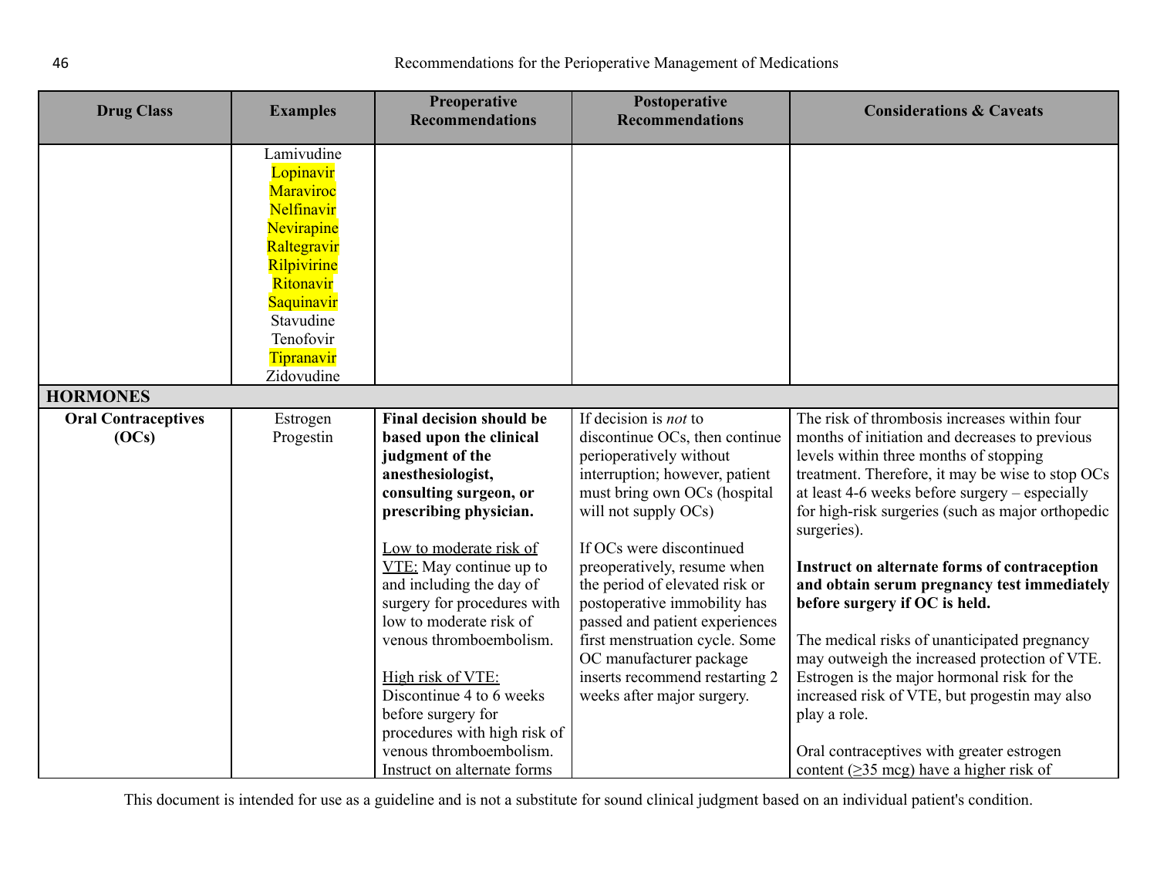<span id="page-45-0"></span>

| <b>Drug Class</b>                   | <b>Examples</b>                                                                                                                                                                 | Preoperative<br><b>Recommendations</b>                                                                                                                                                                                                                                                                                                                                                                                                                                                            | Postoperative<br><b>Recommendations</b>                                                                                                                                                                                                                                                                                                                                                                                                                                         | <b>Considerations &amp; Caveats</b>                                                                                                                                                                                                                                                                                                                                                                                                                                                                                                                                                                                                                                                                                                                                |
|-------------------------------------|---------------------------------------------------------------------------------------------------------------------------------------------------------------------------------|---------------------------------------------------------------------------------------------------------------------------------------------------------------------------------------------------------------------------------------------------------------------------------------------------------------------------------------------------------------------------------------------------------------------------------------------------------------------------------------------------|---------------------------------------------------------------------------------------------------------------------------------------------------------------------------------------------------------------------------------------------------------------------------------------------------------------------------------------------------------------------------------------------------------------------------------------------------------------------------------|--------------------------------------------------------------------------------------------------------------------------------------------------------------------------------------------------------------------------------------------------------------------------------------------------------------------------------------------------------------------------------------------------------------------------------------------------------------------------------------------------------------------------------------------------------------------------------------------------------------------------------------------------------------------------------------------------------------------------------------------------------------------|
|                                     | Lamivudine<br>Lopinavir<br>Maraviroc<br>Nelfinavir<br>Nevirapine<br>Raltegravir<br>Rilpivirine<br>Ritonavir<br>Saquinavir<br>Stavudine<br>Tenofovir<br>Tipranavir<br>Zidovudine |                                                                                                                                                                                                                                                                                                                                                                                                                                                                                                   |                                                                                                                                                                                                                                                                                                                                                                                                                                                                                 |                                                                                                                                                                                                                                                                                                                                                                                                                                                                                                                                                                                                                                                                                                                                                                    |
| <b>HORMONES</b>                     |                                                                                                                                                                                 |                                                                                                                                                                                                                                                                                                                                                                                                                                                                                                   |                                                                                                                                                                                                                                                                                                                                                                                                                                                                                 |                                                                                                                                                                                                                                                                                                                                                                                                                                                                                                                                                                                                                                                                                                                                                                    |
| <b>Oral Contraceptives</b><br>(OCs) | Estrogen<br>Progestin                                                                                                                                                           | <b>Final decision should be</b><br>based upon the clinical<br>judgment of the<br>anesthesiologist,<br>consulting surgeon, or<br>prescribing physician.<br>Low to moderate risk of<br>$VTE$ : May continue up to<br>and including the day of<br>surgery for procedures with<br>low to moderate risk of<br>venous thromboembolism.<br>High risk of VTE:<br>Discontinue 4 to 6 weeks<br>before surgery for<br>procedures with high risk of<br>venous thromboembolism.<br>Instruct on alternate forms | If decision is <i>not</i> to<br>discontinue OCs, then continue<br>perioperatively without<br>interruption; however, patient<br>must bring own OCs (hospital<br>will not supply OCs)<br>If OCs were discontinued<br>preoperatively, resume when<br>the period of elevated risk or<br>postoperative immobility has<br>passed and patient experiences<br>first menstruation cycle. Some<br>OC manufacturer package<br>inserts recommend restarting 2<br>weeks after major surgery. | The risk of thrombosis increases within four<br>months of initiation and decreases to previous<br>levels within three months of stopping<br>treatment. Therefore, it may be wise to stop OCs<br>at least 4-6 weeks before surgery - especially<br>for high-risk surgeries (such as major orthopedic<br>surgeries).<br>Instruct on alternate forms of contraception<br>and obtain serum pregnancy test immediately<br>before surgery if OC is held.<br>The medical risks of unanticipated pregnancy<br>may outweigh the increased protection of VTE.<br>Estrogen is the major hormonal risk for the<br>increased risk of VTE, but progestin may also<br>play a role.<br>Oral contraceptives with greater estrogen<br>content ( $\geq$ 35 mcg) have a higher risk of |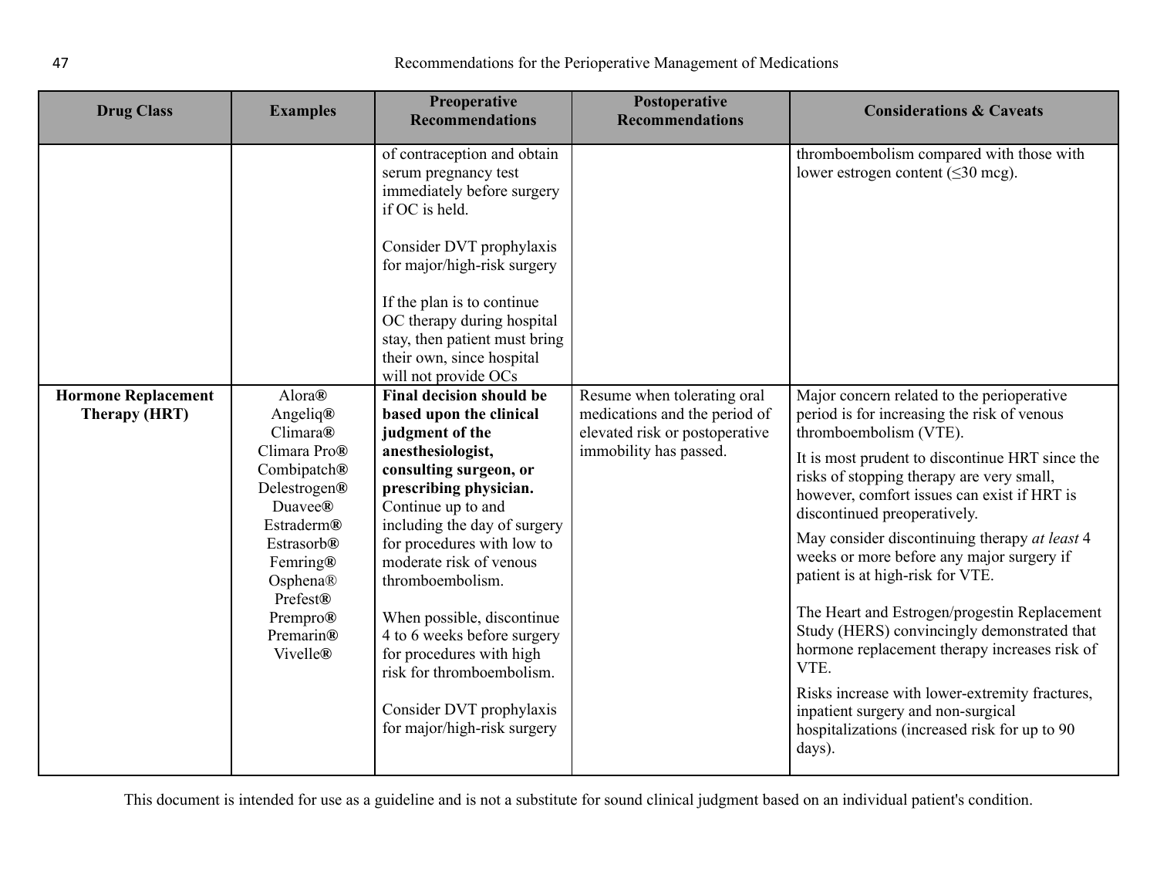| <b>Drug Class</b>                           | <b>Examples</b>                                                                                                                                                                                                                | <b>Preoperative</b><br><b>Recommendations</b>                                                                                                                                                                                                                                                                                                                                                                                                                                                                                                                                                                                                                                                                                                                                                  | Postoperative<br><b>Recommendations</b>                                                                                  | <b>Considerations &amp; Caveats</b>                                                                                                                                                                                                                                                                                                                                                                                                                                                                                                                                                                                                                                                                                                                                                                                                     |
|---------------------------------------------|--------------------------------------------------------------------------------------------------------------------------------------------------------------------------------------------------------------------------------|------------------------------------------------------------------------------------------------------------------------------------------------------------------------------------------------------------------------------------------------------------------------------------------------------------------------------------------------------------------------------------------------------------------------------------------------------------------------------------------------------------------------------------------------------------------------------------------------------------------------------------------------------------------------------------------------------------------------------------------------------------------------------------------------|--------------------------------------------------------------------------------------------------------------------------|-----------------------------------------------------------------------------------------------------------------------------------------------------------------------------------------------------------------------------------------------------------------------------------------------------------------------------------------------------------------------------------------------------------------------------------------------------------------------------------------------------------------------------------------------------------------------------------------------------------------------------------------------------------------------------------------------------------------------------------------------------------------------------------------------------------------------------------------|
| <b>Hormone Replacement</b><br>Therapy (HRT) | Alora®<br>Angeliq®<br>Climara@<br>Climara Pro®<br>Combipatch®<br>Delestrogen®<br>Duavee <sup>®</sup><br><b>Estraderm®</b><br><b>Estrasorb®</b><br>Femring®<br>Osphena®<br>Prefest®<br>Prempro®<br>Premarin®<br><b>Vivelle®</b> | of contraception and obtain<br>serum pregnancy test<br>immediately before surgery<br>if OC is held.<br>Consider DVT prophylaxis<br>for major/high-risk surgery<br>If the plan is to continue<br>OC therapy during hospital<br>stay, then patient must bring<br>their own, since hospital<br>will not provide OCs<br><b>Final decision should be</b><br>based upon the clinical<br>judgment of the<br>anesthesiologist,<br>consulting surgeon, or<br>prescribing physician.<br>Continue up to and<br>including the day of surgery<br>for procedures with low to<br>moderate risk of venous<br>thromboembolism.<br>When possible, discontinue<br>4 to 6 weeks before surgery<br>for procedures with high<br>risk for thromboembolism.<br>Consider DVT prophylaxis<br>for major/high-risk surgery | Resume when tolerating oral<br>medications and the period of<br>elevated risk or postoperative<br>immobility has passed. | thromboembolism compared with those with<br>lower estrogen content ( $\leq 30$ mcg).<br>Major concern related to the perioperative<br>period is for increasing the risk of venous<br>thromboembolism (VTE).<br>It is most prudent to discontinue HRT since the<br>risks of stopping therapy are very small,<br>however, comfort issues can exist if HRT is<br>discontinued preoperatively.<br>May consider discontinuing therapy at least 4<br>weeks or more before any major surgery if<br>patient is at high-risk for VTE.<br>The Heart and Estrogen/progestin Replacement<br>Study (HERS) convincingly demonstrated that<br>hormone replacement therapy increases risk of<br>VTE.<br>Risks increase with lower-extremity fractures,<br>inpatient surgery and non-surgical<br>hospitalizations (increased risk for up to 90<br>days). |
|                                             |                                                                                                                                                                                                                                |                                                                                                                                                                                                                                                                                                                                                                                                                                                                                                                                                                                                                                                                                                                                                                                                |                                                                                                                          |                                                                                                                                                                                                                                                                                                                                                                                                                                                                                                                                                                                                                                                                                                                                                                                                                                         |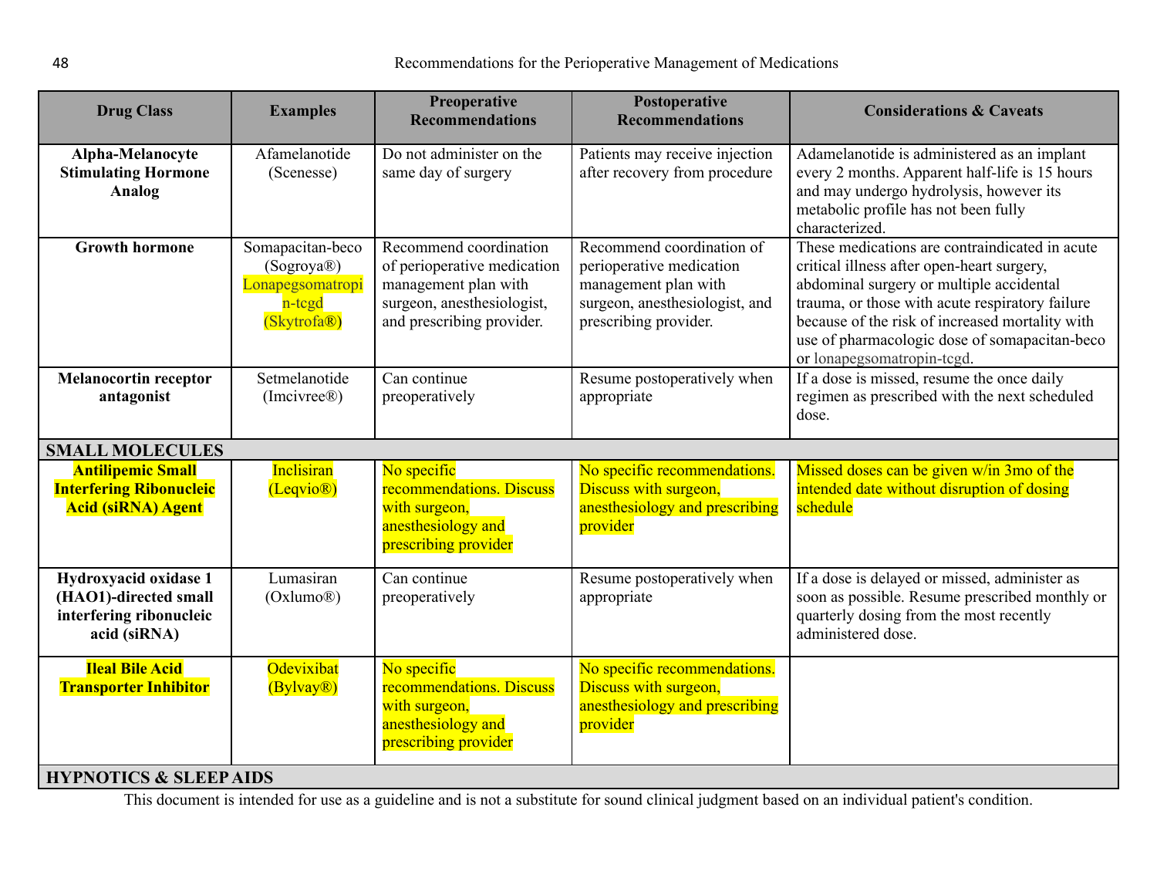<span id="page-47-0"></span>

| Do not administer on the<br>Afamelanotide<br>Patients may receive injection<br>Alpha-Melanocyte<br><b>Stimulating Hormone</b><br>after recovery from procedure<br>(Scenesse)<br>same day of surgery<br>and may undergo hydrolysis, however its<br><b>Analog</b><br>metabolic profile has not been fully<br>characterized.<br>Recommend coordination of<br><b>Growth hormone</b><br>Somapacitan-beco<br>Recommend coordination<br>of perioperative medication<br>perioperative medication<br>critical illness after open-heart surgery,<br>(Sogroya®)<br>Lonapegsomatropi<br>management plan with<br>management plan with<br>abdominal surgery or multiple accidental<br>surgeon, anesthesiologist,<br>surgeon, anesthesiologist, and<br>n-tcgd<br>prescribing provider.<br>(Skytrofa®)<br>and prescribing provider.<br>or lonapegsomatropin-tcgd.<br>Setmelanotide<br>Can continue<br>If a dose is missed, resume the once daily<br><b>Melanocortin receptor</b><br>Resume postoperatively when<br>antagonist<br>preoperatively<br>(Imcivree®)<br>appropriate<br>dose.<br><b>SMALL MOLECULES</b><br><b>Inclisiran</b><br><b>Antilipemic Small</b><br>No specific<br>No specific recommendations.<br>Missed doses can be given w/in 3mo of the<br><b>Interfering Ribonucleic</b><br>recommendations. Discuss<br>Discuss with surgeon,<br>intended date without disruption of dosing<br>(Leqvio <sup>®</sup> )<br><b>Acid (siRNA) Agent</b><br>anesthesiology and prescribing<br>schedule<br>with surgeon,<br>anesthesiology and<br>provider<br>prescribing provider<br>Can continue<br>If a dose is delayed or missed, administer as<br>Hydroxyacid oxidase 1<br>Lumasiran<br>Resume postoperatively when<br>(HAO1)-directed small<br>(Oxlumo <sup>®</sup> )<br>preoperatively<br>appropriate<br>interfering ribonucleic<br>quarterly dosing from the most recently<br>administered dose.<br>acid (siRNA)<br>Odevixibat<br>No specific<br><b>Ileal Bile Acid</b><br>No specific recommendations.<br>recommendations. Discuss<br>Discuss with surgeon,<br><b>Transporter Inhibitor</b><br>(Bylvay <sup>®</sup> )<br>with surgeon,<br>anesthesiology and prescribing<br>anesthesiology and<br>provider | <b>Drug Class</b> | <b>Examples</b> | Preoperative<br><b>Recommendations</b> | Postoperative<br><b>Recommendations</b> | <b>Considerations &amp; Caveats</b>                                                                                                                                                                   |
|-----------------------------------------------------------------------------------------------------------------------------------------------------------------------------------------------------------------------------------------------------------------------------------------------------------------------------------------------------------------------------------------------------------------------------------------------------------------------------------------------------------------------------------------------------------------------------------------------------------------------------------------------------------------------------------------------------------------------------------------------------------------------------------------------------------------------------------------------------------------------------------------------------------------------------------------------------------------------------------------------------------------------------------------------------------------------------------------------------------------------------------------------------------------------------------------------------------------------------------------------------------------------------------------------------------------------------------------------------------------------------------------------------------------------------------------------------------------------------------------------------------------------------------------------------------------------------------------------------------------------------------------------------------------------------------------------------------------------------------------------------------------------------------------------------------------------------------------------------------------------------------------------------------------------------------------------------------------------------------------------------------------------------------------------------------------------------------------------------------------------------------------------------------------------------------------------------|-------------------|-----------------|----------------------------------------|-----------------------------------------|-------------------------------------------------------------------------------------------------------------------------------------------------------------------------------------------------------|
|                                                                                                                                                                                                                                                                                                                                                                                                                                                                                                                                                                                                                                                                                                                                                                                                                                                                                                                                                                                                                                                                                                                                                                                                                                                                                                                                                                                                                                                                                                                                                                                                                                                                                                                                                                                                                                                                                                                                                                                                                                                                                                                                                                                                     |                   |                 |                                        |                                         | Adamelanotide is administered as an implant<br>every 2 months. Apparent half-life is 15 hours                                                                                                         |
|                                                                                                                                                                                                                                                                                                                                                                                                                                                                                                                                                                                                                                                                                                                                                                                                                                                                                                                                                                                                                                                                                                                                                                                                                                                                                                                                                                                                                                                                                                                                                                                                                                                                                                                                                                                                                                                                                                                                                                                                                                                                                                                                                                                                     |                   |                 |                                        |                                         | These medications are contraindicated in acute<br>trauma, or those with acute respiratory failure<br>because of the risk of increased mortality with<br>use of pharmacologic dose of somapacitan-beco |
|                                                                                                                                                                                                                                                                                                                                                                                                                                                                                                                                                                                                                                                                                                                                                                                                                                                                                                                                                                                                                                                                                                                                                                                                                                                                                                                                                                                                                                                                                                                                                                                                                                                                                                                                                                                                                                                                                                                                                                                                                                                                                                                                                                                                     |                   |                 |                                        |                                         | regimen as prescribed with the next scheduled                                                                                                                                                         |
|                                                                                                                                                                                                                                                                                                                                                                                                                                                                                                                                                                                                                                                                                                                                                                                                                                                                                                                                                                                                                                                                                                                                                                                                                                                                                                                                                                                                                                                                                                                                                                                                                                                                                                                                                                                                                                                                                                                                                                                                                                                                                                                                                                                                     |                   |                 |                                        |                                         |                                                                                                                                                                                                       |
|                                                                                                                                                                                                                                                                                                                                                                                                                                                                                                                                                                                                                                                                                                                                                                                                                                                                                                                                                                                                                                                                                                                                                                                                                                                                                                                                                                                                                                                                                                                                                                                                                                                                                                                                                                                                                                                                                                                                                                                                                                                                                                                                                                                                     |                   |                 |                                        |                                         |                                                                                                                                                                                                       |
|                                                                                                                                                                                                                                                                                                                                                                                                                                                                                                                                                                                                                                                                                                                                                                                                                                                                                                                                                                                                                                                                                                                                                                                                                                                                                                                                                                                                                                                                                                                                                                                                                                                                                                                                                                                                                                                                                                                                                                                                                                                                                                                                                                                                     |                   |                 |                                        |                                         | soon as possible. Resume prescribed monthly or                                                                                                                                                        |
| prescribing provider<br><b>HYPNOTICS &amp; SLEEP AIDS</b>                                                                                                                                                                                                                                                                                                                                                                                                                                                                                                                                                                                                                                                                                                                                                                                                                                                                                                                                                                                                                                                                                                                                                                                                                                                                                                                                                                                                                                                                                                                                                                                                                                                                                                                                                                                                                                                                                                                                                                                                                                                                                                                                           |                   |                 |                                        |                                         |                                                                                                                                                                                                       |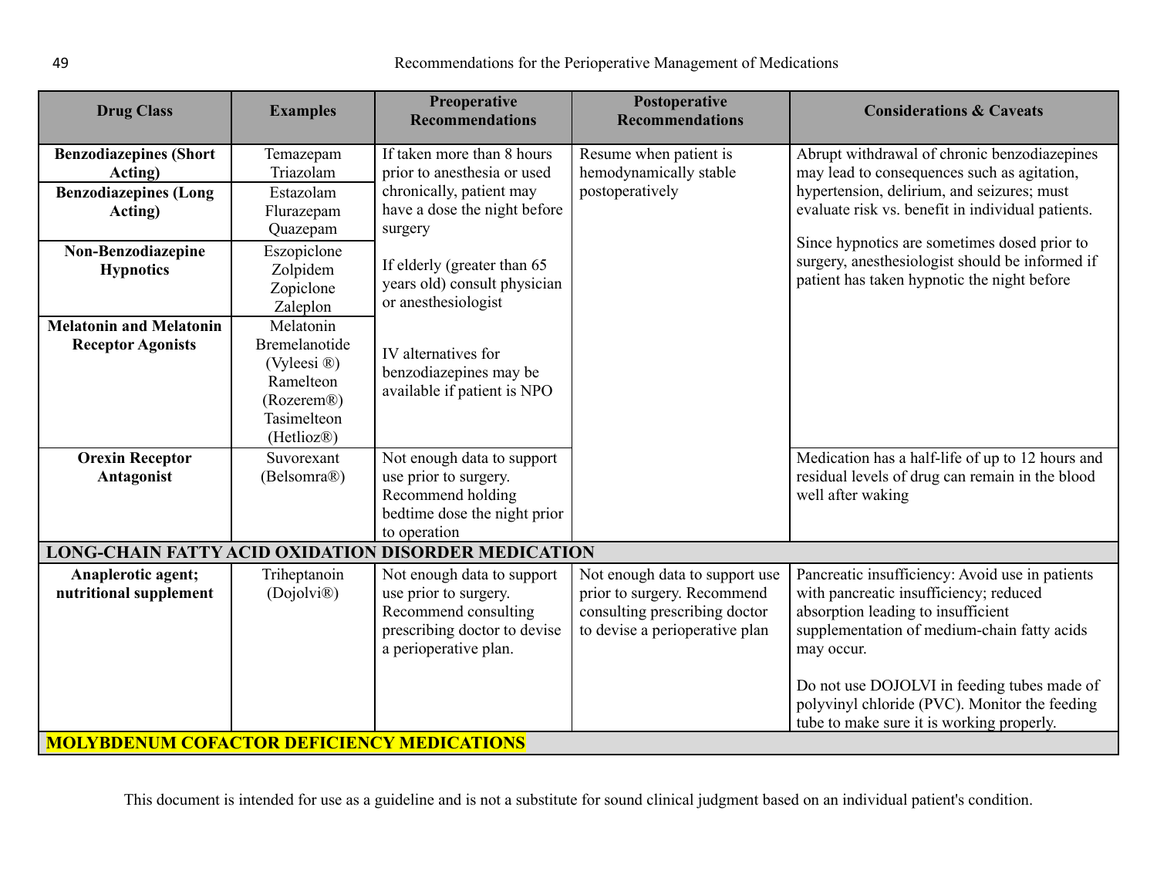<span id="page-48-1"></span><span id="page-48-0"></span>

| <b>Drug Class</b>                                                                                         | <b>Examples</b>                                                                                                             | Preoperative<br><b>Recommendations</b>                                                                                               | Postoperative<br><b>Recommendations</b>                                                                                          | <b>Considerations &amp; Caveats</b>                                                                                                                                                                                                            |
|-----------------------------------------------------------------------------------------------------------|-----------------------------------------------------------------------------------------------------------------------------|--------------------------------------------------------------------------------------------------------------------------------------|----------------------------------------------------------------------------------------------------------------------------------|------------------------------------------------------------------------------------------------------------------------------------------------------------------------------------------------------------------------------------------------|
| <b>Benzodiazepines (Short</b><br>Acting)<br><b>Benzodiazepines (Long</b><br>Acting)<br>Non-Benzodiazepine | Temazepam<br>Triazolam<br>Estazolam<br>Flurazepam<br>Quazepam<br>Eszopiclone                                                | If taken more than 8 hours<br>prior to anesthesia or used<br>chronically, patient may<br>have a dose the night before<br>surgery     | Resume when patient is<br>hemodynamically stable<br>postoperatively                                                              | Abrupt withdrawal of chronic benzodiazepines<br>may lead to consequences such as agitation,<br>hypertension, delirium, and seizures; must<br>evaluate risk vs. benefit in individual patients.<br>Since hypnotics are sometimes dosed prior to |
| <b>Hypnotics</b>                                                                                          | Zolpidem<br>Zopiclone<br>Zaleplon                                                                                           | If elderly (greater than 65<br>years old) consult physician<br>or anesthesiologist                                                   |                                                                                                                                  | surgery, anesthesiologist should be informed if<br>patient has taken hypnotic the night before                                                                                                                                                 |
| <b>Melatonin and Melatonin</b><br><b>Receptor Agonists</b>                                                | Melatonin<br>Bremelanotide<br>(Vyleesi ®)<br>Ramelteon<br>(Rozerem <sup>®</sup> )<br>Tasimelteon<br>(Hetlioz <sup>®</sup> ) | IV alternatives for<br>benzodiazepines may be<br>available if patient is NPO                                                         |                                                                                                                                  |                                                                                                                                                                                                                                                |
| <b>Orexin Receptor</b><br>Antagonist                                                                      | Suvorexant<br>(Belsomra®)                                                                                                   | Not enough data to support<br>use prior to surgery.<br>Recommend holding<br>bedtime dose the night prior<br>to operation             |                                                                                                                                  | Medication has a half-life of up to 12 hours and<br>residual levels of drug can remain in the blood<br>well after waking                                                                                                                       |
|                                                                                                           |                                                                                                                             | <b>LONG-CHAIN FATTY ACID OXIDATION DISORDER MEDICATION</b>                                                                           |                                                                                                                                  |                                                                                                                                                                                                                                                |
| Anaplerotic agent;<br>nutritional supplement                                                              | Triheptanoin<br>(Dojolvi <sup>®</sup> )                                                                                     | Not enough data to support<br>use prior to surgery.<br>Recommend consulting<br>prescribing doctor to devise<br>a perioperative plan. | Not enough data to support use<br>prior to surgery. Recommend<br>consulting prescribing doctor<br>to devise a perioperative plan | Pancreatic insufficiency: Avoid use in patients<br>with pancreatic insufficiency; reduced<br>absorption leading to insufficient<br>supplementation of medium-chain fatty acids<br>may occur.<br>Do not use DOJOLVI in feeding tubes made of    |
| <b>MOLYBDENUM COFACTOR DEFICIENCY MEDICATIONS</b>                                                         |                                                                                                                             |                                                                                                                                      |                                                                                                                                  | polyvinyl chloride (PVC). Monitor the feeding<br>tube to make sure it is working properly.                                                                                                                                                     |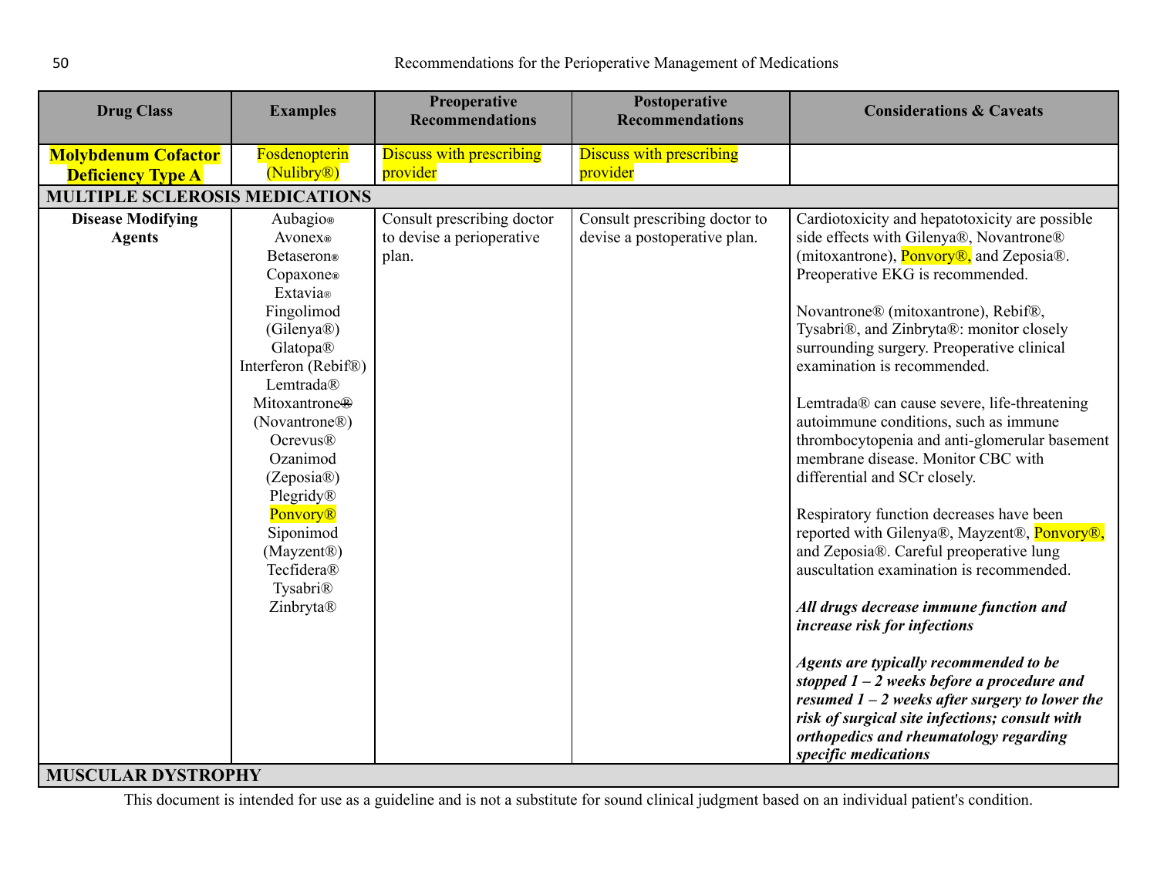| <b>Drug Class</b>                                      | <b>Examples</b>                          | Preoperative<br><b>Recommendations</b>      | Postoperative<br><b>Recommendations</b>     | <b>Considerations &amp; Caveats</b>                                                                                                                                                                                                    |
|--------------------------------------------------------|------------------------------------------|---------------------------------------------|---------------------------------------------|----------------------------------------------------------------------------------------------------------------------------------------------------------------------------------------------------------------------------------------|
| <b>Molybdenum Cofactor</b><br><b>Deficiency Type A</b> | Fosdenopterin<br>(Nulibry <sup>®</sup> ) | <b>Discuss with prescribing</b><br>provider | <b>Discuss with prescribing</b><br>provider |                                                                                                                                                                                                                                        |
| <b>MULTIPLE SCLEROSIS MEDICATIONS</b>                  |                                          |                                             |                                             |                                                                                                                                                                                                                                        |
| <b>Disease Modifying</b>                               | Aubagio®                                 | Consult prescribing doctor                  | Consult prescribing doctor to               | Cardiotoxicity and hepatotoxicity are possible                                                                                                                                                                                         |
| <b>Agents</b>                                          | Avonex®                                  | to devise a perioperative                   | devise a postoperative plan.                | side effects with Gilenya®, Novantrone®                                                                                                                                                                                                |
|                                                        | Betaseron®                               | plan.                                       |                                             | (mitoxantrone), <b>Ponyory®</b> , and Zeposia®.                                                                                                                                                                                        |
|                                                        | Copaxone®<br>Extavia®                    |                                             |                                             | Preoperative EKG is recommended.                                                                                                                                                                                                       |
|                                                        | Fingolimod                               |                                             |                                             | Novantrone® (mitoxantrone), Rebif®,                                                                                                                                                                                                    |
|                                                        | (Gilenya®)                               |                                             |                                             | Tysabri®, and Zinbryta®: monitor closely                                                                                                                                                                                               |
|                                                        | Glatopa®                                 |                                             |                                             | surrounding surgery. Preoperative clinical                                                                                                                                                                                             |
|                                                        | Interferon (Rebif®)                      |                                             |                                             | examination is recommended.                                                                                                                                                                                                            |
|                                                        | Lemtrada®                                |                                             |                                             |                                                                                                                                                                                                                                        |
|                                                        | Mitoxantrone <sup>®</sup>                |                                             |                                             | Lemtrada® can cause severe, life-threatening                                                                                                                                                                                           |
|                                                        | (Novantrone®)                            |                                             |                                             | autoimmune conditions, such as immune                                                                                                                                                                                                  |
|                                                        | <b>Ocrevus®</b><br>Ozanimod              |                                             |                                             | thrombocytopenia and anti-glomerular basement<br>membrane disease. Monitor CBC with                                                                                                                                                    |
|                                                        | (Zeposia@)                               |                                             |                                             | differential and SCr closely.                                                                                                                                                                                                          |
|                                                        | Plegridy®                                |                                             |                                             |                                                                                                                                                                                                                                        |
|                                                        | <b>Ponvory®</b>                          |                                             |                                             | Respiratory function decreases have been                                                                                                                                                                                               |
|                                                        | Siponimod                                |                                             |                                             | reported with Gilenya®, Mayzent®, Ponvory®,                                                                                                                                                                                            |
|                                                        | (Mayzent®)                               |                                             |                                             | and Zeposia®. Careful preoperative lung                                                                                                                                                                                                |
|                                                        | Tecfidera®                               |                                             |                                             | auscultation examination is recommended.                                                                                                                                                                                               |
|                                                        | Tysabri®                                 |                                             |                                             |                                                                                                                                                                                                                                        |
|                                                        | Zinbryta®                                |                                             |                                             | All drugs decrease immune function and                                                                                                                                                                                                 |
|                                                        |                                          |                                             |                                             | increase risk for infections                                                                                                                                                                                                           |
|                                                        |                                          |                                             |                                             | Agents are typically recommended to be<br>stopped $1 - 2$ weeks before a procedure and<br>resumed $1 - 2$ weeks after surgery to lower the<br>risk of surgical site infections; consult with<br>orthopedics and rheumatology regarding |
| MUCCUL AD DVCTDODIIV                                   |                                          |                                             |                                             | specific medications                                                                                                                                                                                                                   |

## <span id="page-49-0"></span>**MUSCULAR DYSTROPHY**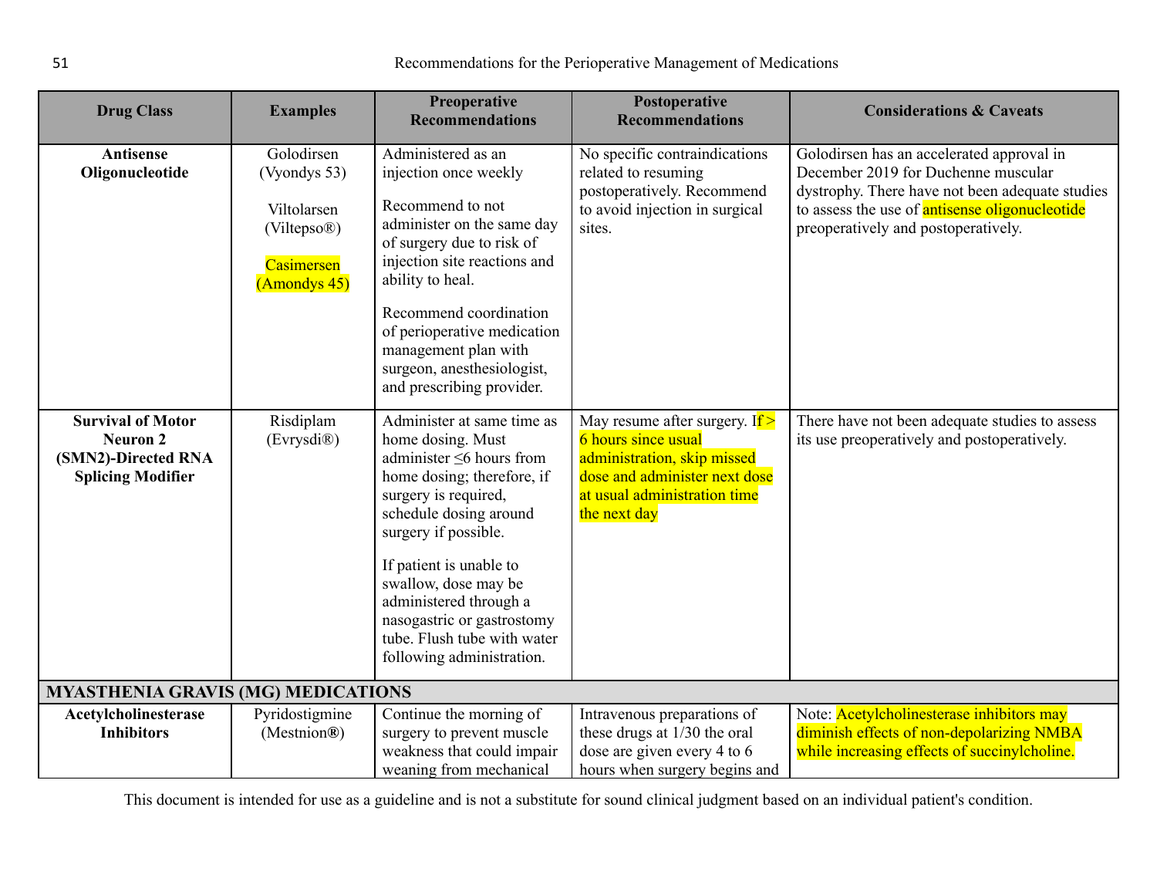<span id="page-50-0"></span>

| <b>Drug Class</b>                                                                              | <b>Examples</b>                                                                                     | Preoperative<br><b>Recommendations</b>                                                                                                                                                                                                                                                                                                                           | Postoperative<br><b>Recommendations</b>                                                                                                                                        | <b>Considerations &amp; Caveats</b>                                                                                                                                                                                                 |  |
|------------------------------------------------------------------------------------------------|-----------------------------------------------------------------------------------------------------|------------------------------------------------------------------------------------------------------------------------------------------------------------------------------------------------------------------------------------------------------------------------------------------------------------------------------------------------------------------|--------------------------------------------------------------------------------------------------------------------------------------------------------------------------------|-------------------------------------------------------------------------------------------------------------------------------------------------------------------------------------------------------------------------------------|--|
| <b>Antisense</b><br>Oligonucleotide                                                            | Golodirsen<br>(Vyondys 53)<br>Viltolarsen<br>(Viltepso <sup>®</sup> )<br>Casimersen<br>(Amondys 45) | Administered as an<br>injection once weekly<br>Recommend to not<br>administer on the same day<br>of surgery due to risk of<br>injection site reactions and<br>ability to heal.<br>Recommend coordination<br>of perioperative medication<br>management plan with<br>surgeon, anesthesiologist,<br>and prescribing provider.                                       | No specific contraindications<br>related to resuming<br>postoperatively. Recommend<br>to avoid injection in surgical<br>sites.                                                 | Golodirsen has an accelerated approval in<br>December 2019 for Duchenne muscular<br>dystrophy. There have not been adequate studies<br>to assess the use of <b>antisense oligonucleotide</b><br>preoperatively and postoperatively. |  |
| <b>Survival of Motor</b><br><b>Neuron 2</b><br>(SMN2)-Directed RNA<br><b>Splicing Modifier</b> | Risdiplam<br>(Evrysdi®)                                                                             | Administer at same time as<br>home dosing. Must<br>administer $\leq 6$ hours from<br>home dosing; therefore, if<br>surgery is required,<br>schedule dosing around<br>surgery if possible.<br>If patient is unable to<br>swallow, dose may be<br>administered through a<br>nasogastric or gastrostomy<br>tube. Flush tube with water<br>following administration. | May resume after surgery. If $>$<br><b>6</b> hours since usual<br>administration, skip missed<br>dose and administer next dose<br>at usual administration time<br>the next day | There have not been adequate studies to assess<br>its use preoperatively and postoperatively.                                                                                                                                       |  |
| <b>MYASTHENIA GRAVIS (MG) MEDICATIONS</b>                                                      |                                                                                                     |                                                                                                                                                                                                                                                                                                                                                                  |                                                                                                                                                                                |                                                                                                                                                                                                                                     |  |
| Acetylcholinesterase<br><b>Inhibitors</b>                                                      | Pyridostigmine<br>(Mestnion@)                                                                       | Continue the morning of<br>surgery to prevent muscle                                                                                                                                                                                                                                                                                                             | Intravenous preparations of<br>these drugs at 1/30 the oral                                                                                                                    | Note: <b>Acetylcholinesterase inhibitors may</b><br>diminish effects of non-depolarizing NMBA                                                                                                                                       |  |
|                                                                                                |                                                                                                     | weakness that could impair<br>weaning from mechanical                                                                                                                                                                                                                                                                                                            | dose are given every 4 to 6<br>hours when surgery begins and                                                                                                                   | while increasing effects of succinylcholine.                                                                                                                                                                                        |  |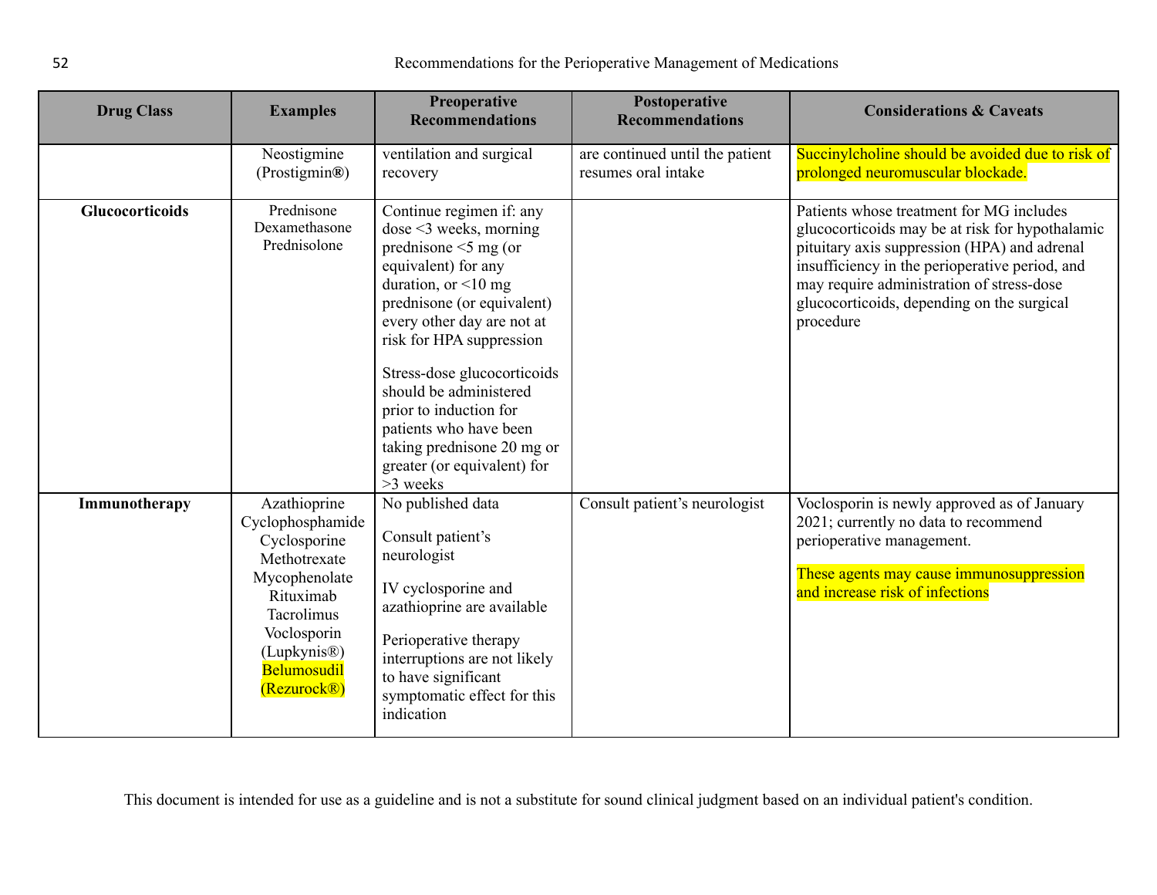| <b>Drug Class</b>      | <b>Examples</b>                                                                                                                                                                                    | Preoperative<br><b>Recommendations</b>                                                                                                                                                                                                                                                                                                                                                                                | Postoperative<br><b>Recommendations</b>                | <b>Considerations &amp; Caveats</b>                                                                                                                                                                                                                                                                   |
|------------------------|----------------------------------------------------------------------------------------------------------------------------------------------------------------------------------------------------|-----------------------------------------------------------------------------------------------------------------------------------------------------------------------------------------------------------------------------------------------------------------------------------------------------------------------------------------------------------------------------------------------------------------------|--------------------------------------------------------|-------------------------------------------------------------------------------------------------------------------------------------------------------------------------------------------------------------------------------------------------------------------------------------------------------|
|                        | Neostigmine<br>(Prostigmin®)                                                                                                                                                                       | ventilation and surgical<br>recovery                                                                                                                                                                                                                                                                                                                                                                                  | are continued until the patient<br>resumes oral intake | Succinylcholine should be avoided due to risk of<br>prolonged neuromuscular blockade.                                                                                                                                                                                                                 |
| <b>Glucocorticoids</b> | Prednisone<br>Dexamethasone<br>Prednisolone                                                                                                                                                        | Continue regimen if: any<br>$dose < 3$ weeks, morning<br>prednisone $\leq$ 5 mg (or<br>equivalent) for any<br>duration, or $\leq 10$ mg<br>prednisone (or equivalent)<br>every other day are not at<br>risk for HPA suppression<br>Stress-dose glucocorticoids<br>should be administered<br>prior to induction for<br>patients who have been<br>taking prednisone 20 mg or<br>greater (or equivalent) for<br>>3 weeks |                                                        | Patients whose treatment for MG includes<br>glucocorticoids may be at risk for hypothalamic<br>pituitary axis suppression (HPA) and adrenal<br>insufficiency in the perioperative period, and<br>may require administration of stress-dose<br>glucocorticoids, depending on the surgical<br>procedure |
| Immunotherapy          | Azathioprine<br>Cyclophosphamide<br>Cyclosporine<br>Methotrexate<br>Mycophenolate<br>Rituximab<br>Tacrolimus<br>Voclosporin<br>(Lupkynis <sup>®</sup> )<br>Belumosudil<br>(Rezurock <sup>®</sup> ) | No published data<br>Consult patient's<br>neurologist<br>IV cyclosporine and<br>azathioprine are available<br>Perioperative therapy<br>interruptions are not likely<br>to have significant<br>symptomatic effect for this<br>indication                                                                                                                                                                               | Consult patient's neurologist                          | Voclosporin is newly approved as of January<br>2021; currently no data to recommend<br>perioperative management.<br>These agents may cause immunosuppression<br>and increase risk of infections                                                                                                       |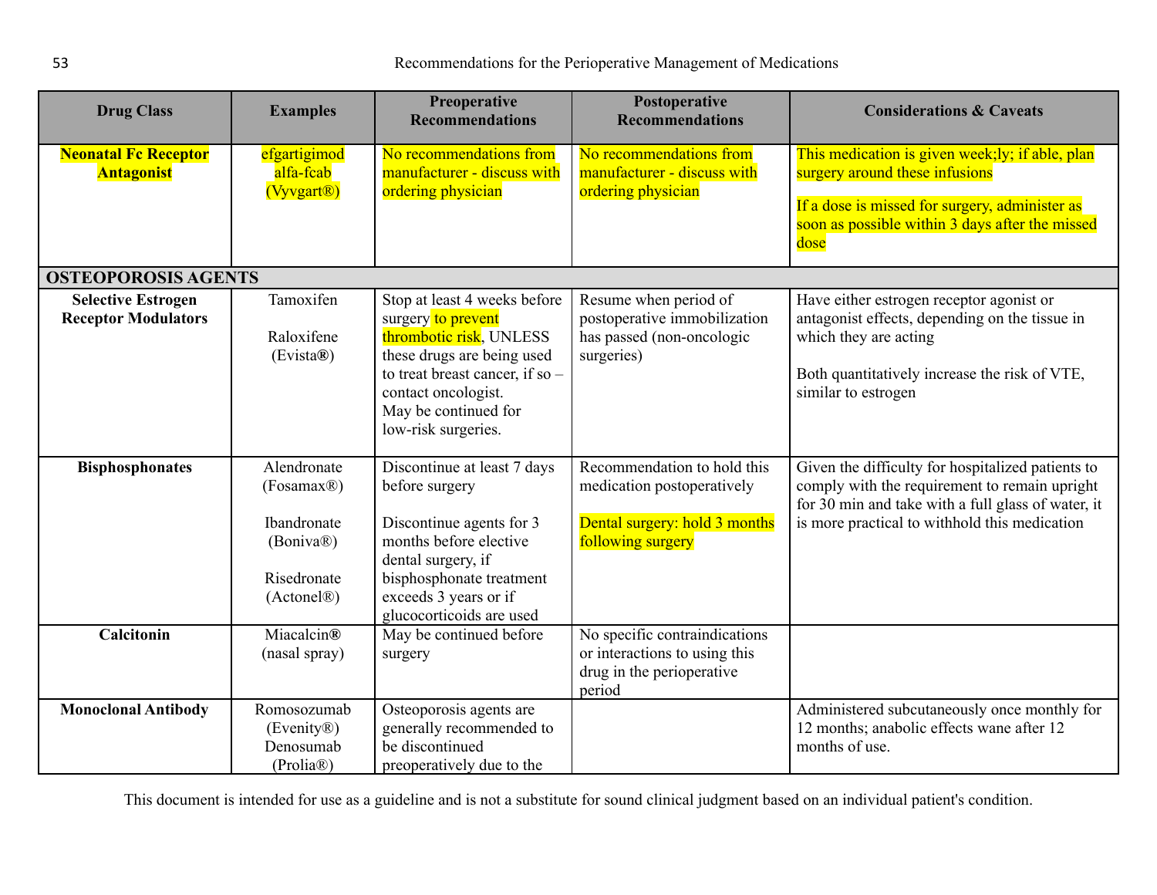| <b>Drug Class</b>                                       | <b>Examples</b>                                                                                             | Preoperative<br><b>Recommendations</b>                                                                                                                                                                               | Postoperative<br><b>Recommendations</b>                                                                         | <b>Considerations &amp; Caveats</b>                                                                                                                                                                       |
|---------------------------------------------------------|-------------------------------------------------------------------------------------------------------------|----------------------------------------------------------------------------------------------------------------------------------------------------------------------------------------------------------------------|-----------------------------------------------------------------------------------------------------------------|-----------------------------------------------------------------------------------------------------------------------------------------------------------------------------------------------------------|
| <b>Neonatal Fc Receptor</b><br><b>Antagonist</b>        | efgartigimod<br>alfa-fcab<br>(Vyvgart <sup>®</sup> )                                                        | No recommendations from<br>manufacturer - discuss with<br>ordering physician                                                                                                                                         | No recommendations from<br>manufacturer - discuss with<br>ordering physician                                    | This medication is given week;ly; if able, plan<br>surgery around these infusions<br>If a dose is missed for surgery, administer as<br>soon as possible within 3 days after the missed<br>dose            |
| <b>OSTEOPOROSIS AGENTS</b>                              |                                                                                                             |                                                                                                                                                                                                                      |                                                                                                                 |                                                                                                                                                                                                           |
| <b>Selective Estrogen</b><br><b>Receptor Modulators</b> | Tamoxifen<br>Raloxifene<br>(Evista®)                                                                        | Stop at least 4 weeks before<br>surgery to prevent<br>thrombotic risk, UNLESS<br>these drugs are being used<br>to treat breast cancer, if so -<br>contact oncologist.<br>May be continued for<br>low-risk surgeries. | Resume when period of<br>postoperative immobilization<br>has passed (non-oncologic<br>surgeries)                | Have either estrogen receptor agonist or<br>antagonist effects, depending on the tissue in<br>which they are acting<br>Both quantitatively increase the risk of VTE,<br>similar to estrogen               |
| <b>Bisphosphonates</b>                                  | Alendronate<br>(Fosamax <sup>®)</sup><br>Ibandronate<br>(Boniva®)<br>Risedronate<br>(Actonel <sup>®</sup> ) | Discontinue at least 7 days<br>before surgery<br>Discontinue agents for 3<br>months before elective<br>dental surgery, if<br>bisphosphonate treatment<br>exceeds 3 years or if<br>glucocorticoids are used           | Recommendation to hold this<br>medication postoperatively<br>Dental surgery: hold 3 months<br>following surgery | Given the difficulty for hospitalized patients to<br>comply with the requirement to remain upright<br>for 30 min and take with a full glass of water, it<br>is more practical to withhold this medication |
| Calcitonin                                              | Miacalcin <sup>®</sup><br>(nasal spray)                                                                     | May be continued before<br>surgery                                                                                                                                                                                   | No specific contraindications<br>or interactions to using this<br>drug in the perioperative<br>period           |                                                                                                                                                                                                           |
| <b>Monoclonal Antibody</b>                              | Romosozumab<br>(Evenity®)<br>Denosumab<br>(Prolia®)                                                         | Osteoporosis agents are<br>generally recommended to<br>be discontinued<br>preoperatively due to the                                                                                                                  |                                                                                                                 | Administered subcutaneously once monthly for<br>12 months; anabolic effects wane after 12<br>months of use.                                                                                               |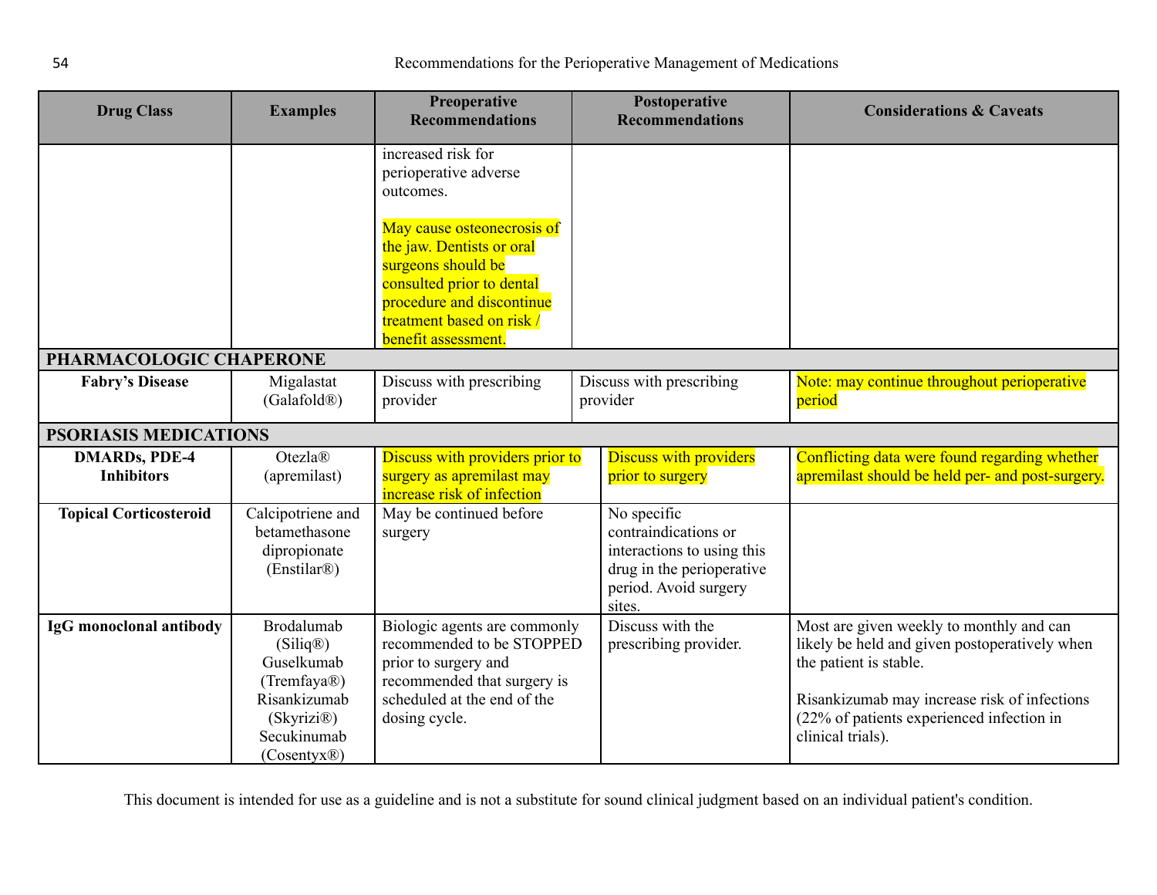<span id="page-53-1"></span><span id="page-53-0"></span>

| <b>Drug Class</b>                         | <b>Examples</b>                                                                                                                  | Preoperative<br><b>Recommendations</b>                                                                                                                                                                                                                  | Postoperative<br><b>Recommendations</b>                                                                                           | <b>Considerations &amp; Caveats</b>                                                                                                                                                                                                   |
|-------------------------------------------|----------------------------------------------------------------------------------------------------------------------------------|---------------------------------------------------------------------------------------------------------------------------------------------------------------------------------------------------------------------------------------------------------|-----------------------------------------------------------------------------------------------------------------------------------|---------------------------------------------------------------------------------------------------------------------------------------------------------------------------------------------------------------------------------------|
|                                           |                                                                                                                                  | increased risk for<br>perioperative adverse<br>outcomes.<br>May cause osteonecrosis of<br>the jaw. Dentists or oral<br>surgeons should be<br>consulted prior to dental<br>procedure and discontinue<br>treatment based on risk /<br>benefit assessment. |                                                                                                                                   |                                                                                                                                                                                                                                       |
| PHARMACOLOGIC CHAPERONE                   |                                                                                                                                  |                                                                                                                                                                                                                                                         |                                                                                                                                   |                                                                                                                                                                                                                                       |
| <b>Fabry's Disease</b>                    | Migalastat<br>(Galafold <sup>®)</sup>                                                                                            | Discuss with prescribing<br>provider                                                                                                                                                                                                                    | Discuss with prescribing<br>provider                                                                                              | Note: may continue throughout perioperative<br>period                                                                                                                                                                                 |
| <b>PSORIASIS MEDICATIONS</b>              |                                                                                                                                  |                                                                                                                                                                                                                                                         |                                                                                                                                   |                                                                                                                                                                                                                                       |
| <b>DMARDs, PDE-4</b><br><b>Inhibitors</b> | Otezla®<br>(apremilast)                                                                                                          | Discuss with providers prior to<br>surgery as apremilast may<br>increase risk of infection                                                                                                                                                              | <b>Discuss with providers</b><br>prior to surgery                                                                                 | Conflicting data were found regarding whether<br>apremilast should be held per- and post-surgery.                                                                                                                                     |
| <b>Topical Corticosteroid</b>             | Calcipotriene and<br>betamethasone<br>dipropionate<br>(Enstilar <sup>®</sup> )                                                   | May be continued before<br>surgery                                                                                                                                                                                                                      | No specific<br>contraindications or<br>interactions to using this<br>drug in the perioperative<br>period. Avoid surgery<br>sites. |                                                                                                                                                                                                                                       |
| IgG monoclonal antibody                   | <b>Brodalumab</b><br>(Siliq®)<br>Guselkumab<br>(Tremfaya®)<br>Risankizumab<br>(Skyrizi®)<br>Secukinumab<br>$(Cosentyx\circledR)$ | Biologic agents are commonly<br>recommended to be STOPPED<br>prior to surgery and<br>recommended that surgery is<br>scheduled at the end of the<br>dosing cycle.                                                                                        | Discuss with the<br>prescribing provider.                                                                                         | Most are given weekly to monthly and can<br>likely be held and given postoperatively when<br>the patient is stable.<br>Risankizumab may increase risk of infections<br>(22% of patients experienced infection in<br>clinical trials). |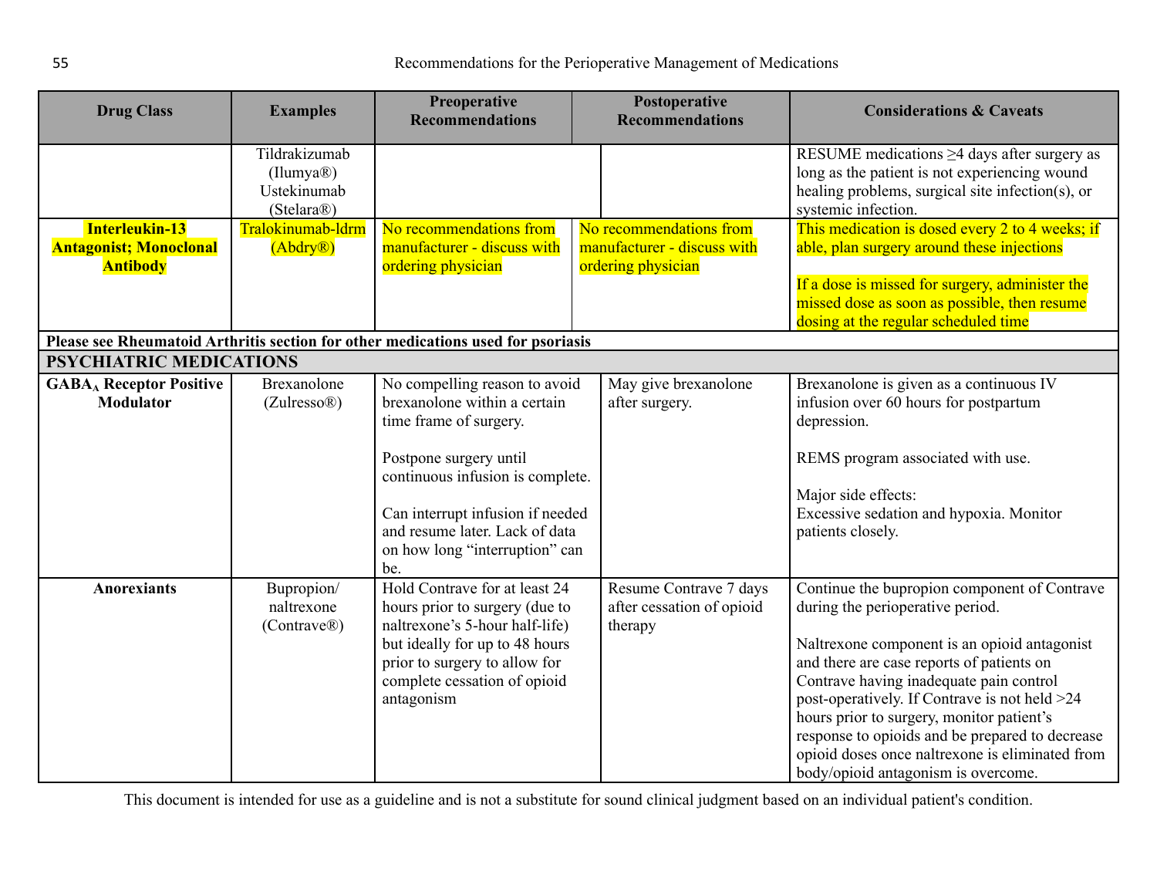| <b>Drug Class</b>                          | <b>Examples</b>            | Preoperative<br><b>Recommendations</b>                                           | Postoperative<br><b>Recommendations</b> | <b>Considerations &amp; Caveats</b>                                                                |
|--------------------------------------------|----------------------------|----------------------------------------------------------------------------------|-----------------------------------------|----------------------------------------------------------------------------------------------------|
|                                            | Tildrakizumab<br>(Ilumya@) |                                                                                  |                                         | RESUME medications $\geq$ 4 days after surgery as<br>long as the patient is not experiencing wound |
|                                            | Ustekinumab                |                                                                                  |                                         | healing problems, surgical site infection(s), or                                                   |
|                                            | (Stelara <sup>®</sup> )    |                                                                                  |                                         | systemic infection.                                                                                |
| Interleukin-13                             | Tralokinumab-ldrm          | No recommendations from                                                          | No recommendations from                 | This medication is dosed every 2 to 4 weeks; if                                                    |
| <b>Antagonist; Monoclonal</b>              | (Abdry@)                   | manufacturer - discuss with                                                      | manufacturer - discuss with             | able, plan surgery around these injections                                                         |
| <b>Antibody</b>                            |                            | ordering physician                                                               | ordering physician                      |                                                                                                    |
|                                            |                            |                                                                                  |                                         | If a dose is missed for surgery, administer the                                                    |
|                                            |                            |                                                                                  |                                         | missed dose as soon as possible, then resume<br>dosing at the regular scheduled time               |
|                                            |                            | Please see Rheumatoid Arthritis section for other medications used for psoriasis |                                         |                                                                                                    |
| <b>PSYCHIATRIC MEDICATIONS</b>             |                            |                                                                                  |                                         |                                                                                                    |
| <b>GABA</b> <sub>A</sub> Receptor Positive | Brexanolone                | No compelling reason to avoid                                                    | May give brexanolone                    | Brexanolone is given as a continuous IV                                                            |
| <b>Modulator</b>                           | (Zulresso <sup>®</sup> )   | brexanolone within a certain                                                     | after surgery.                          | infusion over 60 hours for postpartum                                                              |
|                                            |                            | time frame of surgery.                                                           |                                         | depression.                                                                                        |
|                                            |                            |                                                                                  |                                         |                                                                                                    |
|                                            |                            | Postpone surgery until                                                           |                                         | REMS program associated with use.                                                                  |
|                                            |                            | continuous infusion is complete.                                                 |                                         |                                                                                                    |
|                                            |                            | Can interrupt infusion if needed                                                 |                                         | Major side effects:<br>Excessive sedation and hypoxia. Monitor                                     |
|                                            |                            | and resume later. Lack of data                                                   |                                         | patients closely.                                                                                  |
|                                            |                            | on how long "interruption" can                                                   |                                         |                                                                                                    |
|                                            |                            | be.                                                                              |                                         |                                                                                                    |
| <b>Anorexiants</b>                         | Bupropion/                 | Hold Contrave for at least 24                                                    | Resume Contrave 7 days                  | Continue the bupropion component of Contrave                                                       |
|                                            | naltrexone                 | hours prior to surgery (due to                                                   | after cessation of opioid               | during the perioperative period.                                                                   |
|                                            | (Contrave@)                | naltrexone's 5-hour half-life)                                                   | therapy                                 |                                                                                                    |
|                                            |                            | but ideally for up to 48 hours<br>prior to surgery to allow for                  |                                         | Naltrexone component is an opioid antagonist<br>and there are case reports of patients on          |
|                                            |                            | complete cessation of opioid                                                     |                                         | Contrave having inadequate pain control                                                            |
|                                            |                            | antagonism                                                                       |                                         | post-operatively. If Contrave is not held >24                                                      |
|                                            |                            |                                                                                  |                                         | hours prior to surgery, monitor patient's                                                          |
|                                            |                            |                                                                                  |                                         | response to opioids and be prepared to decrease                                                    |
|                                            |                            |                                                                                  |                                         | opioid doses once naltrexone is eliminated from                                                    |
|                                            |                            |                                                                                  |                                         | body/opioid antagonism is overcome.                                                                |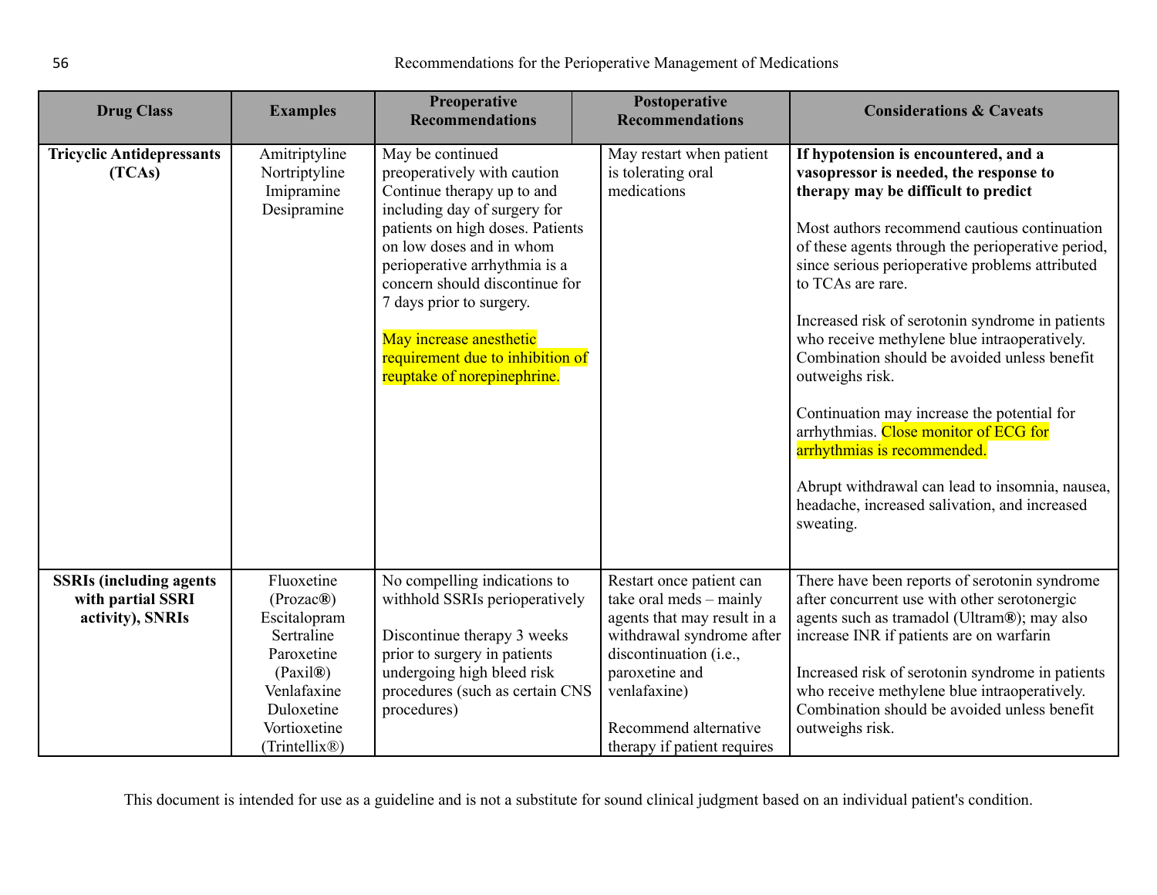| <b>Drug Class</b>                                                        | <b>Examples</b>                                                                                                                                            | Preoperative<br><b>Recommendations</b>                                                                                                                                                                                                                                                                                                                                     | Postoperative<br><b>Recommendations</b>                                                                                                                                                                                             | <b>Considerations &amp; Caveats</b>                                                                                                                                                                                                                                                                                                                                                                                                                                                                                                                                                                                                                                                                               |
|--------------------------------------------------------------------------|------------------------------------------------------------------------------------------------------------------------------------------------------------|----------------------------------------------------------------------------------------------------------------------------------------------------------------------------------------------------------------------------------------------------------------------------------------------------------------------------------------------------------------------------|-------------------------------------------------------------------------------------------------------------------------------------------------------------------------------------------------------------------------------------|-------------------------------------------------------------------------------------------------------------------------------------------------------------------------------------------------------------------------------------------------------------------------------------------------------------------------------------------------------------------------------------------------------------------------------------------------------------------------------------------------------------------------------------------------------------------------------------------------------------------------------------------------------------------------------------------------------------------|
| <b>Tricyclic Antidepressants</b><br>(TCAs)                               | Amitriptyline<br>Nortriptyline<br>Imipramine<br>Desipramine                                                                                                | May be continued<br>preoperatively with caution<br>Continue therapy up to and<br>including day of surgery for<br>patients on high doses. Patients<br>on low doses and in whom<br>perioperative arrhythmia is a<br>concern should discontinue for<br>7 days prior to surgery.<br>May increase anesthetic<br>requirement due to inhibition of<br>reuptake of norepinephrine. | May restart when patient<br>is tolerating oral<br>medications                                                                                                                                                                       | If hypotension is encountered, and a<br>vasopressor is needed, the response to<br>therapy may be difficult to predict<br>Most authors recommend cautious continuation<br>of these agents through the perioperative period,<br>since serious perioperative problems attributed<br>to TCAs are rare.<br>Increased risk of serotonin syndrome in patients<br>who receive methylene blue intraoperatively.<br>Combination should be avoided unless benefit<br>outweighs risk.<br>Continuation may increase the potential for<br>arrhythmias. Close monitor of ECG for<br>arrhythmias is recommended.<br>Abrupt withdrawal can lead to insomnia, nausea,<br>headache, increased salivation, and increased<br>sweating. |
| <b>SSRIs (including agents)</b><br>with partial SSRI<br>activity), SNRIs | Fluoxetine<br>(Prozac@)<br>Escitalopram<br>Sertraline<br>Paroxetine<br>(Paxil@)<br>Venlafaxine<br>Duloxetine<br>Vortioxetine<br>(Trintellix <sup>®</sup> ) | No compelling indications to<br>withhold SSRIs perioperatively<br>Discontinue therapy 3 weeks<br>prior to surgery in patients<br>undergoing high bleed risk<br>procedures (such as certain CNS<br>procedures)                                                                                                                                                              | Restart once patient can<br>take oral meds - mainly<br>agents that may result in a<br>withdrawal syndrome after<br>discontinuation (i.e.,<br>paroxetine and<br>venlafaxine)<br>Recommend alternative<br>therapy if patient requires | There have been reports of serotonin syndrome<br>after concurrent use with other serotonergic<br>agents such as tramadol (Ultram®); may also<br>increase INR if patients are on warfarin<br>Increased risk of serotonin syndrome in patients<br>who receive methylene blue intraoperatively.<br>Combination should be avoided unless benefit<br>outweighs risk.                                                                                                                                                                                                                                                                                                                                                   |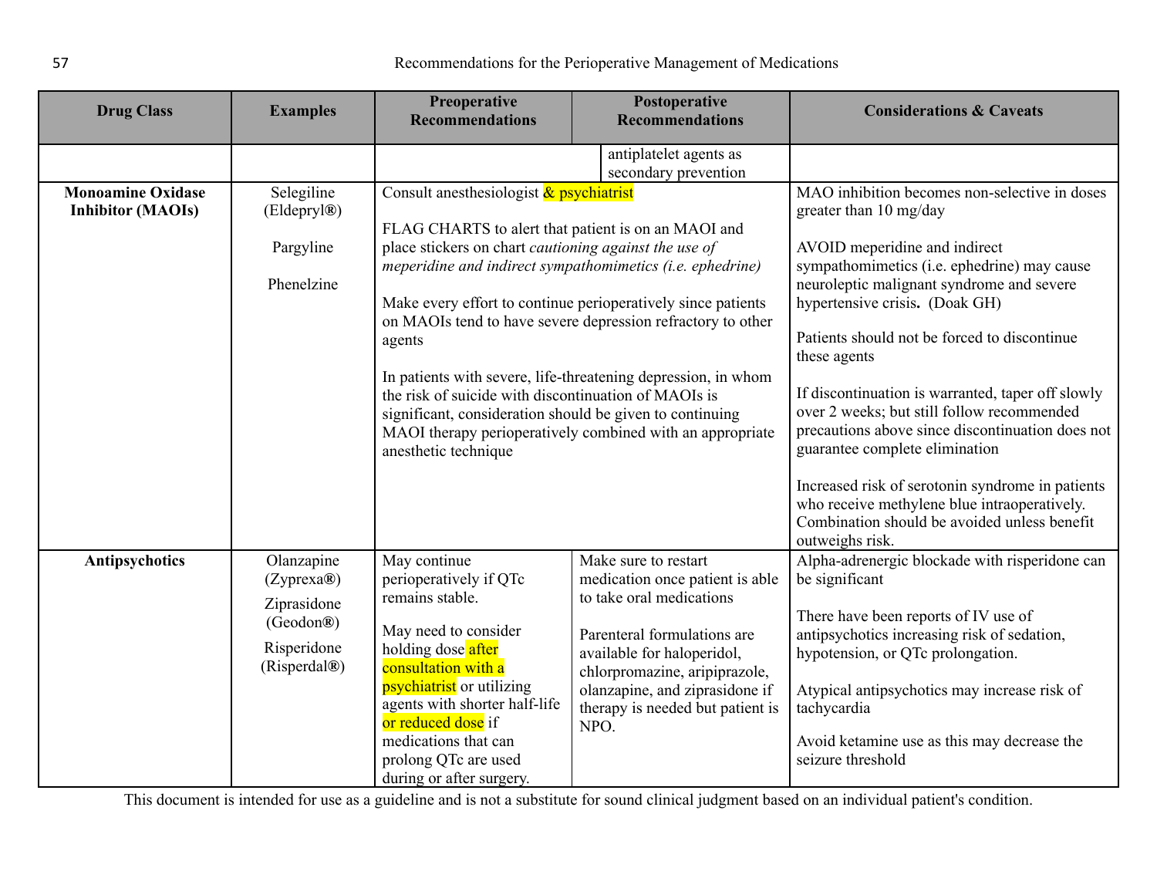| <b>Drug Class</b>                                    | <b>Examples</b>                                                                     | Preoperative<br><b>Recommendations</b>                                                                                                                                                                                                                                                                                                                                                                                                                                                                                                                                                                                                  | Postoperative<br><b>Recommendations</b>                                                                                                                                                                                                                         | <b>Considerations &amp; Caveats</b>                                                                                                                                                                                                                                                                                                                                                                                                                                                                                                                                                                                                                                    |
|------------------------------------------------------|-------------------------------------------------------------------------------------|-----------------------------------------------------------------------------------------------------------------------------------------------------------------------------------------------------------------------------------------------------------------------------------------------------------------------------------------------------------------------------------------------------------------------------------------------------------------------------------------------------------------------------------------------------------------------------------------------------------------------------------------|-----------------------------------------------------------------------------------------------------------------------------------------------------------------------------------------------------------------------------------------------------------------|------------------------------------------------------------------------------------------------------------------------------------------------------------------------------------------------------------------------------------------------------------------------------------------------------------------------------------------------------------------------------------------------------------------------------------------------------------------------------------------------------------------------------------------------------------------------------------------------------------------------------------------------------------------------|
|                                                      |                                                                                     |                                                                                                                                                                                                                                                                                                                                                                                                                                                                                                                                                                                                                                         | antiplatelet agents as<br>secondary prevention                                                                                                                                                                                                                  |                                                                                                                                                                                                                                                                                                                                                                                                                                                                                                                                                                                                                                                                        |
| <b>Monoamine Oxidase</b><br><b>Inhibitor (MAOIs)</b> | Selegiline<br>(Eldepryl®)<br>Pargyline<br>Phenelzine                                | Consult anesthesiologist & psychiatrist<br>FLAG CHARTS to alert that patient is on an MAOI and<br>place stickers on chart cautioning against the use of<br>meperidine and indirect sympathomimetics (i.e. ephedrine)<br>Make every effort to continue perioperatively since patients<br>on MAOIs tend to have severe depression refractory to other<br>agents<br>In patients with severe, life-threatening depression, in whom<br>the risk of suicide with discontinuation of MAOIs is<br>significant, consideration should be given to continuing<br>MAOI therapy perioperatively combined with an appropriate<br>anesthetic technique |                                                                                                                                                                                                                                                                 | MAO inhibition becomes non-selective in doses<br>greater than 10 mg/day<br>AVOID meperidine and indirect<br>sympathomimetics (i.e. ephedrine) may cause<br>neuroleptic malignant syndrome and severe<br>hypertensive crisis. (Doak GH)<br>Patients should not be forced to discontinue<br>these agents<br>If discontinuation is warranted, taper off slowly<br>over 2 weeks; but still follow recommended<br>precautions above since discontinuation does not<br>guarantee complete elimination<br>Increased risk of serotonin syndrome in patients<br>who receive methylene blue intraoperatively.<br>Combination should be avoided unless benefit<br>outweighs risk. |
| Antipsychotics                                       | Olanzapine<br>(Zyprexa@)<br>Ziprasidone<br>(Geodon®)<br>Risperidone<br>(Risperdal®) | May continue<br>perioperatively if QTc<br>remains stable.<br>May need to consider<br>holding dose after<br>consultation with a<br>psychiatrist or utilizing<br>agents with shorter half-life<br>or reduced dose if<br>medications that can<br>prolong QTc are used<br>during or after surgery.                                                                                                                                                                                                                                                                                                                                          | Make sure to restart<br>medication once patient is able<br>to take oral medications<br>Parenteral formulations are<br>available for haloperidol,<br>chlorpromazine, aripiprazole,<br>olanzapine, and ziprasidone if<br>therapy is needed but patient is<br>NPO. | Alpha-adrenergic blockade with risperidone can<br>be significant<br>There have been reports of IV use of<br>antipsychotics increasing risk of sedation,<br>hypotension, or QTc prolongation.<br>Atypical antipsychotics may increase risk of<br>tachycardia<br>Avoid ketamine use as this may decrease the<br>seizure threshold                                                                                                                                                                                                                                                                                                                                        |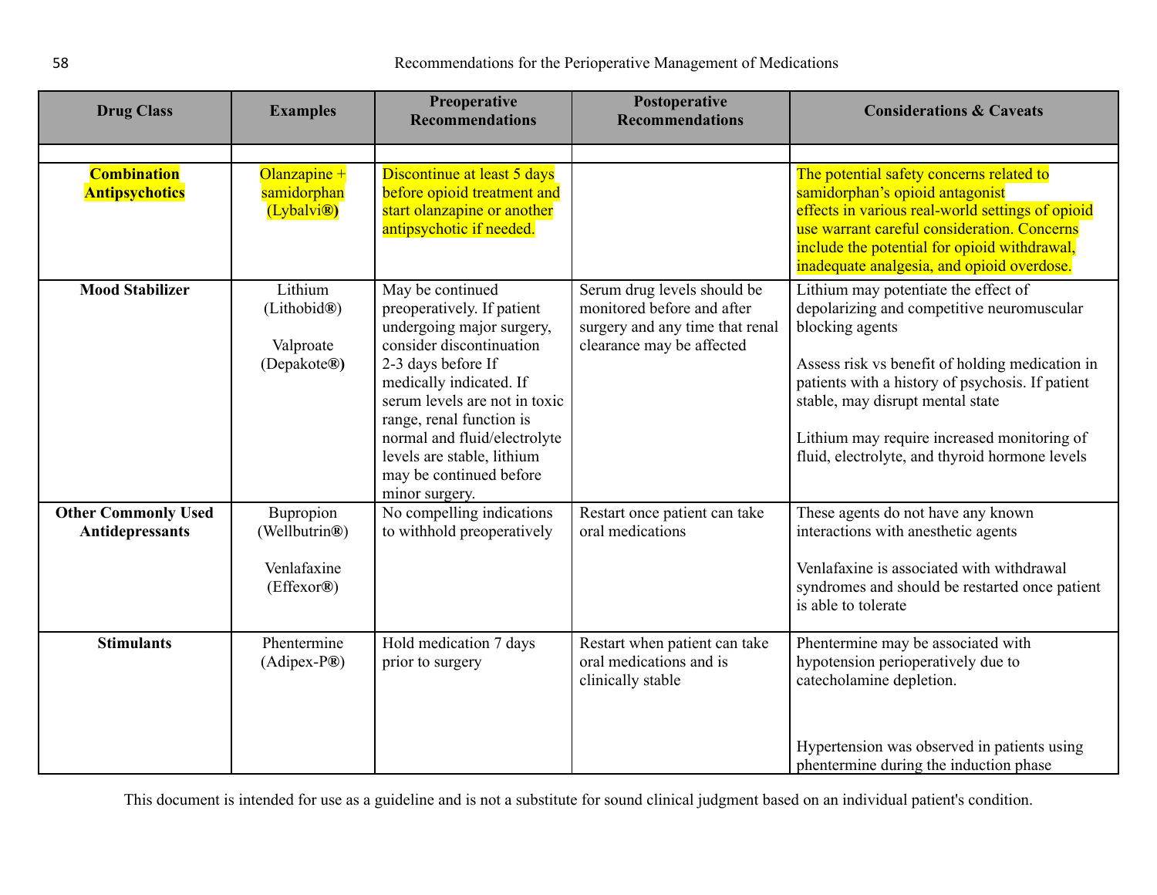| <b>Drug Class</b>          | <b>Examples</b>                        | <b>Preoperative</b><br><b>Recommendations</b>                           | Postoperative<br><b>Recommendations</b>                                       | <b>Considerations &amp; Caveats</b>                                                                                             |
|----------------------------|----------------------------------------|-------------------------------------------------------------------------|-------------------------------------------------------------------------------|---------------------------------------------------------------------------------------------------------------------------------|
| <b>Combination</b>         | Olanzapine +                           | Discontinue at least 5 days                                             |                                                                               |                                                                                                                                 |
| <b>Antipsychotics</b>      | samidorphan<br>(Lybalvi <sup>®</sup> ) | before opioid treatment and<br>start olanzapine or another              |                                                                               | The potential safety concerns related to<br>samidorphan's opioid antagonist<br>effects in various real-world settings of opioid |
|                            |                                        | antipsychotic if needed.                                                |                                                                               | use warrant careful consideration. Concerns                                                                                     |
|                            |                                        |                                                                         |                                                                               | include the potential for opioid withdrawal,<br>inadequate analgesia, and opioid overdose.                                      |
| <b>Mood Stabilizer</b>     | Lithium<br>(Lithobid®)                 | May be continued<br>preoperatively. If patient                          | Serum drug levels should be<br>monitored before and after                     | Lithium may potentiate the effect of<br>depolarizing and competitive neuromuscular                                              |
|                            | Valproate                              | undergoing major surgery,<br>consider discontinuation                   | surgery and any time that renal<br>clearance may be affected                  | blocking agents                                                                                                                 |
|                            | (Depakote®)                            | 2-3 days before If                                                      |                                                                               | Assess risk vs benefit of holding medication in                                                                                 |
|                            |                                        | medically indicated. If<br>serum levels are not in toxic                |                                                                               | patients with a history of psychosis. If patient<br>stable, may disrupt mental state                                            |
|                            |                                        | range, renal function is<br>normal and fluid/electrolyte                |                                                                               | Lithium may require increased monitoring of                                                                                     |
|                            |                                        | levels are stable, lithium<br>may be continued before<br>minor surgery. |                                                                               | fluid, electrolyte, and thyroid hormone levels                                                                                  |
| <b>Other Commonly Used</b> | Bupropion                              | No compelling indications                                               | Restart once patient can take                                                 | These agents do not have any known                                                                                              |
| Antidepressants            | (Wellbutrin®)                          | to withhold preoperatively                                              | oral medications                                                              | interactions with anesthetic agents                                                                                             |
|                            | Venlafaxine<br>(Effexor®)              |                                                                         |                                                                               | Venlafaxine is associated with withdrawal<br>syndromes and should be restarted once patient<br>is able to tolerate              |
| <b>Stimulants</b>          | Phentermine<br>$(Adipex-P®)$           | Hold medication 7 days<br>prior to surgery                              | Restart when patient can take<br>oral medications and is<br>clinically stable | Phentermine may be associated with<br>hypotension perioperatively due to<br>catecholamine depletion.                            |
|                            |                                        |                                                                         |                                                                               | Hypertension was observed in patients using<br>phentermine during the induction phase                                           |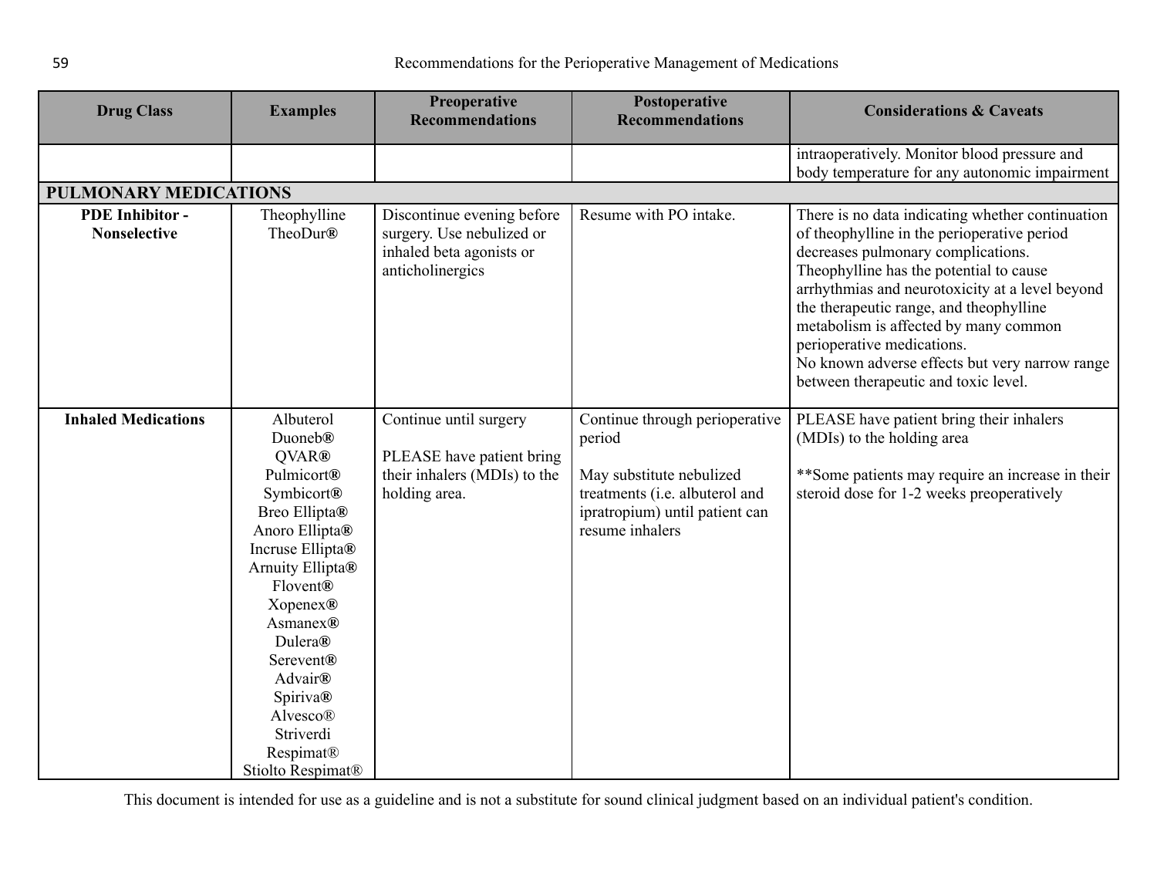<span id="page-58-0"></span>

| <b>Drug Class</b>                             | <b>Examples</b>                                                                                                                                                                                                                                                                                                                 | Preoperative<br><b>Recommendations</b>                                                                  | Postoperative<br><b>Recommendations</b>                                                                                                                     | <b>Considerations &amp; Caveats</b>                                                                                                                                                                                                                                                                                                                                                                                                             |
|-----------------------------------------------|---------------------------------------------------------------------------------------------------------------------------------------------------------------------------------------------------------------------------------------------------------------------------------------------------------------------------------|---------------------------------------------------------------------------------------------------------|-------------------------------------------------------------------------------------------------------------------------------------------------------------|-------------------------------------------------------------------------------------------------------------------------------------------------------------------------------------------------------------------------------------------------------------------------------------------------------------------------------------------------------------------------------------------------------------------------------------------------|
|                                               |                                                                                                                                                                                                                                                                                                                                 |                                                                                                         |                                                                                                                                                             | intraoperatively. Monitor blood pressure and<br>body temperature for any autonomic impairment                                                                                                                                                                                                                                                                                                                                                   |
| <b>PULMONARY MEDICATIONS</b>                  |                                                                                                                                                                                                                                                                                                                                 |                                                                                                         |                                                                                                                                                             |                                                                                                                                                                                                                                                                                                                                                                                                                                                 |
| <b>PDE</b> Inhibitor -<br><b>Nonselective</b> | Theophylline<br>TheoDur®                                                                                                                                                                                                                                                                                                        | Discontinue evening before<br>surgery. Use nebulized or<br>inhaled beta agonists or<br>anticholinergics | Resume with PO intake.                                                                                                                                      | There is no data indicating whether continuation<br>of theophylline in the perioperative period<br>decreases pulmonary complications.<br>Theophylline has the potential to cause<br>arrhythmias and neurotoxicity at a level beyond<br>the therapeutic range, and theophylline<br>metabolism is affected by many common<br>perioperative medications.<br>No known adverse effects but very narrow range<br>between therapeutic and toxic level. |
| <b>Inhaled Medications</b>                    | Albuterol<br>Duoneb <sup>®</sup><br>QVAR®<br><b>Pulmicort®</b><br>Symbicort®<br>Breo Ellipta®<br>Anoro Ellipta®<br>Incruse Ellipta®<br>Arnuity Ellipta®<br>Flovent®<br>Xopenex®<br>Asmanex®<br>Dulera®<br>Serevent <sup>®</sup><br><b>Advair®</b><br><b>Spiriva®</b><br>Alvesco®<br>Striverdi<br>Respimat®<br>Stiolto Respimat® | Continue until surgery<br>PLEASE have patient bring<br>their inhalers (MDIs) to the<br>holding area.    | Continue through perioperative<br>period<br>May substitute nebulized<br>treatments (i.e. albuterol and<br>ipratropium) until patient can<br>resume inhalers | PLEASE have patient bring their inhalers<br>(MDIs) to the holding area<br>**Some patients may require an increase in their<br>steroid dose for 1-2 weeks preoperatively                                                                                                                                                                                                                                                                         |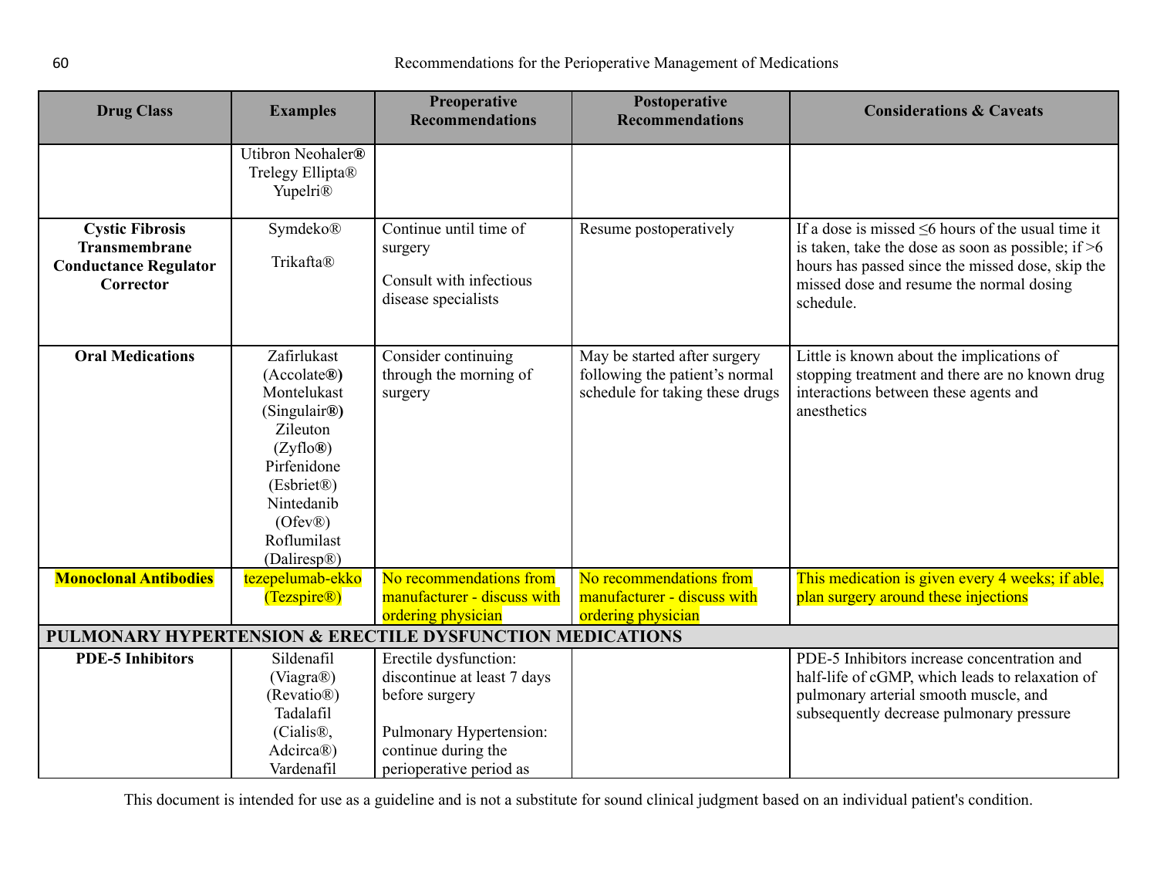| <b>Drug Class</b>                                                                           | <b>Examples</b>                                                                                                                                                                    | <b>Preoperative</b><br><b>Recommendations</b>                                                                                                       | Postoperative<br><b>Recommendations</b>                                                           | <b>Considerations &amp; Caveats</b>                                                                                                                                                                                          |  |  |
|---------------------------------------------------------------------------------------------|------------------------------------------------------------------------------------------------------------------------------------------------------------------------------------|-----------------------------------------------------------------------------------------------------------------------------------------------------|---------------------------------------------------------------------------------------------------|------------------------------------------------------------------------------------------------------------------------------------------------------------------------------------------------------------------------------|--|--|
|                                                                                             | Utibron Neohaler®<br>Trelegy Ellipta®<br>Yupelri <sup>®</sup>                                                                                                                      |                                                                                                                                                     |                                                                                                   |                                                                                                                                                                                                                              |  |  |
| <b>Cystic Fibrosis</b><br><b>Transmembrane</b><br><b>Conductance Regulator</b><br>Corrector | Symdeko®<br>Trikafta®                                                                                                                                                              | Continue until time of<br>surgery<br>Consult with infectious<br>disease specialists                                                                 | Resume postoperatively                                                                            | If a dose is missed $\leq 6$ hours of the usual time it<br>is taken, take the dose as soon as possible; if $>6$<br>hours has passed since the missed dose, skip the<br>missed dose and resume the normal dosing<br>schedule. |  |  |
| <b>Oral Medications</b>                                                                     | Zafirlukast<br>(Accolate@)<br>Montelukast<br>(Singulair <sup>®</sup> )<br>Zileuton<br>(Zyflo@)<br>Pirfenidone<br>(Esbriet®)<br>Nintedanib<br>(Ofev@)<br>Roflumilast<br>(Daliresp®) | Consider continuing<br>through the morning of<br>surgery                                                                                            | May be started after surgery<br>following the patient's normal<br>schedule for taking these drugs | Little is known about the implications of<br>stopping treatment and there are no known drug<br>interactions between these agents and<br>anesthetics                                                                          |  |  |
| <b>Monoclonal Antibodies</b>                                                                | tezepelumab-ekko<br>(Tezspire <sup>®</sup> )                                                                                                                                       | No recommendations from<br>manufacturer - discuss with<br>ordering physician                                                                        | No recommendations from<br>manufacturer - discuss with<br>ordering physician                      | This medication is given every 4 weeks; if able,<br>plan surgery around these injections                                                                                                                                     |  |  |
|                                                                                             | PULMONARY HYPERTENSION & ERECTILE DYSFUNCTION MEDICATIONS                                                                                                                          |                                                                                                                                                     |                                                                                                   |                                                                                                                                                                                                                              |  |  |
| <b>PDE-5 Inhibitors</b>                                                                     | Sildenafil<br>(Viagra®)<br>(Revatio <sup>®)</sup><br>Tadalafil<br>(Cialis <sup>®</sup> ,<br>Adcirca®)<br>Vardenafil                                                                | Erectile dysfunction:<br>discontinue at least 7 days<br>before surgery<br>Pulmonary Hypertension:<br>continue during the<br>perioperative period as |                                                                                                   | PDE-5 Inhibitors increase concentration and<br>half-life of cGMP, which leads to relaxation of<br>pulmonary arterial smooth muscle, and<br>subsequently decrease pulmonary pressure                                          |  |  |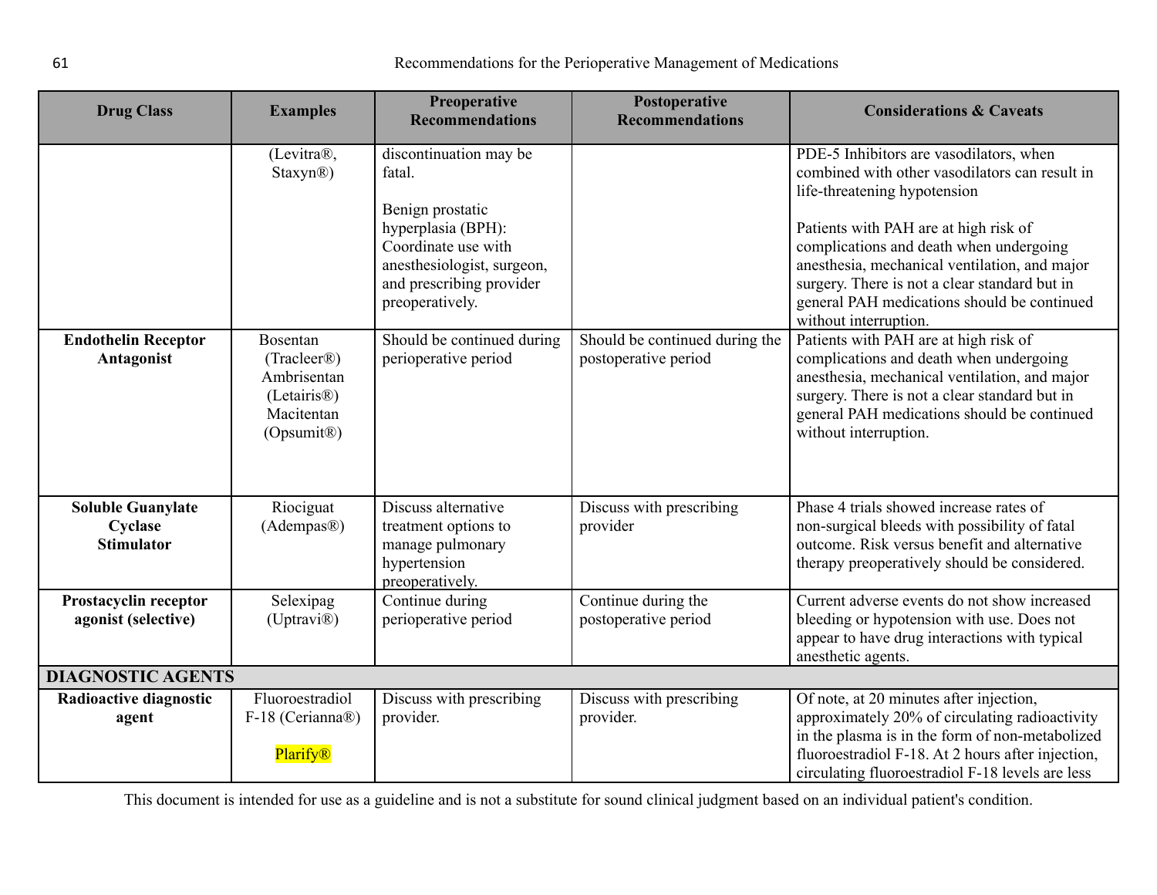<span id="page-60-0"></span>

| <b>Drug Class</b>                                        | <b>Examples</b>                                                                                                                                                  | Preoperative<br><b>Recommendations</b>                                                                                                                                                                                               | Postoperative<br><b>Recommendations</b>                | <b>Considerations &amp; Caveats</b>                                                                                                                                                                                                                                                                                                                                                                                                                                                                                                                                                                                                                   |  |
|----------------------------------------------------------|------------------------------------------------------------------------------------------------------------------------------------------------------------------|--------------------------------------------------------------------------------------------------------------------------------------------------------------------------------------------------------------------------------------|--------------------------------------------------------|-------------------------------------------------------------------------------------------------------------------------------------------------------------------------------------------------------------------------------------------------------------------------------------------------------------------------------------------------------------------------------------------------------------------------------------------------------------------------------------------------------------------------------------------------------------------------------------------------------------------------------------------------------|--|
| <b>Endothelin Receptor</b><br>Antagonist                 | (Levitra®,<br>Staxyn <sup>®</sup> )<br><b>Bosentan</b><br>(Traceer <sup>®</sup> )<br>Ambrisentan<br>$(Letairis\otimes)$<br>Macitentan<br>(Opsumit <sup>®</sup> ) | discontinuation may be<br>fatal.<br>Benign prostatic<br>hyperplasia (BPH):<br>Coordinate use with<br>anesthesiologist, surgeon,<br>and prescribing provider<br>preoperatively.<br>Should be continued during<br>perioperative period | Should be continued during the<br>postoperative period | PDE-5 Inhibitors are vasodilators, when<br>combined with other vasodilators can result in<br>life-threatening hypotension<br>Patients with PAH are at high risk of<br>complications and death when undergoing<br>anesthesia, mechanical ventilation, and major<br>surgery. There is not a clear standard but in<br>general PAH medications should be continued<br>without interruption.<br>Patients with PAH are at high risk of<br>complications and death when undergoing<br>anesthesia, mechanical ventilation, and major<br>surgery. There is not a clear standard but in<br>general PAH medications should be continued<br>without interruption. |  |
| <b>Soluble Guanylate</b><br>Cyclase<br><b>Stimulator</b> | Riociguat<br>(Adempas®)                                                                                                                                          | Discuss alternative<br>treatment options to<br>manage pulmonary<br>hypertension<br>preoperatively.                                                                                                                                   | Discuss with prescribing<br>provider                   | Phase 4 trials showed increase rates of<br>non-surgical bleeds with possibility of fatal<br>outcome. Risk versus benefit and alternative<br>therapy preoperatively should be considered.                                                                                                                                                                                                                                                                                                                                                                                                                                                              |  |
| Prostacyclin receptor<br>agonist (selective)             | Selexipag<br>(Uptravi <sup>®</sup> )                                                                                                                             | Continue during<br>perioperative period                                                                                                                                                                                              | Continue during the<br>postoperative period            | Current adverse events do not show increased<br>bleeding or hypotension with use. Does not<br>appear to have drug interactions with typical<br>anesthetic agents.                                                                                                                                                                                                                                                                                                                                                                                                                                                                                     |  |
| <b>DIAGNOSTIC AGENTS</b>                                 |                                                                                                                                                                  |                                                                                                                                                                                                                                      |                                                        |                                                                                                                                                                                                                                                                                                                                                                                                                                                                                                                                                                                                                                                       |  |
| Radioactive diagnostic<br>agent                          | Fluoroestradiol<br>F-18 (Cerianna®)<br>Plarify®                                                                                                                  | Discuss with prescribing<br>provider.                                                                                                                                                                                                | Discuss with prescribing<br>provider.                  | Of note, at 20 minutes after injection,<br>approximately 20% of circulating radioactivity<br>in the plasma is in the form of non-metabolized<br>fluoroestradiol F-18. At 2 hours after injection,<br>circulating fluoroestradiol F-18 levels are less                                                                                                                                                                                                                                                                                                                                                                                                 |  |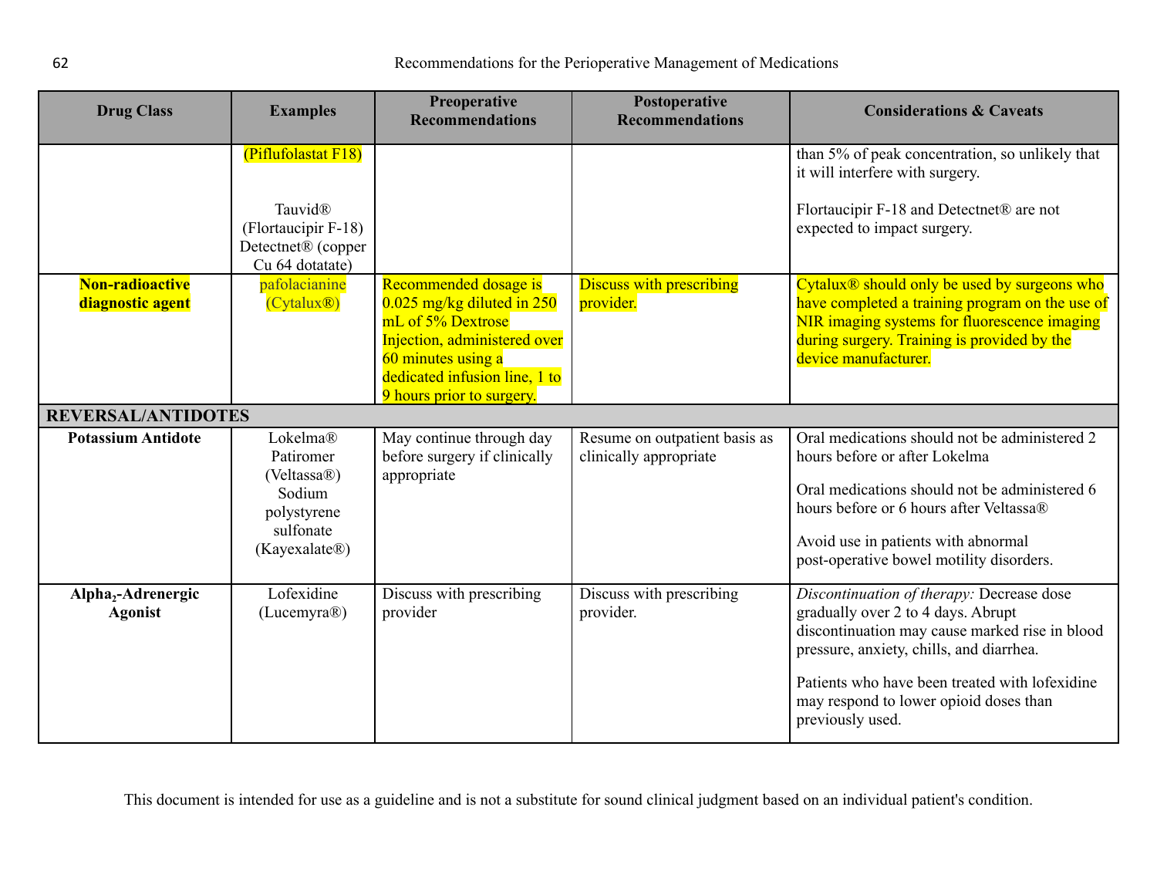| <b>Drug Class</b>                                | <b>Examples</b>                                                                                            | Preoperative<br><b>Recommendations</b>                                                                                                                                                         | Postoperative<br><b>Recommendations</b>                 | <b>Considerations &amp; Caveats</b>                                                                                                                                                                                                                                                           |
|--------------------------------------------------|------------------------------------------------------------------------------------------------------------|------------------------------------------------------------------------------------------------------------------------------------------------------------------------------------------------|---------------------------------------------------------|-----------------------------------------------------------------------------------------------------------------------------------------------------------------------------------------------------------------------------------------------------------------------------------------------|
|                                                  | (Piflufolastat F18)<br>Tauvid®<br>(Flortaucipir F-18)<br>Detectnet <sup>®</sup> (copper<br>Cu 64 dotatate) |                                                                                                                                                                                                |                                                         | than 5% of peak concentration, so unlikely that<br>it will interfere with surgery.<br>Flortaucipir F-18 and Detectnet® are not<br>expected to impact surgery.                                                                                                                                 |
| Non-radioactive<br>diagnostic agent              | pafolacianine<br>(Cytalux@)                                                                                | Recommended dosage is<br>$0.025$ mg/kg diluted in 250<br>mL of 5% Dextrose<br>Injection, administered over<br>60 minutes using a<br>dedicated infusion line, 1 to<br>9 hours prior to surgery. | <b>Discuss with prescribing</b><br>provider.            | Cytalux <sup>®</sup> should only be used by surgeons who<br>have completed a training program on the use of<br>NIR imaging systems for fluorescence imaging<br>during surgery. Training is provided by the<br>device manufacturer.                                                            |
| <b>REVERSAL/ANTIDOTES</b>                        |                                                                                                            |                                                                                                                                                                                                |                                                         |                                                                                                                                                                                                                                                                                               |
| <b>Potassium Antidote</b>                        | Lokelma®<br>Patiromer<br>(Veltassa $\circledR$ )<br>Sodium<br>polystyrene<br>sulfonate<br>(Kayexalate®)    | May continue through day<br>before surgery if clinically<br>appropriate                                                                                                                        | Resume on outpatient basis as<br>clinically appropriate | Oral medications should not be administered 2<br>hours before or after Lokelma<br>Oral medications should not be administered 6<br>hours before or 6 hours after Veltassa®<br>Avoid use in patients with abnormal<br>post-operative bowel motility disorders.                                 |
| Alpha <sub>2</sub> -Adrenergic<br><b>Agonist</b> | Lofexidine<br>(Lucemyra®)                                                                                  | Discuss with prescribing<br>provider                                                                                                                                                           | Discuss with prescribing<br>provider.                   | Discontinuation of therapy: Decrease dose<br>gradually over 2 to 4 days. Abrupt<br>discontinuation may cause marked rise in blood<br>pressure, anxiety, chills, and diarrhea.<br>Patients who have been treated with lofexidine<br>may respond to lower opioid doses than<br>previously used. |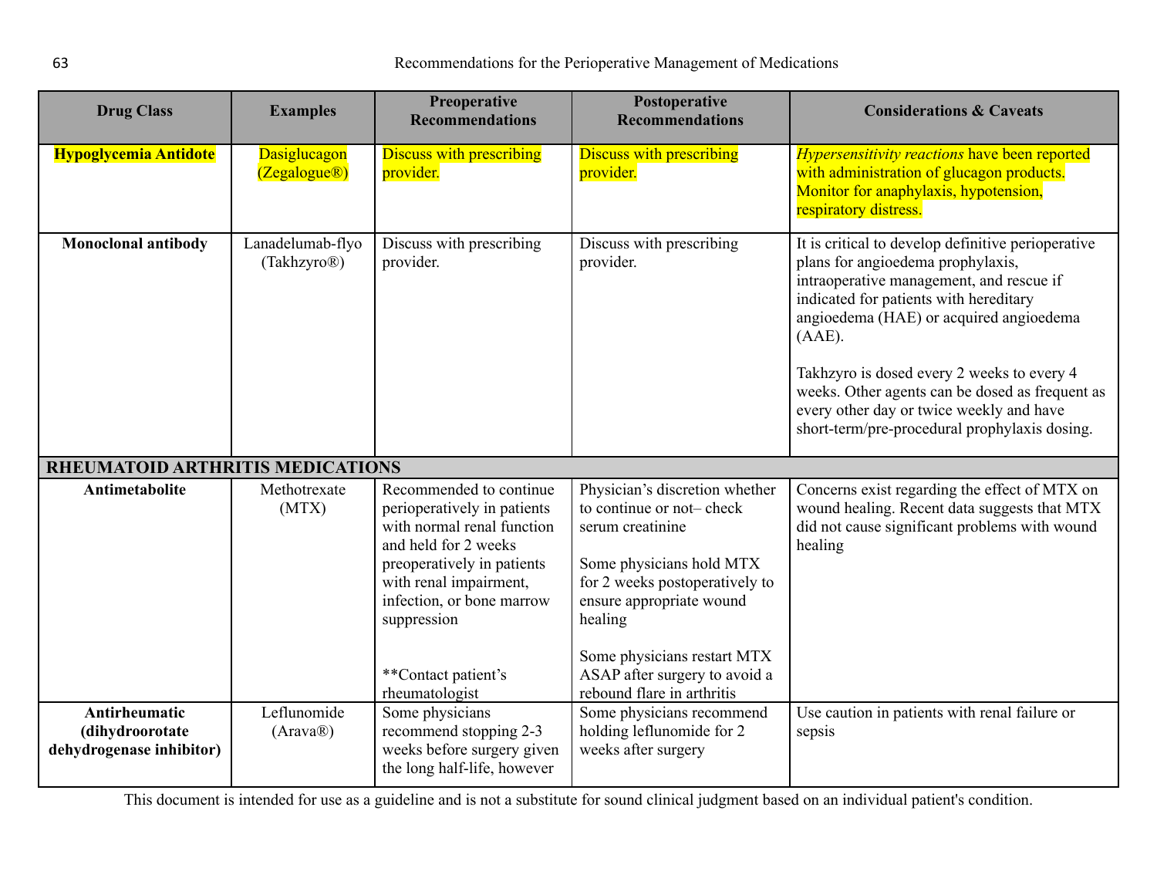<span id="page-62-0"></span>

| <b>Drug Class</b>                                            | <b>Examples</b>                              | <b>Preoperative</b><br><b>Recommendations</b>                                                                                                                                                                                                             | Postoperative<br><b>Recommendations</b>                                                                                                                                                                                                                                           | <b>Considerations &amp; Caveats</b>                                                                                                                                                                                                                                                                                                                                                                                                 |
|--------------------------------------------------------------|----------------------------------------------|-----------------------------------------------------------------------------------------------------------------------------------------------------------------------------------------------------------------------------------------------------------|-----------------------------------------------------------------------------------------------------------------------------------------------------------------------------------------------------------------------------------------------------------------------------------|-------------------------------------------------------------------------------------------------------------------------------------------------------------------------------------------------------------------------------------------------------------------------------------------------------------------------------------------------------------------------------------------------------------------------------------|
| <b>Hypoglycemia Antidote</b>                                 | Dasiglucagon<br>(Zegalogue@)                 | <b>Discuss with prescribing</b><br>provider.                                                                                                                                                                                                              | <b>Discuss with prescribing</b><br>provider.                                                                                                                                                                                                                                      | <b>Hypersensitivity reactions have been reported</b><br>with administration of glucagon products.<br>Monitor for anaphylaxis, hypotension,<br>respiratory distress.                                                                                                                                                                                                                                                                 |
| <b>Monoclonal antibody</b>                                   | Lanadelumab-flyo<br>(Takhzyro <sup>®</sup> ) | Discuss with prescribing<br>provider.                                                                                                                                                                                                                     | Discuss with prescribing<br>provider.                                                                                                                                                                                                                                             | It is critical to develop definitive perioperative<br>plans for angioedema prophylaxis,<br>intraoperative management, and rescue if<br>indicated for patients with hereditary<br>angioedema (HAE) or acquired angioedema<br>$(AAE)$ .<br>Takhzyro is dosed every 2 weeks to every 4<br>weeks. Other agents can be dosed as frequent as<br>every other day or twice weekly and have<br>short-term/pre-procedural prophylaxis dosing. |
| <b>RHEUMATOID ARTHRITIS MEDICATIONS</b>                      |                                              |                                                                                                                                                                                                                                                           |                                                                                                                                                                                                                                                                                   |                                                                                                                                                                                                                                                                                                                                                                                                                                     |
| Antimetabolite                                               | Methotrexate<br>(MTX)                        | Recommended to continue<br>perioperatively in patients<br>with normal renal function<br>and held for 2 weeks<br>preoperatively in patients<br>with renal impairment,<br>infection, or bone marrow<br>suppression<br>**Contact patient's<br>rheumatologist | Physician's discretion whether<br>to continue or not-check<br>serum creatinine<br>Some physicians hold MTX<br>for 2 weeks postoperatively to<br>ensure appropriate wound<br>healing<br>Some physicians restart MTX<br>ASAP after surgery to avoid a<br>rebound flare in arthritis | Concerns exist regarding the effect of MTX on<br>wound healing. Recent data suggests that MTX<br>did not cause significant problems with wound<br>healing                                                                                                                                                                                                                                                                           |
| Antirheumatic<br>(dihydroorotate<br>dehydrogenase inhibitor) | Leflunomide<br>(Arawa@)                      | Some physicians<br>recommend stopping 2-3<br>weeks before surgery given<br>the long half-life, however                                                                                                                                                    | Some physicians recommend<br>holding leflunomide for 2<br>weeks after surgery                                                                                                                                                                                                     | Use caution in patients with renal failure or<br>sepsis                                                                                                                                                                                                                                                                                                                                                                             |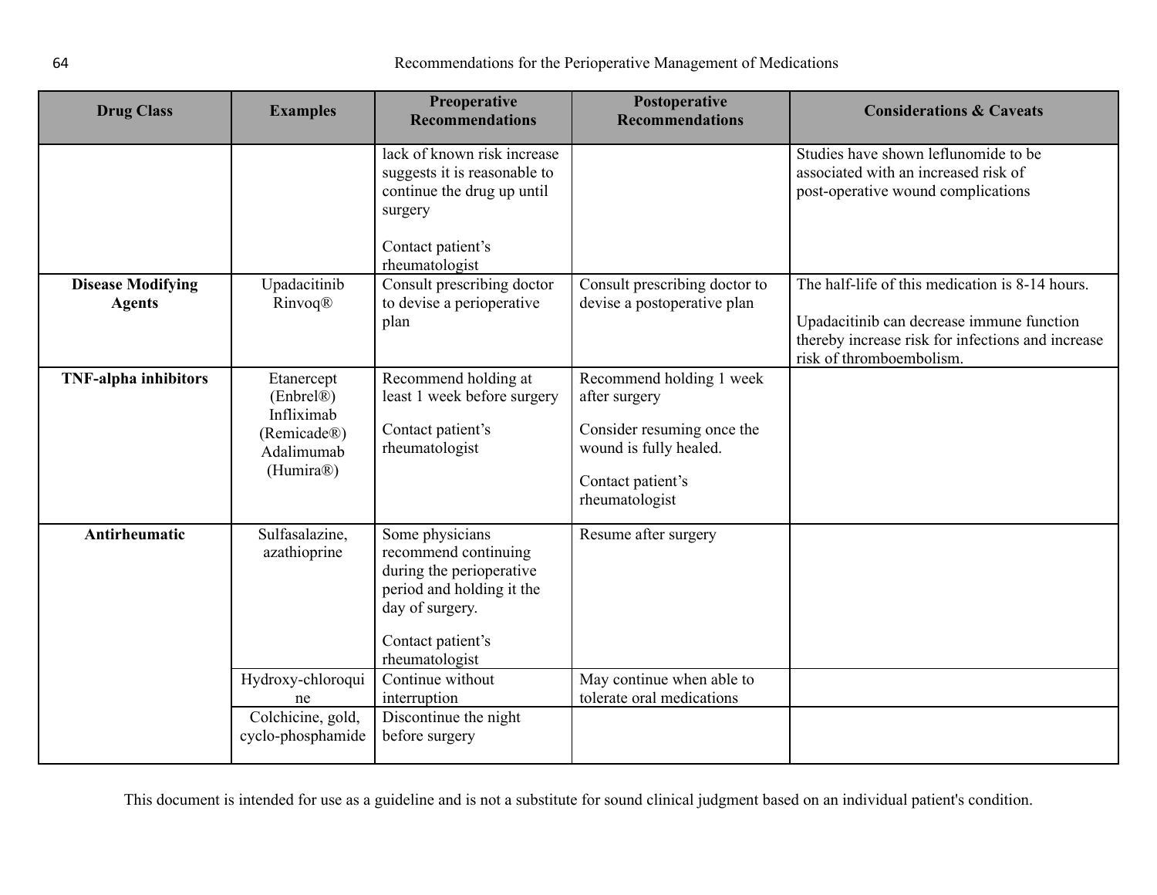| <b>Drug Class</b>                         | <b>Examples</b>                                                            | <b>Preoperative</b><br><b>Recommendations</b>                                                                                                              | Postoperative<br><b>Recommendations</b>                                                                                                  | <b>Considerations &amp; Caveats</b>                                                                                                                                           |
|-------------------------------------------|----------------------------------------------------------------------------|------------------------------------------------------------------------------------------------------------------------------------------------------------|------------------------------------------------------------------------------------------------------------------------------------------|-------------------------------------------------------------------------------------------------------------------------------------------------------------------------------|
|                                           |                                                                            | lack of known risk increase<br>suggests it is reasonable to<br>continue the drug up until<br>surgery<br>Contact patient's<br>rheumatologist                |                                                                                                                                          | Studies have shown leflunomide to be<br>associated with an increased risk of<br>post-operative wound complications                                                            |
| <b>Disease Modifying</b><br><b>Agents</b> | Upadacitinib<br>Rinvoq®                                                    | Consult prescribing doctor<br>to devise a perioperative<br>plan                                                                                            | Consult prescribing doctor to<br>devise a postoperative plan                                                                             | The half-life of this medication is 8-14 hours.<br>Upadacitinib can decrease immune function<br>thereby increase risk for infections and increase<br>risk of thromboembolism. |
| <b>TNF-alpha inhibitors</b>               | Etanercept<br>$(Enbrel\mathbb{R})Infliximab(Remicade®)Adalimumab(Humira®)$ | Recommend holding at<br>least 1 week before surgery<br>Contact patient's<br>rheumatologist                                                                 | Recommend holding 1 week<br>after surgery<br>Consider resuming once the<br>wound is fully healed.<br>Contact patient's<br>rheumatologist |                                                                                                                                                                               |
| Antirheumatic                             | Sulfasalazine,<br>azathioprine                                             | Some physicians<br>recommend continuing<br>during the perioperative<br>period and holding it the<br>day of surgery.<br>Contact patient's<br>rheumatologist | Resume after surgery                                                                                                                     |                                                                                                                                                                               |
|                                           | Hydroxy-chloroqui<br>ne                                                    | Continue without<br>interruption                                                                                                                           | May continue when able to<br>tolerate oral medications                                                                                   |                                                                                                                                                                               |
|                                           | Colchicine, gold,<br>cyclo-phosphamide                                     | Discontinue the night<br>before surgery                                                                                                                    |                                                                                                                                          |                                                                                                                                                                               |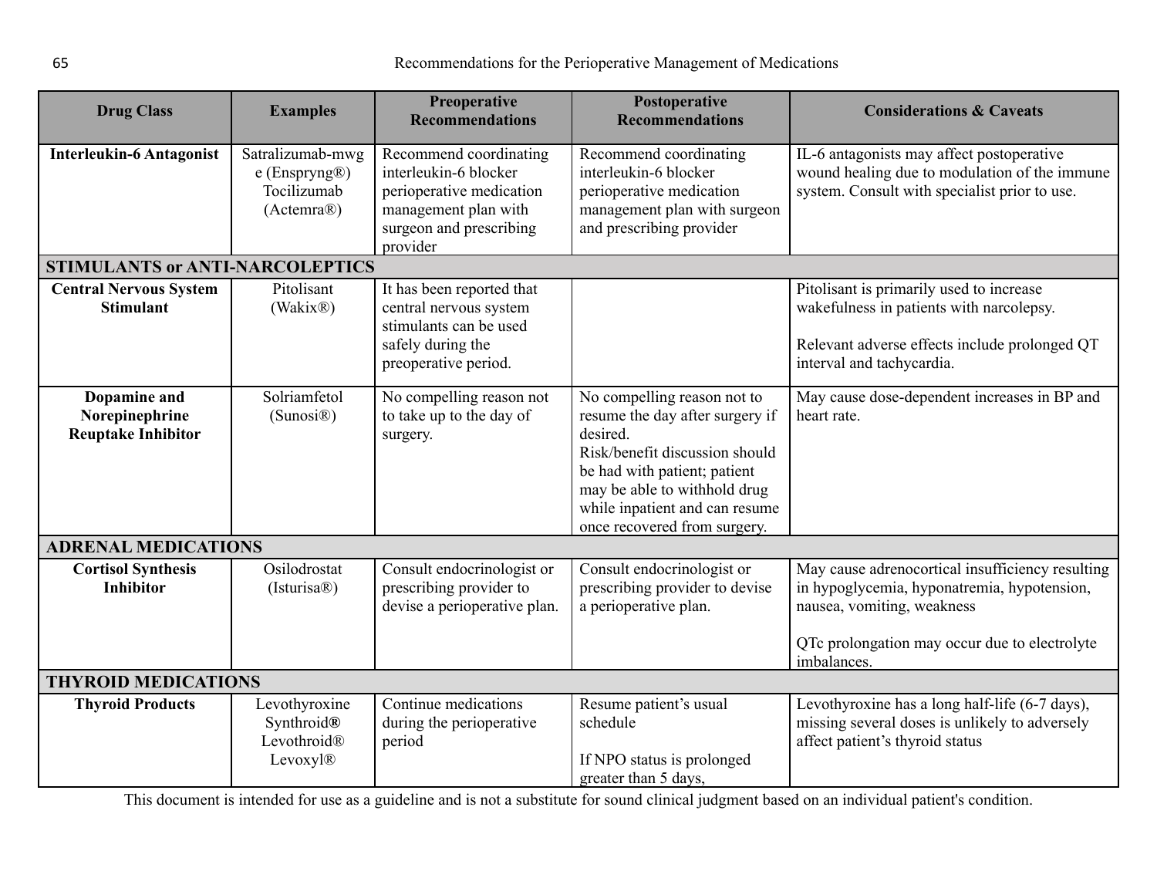<span id="page-64-2"></span><span id="page-64-1"></span><span id="page-64-0"></span>

| <b>Drug Class</b>                                           | <b>Examples</b>                                                  | Preoperative<br><b>Recommendations</b>                                                                                                     | Postoperative<br><b>Recommendations</b>                                                                                                                                                                                                        | <b>Considerations &amp; Caveats</b>                                                                                                                                            |  |
|-------------------------------------------------------------|------------------------------------------------------------------|--------------------------------------------------------------------------------------------------------------------------------------------|------------------------------------------------------------------------------------------------------------------------------------------------------------------------------------------------------------------------------------------------|--------------------------------------------------------------------------------------------------------------------------------------------------------------------------------|--|
| <b>Interleukin-6 Antagonist</b>                             | Satralizumab-mwg<br>$e$ (Enspryng®)<br>Tocilizumab<br>(Actemra®) | Recommend coordinating<br>interleukin-6 blocker<br>perioperative medication<br>management plan with<br>surgeon and prescribing<br>provider | Recommend coordinating<br>interleukin-6 blocker<br>perioperative medication<br>management plan with surgeon<br>and prescribing provider                                                                                                        | IL-6 antagonists may affect postoperative<br>wound healing due to modulation of the immune<br>system. Consult with specialist prior to use.                                    |  |
| <b>STIMULANTS or ANTI-NARCOLEPTICS</b>                      |                                                                  |                                                                                                                                            |                                                                                                                                                                                                                                                |                                                                                                                                                                                |  |
| <b>Central Nervous System</b><br><b>Stimulant</b>           | Pitolisant<br>(Wakix <sup>®</sup> )                              | It has been reported that<br>central nervous system<br>stimulants can be used<br>safely during the<br>preoperative period.                 |                                                                                                                                                                                                                                                | Pitolisant is primarily used to increase<br>wakefulness in patients with narcolepsy.<br>Relevant adverse effects include prolonged QT<br>interval and tachycardia.             |  |
| Dopamine and<br>Norepinephrine<br><b>Reuptake Inhibitor</b> | Solriamfetol<br>(Sunosi@)                                        | No compelling reason not<br>to take up to the day of<br>surgery.                                                                           | No compelling reason not to<br>resume the day after surgery if<br>desired.<br>Risk/benefit discussion should<br>be had with patient; patient<br>may be able to withhold drug<br>while inpatient and can resume<br>once recovered from surgery. | May cause dose-dependent increases in BP and<br>heart rate.                                                                                                                    |  |
| <b>ADRENAL MEDICATIONS</b>                                  |                                                                  |                                                                                                                                            |                                                                                                                                                                                                                                                |                                                                                                                                                                                |  |
| <b>Cortisol Synthesis</b><br><b>Inhibitor</b>               | Osilodrostat<br>(Isturisa@)                                      | Consult endocrinologist or<br>prescribing provider to<br>devise a perioperative plan.                                                      | Consult endocrinologist or<br>prescribing provider to devise<br>a perioperative plan.                                                                                                                                                          | May cause adrenocortical insufficiency resulting<br>in hypoglycemia, hyponatremia, hypotension,<br>nausea, vomiting, weakness<br>QTc prolongation may occur due to electrolyte |  |
|                                                             |                                                                  |                                                                                                                                            |                                                                                                                                                                                                                                                | imbalances.                                                                                                                                                                    |  |
| <b>THYROID MEDICATIONS</b>                                  |                                                                  |                                                                                                                                            |                                                                                                                                                                                                                                                |                                                                                                                                                                                |  |
| <b>Thyroid Products</b>                                     | Levothyroxine<br>Synthroid®<br>Levothroid®<br>Levoxyl®           | Continue medications<br>during the perioperative<br>period                                                                                 | Resume patient's usual<br>schedule<br>If NPO status is prolonged<br>greater than 5 days,                                                                                                                                                       | Levothyroxine has a long half-life (6-7 days),<br>missing several doses is unlikely to adversely<br>affect patient's thyroid status                                            |  |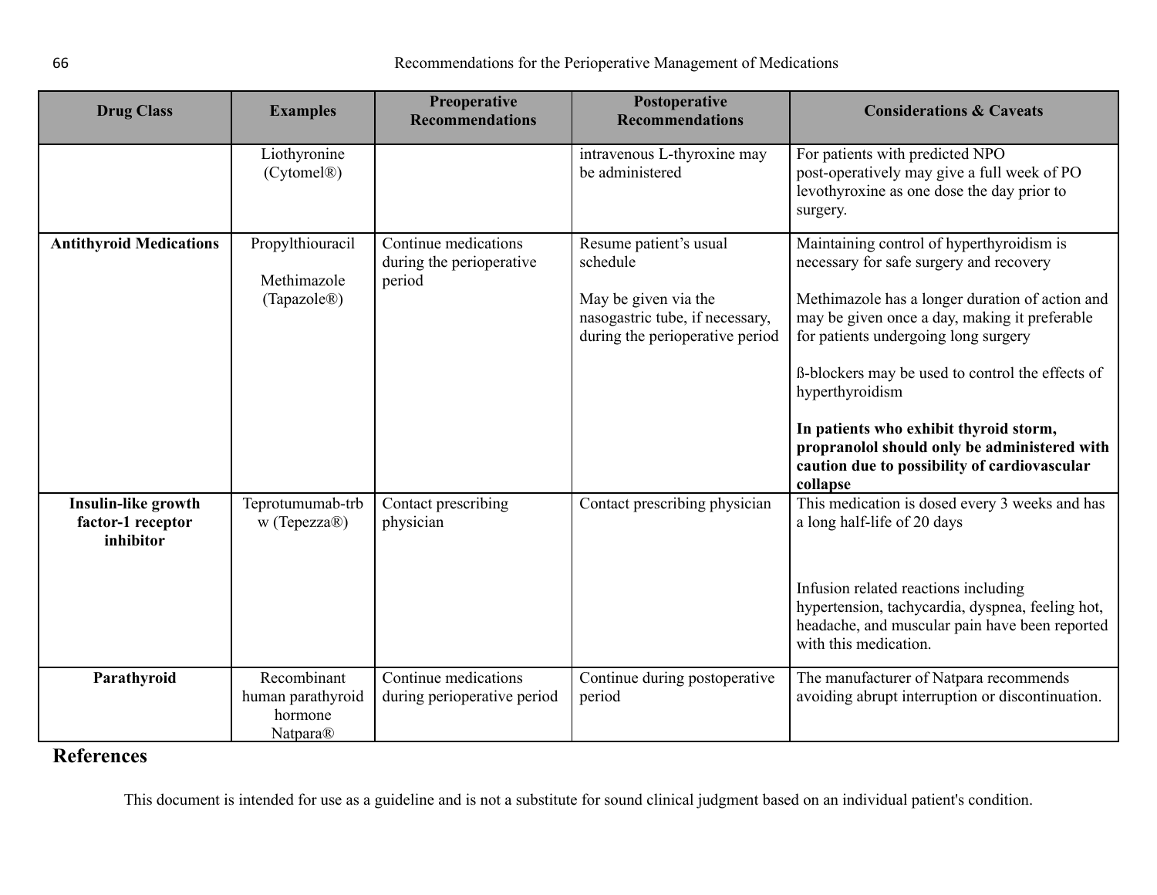| <b>Drug Class</b>                                     | <b>Examples</b>                                         | Preoperative<br><b>Recommendations</b>                     | Postoperative<br><b>Recommendations</b>                                                                                          | <b>Considerations &amp; Caveats</b>                                                                                                                                                                                                                                                                                                                                                                                                                           |
|-------------------------------------------------------|---------------------------------------------------------|------------------------------------------------------------|----------------------------------------------------------------------------------------------------------------------------------|---------------------------------------------------------------------------------------------------------------------------------------------------------------------------------------------------------------------------------------------------------------------------------------------------------------------------------------------------------------------------------------------------------------------------------------------------------------|
|                                                       | Liothyronine<br>(Cytomel <sup>®</sup> )                 |                                                            | intravenous L-thyroxine may<br>be administered                                                                                   | For patients with predicted NPO<br>post-operatively may give a full week of PO<br>levothyroxine as one dose the day prior to<br>surgery.                                                                                                                                                                                                                                                                                                                      |
| <b>Antithyroid Medications</b>                        | Propylthiouracil<br>Methimazole<br>(Tapazole®)          | Continue medications<br>during the perioperative<br>period | Resume patient's usual<br>schedule<br>May be given via the<br>nasogastric tube, if necessary,<br>during the perioperative period | Maintaining control of hyperthyroidism is<br>necessary for safe surgery and recovery<br>Methimazole has a longer duration of action and<br>may be given once a day, making it preferable<br>for patients undergoing long surgery<br>ß-blockers may be used to control the effects of<br>hyperthyroidism<br>In patients who exhibit thyroid storm,<br>propranolol should only be administered with<br>caution due to possibility of cardiovascular<br>collapse |
| Insulin-like growth<br>factor-1 receptor<br>inhibitor | Teprotumumab-trb<br>w (Tepezza®)                        | Contact prescribing<br>physician                           | Contact prescribing physician                                                                                                    | This medication is dosed every 3 weeks and has<br>a long half-life of 20 days<br>Infusion related reactions including<br>hypertension, tachycardia, dyspnea, feeling hot,<br>headache, and muscular pain have been reported<br>with this medication.                                                                                                                                                                                                          |
| Parathyroid                                           | Recombinant<br>human parathyroid<br>hormone<br>Natpara® | Continue medications<br>during perioperative period        | Continue during postoperative<br>period                                                                                          | The manufacturer of Natpara recommends<br>avoiding abrupt interruption or discontinuation.                                                                                                                                                                                                                                                                                                                                                                    |

## **References**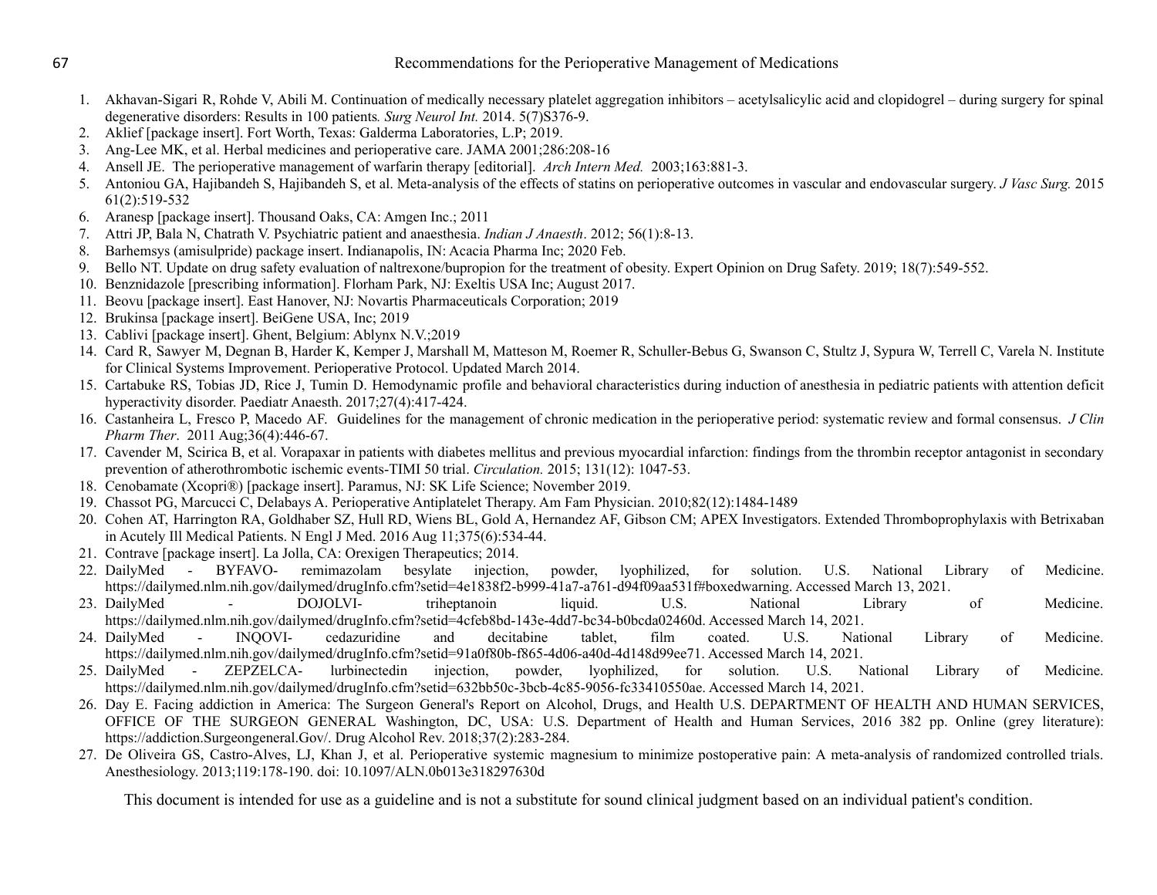1. Akhavan-Sigari R, Rohde V, Abili M. Continuation of medically necessary platelet aggregation inhibitors – acetylsalicylic acid and clopidogrel – during surgery for spinal degenerative disorders: Results in 100 patients*. Surg Neurol Int.* 2014. 5(7)S376-9.

- 2. Aklief [package insert]. Fort Worth, Texas: Galderma Laboratories, L.P; 2019.
- 3. Ang-Lee MK, et al. Herbal medicines and perioperative care. JAMA 2001;286:208-16
- 4. Ansell JE. The perioperative management of warfarin therapy [editorial]. *Arch Intern Med.* 2003;163:881-3.
- 5. Antoniou GA, Hajibandeh S, Hajibandeh S, et al. Meta-analysis of the effects of statins on perioperative outcomes in vascular and endovascular surgery. *J Vasc Surg.* 2015 61(2):519-532
- 6. Aranesp [package insert]. Thousand Oaks, CA: Amgen Inc.; 2011
- 7. Attri JP, Bala N, Chatrath V. Psychiatric patient and anaesthesia. *Indian J Anaesth*. 2012; 56(1):8-13.
- 8. Barhemsys (amisulpride) package insert. Indianapolis, IN: Acacia Pharma Inc; 2020 Feb.
- 9. Bello NT. Update on drug safety evaluation of naltrexone/bupropion for the treatment of obesity. Expert Opinion on Drug Safety. 2019; 18(7):549-552.
- 10. Benznidazole [prescribing information]. Florham Park, NJ: Exeltis USA Inc; August 2017.
- 11. Beovu [package insert]. East Hanover, NJ: Novartis Pharmaceuticals Corporation; 2019
- 12. Brukinsa [package insert]. BeiGene USA, Inc; 2019
- 13. Cablivi [package insert]. Ghent, Belgium: Ablynx N.V.;2019
- 14. Card R, Sawyer M, Degnan B, Harder K, Kemper J, Marshall M, Matteson M, Roemer R, Schuller-Bebus G, Swanson C, Stultz J, Sypura W, Terrell C, Varela N. Institute for Clinical Systems Improvement. Perioperative Protocol. Updated March 2014.
- 15. Cartabuke RS, Tobias JD, Rice J, Tumin D. Hemodynamic profile and behavioral characteristics during induction of anesthesia in pediatric patients with attention deficit hyperactivity disorder. Paediatr Anaesth. 2017;27(4):417-424.
- 16. Castanheira L, Fresco P, Macedo AF. Guidelines for the management of chronic medication in the perioperative period: systematic review and formal consensus. *J Clin Pharm Ther*. 2011 Aug;36(4):446-67.
- 17. Cavender M, Scirica B, et al. Vorapaxar in patients with diabetes mellitus and previous myocardial infarction: findings from the thrombin receptor antagonist in secondary prevention of atherothrombotic ischemic events-TIMI 50 trial. *Circulation.* 2015; 131(12): 1047-53.
- 18. Cenobamate (Xcopri®) [package insert]. Paramus, NJ: SK Life Science; November 2019.
- 19. Chassot PG, Marcucci C, Delabays A. Perioperative Antiplatelet Therapy. Am Fam Physician. 2010;82(12):1484-1489
- 20. Cohen AT, Harrington RA, Goldhaber SZ, Hull RD, Wiens BL, Gold A, Hernandez AF, Gibson CM; APEX Investigators. Extended Thromboprophylaxis with Betrixaban in Acutely Ill Medical Patients. N Engl J Med. 2016 Aug 11;375(6):534-44.
- 21. Contrave [package insert]. La Jolla, CA: Orexigen Therapeutics; 2014.
- 22. DailyMed BYFAVO- remimazolam besylate injection, powder, lyophilized, for solution. U.S. National Library of Medicine. https://dailymed.nlm.nih.gov/dailymed/drugInfo.cfm?setid=4e1838f2-b999-41a7-a761-d94f09aa531f#boxedwarning. Accessed March 13, 2021.
- 23. DailyMed DOJOLVI- triheptanoin liquid. U.S. National Library of Medicine. https://dailymed.nlm.nih.gov/dailymed/drugInfo.cfm?setid=4cfeb8bd-143e-4dd7-bc34-b0bcda02460d. Accessed March 14, 2021.
- 24. DailyMed INQOVI- cedazuridine and decitabine tablet, film coated. U.S. National Library of Medicine. https://dailymed.nlm.nih.gov/dailymed/drugInfo.cfm?setid=91a0f80b-f865-4d06-a40d-4d148d99ee71. Accessed March 14, 2021.
- 25. DailyMed ZEPZELCA- lurbinectedin injection, powder, lyophilized, for solution. U.S. National Library of Medicine. https://dailymed.nlm.nih.gov/dailymed/drugInfo.cfm?setid=632bb50c-3bcb-4c85-9056-fc33410550ae. Accessed March 14, 2021.
- 26. Day E. Facing addiction in America: The Surgeon General's Report on Alcohol, Drugs, and Health U.S. DEPARTMENT OF HEALTH AND HUMAN SERVICES, OFFICE OF THE SURGEON GENERAL Washington, DC, USA: U.S. Department of Health and Human Services, 2016 382 pp. Online (grey literature): https://addiction.Surgeongeneral.Gov/. Drug Alcohol Rev. 2018;37(2):283-284.
- 27. De Oliveira GS, Castro-Alves, LJ, Khan J, et al. Perioperative systemic magnesium to minimize postoperative pain: A meta-analysis of randomized controlled trials. Anesthesiology. 2013;119:178-190. doi: 10.1097/ALN.0b013e318297630d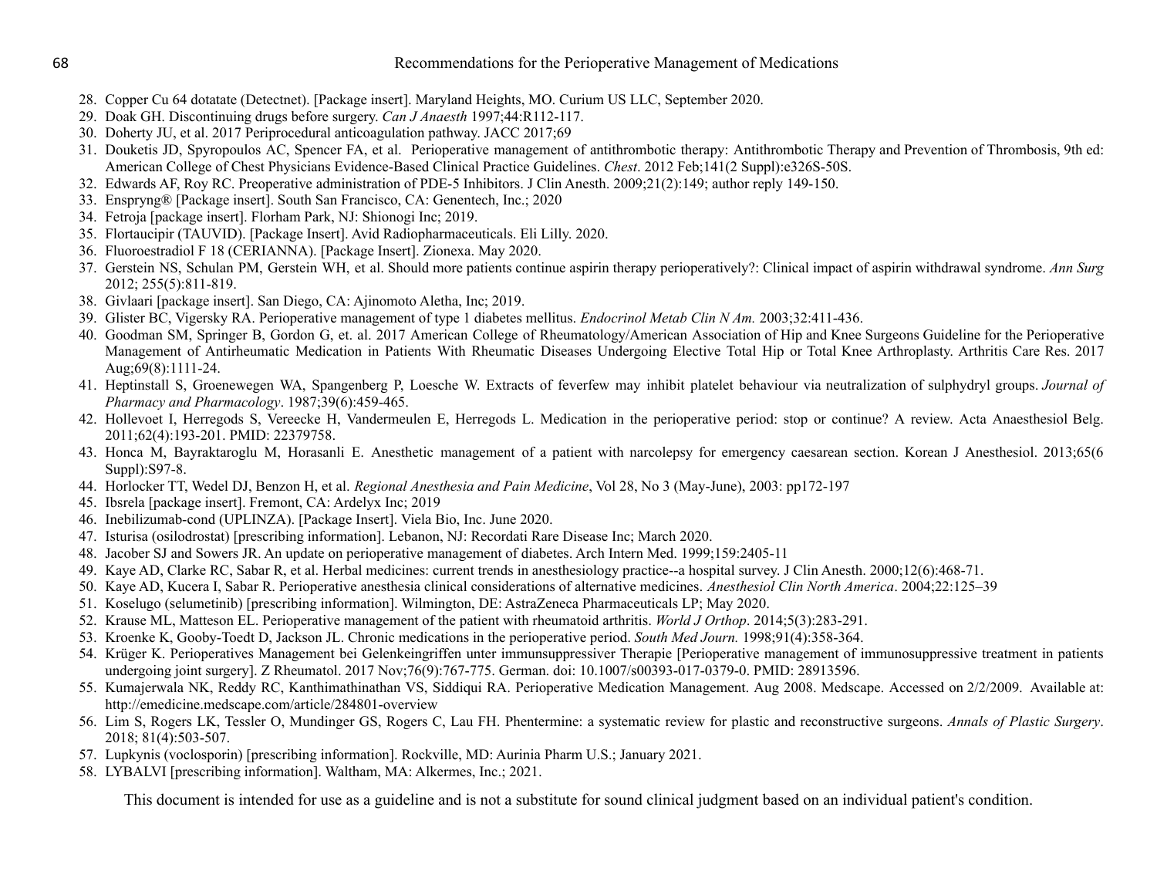- 28. Copper Cu 64 dotatate (Detectnet). [Package insert]. Maryland Heights, MO. Curium US LLC, September 2020.
- 29. Doak GH. Discontinuing drugs before surgery. *Can J Anaesth* 1997;44:R112-117.
- 30. Doherty JU, et al. 2017 Periprocedural anticoagulation pathway. JACC 2017;69
- 31. Douketis JD, Spyropoulos AC, Spencer FA, et al. Perioperative management of antithrombotic therapy: Antithrombotic Therapy and Prevention of Thrombosis, 9th ed: American College of Chest Physicians Evidence-Based Clinical Practice Guidelines. *Chest*. 2012 Feb;141(2 Suppl):e326S-50S.
- 32. Edwards AF, Roy RC. Preoperative administration of PDE-5 Inhibitors. J Clin Anesth. 2009;21(2):149; author reply 149-150.
- 33. Enspryng® [Package insert]. South San Francisco, CA: Genentech, Inc.; 2020
- 34. Fetroja [package insert]. Florham Park, NJ: Shionogi Inc; 2019.
- 35. Flortaucipir (TAUVID). [Package Insert]. Avid Radiopharmaceuticals. Eli Lilly. 2020.
- 36. Fluoroestradiol F 18 (CERIANNA). [Package Insert]. Zionexa. May 2020.
- 37. Gerstein NS, Schulan PM, Gerstein WH, et al. Should more patients continue aspirin therapy perioperatively?: Clinical impact of aspirin withdrawal syndrome. *Ann Surg* 2012; 255(5):811-819.
- 38. Givlaari [package insert]. San Diego, CA: Ajinomoto Aletha, Inc; 2019.
- 39. Glister BC, Vigersky RA. Perioperative management of type 1 diabetes mellitus. *Endocrinol Metab Clin N Am.* 2003;32:411-436.
- 40. Goodman SM, Springer B, Gordon G, et. al. 2017 American College of Rheumatology/American Association of Hip and Knee Surgeons Guideline for the Perioperative Management of Antirheumatic Medication in Patients With Rheumatic Diseases Undergoing Elective Total Hip or Total Knee Arthroplasty. Arthritis Care Res. 2017 Aug;69(8):1111-24.
- 41. Heptinstall S, Groenewegen WA, Spangenberg P, Loesche W. Extracts of feverfew may inhibit platelet behaviour via neutralization of sulphydryl groups. *Journal of Pharmacy and Pharmacology*. 1987;39(6):459-465.
- 42. Hollevoet I, Herregods S, Vereecke H, Vandermeulen E, Herregods L. Medication in the perioperative period: stop or continue? A review. Acta Anaesthesiol Belg. 2011;62(4):193-201. PMID: 22379758.
- 43. Honca M, Bayraktaroglu M, Horasanli E. Anesthetic management of a patient with narcolepsy for emergency caesarean section. Korean J Anesthesiol. 2013;65(6 Suppl):S97-8.
- 44. Horlocker TT, Wedel DJ, Benzon H, et al. *Regional Anesthesia and Pain Medicine*, Vol 28, No 3 (May-June), 2003: pp172-197
- 45. Ibsrela [package insert]. Fremont, CA: Ardelyx Inc; 2019
- 46. Inebilizumab-cond (UPLINZA). [Package Insert]. Viela Bio, Inc. June 2020.
- 47. Isturisa (osilodrostat) [prescribing information]. Lebanon, NJ: Recordati Rare Disease Inc; March 2020.
- 48. Jacober SJ and Sowers JR. An update on perioperative management of diabetes. Arch Intern Med. 1999;159:2405-11
- 49. Kaye AD, Clarke RC, Sabar R, et al. Herbal medicines: current trends in anesthesiology practice--a hospital survey. J Clin Anesth. 2000;12(6):468-71.
- 50. Kaye AD, Kucera I, Sabar R. Perioperative anesthesia clinical considerations of alternative medicines. *Anesthesiol Clin North America*. 2004;22:125–39
- 51. Koselugo (selumetinib) [prescribing information]. Wilmington, DE: AstraZeneca Pharmaceuticals LP; May 2020.
- 52. Krause ML, Matteson EL. Perioperative management of the patient with rheumatoid arthritis. *World J Orthop*. 2014;5(3):283-291.
- 53. Kroenke K, Gooby-Toedt D, Jackson JL. Chronic medications in the perioperative period. *South Med Journ.* 1998;91(4):358-364.
- 54. Krüger K. Perioperatives Management bei Gelenkeingriffen unter immunsuppressiver Therapie [Perioperative management of immunosuppressive treatment in patients undergoing joint surgery]. Z Rheumatol. 2017 Nov;76(9):767-775. German. doi: 10.1007/s00393-017-0379-0. PMID: 28913596.
- 55. Kumajerwala NK, Reddy RC, Kanthimathinathan VS, Siddiqui RA. Perioperative Medication Management. Aug 2008. Medscape. Accessed on 2/2/2009. Available at: <http://emedicine.medscape.com/article/284801-overview>
- 56. Lim S, Rogers LK, Tessler O, Mundinger GS, Rogers C, Lau FH. Phentermine: a systematic review for plastic and reconstructive surgeons. *Annals of Plastic Surgery*. 2018; 81(4):503-507.
- 57. Lupkynis (voclosporin) [prescribing information]. Rockville, MD: Aurinia Pharm U.S.; January 2021.
- 58. LYBALVI [prescribing information]. Waltham, MA: Alkermes, Inc.; 2021.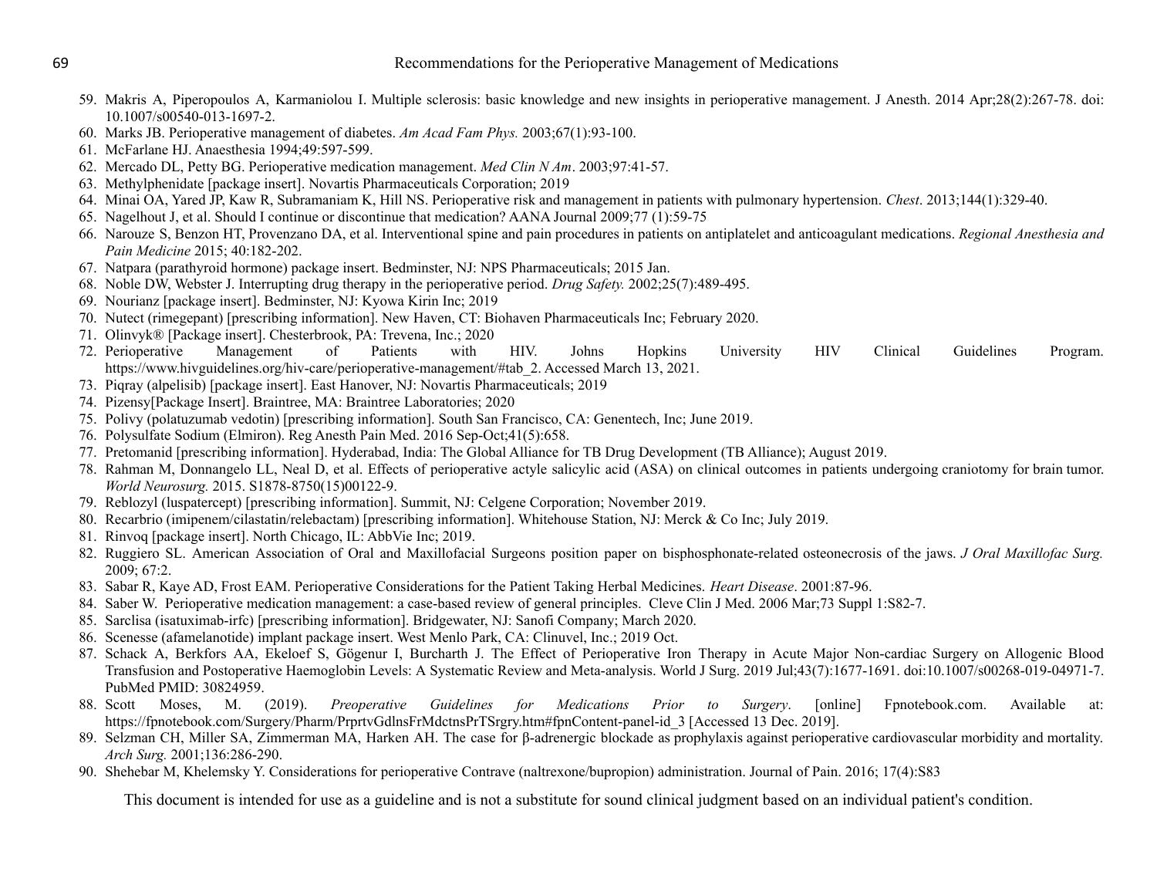- 59. Makris A, Piperopoulos A, Karmaniolou I. Multiple sclerosis: basic knowledge and new insights in perioperative management. J Anesth. 2014 Apr;28(2):267-78. doi: 10.1007/s00540-013-1697-2.
- 60. Marks JB. Perioperative management of diabetes. *Am Acad Fam Phys.* 2003;67(1):93-100.
- 61. McFarlane HJ. Anaesthesia 1994;49:597-599.
- 62. Mercado DL, Petty BG. Perioperative medication management. *Med Clin N Am*. 2003;97:41-57.
- 63. Methylphenidate [package insert]. Novartis Pharmaceuticals Corporation; 2019
- 64. Minai OA, Yared JP, Kaw R, Subramaniam K, Hill NS. Perioperative risk and management in patients with pulmonary hypertension. *Chest*. 2013;144(1):329-40.
- 65. Nagelhout J, et al. Should I continue or discontinue that medication? AANA Journal 2009;77 (1):59-75
- 66. Narouze S, Benzon HT, Provenzano DA, et al. Interventional spine and pain procedures in patients on antiplatelet and anticoagulant medications. *Regional Anesthesia and Pain Medicine* 2015; 40:182-202.
- 67. Natpara (parathyroid hormone) package insert. Bedminster, NJ: NPS Pharmaceuticals; 2015 Jan.
- 68. Noble DW, Webster J. Interrupting drug therapy in the perioperative period. *Drug Safety.* 2002;25(7):489-495.
- 69. Nourianz [package insert]. Bedminster, NJ: Kyowa Kirin Inc; 2019
- 70. Nutect (rimegepant) [prescribing information]. New Haven, CT: Biohaven Pharmaceuticals Inc; February 2020.
- 71. Olinvyk® [Package insert]. Chesterbrook, PA: Trevena, Inc.; 2020
- 72. Perioperative Management of Patients with HIV. Johns Hopkins University HIV Clinical Guidelines Program. https://www.hivguidelines.org/hiv-care/perioperative-management/#tab\_2. Accessed March 13, 2021.
- 73. Piqray (alpelisib) [package insert]. East Hanover, NJ: Novartis Pharmaceuticals; 2019
- 74. Pizensy[Package Insert]. Braintree, MA: Braintree Laboratories; 2020
- 75. Polivy (polatuzumab vedotin) [prescribing information]. South San Francisco, CA: Genentech, Inc; June 2019.
- 76. Polysulfate Sodium (Elmiron). Reg Anesth Pain Med. 2016 Sep-Oct;41(5):658.
- 77. Pretomanid [prescribing information]. Hyderabad, India: The Global Alliance for TB Drug Development (TB Alliance); August 2019.
- 78. Rahman M, Donnangelo LL, Neal D, et al. Effects of perioperative actyle salicylic acid (ASA) on clinical outcomes in patients undergoing craniotomy for brain tumor. *World Neurosurg.* 2015. S1878-8750(15)00122-9.
- 79. Reblozyl (luspatercept) [prescribing information]. Summit, NJ: Celgene Corporation; November 2019.
- 80. Recarbrio (imipenem/cilastatin/relebactam) [prescribing information]. Whitehouse Station, NJ: Merck & Co Inc; July 2019.
- 81. Rinvoq [package insert]. North Chicago, IL: AbbVie Inc; 2019.
- 82. Ruggiero SL. American Association of Oral and Maxillofacial Surgeons position paper on bisphosphonate-related osteonecrosis of the jaws. *J Oral Maxillofac Surg.* 2009; 67:2.
- 83. Sabar R, Kaye AD, Frost EAM. Perioperative Considerations for the Patient Taking Herbal Medicines. *Heart Disease*. 2001:87-96.
- 84. Saber W. Perioperative medication management: a case-based review of general principles. Cleve Clin J Med. 2006 Mar;73 Suppl 1:S82-7.
- 85. Sarclisa (isatuximab-irfc) [prescribing information]. Bridgewater, NJ: Sanofi Company; March 2020.
- 86. Scenesse (afamelanotide) implant package insert. West Menlo Park, CA: Clinuvel, Inc.; 2019 Oct.
- 87. Schack A, Berkfors AA, Ekeloef S, Gögenur I, Burcharth J. The Effect of Perioperative Iron Therapy in Acute Major Non-cardiac Surgery on Allogenic Blood Transfusion and Postoperative Haemoglobin Levels: A Systematic Review and Meta-analysis. World J Surg. 2019 Jul;43(7):1677-1691. doi:10.1007/s00268-019-04971-7. PubMed PMID: 30824959.
- 88. Scott Moses, M. (2019). *Preoperative Guidelines for Medications Prior to Surgery*. [online] Fpnotebook.com. Available at: https://fpnotebook.com/Surgery/Pharm/PrprtvGdlnsFrMdctnsPrTSrgry.htm#fpnContent-panel-id\_3 [Accessed 13 Dec. 2019].
- 89. Selzman CH, Miller SA, Zimmerman MA, Harken AH. The case for β-adrenergic blockade as prophylaxis against perioperative cardiovascular morbidity and mortality. *Arch Surg.* 2001;136:286-290.
- 90. Shehebar M, Khelemsky Y. Considerations for perioperative Contrave (naltrexone/bupropion) administration. Journal of Pain. 2016; 17(4):S83